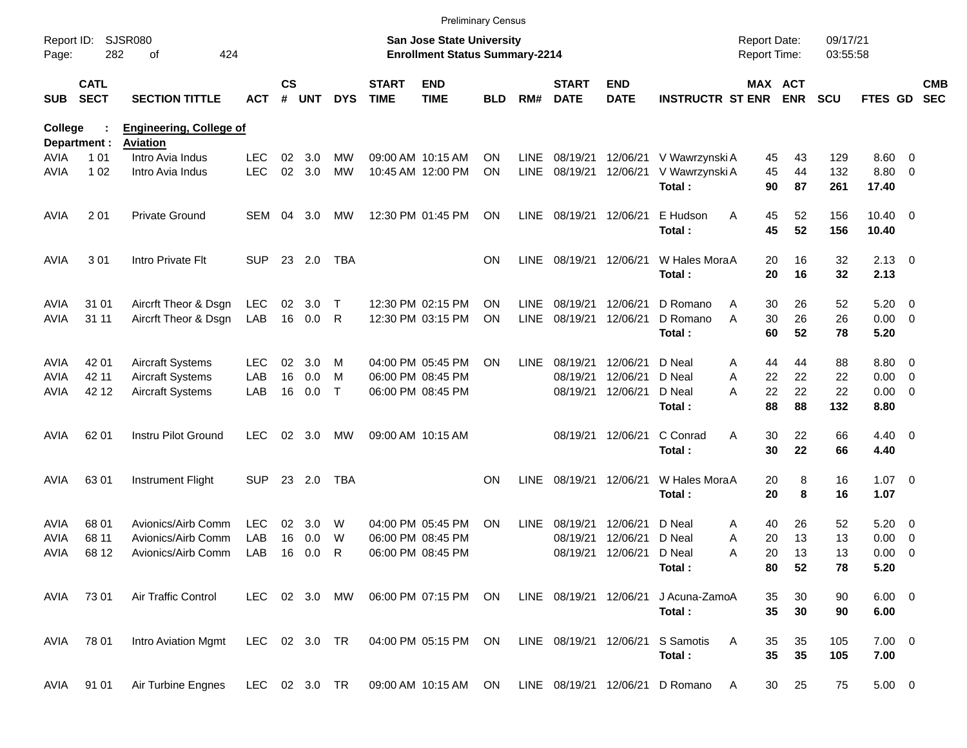|                     |                            |                                     |                   |                    |            |               |                             |                                                                    | <b>Preliminary Census</b> |                     |                             |                           |                                  |                                     |            |                      |                        |                          |                          |
|---------------------|----------------------------|-------------------------------------|-------------------|--------------------|------------|---------------|-----------------------------|--------------------------------------------------------------------|---------------------------|---------------------|-----------------------------|---------------------------|----------------------------------|-------------------------------------|------------|----------------------|------------------------|--------------------------|--------------------------|
| Report ID:<br>Page: | 282                        | <b>SJSR080</b><br>424<br>οf         |                   |                    |            |               |                             | San Jose State University<br><b>Enrollment Status Summary-2214</b> |                           |                     |                             |                           |                                  | <b>Report Date:</b><br>Report Time: |            | 09/17/21<br>03:55:58 |                        |                          |                          |
| <b>SUB</b>          | <b>CATL</b><br><b>SECT</b> | <b>SECTION TITTLE</b>               | ACT               | $\mathsf{cs}$<br># | <b>UNT</b> | <b>DYS</b>    | <b>START</b><br><b>TIME</b> | <b>END</b><br><b>TIME</b>                                          | BLD                       | RM#                 | <b>START</b><br><b>DATE</b> | <b>END</b><br><b>DATE</b> | <b>INSTRUCTR ST ENR</b>          | MAX ACT                             | <b>ENR</b> | <b>SCU</b>           | <b>FTES GD</b>         |                          | <b>CMB</b><br><b>SEC</b> |
| <b>College</b>      |                            | <b>Engineering, College of</b>      |                   |                    |            |               |                             |                                                                    |                           |                     |                             |                           |                                  |                                     |            |                      |                        |                          |                          |
|                     | Department :               | <b>Aviation</b><br>Intro Avia Indus |                   |                    |            | <b>MW</b>     |                             |                                                                    |                           |                     |                             |                           |                                  |                                     |            |                      |                        |                          |                          |
| AVIA<br><b>AVIA</b> | 1 0 1<br>1 0 2             | Intro Avia Indus                    | LEC<br><b>LEC</b> | 02<br>02           | 3.0<br>3.0 | <b>MW</b>     |                             | 09:00 AM 10:15 AM<br>10:45 AM 12:00 PM                             | ON<br><b>ON</b>           | <b>LINE</b><br>LINE | 08/19/21<br>08/19/21        | 12/06/21<br>12/06/21      | V Wawrzynski A<br>V Wawrzynski A | 45<br>45                            | 43<br>44   | 129<br>132           | $8.60 \quad 0$<br>8.80 | $\overline{\phantom{0}}$ |                          |
|                     |                            |                                     |                   |                    |            |               |                             |                                                                    |                           |                     |                             |                           | Total:                           | 90                                  | 87         | 261                  | 17.40                  |                          |                          |
| <b>AVIA</b>         | 201                        | <b>Private Ground</b>               | SEM               | 04                 | 3.0        | MW            |                             | 12:30 PM 01:45 PM                                                  | ON                        | LINE                | 08/19/21 12/06/21           |                           | E Hudson                         | Α<br>45                             | 52         | 156                  | $10.40 \quad 0$        |                          |                          |
|                     |                            |                                     |                   |                    |            |               |                             |                                                                    |                           |                     |                             |                           | Total:                           | 45                                  | 52         | 156                  | 10.40                  |                          |                          |
| <b>AVIA</b>         | 301                        | Intro Private Flt                   | <b>SUP</b>        |                    | 23 2.0     | <b>TBA</b>    |                             |                                                                    | <b>ON</b>                 | <b>LINE</b>         |                             | 08/19/21 12/06/21         | W Hales MoraA                    | 20                                  | 16         | 32                   | $2.13 \quad 0$         |                          |                          |
|                     |                            |                                     |                   |                    |            |               |                             |                                                                    |                           |                     |                             |                           | Total:                           | 20                                  | 16         | 32                   | 2.13                   |                          |                          |
| <b>AVIA</b>         | 31 01                      | Aircrft Theor & Dsgn                | <b>LEC</b>        | 02                 | 3.0        | $\mathsf T$   |                             | 12:30 PM 02:15 PM                                                  | ΟN                        | <b>LINE</b>         | 08/19/21                    | 12/06/21                  | D Romano                         | 30<br>Α                             | 26         | 52                   | 5.20                   | $\overline{\phantom{0}}$ |                          |
| <b>AVIA</b>         | 31 11                      | Aircrft Theor & Dsgn                | LAB               |                    | 16 0.0     | R             |                             | 12:30 PM 03:15 PM                                                  | ΟN                        | <b>LINE</b>         | 08/19/21                    | 12/06/21                  | D Romano                         | 30<br>A                             | 26         | 26                   | $0.00 \t 0$            |                          |                          |
|                     |                            |                                     |                   |                    |            |               |                             |                                                                    |                           |                     |                             |                           | Total:                           | 60                                  | 52         | 78                   | 5.20                   |                          |                          |
| <b>AVIA</b>         | 42 01                      | <b>Aircraft Systems</b>             | <b>LEC</b>        | 02                 | 3.0        | M             |                             | 04:00 PM 05:45 PM                                                  | ON                        | <b>LINE</b>         | 08/19/21                    | 12/06/21                  | D Neal                           | 44<br>A                             | 44         | 88                   | $8.80\ 0$              |                          |                          |
| <b>AVIA</b>         | 42 11                      | <b>Aircraft Systems</b>             | LAB               | 16                 | 0.0        | M             |                             | 06:00 PM 08:45 PM                                                  |                           |                     | 08/19/21                    | 12/06/21                  | D Neal                           | Α<br>22                             | 22         | 22                   | 0.00                   | $\overline{\phantom{0}}$ |                          |
| AVIA                | 42 12                      | Aircraft Systems                    | LAB               | 16                 | 0.0        | $\mathsf{T}$  |                             | 06:00 PM 08:45 PM                                                  |                           |                     |                             | 08/19/21 12/06/21         | D Neal                           | 22<br>Α                             | 22         | 22                   | 0.00                   | $\overline{\phantom{0}}$ |                          |
|                     |                            |                                     |                   |                    |            |               |                             |                                                                    |                           |                     |                             |                           | Total:                           | 88                                  | 88         | 132                  | 8.80                   |                          |                          |
| AVIA                | 62 01                      | Instru Pilot Ground                 | <b>LEC</b>        | 02                 | 3.0        | MW            |                             | 09:00 AM 10:15 AM                                                  |                           |                     |                             | 08/19/21 12/06/21         | C Conrad                         | Α<br>30                             | 22         | 66                   | $4.40 \quad 0$         |                          |                          |
|                     |                            |                                     |                   |                    |            |               |                             |                                                                    |                           |                     |                             |                           | Total:                           | 30                                  | 22         | 66                   | 4.40                   |                          |                          |
| AVIA                | 6301                       | <b>Instrument Flight</b>            | <b>SUP</b>        |                    | 23 2.0     | TBA           |                             |                                                                    | <b>ON</b>                 | <b>LINE</b>         |                             | 08/19/21 12/06/21         | W Hales MoraA                    | 20                                  | 8          | 16                   | $1.07 \t 0$            |                          |                          |
|                     |                            |                                     |                   |                    |            |               |                             |                                                                    |                           |                     |                             |                           | Total:                           | 20                                  | 8          | 16                   | 1.07                   |                          |                          |
| <b>AVIA</b>         | 68 01                      | Avionics/Airb Comm                  | <b>LEC</b>        | 02                 | 3.0        | W             |                             | 04:00 PM 05:45 PM                                                  | ON                        | <b>LINE</b>         | 08/19/21                    | 12/06/21                  | D Neal                           | 40<br>A                             | 26         | 52                   | 5.20                   | $\overline{\phantom{0}}$ |                          |
| AVIA                | 68 11                      | Avionics/Airb Comm                  | LAB               | 16                 | 0.0        | W             |                             | 06:00 PM 08:45 PM                                                  |                           |                     | 08/19/21                    | 12/06/21                  | D Neal                           | 20<br>A                             | 13         | 13                   | 0.00                   | $\overline{\mathbf{0}}$  |                          |
| AVIA                | 68 12                      | Avionics/Airb Comm                  | LAB               | 16                 | 0.0        | R             |                             | 06:00 PM 08:45 PM                                                  |                           |                     | 08/19/21                    | 12/06/21                  | D Neal                           | 20<br>A                             | 13         | 13                   | 0.00                   | $\overline{\phantom{0}}$ |                          |
|                     |                            |                                     |                   |                    |            |               |                             |                                                                    |                           |                     |                             |                           | Total:                           | 80                                  | 52         | 78                   | 5.20                   |                          |                          |
| AVIA                | 73 01                      | Air Traffic Control                 |                   |                    |            | LEC 02 3.0 MW |                             | 06:00 PM 07:15 PM ON                                               |                           |                     | LINE 08/19/21 12/06/21      |                           | J Acuna-ZamoA                    | 35                                  | 30         | 90                   | $6.00 \t 0$            |                          |                          |
|                     |                            |                                     |                   |                    |            |               |                             |                                                                    |                           |                     |                             |                           | Total:                           | 35                                  | 30         | 90                   | 6.00                   |                          |                          |
| AVIA                | 78 01                      | Intro Aviation Mgmt                 | LEC 02 3.0 TR     |                    |            |               |                             | 04:00 PM 05:15 PM ON                                               |                           |                     | LINE 08/19/21 12/06/21      |                           | S Samotis                        | 35<br>A                             | 35         | 105                  | $7.00 \t 0$            |                          |                          |
|                     |                            |                                     |                   |                    |            |               |                             |                                                                    |                           |                     |                             |                           | Total:                           | 35                                  | 35         | 105                  | 7.00                   |                          |                          |
| AVIA                | 91 01                      | Air Turbine Engnes                  | LEC 02 3.0 TR     |                    |            |               |                             | 09:00 AM 10:15 AM ON                                               |                           |                     |                             | LINE 08/19/21 12/06/21    | D Romano                         | 30<br>A                             | 25         | 75                   | $5.00 \t 0$            |                          |                          |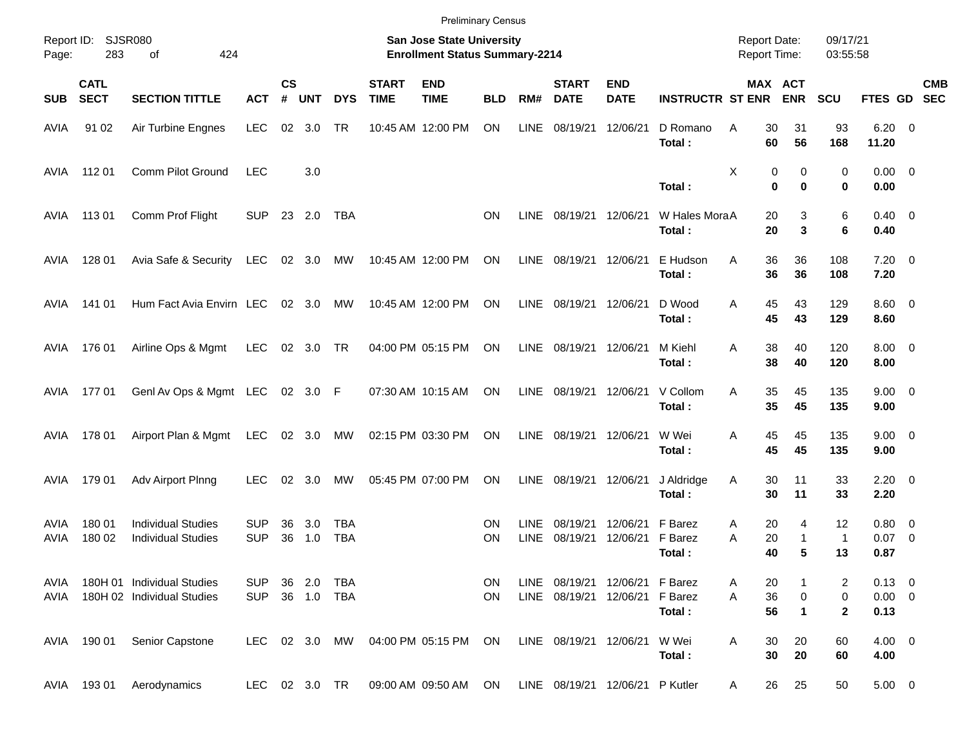|              |                            |                                                          |                          |                    |                          |                   |                             | <b>Preliminary Census</b>                                          |            |              |                             |                                                                  |                              |                                     |                          |                          |                                   |                          |            |
|--------------|----------------------------|----------------------------------------------------------|--------------------------|--------------------|--------------------------|-------------------|-----------------------------|--------------------------------------------------------------------|------------|--------------|-----------------------------|------------------------------------------------------------------|------------------------------|-------------------------------------|--------------------------|--------------------------|-----------------------------------|--------------------------|------------|
| Page:        | Report ID: SJSR080<br>283  | of<br>424                                                |                          |                    |                          |                   |                             | San Jose State University<br><b>Enrollment Status Summary-2214</b> |            |              |                             |                                                                  |                              | <b>Report Date:</b><br>Report Time: |                          | 09/17/21<br>03:55:58     |                                   |                          |            |
| <b>SUB</b>   | <b>CATL</b><br><b>SECT</b> | <b>SECTION TITTLE</b>                                    | <b>ACT</b>               | $\mathsf{cs}$<br># | <b>UNT</b>               | <b>DYS</b>        | <b>START</b><br><b>TIME</b> | <b>END</b><br><b>TIME</b>                                          | <b>BLD</b> | RM#          | <b>START</b><br><b>DATE</b> | <b>END</b><br><b>DATE</b>                                        | <b>INSTRUCTR ST ENR</b>      |                                     | MAX ACT<br><b>ENR</b>    | <b>SCU</b>               | FTES GD SEC                       |                          | <b>CMB</b> |
| AVIA         | 91 02                      | Air Turbine Engnes                                       | <b>LEC</b>               | 02                 | 3.0                      | TR                |                             | 10:45 AM 12:00 PM                                                  | ON         | <b>LINE</b>  | 08/19/21                    | 12/06/21                                                         | D Romano<br>Total:           | Α<br>30<br>60                       | 31<br>56                 | 93<br>168                | $6.20 \quad 0$<br>11.20           |                          |            |
| AVIA         | 112 01                     | Comm Pilot Ground                                        | <b>LEC</b>               |                    | 3.0                      |                   |                             |                                                                    |            |              |                             |                                                                  | Total:                       | х                                   | 0<br>0<br>0<br>$\bf{0}$  | 0<br>0                   | $0.00 \t 0$<br>0.00               |                          |            |
| AVIA         | 11301                      | Comm Prof Flight                                         | <b>SUP</b>               |                    | 23 2.0                   | TBA               |                             |                                                                    | <b>ON</b>  | LINE         | 08/19/21                    | 12/06/21                                                         | W Hales MoraA<br>Total:      | 20<br>20                            | 3<br>3                   | 6<br>6                   | $0.40 \quad 0$<br>0.40            |                          |            |
| AVIA         | 128 01                     | Avia Safe & Security                                     | LEC                      |                    | 02 3.0                   | МW                |                             | 10:45 AM 12:00 PM                                                  | ON         | LINE         | 08/19/21                    | 12/06/21                                                         | E Hudson<br>Total:           | 36<br>Α<br>36                       | 36<br>36                 | 108<br>108               | $7.20 \t 0$<br>7.20               |                          |            |
| AVIA         | 141 01                     | Hum Fact Avia Envirn LEC                                 |                          |                    | 02 3.0                   | МW                |                             | 10:45 AM 12:00 PM                                                  | ON         | LINE         | 08/19/21                    | 12/06/21                                                         | D Wood<br>Total:             | 45<br>Α<br>45                       | 43<br>43                 | 129<br>129               | $8.60 \quad 0$<br>8.60            |                          |            |
| AVIA         | 176 01                     | Airline Ops & Mgmt                                       | <b>LEC</b>               |                    | 02 3.0                   | TR                |                             | 04:00 PM 05:15 PM                                                  | ON         | LINE         | 08/19/21                    | 12/06/21                                                         | M Kiehl<br>Total:            | 38<br>Α<br>38                       | 40<br>40                 | 120<br>120               | $8.00 \t 0$<br>8.00               |                          |            |
| AVIA         | 17701                      | GenI Av Ops & Mgmt LEC 02 3.0 F                          |                          |                    |                          |                   |                             | 07:30 AM 10:15 AM                                                  | ON         | LINE         | 08/19/21                    | 12/06/21                                                         | V Collom<br>Total:           | 35<br>Α<br>35                       | 45<br>45                 | 135<br>135               | $9.00 \t 0$<br>9.00               |                          |            |
| AVIA         | 178 01                     | Airport Plan & Mgmt                                      | LEC                      |                    | 02 3.0 MW                |                   |                             | 02:15 PM 03:30 PM                                                  | ON         | LINE         | 08/19/21                    | 12/06/21                                                         | W Wei<br>Total:              | 45<br>Α<br>45                       | 45<br>45                 | 135<br>135               | $9.00 \t 0$<br>9.00               |                          |            |
| AVIA         | 179 01                     | Adv Airport Plnng                                        | <b>LEC</b>               | 02                 | 3.0                      | МW                |                             | 05:45 PM 07:00 PM                                                  | ON         | <b>LINE</b>  | 08/19/21                    | 12/06/21                                                         | J Aldridge<br>Total:         | Α<br>30<br>30                       | 11<br>11                 | 33<br>33                 | $2.20 \t 0$<br>2.20               |                          |            |
| AVIA<br>AVIA | 180 01<br>180 02           | <b>Individual Studies</b><br><b>Individual Studies</b>   | <b>SUP</b><br><b>SUP</b> | 36<br>36           | 3.0<br>1.0               | TBA<br><b>TBA</b> |                             |                                                                    | ON<br>ΟN   | LINE<br>LINE | 08/19/21<br>08/19/21        | 12/06/21<br>12/06/21                                             | F Barez<br>F Barez<br>Total: | 20<br>Α<br>20<br>Α<br>40            | 4<br>$\mathbf{1}$<br>5   | 12<br>$\mathbf{1}$<br>13 | $0.80 \ 0$<br>0.07<br>0.87        | $\overline{\phantom{0}}$ |            |
| AVIA<br>AVIA |                            | 180H 01 Individual Studies<br>180H 02 Individual Studies | <b>SUP</b><br><b>SUP</b> |                    | 36 2.0 TBA<br>36 1.0 TBA |                   |                             |                                                                    | ON.<br>ON  |              |                             | LINE 08/19/21 12/06/21 F Barez<br>LINE 08/19/21 12/06/21 F Barez | Total:                       | 20<br>Α<br>36<br>A<br>56            | $\pmb{0}$<br>$\mathbf 1$ | 2<br>0<br>$\mathbf{2}$   | $0.13 \ 0$<br>$0.00 \t 0$<br>0.13 |                          |            |
|              | AVIA 190 01                | Senior Capstone                                          |                          |                    |                          | LEC 02 3.0 MW     |                             | 04:00 PM 05:15 PM ON                                               |            |              | LINE 08/19/21 12/06/21      |                                                                  | W Wei<br>Total:              | 30<br>Α<br>30                       | 20<br>20                 | 60<br>60                 | $4.00 \ 0$<br>4.00                |                          |            |
| AVIA         | 19301                      | Aerodynamics                                             |                          |                    |                          | LEC 02 3.0 TR     |                             | 09:00 AM 09:50 AM ON LINE 08/19/21 12/06/21 P Kutler               |            |              |                             |                                                                  |                              | 26<br>A                             | 25                       | 50                       | $5.00 \t 0$                       |                          |            |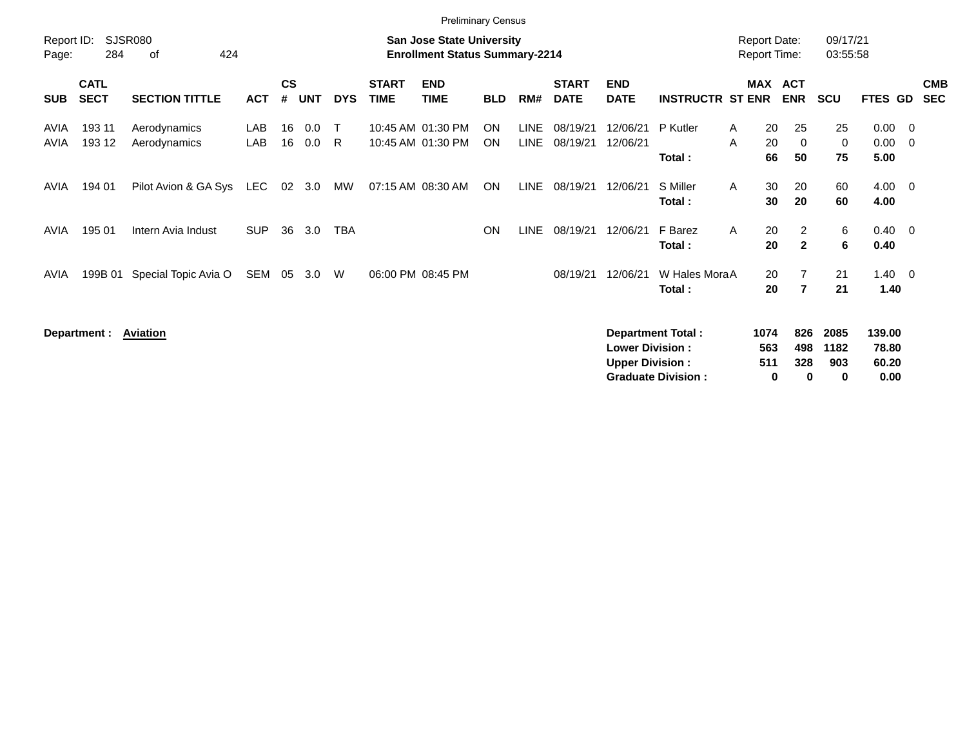|                     | <b>Preliminary Census</b>  |                              |            |                    |            |             |                             |                                                                           |                        |                     |                             |                                                  |                                                       |                                            |                               |                          |                                  |                                |                          |
|---------------------|----------------------------|------------------------------|------------|--------------------|------------|-------------|-----------------------------|---------------------------------------------------------------------------|------------------------|---------------------|-----------------------------|--------------------------------------------------|-------------------------------------------------------|--------------------------------------------|-------------------------------|--------------------------|----------------------------------|--------------------------------|--------------------------|
| Report ID:<br>Page: | 284                        | <b>SJSR080</b><br>424<br>of  |            |                    |            |             |                             | <b>San Jose State University</b><br><b>Enrollment Status Summary-2214</b> |                        |                     |                             |                                                  |                                                       | <b>Report Date:</b><br><b>Report Time:</b> |                               | 09/17/21<br>03:55:58     |                                  |                                |                          |
| <b>SUB</b>          | <b>CATL</b><br><b>SECT</b> | <b>SECTION TITTLE</b>        | <b>ACT</b> | $\mathsf{cs}$<br># | <b>UNT</b> | <b>DYS</b>  | <b>START</b><br><b>TIME</b> | <b>END</b><br><b>TIME</b>                                                 | <b>BLD</b>             | RM#                 | <b>START</b><br><b>DATE</b> | <b>END</b><br><b>DATE</b>                        | <b>INSTRUCTR ST ENR</b>                               | MAX                                        | <b>ACT</b><br><b>ENR</b>      | <b>SCU</b>               | FTES GD                          |                                | <b>CMB</b><br><b>SEC</b> |
| AVIA<br>AVIA        | 193 11<br>193 12           | Aerodynamics<br>Aerodynamics | LAB<br>LAB | 16<br>16           | 0.0<br>0.0 | $\top$<br>R |                             | 10:45 AM 01:30 PM<br>10:45 AM 01:30 PM                                    | <b>ON</b><br><b>ON</b> | <b>LINE</b><br>LINE | 08/19/21<br>08/19/21        | 12/06/21<br>12/06/21                             | P Kutler<br>Total:                                    | 20<br>A<br>20<br>Α<br>66                   | 25<br>$\overline{0}$<br>50    | 25<br>0<br>75            | 0.00<br>0.00<br>5.00             | $\overline{\mathbf{0}}$<br>- 0 |                          |
| AVIA                | 194 01                     | Pilot Avion & GA Sys         | <b>LEC</b> | 02 <sub>o</sub>    | 3.0        | MW          |                             | 07:15 AM 08:30 AM                                                         | <b>ON</b>              | <b>LINE</b>         | 08/19/21                    | 12/06/21                                         | S Miller<br>Total:                                    | 30<br>A<br>30                              | 20<br>20                      | 60<br>60                 | 4.00<br>4.00                     | $\overline{\phantom{0}}$       |                          |
| AVIA                | 195 01                     | Intern Avia Indust           | <b>SUP</b> | 36                 | 3.0        | <b>TBA</b>  |                             |                                                                           | ON                     | LINE                | 08/19/21                    | 12/06/21                                         | F Barez<br>Total:                                     | 20<br>A<br>20                              | 2<br>$\mathbf{2}$             | 6<br>6                   | 0.40<br>0.40                     | $\overline{\mathbf{0}}$        |                          |
| AVIA                | 199B 01                    | Special Topic Avia O         | SEM        | 05                 | 3.0        | W           |                             | 06:00 PM 08:45 PM                                                         |                        |                     | 08/19/21                    | 12/06/21                                         | W Hales MoraA<br>Total:                               | 20<br>20                                   | 7<br>$\overline{7}$           | 21<br>21                 | $1.40 \ 0$<br>1.40               |                                |                          |
|                     | Department :               | Aviation                     |            |                    |            |             |                             |                                                                           |                        |                     |                             | <b>Lower Division:</b><br><b>Upper Division:</b> | <b>Department Total:</b><br><b>Graduate Division:</b> | 1074<br>563<br>511<br>0                    | 826<br>498<br>328<br>$\bf{0}$ | 2085<br>1182<br>903<br>0 | 139.00<br>78.80<br>60.20<br>0.00 |                                |                          |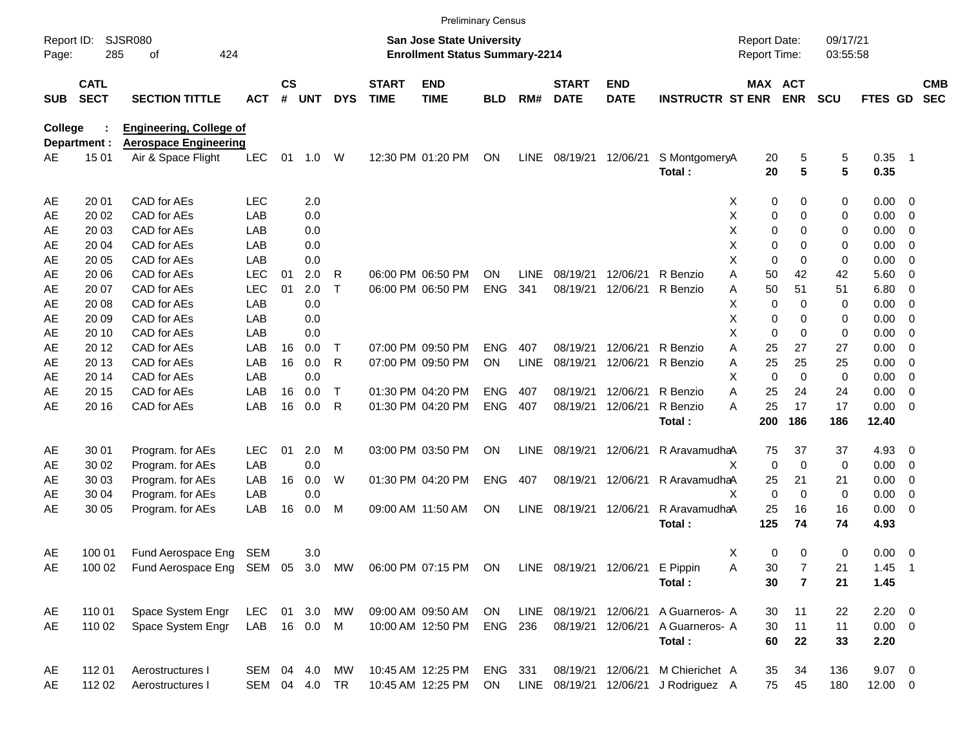|                |                                                  |                                                              |              |                |               |              |                             |                                                                    | <b>Preliminary Census</b> |             |                             |                           |                         |                                     |                |                      |              |                          |                          |
|----------------|--------------------------------------------------|--------------------------------------------------------------|--------------|----------------|---------------|--------------|-----------------------------|--------------------------------------------------------------------|---------------------------|-------------|-----------------------------|---------------------------|-------------------------|-------------------------------------|----------------|----------------------|--------------|--------------------------|--------------------------|
| Page:          | <b>SJSR080</b><br>Report ID:<br>285<br>424<br>οf |                                                              |              |                |               |              |                             | San Jose State University<br><b>Enrollment Status Summary-2214</b> |                           |             |                             |                           |                         | <b>Report Date:</b><br>Report Time: |                | 09/17/21<br>03:55:58 |              |                          |                          |
| <b>SUB</b>     | <b>CATL</b><br><b>SECT</b>                       | <b>SECTION TITTLE</b>                                        | <b>ACT</b>   | <b>CS</b><br># | <b>UNT</b>    | <b>DYS</b>   | <b>START</b><br><b>TIME</b> | <b>END</b><br><b>TIME</b>                                          | <b>BLD</b>                | RM#         | <b>START</b><br><b>DATE</b> | <b>END</b><br><b>DATE</b> | <b>INSTRUCTR ST ENR</b> | MAX ACT                             | <b>ENR</b>     | <b>SCU</b>           | FTES GD      |                          | <b>CMB</b><br><b>SEC</b> |
| <b>College</b> |                                                  | <b>Engineering, College of</b>                               |              |                |               |              |                             |                                                                    |                           |             |                             |                           |                         |                                     |                |                      |              |                          |                          |
|                | Department :                                     | <b>Aerospace Engineering</b>                                 |              |                |               |              |                             |                                                                    |                           |             |                             |                           |                         |                                     |                |                      |              |                          |                          |
| AЕ             | 15 01                                            | Air & Space Flight                                           | <b>LEC</b>   | 01             | 1.0 W         |              |                             | 12:30 PM 01:20 PM                                                  | ON                        | LINE        | 08/19/21                    | 12/06/21                  | S MontgomeryA<br>Total: | 20<br>20                            | 5<br>5         | 5<br>5               | 0.35<br>0.35 | $\blacksquare$ 1         |                          |
| AE             | 20 01                                            | CAD for AEs                                                  | <b>LEC</b>   |                | 2.0           |              |                             |                                                                    |                           |             |                             |                           |                         | X<br>0                              | 0              | 0                    | 0.00         | $\overline{\phantom{0}}$ |                          |
| AE             | 20 02                                            | CAD for AEs                                                  | <b>LAB</b>   |                | 0.0           |              |                             |                                                                    |                           |             |                             |                           |                         | X<br>0                              | 0              | 0                    | 0.00         | $\overline{0}$           |                          |
| AE             | 20 03                                            | CAD for AEs                                                  | <b>LAB</b>   |                | 0.0           |              |                             |                                                                    |                           |             |                             |                           |                         | X<br>0                              | 0              | 0                    | 0.00         | 0                        |                          |
| AE             | 20 04                                            | CAD for AEs                                                  | <b>LAB</b>   |                | 0.0           |              |                             |                                                                    |                           |             |                             |                           |                         | X<br>0                              | 0              | 0                    | 0.00         | 0                        |                          |
| AE             | 20 05                                            | CAD for AEs                                                  | <b>LAB</b>   |                | 0.0           |              |                             |                                                                    |                           |             |                             |                           |                         | X<br>0                              | $\Omega$       | 0                    | 0.00         | 0                        |                          |
| AE             | 20 06                                            | CAD for AEs                                                  | LEC          | 01             | 2.0           | R            |                             | 06:00 PM 06:50 PM                                                  | <b>ON</b>                 | LINE        | 08/19/21                    | 12/06/21                  | R Benzio                | Α<br>50                             | 42             | 42                   | 5.60         | $\overline{0}$           |                          |
| AE             | 20 07                                            | CAD for AEs                                                  | <b>LEC</b>   | 01             | 2.0           | $\mathsf{T}$ |                             | 06:00 PM 06:50 PM                                                  | <b>ENG</b>                | 341         | 08/19/21                    | 12/06/21                  | R Benzio                | 50<br>Α                             | 51             | 51                   | 6.80         | 0                        |                          |
| AE             | 20 08                                            | CAD for AEs                                                  | <b>LAB</b>   |                | 0.0           |              |                             |                                                                    |                           |             |                             |                           |                         | X<br>0                              | $\Omega$       | 0                    | 0.00         | 0                        |                          |
| AE             | 20 09                                            | CAD for AEs                                                  | <b>LAB</b>   |                | 0.0           |              |                             |                                                                    |                           |             |                             |                           |                         | X<br>0                              | 0              | 0                    | 0.00         | 0                        |                          |
| AE             | 20 10                                            | CAD for AEs                                                  | <b>LAB</b>   |                | 0.0           |              |                             |                                                                    |                           |             |                             |                           |                         | X<br>0                              | $\Omega$       | 0                    | 0.00         | 0                        |                          |
| AE             | 20 12                                            | CAD for AEs                                                  | <b>LAB</b>   | 16             | 0.0           | Т            |                             | 07:00 PM 09:50 PM                                                  | <b>ENG</b>                | 407         | 08/19/21                    | 12/06/21                  | R Benzio                | Α<br>25                             | 27             | 27                   | 0.00         | 0                        |                          |
| AE             | 20 13                                            | CAD for AEs                                                  | <b>LAB</b>   | 16             | 0.0           | R            |                             | 07:00 PM 09:50 PM                                                  | ON                        | <b>LINE</b> | 08/19/21                    | 12/06/21                  | R Benzio                | 25<br>Α                             | 25             | 25                   | 0.00         | 0                        |                          |
| AE             | 20 14                                            | CAD for AEs                                                  | LAB          |                | 0.0           |              |                             |                                                                    |                           |             |                             |                           |                         | X.<br>$\mathbf 0$                   | $\mathbf 0$    | 0                    | 0.00         | $\overline{0}$           |                          |
| AE             | 20 15                                            | CAD for AEs                                                  | <b>LAB</b>   | 16             | 0.0           | T            |                             | 01:30 PM 04:20 PM                                                  | <b>ENG</b>                | 407         | 08/19/21                    | 12/06/21                  | R Benzio                | Α<br>25                             | 24             | 24                   | 0.00         | 0                        |                          |
| AE             | 20 16                                            | CAD for AEs                                                  | LAB          | 16             | 0.0           | R            |                             | 01:30 PM 04:20 PM                                                  | <b>ENG</b>                | 407         | 08/19/21                    | 12/06/21                  | R Benzio                | 25<br>А                             | 17             | 17                   | 0.00         | $\overline{0}$           |                          |
|                |                                                  |                                                              |              |                |               |              |                             |                                                                    |                           |             |                             |                           | Total:                  | 200                                 | 186            | 186                  | 12.40        |                          |                          |
| AE             | 30 01                                            | Program. for AEs                                             | <b>LEC</b>   | 01             | 2.0           | M            |                             | 03:00 PM 03:50 PM                                                  | ON                        | <b>LINE</b> | 08/19/21                    | 12/06/21                  | R AravamudhaA           | 75                                  | 37             | 37                   | 4.93         | $\overline{\mathbf{0}}$  |                          |
| AE             | 30 02                                            | Program. for AEs                                             | LAB          |                | 0.0           |              |                             |                                                                    |                           |             |                             |                           |                         | X<br>0                              | $\Omega$       | 0                    | 0.00         | $\overline{\mathbf{0}}$  |                          |
| AE             | 30 03                                            | Program. for AEs                                             | LAB          | 16             | 0.0           | W            |                             | 01:30 PM 04:20 PM                                                  | <b>ENG</b>                | 407         |                             | 08/19/21 12/06/21         | R AravamudhaA           | 25                                  | 21             | 21                   | 0.00         | 0                        |                          |
| AE             | 30 04                                            | Program. for AEs                                             | LAB          |                | 0.0           |              |                             |                                                                    |                           |             |                             |                           |                         | X<br>0                              | $\Omega$       | 0                    | 0.00         | 0                        |                          |
| AE             | 30 05                                            | Program. for AEs                                             | LAB          | 16             | 0.0           | М            |                             | 09:00 AM 11:50 AM                                                  | ON                        | <b>LINE</b> | 08/19/21 12/06/21           |                           | R AravamudhaA           | 25                                  | 16             | 16                   | 0.00         | - 0                      |                          |
|                |                                                  |                                                              |              |                |               |              |                             |                                                                    |                           |             |                             |                           | Total:                  | 125                                 | 74             | 74                   | 4.93         |                          |                          |
| AE             | 100 01                                           | Fund Aerospace Eng                                           | SEM          |                | 3.0           |              |                             |                                                                    |                           |             |                             |                           |                         | X<br>0                              | $\mathbf 0$    | 0                    | $0.00 \t 0$  |                          |                          |
| AE             |                                                  | 100 02 Fund Aerospace Eng SEM 05 3.0 MW 06:00 PM 07:15 PM ON |              |                |               |              |                             |                                                                    |                           |             | LINE 08/19/21 12/06/21      |                           | E Pippin                | Α<br>30                             | 7              | 21                   | $1.45$ 1     |                          |                          |
|                |                                                  |                                                              |              |                |               |              |                             |                                                                    |                           |             |                             |                           | Total:                  | 30                                  | $\overline{7}$ | 21                   | 1.45         |                          |                          |
| AE             | 110 01                                           | Space System Engr                                            | LEC          |                |               | 01 3.0 MW    |                             | 09:00 AM 09:50 AM                                                  | ON                        |             | LINE 08/19/21 12/06/21      |                           | A Guarneros- A          | 30                                  | 11             | 22                   | $2.20 \t 0$  |                          |                          |
| AE             | 110 02                                           | Space System Engr                                            | LAB 16 0.0 M |                |               |              |                             | 10:00 AM 12:50 PM                                                  | ENG 236                   |             |                             | 08/19/21 12/06/21         | A Guarneros- A          | 30                                  | 11             | 11                   | $0.00 \t 0$  |                          |                          |
|                |                                                  |                                                              |              |                |               |              |                             |                                                                    |                           |             |                             |                           | Total:                  | 60                                  | 22             | 33                   | 2.20         |                          |                          |
| AE             | 112 01                                           | Aerostructures I                                             | SEM 04 4.0   |                |               | MW           |                             | 10:45 AM 12:25 PM                                                  | ENG 331                   |             |                             | 08/19/21 12/06/21         | M Chierichet A          | 35                                  | 34             | 136                  | $9.07$ 0     |                          |                          |
| AE             | 112 02                                           | Aerostructures I                                             |              |                | SEM 04 4.0 TR |              |                             | 10:45 AM 12:25 PM                                                  | ON                        |             | LINE 08/19/21 12/06/21      |                           | J Rodriguez A           | 75                                  | 45             | 180                  | $12.00 \t 0$ |                          |                          |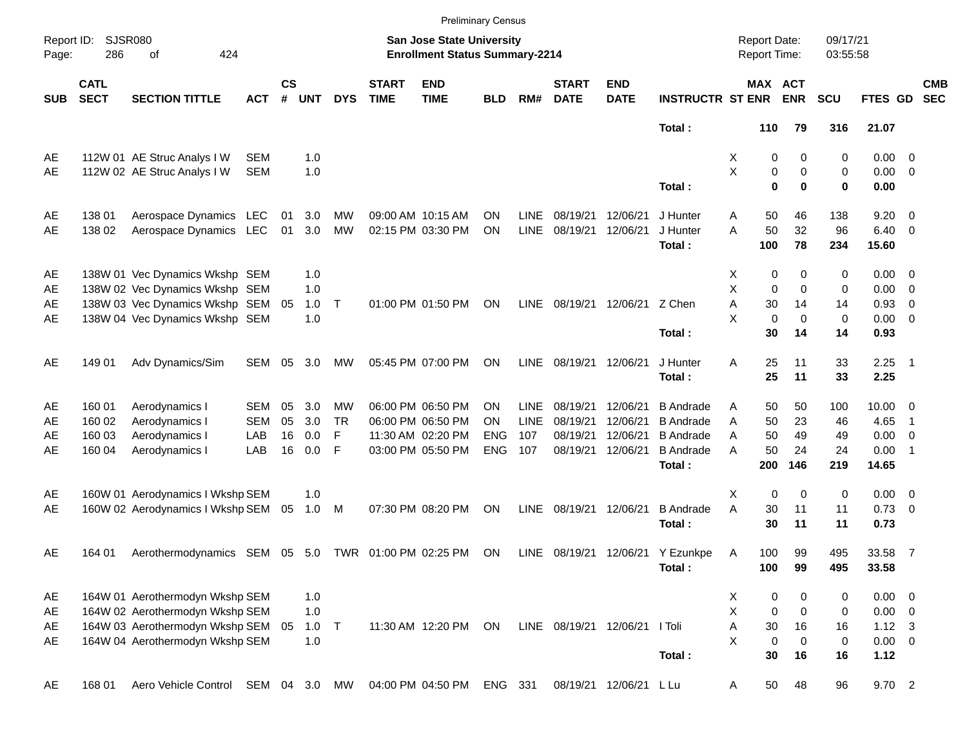|                     |                            |                                                     |               |                    |            |            |                             |                                                                           | <b>Preliminary Census</b> |             |                               |                           |                             |                                     |                       |                      |                         |                          |                          |
|---------------------|----------------------------|-----------------------------------------------------|---------------|--------------------|------------|------------|-----------------------------|---------------------------------------------------------------------------|---------------------------|-------------|-------------------------------|---------------------------|-----------------------------|-------------------------------------|-----------------------|----------------------|-------------------------|--------------------------|--------------------------|
| Report ID:<br>Page: | 286                        | <b>SJSR080</b><br>424<br>of                         |               |                    |            |            |                             | <b>San Jose State University</b><br><b>Enrollment Status Summary-2214</b> |                           |             |                               |                           |                             | <b>Report Date:</b><br>Report Time: |                       | 09/17/21<br>03:55:58 |                         |                          |                          |
| <b>SUB</b>          | <b>CATL</b><br><b>SECT</b> | <b>SECTION TITTLE</b>                               | <b>ACT</b>    | $\mathsf{cs}$<br># | <b>UNT</b> | <b>DYS</b> | <b>START</b><br><b>TIME</b> | <b>END</b><br><b>TIME</b>                                                 | <b>BLD</b>                | RM#         | <b>START</b><br><b>DATE</b>   | <b>END</b><br><b>DATE</b> | <b>INSTRUCTR ST ENR</b>     |                                     | MAX ACT<br><b>ENR</b> | <b>SCU</b>           | FTES GD                 |                          | <b>CMB</b><br><b>SEC</b> |
|                     |                            |                                                     |               |                    |            |            |                             |                                                                           |                           |             |                               |                           | Total:                      | 110                                 | 79                    | 316                  | 21.07                   |                          |                          |
| AE                  |                            | 112W 01 AE Struc Analys I W                         | <b>SEM</b>    |                    | 1.0        |            |                             |                                                                           |                           |             |                               |                           |                             | X                                   | 0<br>0                | 0                    | $0.00 \t 0$             |                          |                          |
| AE                  |                            | 112W 02 AE Struc Analys I W                         | <b>SEM</b>    |                    | 1.0        |            |                             |                                                                           |                           |             |                               |                           |                             | X                                   | $\mathbf 0$<br>0      | 0                    | $0.00 \t 0$             |                          |                          |
|                     |                            |                                                     |               |                    |            |            |                             |                                                                           |                           |             |                               |                           | Total:                      |                                     | $\bf{0}$<br>$\bf{0}$  | 0                    | 0.00                    |                          |                          |
| AE                  | 138 01                     | Aerospace Dynamics LEC                              |               | 01                 | 3.0        | MW         |                             | 09:00 AM 10:15 AM                                                         | ΟN                        | <b>LINE</b> | 08/19/21                      | 12/06/21                  | J Hunter                    | 50<br>Α                             | 46                    | 138                  | 9.20                    | $\overline{\phantom{0}}$ |                          |
| AE                  | 138 02                     | Aerospace Dynamics LEC                              |               | 01                 | 3.0        | <b>MW</b>  |                             | 02:15 PM 03:30 PM                                                         | ON                        | <b>LINE</b> | 08/19/21                      | 12/06/21                  | J Hunter<br>Total:          | A<br>50<br>100                      | 32<br>78              | 96<br>234            | $6.40 \quad 0$<br>15.60 |                          |                          |
| AE                  |                            | 138W 01 Vec Dynamics Wkshp SEM                      |               |                    | 1.0        |            |                             |                                                                           |                           |             |                               |                           |                             | X                                   | 0<br>0                | 0                    | $0.00 \t 0$             |                          |                          |
| AE                  |                            | 138W 02 Vec Dynamics Wkshp SEM                      |               |                    | 1.0        |            |                             |                                                                           |                           |             |                               |                           |                             | X<br>$\mathbf 0$                    | $\mathbf 0$           | 0                    | $0.00 \t 0$             |                          |                          |
| AE                  |                            | 138W 03 Vec Dynamics Wkshp SEM                      |               | 05                 | 1.0        | $\top$     |                             | 01:00 PM 01:50 PM                                                         | ON                        | LINE        | 08/19/21                      | 12/06/21 Z Chen           |                             | Α<br>30                             | 14                    | 14                   | 0.93                    | $\overline{\phantom{0}}$ |                          |
| AE                  |                            | 138W 04 Vec Dynamics Wkshp SEM                      |               |                    | 1.0        |            |                             |                                                                           |                           |             |                               |                           |                             | X<br>$\mathbf 0$                    | $\mathbf 0$           | 0                    | $0.00 \t 0$             |                          |                          |
|                     |                            |                                                     |               |                    |            |            |                             |                                                                           |                           |             |                               |                           | Total:                      | 30                                  | 14                    | 14                   | 0.93                    |                          |                          |
| AE                  | 149 01                     | Adv Dynamics/Sim                                    | SEM           | 05                 | 3.0        | МW         |                             | 05:45 PM 07:00 PM                                                         | ON                        | <b>LINE</b> | 08/19/21                      | 12/06/21                  | J Hunter                    | 25<br>A                             | 11                    | 33                   | $2.25$ 1                |                          |                          |
|                     |                            |                                                     |               |                    |            |            |                             |                                                                           |                           |             |                               |                           | Total:                      | 25                                  | 11                    | 33                   | 2.25                    |                          |                          |
| AE                  | 160 01                     | Aerodynamics I                                      | SEM           | 05                 | 3.0        | MW         |                             | 06:00 PM 06:50 PM                                                         | OΝ                        | <b>LINE</b> | 08/19/21                      | 12/06/21                  | <b>B</b> Andrade            | 50<br>Α                             | 50                    | 100                  | $10.00 \t 0$            |                          |                          |
| AE                  | 160 02                     | Aerodynamics I                                      | <b>SEM</b>    | 05                 | 3.0        | <b>TR</b>  |                             | 06:00 PM 06:50 PM                                                         | OΝ                        | <b>LINE</b> | 08/19/21                      | 12/06/21                  | <b>B</b> Andrade            | 50<br>A                             | 23                    | 46                   | 4.65                    | - 1                      |                          |
| AE                  | 160 03                     | Aerodynamics I                                      | LAB           | 16                 | 0.0        | F          |                             | 11:30 AM 02:20 PM                                                         | <b>ENG</b>                | 107         | 08/19/21                      | 12/06/21                  | <b>B</b> Andrade            | 50<br>A                             | 49                    | 49                   | 0.00                    | $\overline{\phantom{0}}$ |                          |
| AE                  | 160 04                     | Aerodynamics I                                      | LAB           | 16                 | 0.0        | F          |                             | 03:00 PM 05:50 PM                                                         | <b>ENG</b>                | 107         | 08/19/21                      | 12/06/21                  | <b>B</b> Andrade            | A<br>50                             | 24                    | 24                   | 0.00                    | $\overline{\phantom{1}}$ |                          |
|                     |                            |                                                     |               |                    |            |            |                             |                                                                           |                           |             |                               |                           | Total:                      | 200                                 | 146                   | 219                  | 14.65                   |                          |                          |
| AE                  |                            | 160W 01 Aerodynamics I Wkshp SEM                    |               |                    | 1.0        |            |                             |                                                                           |                           |             |                               |                           |                             | $\mathbf 0$<br>X                    | $\mathbf 0$           | 0                    | $0.00 \t 0$             |                          |                          |
| AE                  |                            | 160W 02 Aerodynamics I Wkshp SEM                    |               | 05                 | 1.0        | M          |                             | 07:30 PM 08:20 PM                                                         | ON                        | <b>LINE</b> | 08/19/21                      | 12/06/21                  | <b>B</b> Andrade            | A<br>30                             | 11                    | 11                   | $0.73 \quad 0$          |                          |                          |
|                     |                            |                                                     |               |                    |            |            |                             |                                                                           |                           |             |                               |                           | Total:                      | 30                                  | 11                    | 11                   | 0.73                    |                          |                          |
| AE                  | 164 01                     | Aerothermodynamics SEM 05 5.0 TWR 01:00 PM 02:25 PM |               |                    |            |            |                             |                                                                           | ON                        | LINE        |                               |                           | 08/19/21 12/06/21 Y Ezunkpe | 100<br>A                            | 99                    | 495                  | 33.58 7                 |                          |                          |
|                     |                            |                                                     |               |                    |            |            |                             |                                                                           |                           |             |                               |                           | Total :                     | 100                                 | 99                    | 495                  | 33.58                   |                          |                          |
| AE                  |                            | 164W 01 Aerothermodyn Wkshp SEM                     |               |                    | 1.0        |            |                             |                                                                           |                           |             |                               |                           |                             | 0<br>X                              | 0                     | 0                    | $0.00 \t 0$             |                          |                          |
| AE                  |                            | 164W 02 Aerothermodyn Wkshp SEM                     |               |                    | 1.0        |            |                             |                                                                           |                           |             |                               |                           |                             | $\mathsf{X}$<br>$\mathbf 0$         | $\mathbf 0$           | 0                    | $0.00 \t 0$             |                          |                          |
| AE                  |                            | 164W 03 Aerothermodyn Wkshp SEM                     |               | 05                 | $1.0$ T    |            |                             | 11:30 AM 12:20 PM                                                         | ON                        |             | LINE 08/19/21 12/06/21 I Toli |                           |                             | A<br>30                             | 16                    | 16                   | $1.12 \quad 3$          |                          |                          |
| AE                  |                            | 164W 04 Aerothermodyn Wkshp SEM                     |               |                    | 1.0        |            |                             |                                                                           |                           |             |                               |                           |                             | X<br>$\mathbf 0$                    | $\mathbf 0$           | $\,0\,$              | $0.00 \t 0$             |                          |                          |
|                     |                            |                                                     |               |                    |            |            |                             |                                                                           |                           |             |                               |                           | Total:                      | 30                                  | 16                    | 16                   | 1.12                    |                          |                          |
| AE                  | 168 01                     | Aero Vehicle Control                                | SEM 04 3.0 MW |                    |            |            |                             | 04:00 PM 04:50 PM                                                         | ENG 331                   |             |                               | 08/19/21 12/06/21 L Lu    |                             | 50<br>Α                             | 48                    | 96                   | 9.70 2                  |                          |                          |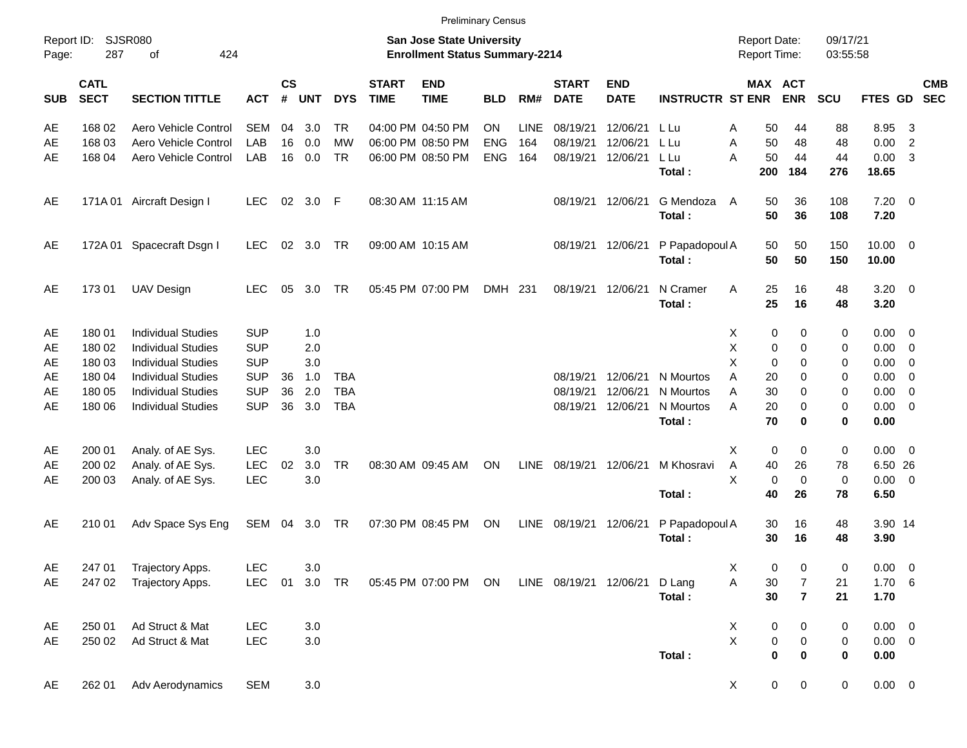|                     |                            |                             |               |                    |            |            |                             |                                                                    | <b>Preliminary Census</b> |             |                             |                           |                         |   |                                            |                |                      |             |                         |            |
|---------------------|----------------------------|-----------------------------|---------------|--------------------|------------|------------|-----------------------------|--------------------------------------------------------------------|---------------------------|-------------|-----------------------------|---------------------------|-------------------------|---|--------------------------------------------|----------------|----------------------|-------------|-------------------------|------------|
| Report ID:<br>Page: | 287                        | <b>SJSR080</b><br>424<br>οf |               |                    |            |            |                             | San Jose State University<br><b>Enrollment Status Summary-2214</b> |                           |             |                             |                           |                         |   | <b>Report Date:</b><br><b>Report Time:</b> |                | 09/17/21<br>03:55:58 |             |                         |            |
| <b>SUB</b>          | <b>CATL</b><br><b>SECT</b> | <b>SECTION TITTLE</b>       | <b>ACT</b>    | $\mathsf{cs}$<br># | <b>UNT</b> | <b>DYS</b> | <b>START</b><br><b>TIME</b> | <b>END</b><br><b>TIME</b>                                          | <b>BLD</b>                | RM#         | <b>START</b><br><b>DATE</b> | <b>END</b><br><b>DATE</b> | <b>INSTRUCTR ST ENR</b> |   | MAX ACT                                    | <b>ENR</b>     | <b>SCU</b>           | FTES GD SEC |                         | <b>CMB</b> |
| AE                  | 168 02                     | Aero Vehicle Control        | <b>SEM</b>    | 04                 | 3.0        | <b>TR</b>  |                             | 04:00 PM 04:50 PM                                                  | <b>ON</b>                 | <b>LINE</b> | 08/19/21                    | 12/06/21                  | L Lu                    | Α | 50                                         | 44             | 88                   | 8.95        | 3                       |            |
| AE                  | 168 03                     | Aero Vehicle Control        | LAB           | 16                 | 0.0        | <b>MW</b>  |                             | 06:00 PM 08:50 PM                                                  | <b>ENG</b>                | 164         | 08/19/21                    | 12/06/21                  | L Lu                    | A | 50                                         | 48             | 48                   | 0.00        | $\overline{2}$          |            |
| AE                  | 168 04                     | Aero Vehicle Control        | LAB           | 16                 | 0.0        | <b>TR</b>  |                             | 06:00 PM 08:50 PM                                                  | <b>ENG</b>                | 164         | 08/19/21                    | 12/06/21                  | L Lu                    | A | 50                                         | 44             | 44                   | 0.00        | -3                      |            |
|                     |                            |                             |               |                    |            |            |                             |                                                                    |                           |             |                             |                           | Total:                  |   | 200                                        | 184            | 276                  | 18.65       |                         |            |
| AE                  |                            | 171A 01 Aircraft Design I   | <b>LEC</b>    | 02                 | 3.0 F      |            |                             | 08:30 AM 11:15 AM                                                  |                           |             |                             | 08/19/21 12/06/21         | G Mendoza               | A | 50                                         | 36             | 108                  | $7.20 \t 0$ |                         |            |
|                     |                            |                             |               |                    |            |            |                             |                                                                    |                           |             |                             |                           | Total:                  |   | 50                                         | 36             | 108                  | 7.20        |                         |            |
| AE                  | 172A 01                    | Spacecraft Dsgn I           | <b>LEC</b>    | 02                 | 3.0 TR     |            |                             | 09:00 AM 10:15 AM                                                  |                           |             |                             | 08/19/21 12/06/21         | P Papadopoul A          |   | 50                                         | 50             | 150                  | 10.00 0     |                         |            |
|                     |                            |                             |               |                    |            |            |                             |                                                                    |                           |             |                             |                           | Total:                  |   | 50                                         | 50             | 150                  | 10.00       |                         |            |
| AE                  | 17301                      | <b>UAV Design</b>           | <b>LEC</b>    | 05                 | 3.0        | <b>TR</b>  |                             | 05:45 PM 07:00 PM                                                  | DMH 231                   |             |                             | 08/19/21 12/06/21         | N Cramer                | Α | 25                                         | 16             | 48                   | $3.20 \ 0$  |                         |            |
|                     |                            |                             |               |                    |            |            |                             |                                                                    |                           |             |                             |                           | Total:                  |   | 25                                         | 16             | 48                   | 3.20        |                         |            |
| AE                  | 180 01                     | <b>Individual Studies</b>   | <b>SUP</b>    |                    | 1.0        |            |                             |                                                                    |                           |             |                             |                           |                         | Х | 0                                          | 0              | 0                    | 0.00        | $\overline{\mathbf{0}}$ |            |
| AE                  | 180 02                     | <b>Individual Studies</b>   | <b>SUP</b>    |                    | 2.0        |            |                             |                                                                    |                           |             |                             |                           |                         | Χ | 0                                          | 0              | 0                    | 0.00        | $\overline{\mathbf{0}}$ |            |
| AE                  | 180 03                     | <b>Individual Studies</b>   | <b>SUP</b>    |                    | 3.0        |            |                             |                                                                    |                           |             |                             |                           |                         | X | 0                                          | 0              | 0                    | 0.00        | 0                       |            |
| AE                  | 180 04                     | <b>Individual Studies</b>   | <b>SUP</b>    | 36                 | 1.0        | <b>TBA</b> |                             |                                                                    |                           |             | 08/19/21                    | 12/06/21                  | N Mourtos               | A | 20                                         | 0              | 0                    | 0.00        | 0                       |            |
| AE                  | 180 05                     | <b>Individual Studies</b>   | <b>SUP</b>    | 36                 | 2.0        | <b>TBA</b> |                             |                                                                    |                           |             | 08/19/21                    | 12/06/21                  | N Mourtos               | A | 30                                         | 0              | 0                    | 0.00        | 0                       |            |
| AE                  | 180 06                     | <b>Individual Studies</b>   | <b>SUP</b>    | 36                 | 3.0        | <b>TBA</b> |                             |                                                                    |                           |             | 08/19/21                    | 12/06/21                  | N Mourtos               | A | 20                                         | 0              | 0                    | 0.00        | $\overline{\mathbf{0}}$ |            |
|                     |                            |                             |               |                    |            |            |                             |                                                                    |                           |             |                             |                           | Total:                  |   | 70                                         | 0              | 0                    | 0.00        |                         |            |
| AE                  | 200 01                     | Analy. of AE Sys.           | <b>LEC</b>    |                    | 3.0        |            |                             |                                                                    |                           |             |                             |                           |                         | X | 0                                          | 0              | 0                    | $0.00 \t 0$ |                         |            |
| AE                  | 200 02                     | Analy. of AE Sys.           | LEC           | 02                 | 3.0        | <b>TR</b>  |                             | 08:30 AM 09:45 AM                                                  | ON                        | LINE        | 08/19/21 12/06/21           |                           | M Khosravi              | Α | 40                                         | 26             | 78                   | 6.50 26     |                         |            |
| AE                  | 200 03                     | Analy. of AE Sys.           | <b>LEC</b>    |                    | 3.0        |            |                             |                                                                    |                           |             |                             |                           |                         | X | $\mathbf 0$                                | $\mathbf 0$    | $\pmb{0}$            | $0.00 \t 0$ |                         |            |
|                     |                            |                             |               |                    |            |            |                             |                                                                    |                           |             |                             |                           | Total:                  |   | 40                                         | 26             | 78                   | 6.50        |                         |            |
| AE                  | 210 01                     | Adv Space Sys Eng           | SEM 04 3.0 TR |                    |            |            |                             | 07:30 PM 08:45 PM                                                  | ON                        | LINE        | 08/19/21 12/06/21           |                           | P Papadopoul A          |   | 30                                         | 16             | 48                   | 3.90 14     |                         |            |
|                     |                            |                             |               |                    |            |            |                             |                                                                    |                           |             |                             |                           | Total:                  |   | 30                                         | 16             | 48                   | 3.90        |                         |            |
| AE                  | 247 01                     | Trajectory Apps.            | <b>LEC</b>    |                    | 3.0        |            |                             |                                                                    |                           |             |                             |                           |                         | Χ | 0                                          | 0              | 0                    | 0.00        | $\overline{\mathbf{0}}$ |            |
| AE                  | 247 02                     | Trajectory Apps.            | <b>LEC</b>    | 01                 |            | 3.0 TR     |                             | 05:45 PM 07:00 PM ON                                               |                           |             | LINE 08/19/21 12/06/21      |                           | D Lang                  | А | 30                                         | $\overline{7}$ | 21                   | 1.706       |                         |            |
|                     |                            |                             |               |                    |            |            |                             |                                                                    |                           |             |                             |                           | Total:                  |   | 30                                         | $\overline{7}$ | 21                   | 1.70        |                         |            |
| AE                  | 250 01                     | Ad Struct & Mat             | <b>LEC</b>    |                    | 3.0        |            |                             |                                                                    |                           |             |                             |                           |                         | X | 0                                          | 0              | 0                    | $0.00 \t 0$ |                         |            |
| AE                  | 250 02                     | Ad Struct & Mat             | LEC           |                    | 3.0        |            |                             |                                                                    |                           |             |                             |                           |                         | X | $\pmb{0}$                                  | $\pmb{0}$      | $\pmb{0}$            | $0.00 \t 0$ |                         |            |
|                     |                            |                             |               |                    |            |            |                             |                                                                    |                           |             |                             |                           | Total:                  |   | $\pmb{0}$                                  | 0              | 0                    | 0.00        |                         |            |
| AE                  | 262 01                     | Adv Aerodynamics            | <b>SEM</b>    |                    | 3.0        |            |                             |                                                                    |                           |             |                             |                           |                         | X | 0                                          | 0              | 0                    | $0.00 \t 0$ |                         |            |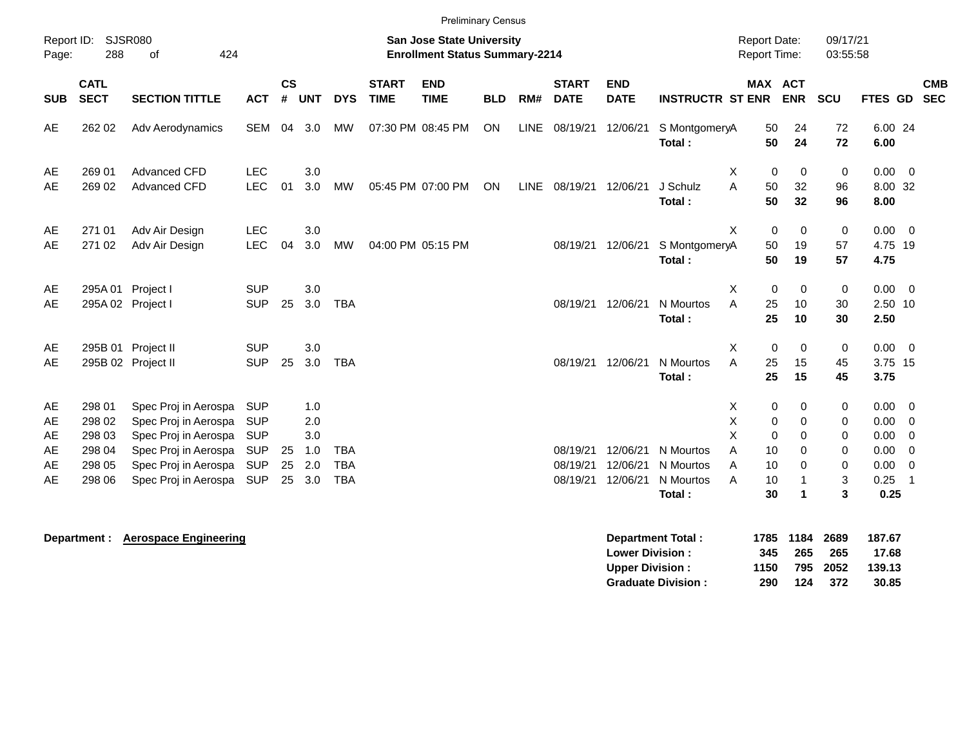|                                  | <b>Preliminary Census</b><br>09/17/21<br><b>Report Date:</b>                                             |                                                                                                                                              |                                                                                  |                   |                                        |                                        |                             |                           |            |     |                                  |                                  |                                               |                                                                                       |                                                                                   |                                                                |                                                      |                                                                                         |
|----------------------------------|----------------------------------------------------------------------------------------------------------|----------------------------------------------------------------------------------------------------------------------------------------------|----------------------------------------------------------------------------------|-------------------|----------------------------------------|----------------------------------------|-----------------------------|---------------------------|------------|-----|----------------------------------|----------------------------------|-----------------------------------------------|---------------------------------------------------------------------------------------|-----------------------------------------------------------------------------------|----------------------------------------------------------------|------------------------------------------------------|-----------------------------------------------------------------------------------------|
| Report ID:<br>Page:              | SJSR080<br><b>San Jose State University</b><br>288<br>424<br><b>Enrollment Status Summary-2214</b><br>of |                                                                                                                                              |                                                                                  |                   |                                        |                                        |                             |                           |            |     |                                  |                                  |                                               | Report Time:                                                                          |                                                                                   | 03:55:58                                                       |                                                      |                                                                                         |
| <b>SUB</b>                       | <b>CATL</b><br><b>SECT</b>                                                                               | <b>SECTION TITTLE</b>                                                                                                                        | <b>ACT</b>                                                                       | <b>CS</b><br>$\#$ | <b>UNT</b>                             | <b>DYS</b>                             | <b>START</b><br><b>TIME</b> | <b>END</b><br><b>TIME</b> | <b>BLD</b> | RM# | <b>START</b><br><b>DATE</b>      | <b>END</b><br><b>DATE</b>        | <b>INSTRUCTR ST ENR</b>                       | MAX ACT                                                                               | <b>ENR</b>                                                                        | SCU                                                            | FTES GD                                              | <b>CMB</b><br><b>SEC</b>                                                                |
| AE                               | 262 02                                                                                                   | Adv Aerodynamics                                                                                                                             | <b>SEM</b>                                                                       | 04                | 3.0                                    | MW                                     |                             | 07:30 PM 08:45 PM         | ON         |     | LINE 08/19/21                    | 12/06/21                         | S MontgomeryA<br>Total:                       | 50<br>50                                                                              | 24<br>24                                                                          | 72<br>72                                                       | 6.00 24<br>6.00                                      |                                                                                         |
| AE<br>AE                         | 269 01<br>269 02                                                                                         | <b>Advanced CFD</b><br>Advanced CFD                                                                                                          | <b>LEC</b><br>LEC                                                                | 01                | 3.0<br>3.0                             | <b>MW</b>                              |                             | 05:45 PM 07:00 PM         | ON         |     | LINE 08/19/21 12/06/21           |                                  | J Schulz<br>Total:                            | X<br>$\mathbf 0$<br>A<br>50<br>50                                                     | $\mathbf 0$<br>32<br>32                                                           | 0<br>96<br>96                                                  | $0.00 \ 0$<br>8.00 32<br>8.00                        |                                                                                         |
| AE<br>AE                         | 271 01<br>271 02                                                                                         | Adv Air Design<br>Adv Air Design                                                                                                             | <b>LEC</b><br>LEC                                                                | 04                | 3.0<br>3.0                             | <b>MW</b>                              |                             | 04:00 PM 05:15 PM         |            |     | 08/19/21                         | 12/06/21                         | S MontgomeryA<br>Total:                       | X<br>$\mathbf 0$<br>50<br>50                                                          | $\mathbf 0$<br>19<br>19                                                           | $\pmb{0}$<br>57<br>57                                          | $0.00 \t 0$<br>4.75 19<br>4.75                       |                                                                                         |
| AE<br>AE                         | 295A01<br>295A 02 Project I                                                                              | Project I                                                                                                                                    | <b>SUP</b><br><b>SUP</b>                                                         | 25                | 3.0<br>3.0                             | <b>TBA</b>                             |                             |                           |            |     | 08/19/21                         | 12/06/21                         | N Mourtos<br>Total:                           | $\mathbf 0$<br>X<br>A<br>25<br>25                                                     | $\mathbf 0$<br>10<br>10                                                           | $\mathbf 0$<br>30<br>30                                        | $0.00 \ 0$<br>2.50 10<br>2.50                        |                                                                                         |
| AE<br>AE                         |                                                                                                          | 295B 01 Project II<br>295B 02 Project II                                                                                                     | <b>SUP</b><br><b>SUP</b>                                                         | 25                | 3.0<br>3.0                             | <b>TBA</b>                             |                             |                           |            |     | 08/19/21                         | 12/06/21                         | N Mourtos<br>Total:                           | X<br>$\mathbf 0$<br>A<br>25<br>25                                                     | $\mathbf 0$<br>15<br>15                                                           | $\mathbf 0$<br>45<br>45                                        | 0.00<br>3.75 15<br>3.75                              | $\overline{\phantom{0}}$                                                                |
| AE<br>AE<br>AE<br>AE<br>AE<br>AE | 298 01<br>298 02<br>298 03<br>298 04<br>298 05<br>298 06                                                 | Spec Proj in Aerospa<br>Spec Proj in Aerospa<br>Spec Proj in Aerospa<br>Spec Proj in Aerospa<br>Spec Proj in Aerospa<br>Spec Proj in Aerospa | <b>SUP</b><br><b>SUP</b><br><b>SUP</b><br><b>SUP</b><br><b>SUP</b><br><b>SUP</b> | 25<br>25<br>25    | 1.0<br>2.0<br>3.0<br>1.0<br>2.0<br>3.0 | <b>TBA</b><br><b>TBA</b><br><b>TBA</b> |                             |                           |            |     | 08/19/21<br>08/19/21<br>08/19/21 | 12/06/21<br>12/06/21<br>12/06/21 | N Mourtos<br>N Mourtos<br>N Mourtos<br>Total: | Χ<br>0<br>Χ<br>$\mathbf 0$<br>X<br>$\mathbf 0$<br>A<br>10<br>A<br>10<br>A<br>10<br>30 | 0<br>$\mathbf 0$<br>$\mathbf 0$<br>0<br>$\Omega$<br>$\overline{1}$<br>$\mathbf 1$ | 0<br>$\mathbf 0$<br>$\mathbf 0$<br>0<br>0<br>$\mathbf{3}$<br>3 | 0.00<br>0.00<br>0.00<br>0.00<br>0.00<br>0.25<br>0.25 | $\overline{\mathbf{0}}$<br>0<br>$\overline{0}$<br>$\overline{0}$<br>0<br>$\overline{1}$ |
|                                  |                                                                                                          |                                                                                                                                              |                                                                                  |                   |                                        |                                        |                             |                           |            |     |                                  |                                  |                                               |                                                                                       |                                                                                   |                                                                |                                                      |                                                                                         |

**Department : Aerospace Engineering Department Total : 1785 1184 2689 187.67 Lower Division : 345 265 265 17.68 Upper Division : 1150 795 2052 139.13<br>
Graduate Division : 290 124 372 30.85 Graduate Division : 290 124 372 30.85**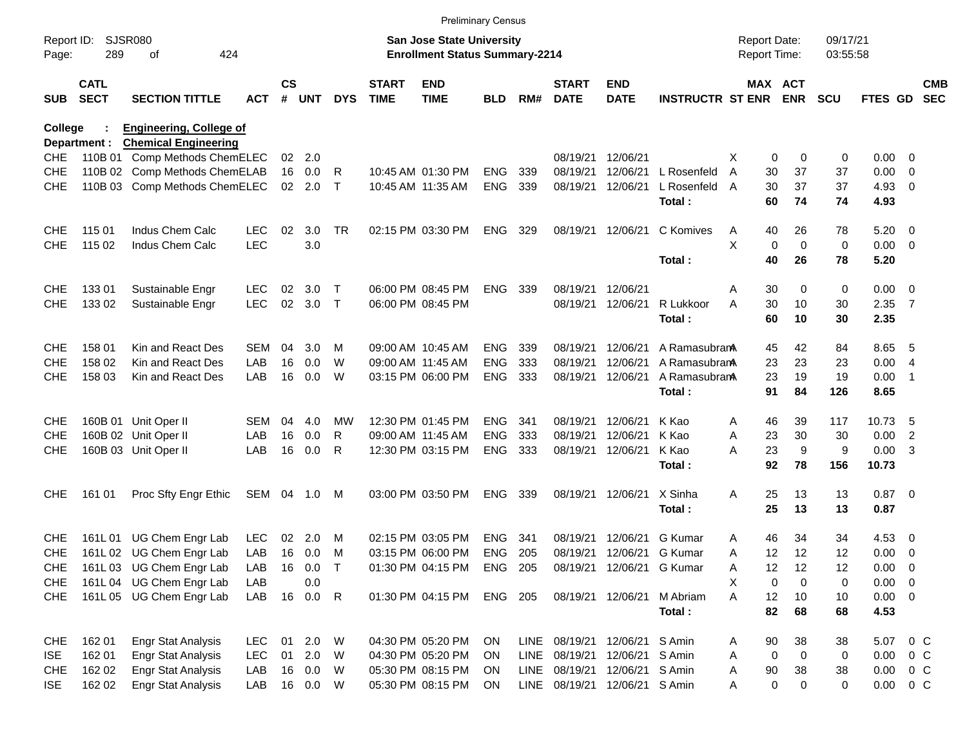|                     |                            |                                |              |                    |            |             |                             | <b>Preliminary Census</b>                                                 |            |      |                             |                           |                             |                                            |                            |                      |             |                          |                          |
|---------------------|----------------------------|--------------------------------|--------------|--------------------|------------|-------------|-----------------------------|---------------------------------------------------------------------------|------------|------|-----------------------------|---------------------------|-----------------------------|--------------------------------------------|----------------------------|----------------------|-------------|--------------------------|--------------------------|
| Report ID:<br>Page: | 289                        | <b>SJSR080</b><br>424<br>οf    |              |                    |            |             |                             | <b>San Jose State University</b><br><b>Enrollment Status Summary-2214</b> |            |      |                             |                           |                             | <b>Report Date:</b><br><b>Report Time:</b> |                            | 09/17/21<br>03:55:58 |             |                          |                          |
| <b>SUB</b>          | <b>CATL</b><br><b>SECT</b> | <b>SECTION TITTLE</b>          | <b>ACT</b>   | $\mathsf{cs}$<br># | <b>UNT</b> | <b>DYS</b>  | <b>START</b><br><b>TIME</b> | <b>END</b><br><b>TIME</b>                                                 | <b>BLD</b> | RM#  | <b>START</b><br><b>DATE</b> | <b>END</b><br><b>DATE</b> | <b>INSTRUCTR ST ENR ENR</b> |                                            | MAX ACT                    | <b>SCU</b>           | FTES GD     |                          | <b>CMB</b><br><b>SEC</b> |
| <b>College</b>      |                            | <b>Engineering, College of</b> |              |                    |            |             |                             |                                                                           |            |      |                             |                           |                             |                                            |                            |                      |             |                          |                          |
|                     | Department :               | <b>Chemical Engineering</b>    |              |                    |            |             |                             |                                                                           |            |      |                             |                           |                             |                                            |                            |                      |             |                          |                          |
| <b>CHE</b>          |                            | 110B 01 Comp Methods ChemELEC  |              | 02                 | 2.0        |             |                             |                                                                           |            |      | 08/19/21                    | 12/06/21                  |                             | X                                          | 0<br>0                     | 0                    | 0.00        | $\mathbf{0}$             |                          |
| <b>CHE</b>          |                            | 110B 02 Comp Methods ChemELAB  |              | 16                 | 0.0        | R           |                             | 10:45 AM 01:30 PM                                                         | <b>ENG</b> | 339  | 08/19/21                    | 12/06/21                  | L Rosenfeld                 | 30<br>A                                    | 37                         | 37                   | 0.00        | 0                        |                          |
| <b>CHE</b>          |                            | 110B 03 Comp Methods ChemELEC  |              | 02                 | 2.0        | $\top$      |                             | 10:45 AM 11:35 AM                                                         | <b>ENG</b> | 339  |                             | 08/19/21 12/06/21         | L Rosenfeld                 | 30<br>A                                    | 37                         | 37                   | 4.93        | 0                        |                          |
|                     |                            |                                |              |                    |            |             |                             |                                                                           |            |      |                             |                           | Total:                      | 60                                         | 74                         | 74                   | 4.93        |                          |                          |
| <b>CHE</b>          | 115 01                     | Indus Chem Calc                | <b>LEC</b>   | 02                 | 3.0        | <b>TR</b>   |                             | 02:15 PM 03:30 PM                                                         | <b>ENG</b> | 329  | 08/19/21 12/06/21           |                           | C Komives                   | 40<br>A                                    | 26                         | 78                   | 5.20        | - 0                      |                          |
| <b>CHE</b>          | 115 02                     | Indus Chem Calc                | <b>LEC</b>   |                    | 3.0        |             |                             |                                                                           |            |      |                             |                           |                             | X                                          | 0<br>$\mathbf 0$           | 0                    | 0.00        | $\overline{\mathbf{0}}$  |                          |
|                     |                            |                                |              |                    |            |             |                             |                                                                           |            |      |                             |                           | Total:                      | 40                                         | 26                         | 78                   | 5.20        |                          |                          |
| <b>CHE</b>          | 13301                      | Sustainable Engr               | <b>LEC</b>   | 02                 | 3.0        | $\mathsf T$ |                             | 06:00 PM 08:45 PM                                                         | <b>ENG</b> | 339  | 08/19/21                    | 12/06/21                  |                             | 30<br>Α                                    | 0                          | 0                    | 0.00        | $\overline{\mathbf{0}}$  |                          |
| <b>CHE</b>          | 133 02                     | Sustainable Engr               | <b>LEC</b>   | 02                 | 3.0        | $\top$      |                             | 06:00 PM 08:45 PM                                                         |            |      | 08/19/21                    | 12/06/21                  | R Lukkoor                   | 30<br>Α                                    | 10                         | 30                   | 2.35        | $\overline{7}$           |                          |
|                     |                            |                                |              |                    |            |             |                             |                                                                           |            |      |                             |                           | Total:                      | 60                                         | 10                         | 30                   | 2.35        |                          |                          |
| <b>CHE</b>          | 158 01                     | Kin and React Des              | <b>SEM</b>   | 04                 | 3.0        | M           |                             | 09:00 AM 10:45 AM                                                         | <b>ENG</b> | 339  | 08/19/21                    | 12/06/21                  | A Ramasubran                | 45                                         | 42                         | 84                   | 8.65        | - 5                      |                          |
| <b>CHE</b>          | 158 02                     | Kin and React Des              | LAB          | 16                 | 0.0        | W           |                             | 09:00 AM 11:45 AM                                                         | <b>ENG</b> | 333  | 08/19/21                    | 12/06/21                  | A Ramasubran                | 23                                         | 23                         | 23                   | 0.00        | $\overline{4}$           |                          |
| <b>CHE</b>          | 158 03                     | Kin and React Des              | LAB          | 16                 | 0.0        | W           |                             | 03:15 PM 06:00 PM                                                         | <b>ENG</b> | 333  |                             | 08/19/21 12/06/21         | A Ramasubran                | 23                                         | 19                         | 19                   | 0.00        | $\overline{\phantom{1}}$ |                          |
|                     |                            |                                |              |                    |            |             |                             |                                                                           |            |      |                             |                           | Total:                      | 91                                         | 84                         | 126                  | 8.65        |                          |                          |
| <b>CHE</b>          |                            | 160B 01 Unit Oper II           | <b>SEM</b>   | 04                 | 4.0        | МW          |                             | 12:30 PM 01:45 PM                                                         | <b>ENG</b> | 341  | 08/19/21                    | 12/06/21                  | K Kao                       | 46<br>A                                    | 39                         | 117                  | 10.73       | - 5                      |                          |
| <b>CHE</b>          |                            | 160B 02 Unit Oper II           | LAB          | 16                 | 0.0        | R           |                             | 09:00 AM 11:45 AM                                                         | <b>ENG</b> | 333  | 08/19/21                    | 12/06/21                  | K Kao                       | 23<br>Α                                    | 30                         | 30                   | 0.00        | 2                        |                          |
| <b>CHE</b>          |                            | 160B 03 Unit Oper II           | LAB          | 16                 | 0.0        | R           |                             | 12:30 PM 03:15 PM                                                         | <b>ENG</b> | 333  | 08/19/21 12/06/21           |                           | K Kao                       | 23<br>А                                    | 9                          | 9                    | 0.00        | $\overline{\mathbf{3}}$  |                          |
|                     |                            |                                |              |                    |            |             |                             |                                                                           |            |      |                             |                           | Total:                      | 92                                         | 78                         | 156                  | 10.73       |                          |                          |
| <b>CHE</b>          | 161 01                     | Proc Sfty Engr Ethic           | SEM 04 1.0 M |                    |            |             |                             | 03:00 PM 03:50 PM                                                         | <b>ENG</b> | 339  |                             | 08/19/21 12/06/21         | X Sinha                     | A<br>25                                    | 13                         | 13                   | $0.87$ 0    |                          |                          |
|                     |                            |                                |              |                    |            |             |                             |                                                                           |            |      |                             |                           | Total:                      | 25                                         | 13                         | 13                   | 0.87        |                          |                          |
| <b>CHE</b>          | 161L01                     | UG Chem Engr Lab               | <b>LEC</b>   | 02                 | 2.0        | M           |                             | 02:15 PM 03:05 PM                                                         | <b>ENG</b> | 341  | 08/19/21                    | 12/06/21                  | <b>G</b> Kumar              | 46<br>A                                    | 34                         | 34                   | 4.53        | $\overline{0}$           |                          |
| <b>CHE</b>          |                            | 161L 02 UG Chem Engr Lab       | LAB          |                    | 16 0.0     | м           |                             | 03:15 PM 06:00 PM                                                         | ENG        | 205  |                             | 08/19/21 12/06/21         | G Kumar                     | 12<br>Α                                    | 12                         | 12                   | 0.00        | $\overline{0}$           |                          |
| <b>CHE</b>          |                            | 161L03 UG Chem Engr Lab        | LAB          |                    | 16 0.0     | $\mathsf T$ |                             | 01:30 PM 04:15 PM                                                         | ENG 205    |      |                             | 08/19/21 12/06/21         | <b>G</b> Kumar              | Α<br>12                                    | 12                         | 12                   | 0.00        | $\overline{\mathbf{0}}$  |                          |
| <b>CHE</b>          |                            | 161L04 UG Chem Engr Lab        | LAB          |                    | 0.0        |             |                             |                                                                           |            |      |                             |                           |                             | X                                          | 0<br>$\Omega$              | 0                    | 0.00        | $\overline{\mathbf{0}}$  |                          |
| <b>CHE</b>          |                            | 161L 05 UG Chem Engr Lab       | LAB          |                    | 16  0.0  R |             |                             | 01:30 PM 04:15 PM                                                         | ENG 205    |      | 08/19/21 12/06/21           |                           | M Abriam                    | A<br>12                                    | 10                         | 10                   | $0.00 \t 0$ |                          |                          |
|                     |                            |                                |              |                    |            |             |                             |                                                                           |            |      |                             |                           | Total:                      | 82                                         | 68                         | 68                   | 4.53        |                          |                          |
| <b>CHE</b>          | 162 01                     | <b>Engr Stat Analysis</b>      | <b>LEC</b>   | 01                 | 2.0        | W           |                             | 04:30 PM 05:20 PM                                                         | <b>ON</b>  |      | LINE 08/19/21 12/06/21      |                           | S Amin                      | 90<br>A                                    | 38                         | 38                   | 5.07        | 0 <sup>o</sup>           |                          |
| <b>ISE</b>          | 162 01                     | <b>Engr Stat Analysis</b>      | <b>LEC</b>   | 01                 | 2.0        | W           |                             | 04:30 PM 05:20 PM                                                         | <b>ON</b>  | LINE | 08/19/21 12/06/21           |                           | S Amin                      | Α                                          | $\mathbf 0$<br>$\mathbf 0$ | 0                    | 0.00        | $0\,C$                   |                          |
| <b>CHE</b>          | 162 02                     | <b>Engr Stat Analysis</b>      | LAB          |                    | 16 0.0     | W           |                             | 05:30 PM 08:15 PM                                                         | <b>ON</b>  |      | LINE 08/19/21 12/06/21      |                           | S Amin                      | $90\,$<br>Α                                | 38                         | 38                   | 0.00        | $0\,C$                   |                          |
| <b>ISE</b>          | 162 02                     | <b>Engr Stat Analysis</b>      | LAB          |                    | 16  0.0  W |             |                             | 05:30 PM 08:15 PM                                                         | ON         |      | LINE 08/19/21 12/06/21      |                           | S Amin                      | Α                                          | $\mathbf 0$<br>0           | 0                    | 0.00        | $0\,C$                   |                          |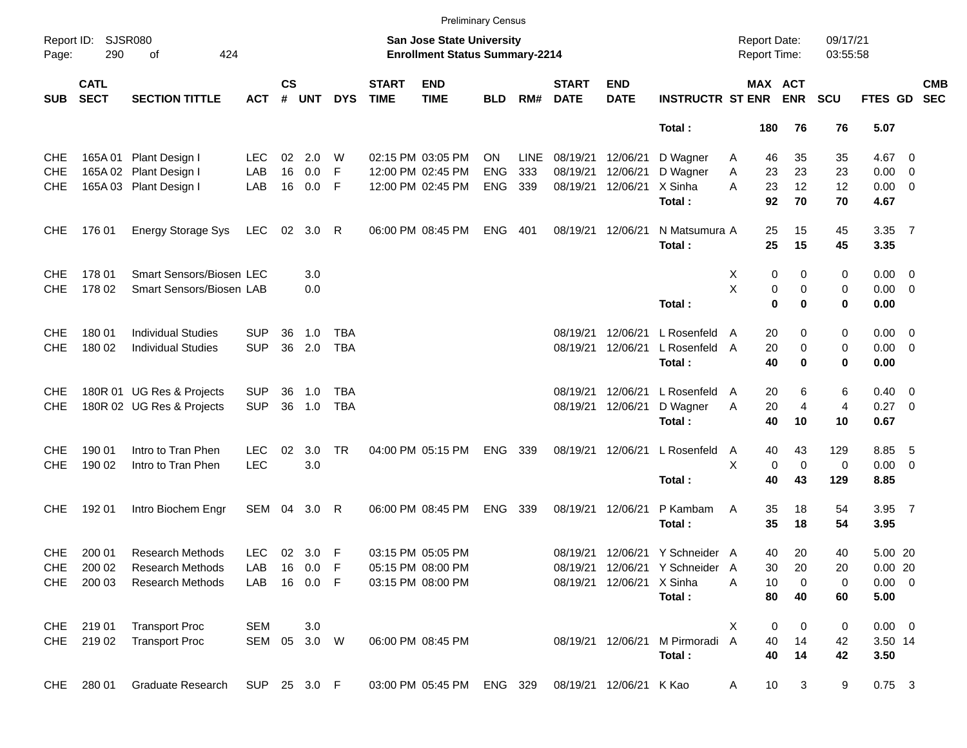|                     |                            |                                 |              |                    |            |              |                             | <b>Preliminary Census</b>                                                 |            |             |                             |                           |                                 |                                     |                |                      |                |     |                          |
|---------------------|----------------------------|---------------------------------|--------------|--------------------|------------|--------------|-----------------------------|---------------------------------------------------------------------------|------------|-------------|-----------------------------|---------------------------|---------------------------------|-------------------------------------|----------------|----------------------|----------------|-----|--------------------------|
| Report ID:<br>Page: | <b>SJSR080</b><br>290      | 424<br>οf                       |              |                    |            |              |                             | <b>San Jose State University</b><br><b>Enrollment Status Summary-2214</b> |            |             |                             |                           |                                 | <b>Report Date:</b><br>Report Time: |                | 09/17/21<br>03:55:58 |                |     |                          |
| <b>SUB</b>          | <b>CATL</b><br><b>SECT</b> | <b>SECTION TITTLE</b>           | <b>ACT</b>   | $\mathsf{cs}$<br># | <b>UNT</b> | <b>DYS</b>   | <b>START</b><br><b>TIME</b> | <b>END</b><br><b>TIME</b>                                                 | <b>BLD</b> | RM#         | <b>START</b><br><b>DATE</b> | <b>END</b><br><b>DATE</b> | <b>INSTRUCTR ST ENR ENR</b>     |                                     | MAX ACT        | <b>SCU</b>           | FTES GD        |     | <b>CMB</b><br><b>SEC</b> |
|                     |                            |                                 |              |                    |            |              |                             |                                                                           |            |             |                             |                           | Total:                          | 180                                 | 76             | 76                   | 5.07           |     |                          |
| <b>CHE</b>          |                            | 165A 01 Plant Design I          | <b>LEC</b>   | 02                 | 2.0        | W            |                             | 02:15 PM 03:05 PM                                                         | <b>ON</b>  | <b>LINE</b> | 08/19/21                    | 12/06/21                  | D Wagner                        | 46<br>A                             | 35             | 35                   | 4.67 0         |     |                          |
| <b>CHE</b>          |                            | 165A 02 Plant Design I          | LAB          | 16                 | 0.0        | F            |                             | 12:00 PM 02:45 PM                                                         | <b>ENG</b> | 333         | 08/19/21                    | 12/06/21                  | D Wagner                        | Α<br>23                             | 23             | 23                   | $0.00 \t 0$    |     |                          |
| <b>CHE</b>          |                            | 165A 03 Plant Design I          | LAB          |                    | 16 0.0     | F            |                             | 12:00 PM 02:45 PM                                                         | <b>ENG</b> | 339         |                             | 08/19/21 12/06/21         | X Sinha                         | A<br>23                             | 12             | 12                   | $0.00 \t 0$    |     |                          |
|                     |                            |                                 |              |                    |            |              |                             |                                                                           |            |             |                             |                           | Total:                          | 92                                  | 70             | 70                   | 4.67           |     |                          |
| <b>CHE</b>          | 176 01                     | <b>Energy Storage Sys</b>       | LEC          | 02                 | 3.0        | $\mathsf{R}$ |                             | 06:00 PM 08:45 PM                                                         | ENG        | 401         |                             | 08/19/21 12/06/21         | N Matsumura A<br>Total:         | 25<br>25                            | 15<br>15       | 45<br>45             | 3.35 7<br>3.35 |     |                          |
| <b>CHE</b>          | 178 01                     | <b>Smart Sensors/Biosen LEC</b> |              |                    | 3.0        |              |                             |                                                                           |            |             |                             |                           |                                 | X<br>0                              | 0              | 0                    | $0.00 \t 0$    |     |                          |
| <b>CHE</b>          | 178 02                     | Smart Sensors/Biosen LAB        |              |                    | 0.0        |              |                             |                                                                           |            |             |                             |                           |                                 | X<br>0                              | 0              | 0                    | $0.00 \t 0$    |     |                          |
|                     |                            |                                 |              |                    |            |              |                             |                                                                           |            |             |                             |                           | Total:                          | $\bf{0}$                            | 0              | 0                    | 0.00           |     |                          |
| <b>CHE</b>          | 180 01                     | <b>Individual Studies</b>       | <b>SUP</b>   | 36                 | 1.0        | <b>TBA</b>   |                             |                                                                           |            |             | 08/19/21                    | 12/06/21                  | L Rosenfeld                     | 20<br>A                             | 0              | 0                    | $0.00 \t 0$    |     |                          |
| <b>CHE</b>          | 180 02                     | <b>Individual Studies</b>       | <b>SUP</b>   | 36                 | 2.0        | <b>TBA</b>   |                             |                                                                           |            |             |                             | 08/19/21 12/06/21         | L Rosenfeld A                   | 20                                  | 0              | 0                    | $0.00 \t 0$    |     |                          |
|                     |                            |                                 |              |                    |            |              |                             |                                                                           |            |             |                             |                           | Total:                          | 40                                  | $\mathbf 0$    | 0                    | 0.00           |     |                          |
| <b>CHE</b>          |                            | 180R 01 UG Res & Projects       | <b>SUP</b>   | 36                 | 1.0        | TBA          |                             |                                                                           |            |             | 08/19/21                    | 12/06/21                  | L Rosenfeld                     | 20<br>A                             | 6              | 6                    | $0.40 \quad 0$ |     |                          |
| <b>CHE</b>          |                            | 180R 02 UG Res & Projects       | <b>SUP</b>   | 36                 | 1.0        | <b>TBA</b>   |                             |                                                                           |            |             | 08/19/21                    | 12/06/21                  | D Wagner                        | 20<br>Α                             | $\overline{4}$ | $\overline{4}$       | 0.27 0         |     |                          |
|                     |                            |                                 |              |                    |            |              |                             |                                                                           |            |             |                             |                           | Total:                          | 40                                  | 10             | 10                   | 0.67           |     |                          |
| <b>CHE</b>          | 190 01                     | Intro to Tran Phen              | <b>LEC</b>   | 02                 | 3.0        | <b>TR</b>    |                             | 04:00 PM 05:15 PM                                                         | ENG 339    |             |                             | 08/19/21 12/06/21         | L Rosenfeld                     | 40<br>A                             | 43             | 129                  | 8.85           | - 5 |                          |
| <b>CHE</b>          | 190 02                     | Intro to Tran Phen              | <b>LEC</b>   |                    | 3.0        |              |                             |                                                                           |            |             |                             |                           |                                 | X<br>0                              | $\mathbf 0$    | 0                    | $0.00 \t 0$    |     |                          |
|                     |                            |                                 |              |                    |            |              |                             |                                                                           |            |             |                             |                           | Total:                          | 40                                  | 43             | 129                  | 8.85           |     |                          |
| <b>CHE</b>          | 192 01                     | Intro Biochem Engr              | SEM 04       |                    | 3.0        | R            |                             | 06:00 PM 08:45 PM                                                         | <b>ENG</b> | 339         |                             | 08/19/21 12/06/21         | P Kambam                        | 35<br>A                             | 18             | 54                   | 3.95 7         |     |                          |
|                     |                            |                                 |              |                    |            |              |                             |                                                                           |            |             |                             |                           | Total:                          | 35                                  | 18             | 54                   | 3.95           |     |                          |
| <b>CHE</b>          | 200 01                     | <b>Research Methods</b>         | <b>LEC</b>   |                    | 02 3.0 F   |              |                             | 03:15 PM 05:05 PM                                                         |            |             |                             |                           | 08/19/21 12/06/21 Y Schneider A | 40                                  | 20             | 40                   | 5.00 20        |     |                          |
| <b>CHE</b>          | 200 02                     | <b>Research Methods</b>         | LAB          |                    | 16  0.0  F |              |                             | 05:15 PM 08:00 PM                                                         |            |             |                             |                           | 08/19/21 12/06/21 Y Schneider A | 30                                  | 20             | 20                   | 0.0020         |     |                          |
| CHE                 | 200 03                     | <b>Research Methods</b>         | LAB          |                    | 16  0.0  F |              |                             | 03:15 PM 08:00 PM                                                         |            |             |                             | 08/19/21 12/06/21 X Sinha |                                 | Α<br>10                             | 0              | 0                    | $0.00 \t 0$    |     |                          |
|                     |                            |                                 |              |                    |            |              |                             |                                                                           |            |             |                             |                           | Total:                          | 80                                  | 40             | 60                   | 5.00           |     |                          |
|                     | CHE 219 01                 | <b>Transport Proc</b>           | <b>SEM</b>   |                    | 3.0        |              |                             |                                                                           |            |             |                             |                           |                                 | Χ<br>0                              | 0              | 0                    | $0.00 \t 0$    |     |                          |
| CHE                 | 219 02                     | <b>Transport Proc</b>           | SEM 05 3.0 W |                    |            |              |                             | 06:00 PM 08:45 PM                                                         |            |             |                             | 08/19/21 12/06/21         | M Pirmoradi                     | $\overline{A}$<br>40                | 14             | 42                   | 3.50 14        |     |                          |
|                     |                            |                                 |              |                    |            |              |                             |                                                                           |            |             |                             |                           | Total:                          | 40                                  | 14             | 42                   | 3.50           |     |                          |
| <b>CHE</b>          | 280 01                     | <b>Graduate Research</b>        | SUP 25 3.0 F |                    |            |              |                             | 03:00 PM 05:45 PM                                                         | ENG 329    |             |                             | 08/19/21 12/06/21 K Kao   |                                 | 10<br>A                             | 3              | 9                    | $0.75$ 3       |     |                          |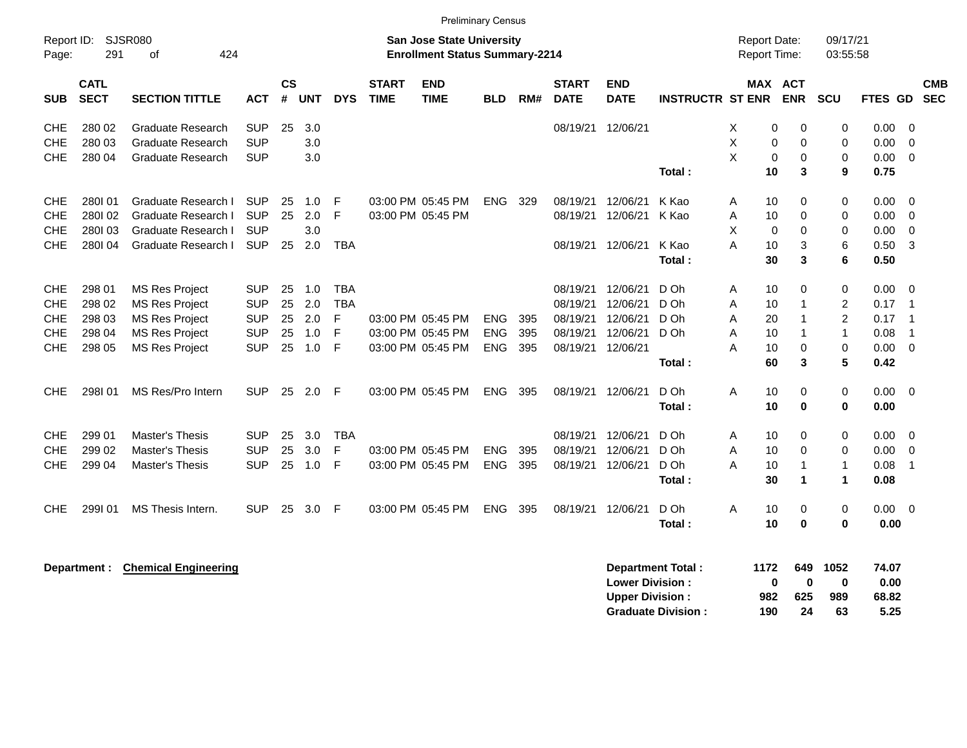|            |                            |                             |            |                    |            |             |                             | <b>Preliminary Census</b>                                                 |            |     |                             |                           |                           |                              |                       |                      |                |                |                          |
|------------|----------------------------|-----------------------------|------------|--------------------|------------|-------------|-----------------------------|---------------------------------------------------------------------------|------------|-----|-----------------------------|---------------------------|---------------------------|------------------------------|-----------------------|----------------------|----------------|----------------|--------------------------|
| Page:      | Report ID:<br>291          | <b>SJSR080</b><br>424<br>οf |            |                    |            |             |                             | <b>San Jose State University</b><br><b>Enrollment Status Summary-2214</b> |            |     |                             |                           |                           | Report Date:<br>Report Time: |                       | 09/17/21<br>03:55:58 |                |                |                          |
| SUB        | <b>CATL</b><br><b>SECT</b> | <b>SECTION TITTLE</b>       | <b>ACT</b> | $\mathsf{cs}$<br># | <b>UNT</b> | <b>DYS</b>  | <b>START</b><br><b>TIME</b> | <b>END</b><br>TIME                                                        | <b>BLD</b> | RM# | <b>START</b><br><b>DATE</b> | <b>END</b><br><b>DATE</b> | <b>INSTRUCTR ST ENR</b>   |                              | MAX ACT<br><b>ENR</b> | SCU                  | <b>FTES GD</b> |                | <b>CMB</b><br><b>SEC</b> |
| <b>CHE</b> | 280 02                     | <b>Graduate Research</b>    | <b>SUP</b> | 25                 | 3.0        |             |                             |                                                                           |            |     | 08/19/21                    | 12/06/21                  |                           | X                            | 0<br>0                | $\mathbf 0$          | 0.00           | $\overline{0}$ |                          |
| CHE        | 280 03                     | <b>Graduate Research</b>    | <b>SUP</b> |                    | 3.0        |             |                             |                                                                           |            |     |                             |                           |                           | X                            | 0<br>$\mathbf 0$      | $\mathbf 0$          | 0.00           | $\mathbf 0$    |                          |
| <b>CHE</b> | 280 04                     | <b>Graduate Research</b>    | <b>SUP</b> |                    | 3.0        |             |                             |                                                                           |            |     |                             |                           |                           | X                            | $\mathbf 0$<br>0      | $\mathbf 0$          | 0.00           | $\overline{0}$ |                          |
|            |                            |                             |            |                    |            |             |                             |                                                                           |            |     |                             |                           | Total:                    |                              | 10<br>3               | 9                    | 0.75           |                |                          |
| <b>CHE</b> | 280101                     | Graduate Research I         | <b>SUP</b> | 25                 | 1.0        | F           |                             | 03:00 PM 05:45 PM                                                         | <b>ENG</b> | 329 | 08/19/21                    | 12/06/21                  | K Kao                     | Α                            | 10<br>0               | $\mathbf 0$          | 0.00           | $\overline{0}$ |                          |
| <b>CHE</b> | 280102                     | Graduate Research I         | <b>SUP</b> | 25                 | 2.0        | F           |                             | 03:00 PM 05:45 PM                                                         |            |     | 08/19/21                    | 12/06/21                  | K Kao                     | A                            | 10<br>0               | $\mathbf 0$          | 0.00           | $\overline{0}$ |                          |
| <b>CHE</b> | 280103                     | Graduate Research I         | <b>SUP</b> |                    | 3.0        |             |                             |                                                                           |            |     |                             |                           |                           | X                            | 0<br>0                | $\mathbf 0$          | 0.00           | 0              |                          |
| <b>CHE</b> | 280104                     | Graduate Research I         | <b>SUP</b> | 25                 | 2.0        | <b>TBA</b>  |                             |                                                                           |            |     | 08/19/21                    | 12/06/21                  | K Kao                     | A                            | 3<br>10               | 6                    | 0.50           | 3              |                          |
|            |                            |                             |            |                    |            |             |                             |                                                                           |            |     |                             |                           | Total:                    |                              | 30<br>3               | 6                    | 0.50           |                |                          |
| <b>CHE</b> | 298 01                     | <b>MS Res Project</b>       | <b>SUP</b> | 25                 | 1.0        | <b>TBA</b>  |                             |                                                                           |            |     | 08/19/21                    | 12/06/21                  | D Oh                      | Α                            | 10<br>0               | $\pmb{0}$            | 0.00           | $\overline{0}$ |                          |
| <b>CHE</b> | 298 02                     | <b>MS Res Project</b>       | <b>SUP</b> | 25                 | 2.0        | <b>TBA</b>  |                             |                                                                           |            |     | 08/19/21                    | 12/06/21                  | D Oh                      | A                            | 10<br>1               | 2                    | 0.17           | $\overline{1}$ |                          |
| CHE        | 298 03                     | <b>MS Res Project</b>       | <b>SUP</b> | 25                 | 2.0        | F           |                             | 03:00 PM 05:45 PM                                                         | <b>ENG</b> | 395 | 08/19/21                    | 12/06/21                  | D Oh                      | 20<br>Α                      | -1                    | $\overline{c}$       | 0.17           | $\overline{1}$ |                          |
| CHE        | 298 04                     | <b>MS Res Project</b>       | <b>SUP</b> | 25                 | 1.0        | F           |                             | 03:00 PM 05:45 PM                                                         | <b>ENG</b> | 395 | 08/19/21                    | 12/06/21                  | D Oh                      | A                            | 10<br>-1              | $\mathbf{1}$         | 0.08           | $\overline{1}$ |                          |
| CHE        | 298 05                     | <b>MS Res Project</b>       | <b>SUP</b> | 25                 | 1.0        | F           |                             | 03:00 PM 05:45 PM                                                         | <b>ENG</b> | 395 | 08/19/21                    | 12/06/21                  |                           | A                            | 10<br>0               | 0                    | 0.00           | $\overline{0}$ |                          |
|            |                            |                             |            |                    |            |             |                             |                                                                           |            |     |                             |                           | Total:                    |                              | 60<br>3               | 5                    | 0.42           |                |                          |
| <b>CHE</b> | 298101                     | MS Res/Pro Intern           | <b>SUP</b> | 25                 | 2.0        | -F          |                             | 03:00 PM 05:45 PM                                                         | <b>ENG</b> | 395 | 08/19/21                    | 12/06/21                  | D Oh                      | A                            | 10<br>0               | 0                    | 0.00           | $\overline{0}$ |                          |
|            |                            |                             |            |                    |            |             |                             |                                                                           |            |     |                             |                           | Total:                    |                              | 10<br>0               | $\mathbf 0$          | 0.00           |                |                          |
| CHE        | 299 01                     | <b>Master's Thesis</b>      | <b>SUP</b> | 25                 | 3.0        | <b>TBA</b>  |                             |                                                                           |            |     | 08/19/21                    | 12/06/21                  | D Oh                      | A                            | 10<br>0               | 0                    | 0.00           | $\overline{0}$ |                          |
| <b>CHE</b> | 299 02                     | Master's Thesis             | <b>SUP</b> | 25                 | 3.0        | $\mathsf F$ |                             | 03:00 PM 05:45 PM                                                         | <b>ENG</b> | 395 | 08/19/21                    | 12/06/21                  | D Oh                      | Α<br>10                      | 0                     | 0                    | 0.00           | 0              |                          |
| <b>CHE</b> | 299 04                     | <b>Master's Thesis</b>      | <b>SUP</b> | 25                 | 1.0        | F           |                             | 03:00 PM 05:45 PM                                                         | <b>ENG</b> | 395 | 08/19/21                    | 12/06/21                  | D Oh                      | A                            | 10<br>1               | $\mathbf{1}$         | 0.08           | $\overline{1}$ |                          |
|            |                            |                             |            |                    |            |             |                             |                                                                           |            |     |                             |                           | Total:                    |                              | 30<br>1               | $\mathbf{1}$         | 0.08           |                |                          |
| <b>CHE</b> | 299101                     | MS Thesis Intern.           | <b>SUP</b> | 25                 | 3.0        | F           |                             | 03:00 PM 05:45 PM                                                         | <b>ENG</b> | 395 | 08/19/21                    | 12/06/21                  | D Oh                      | Α                            | 10<br>0               | $\mathbf 0$          | $0.00 \quad 0$ |                |                          |
|            |                            |                             |            |                    |            |             |                             |                                                                           |            |     |                             |                           | Total:                    |                              | 10<br>0               | $\bf{0}$             | 0.00           |                |                          |
|            |                            |                             |            |                    |            |             |                             |                                                                           |            |     |                             |                           |                           |                              |                       |                      |                |                |                          |
|            | Department :               | <b>Chemical Engineering</b> |            |                    |            |             |                             |                                                                           |            |     |                             |                           | Department Total:         | 1172                         | 649                   | 1052                 | 74.07          |                |                          |
|            |                            |                             |            |                    |            |             |                             |                                                                           |            |     |                             | <b>Lower Division:</b>    |                           |                              | 0<br>0                | $\bf{0}$             | 0.00           |                |                          |
|            |                            |                             |            |                    |            |             |                             |                                                                           |            |     |                             | <b>Upper Division:</b>    | <b>Graduate Division:</b> | 982<br>190                   | 625<br>24             | 989<br>63            | 68.82<br>5.25  |                |                          |
|            |                            |                             |            |                    |            |             |                             |                                                                           |            |     |                             |                           |                           |                              |                       |                      |                |                |                          |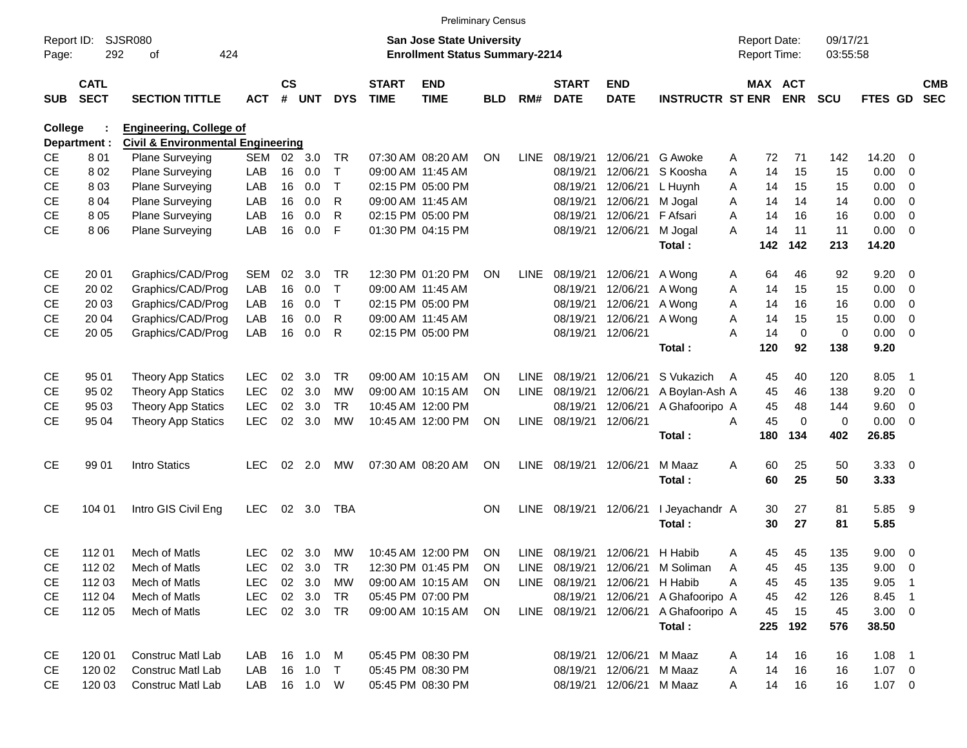|                     |                            |                                              |            |                    |            |            |                             | <b>Preliminary Census</b>                                                 |            |             |                             |                           |                                  |   |                                     |             |                      |                |                          |                          |
|---------------------|----------------------------|----------------------------------------------|------------|--------------------|------------|------------|-----------------------------|---------------------------------------------------------------------------|------------|-------------|-----------------------------|---------------------------|----------------------------------|---|-------------------------------------|-------------|----------------------|----------------|--------------------------|--------------------------|
| Report ID:<br>Page: | 292                        | SJSR080<br>424<br>οf                         |            |                    |            |            |                             | <b>San Jose State University</b><br><b>Enrollment Status Summary-2214</b> |            |             |                             |                           |                                  |   | <b>Report Date:</b><br>Report Time: |             | 09/17/21<br>03:55:58 |                |                          |                          |
| <b>SUB</b>          | <b>CATL</b><br><b>SECT</b> | <b>SECTION TITTLE</b>                        | <b>ACT</b> | $\mathsf{cs}$<br># | <b>UNT</b> | <b>DYS</b> | <b>START</b><br><b>TIME</b> | <b>END</b><br><b>TIME</b>                                                 | <b>BLD</b> | RM#         | <b>START</b><br><b>DATE</b> | <b>END</b><br><b>DATE</b> | <b>INSTRUCTR ST ENR</b>          |   | MAX ACT                             | <b>ENR</b>  | <b>SCU</b>           | <b>FTES GD</b> |                          | <b>CMB</b><br><b>SEC</b> |
| College             |                            | <b>Engineering, College of</b>               |            |                    |            |            |                             |                                                                           |            |             |                             |                           |                                  |   |                                     |             |                      |                |                          |                          |
|                     | Department :               | <b>Civil &amp; Environmental Engineering</b> |            |                    |            |            |                             |                                                                           |            |             |                             |                           |                                  |   |                                     |             |                      |                |                          |                          |
| <b>CE</b>           | 801                        | <b>Plane Surveying</b>                       | SEM        |                    | 02 3.0     | TR.        |                             | 07:30 AM 08:20 AM                                                         | ON         | <b>LINE</b> | 08/19/21                    | 12/06/21                  | G Awoke                          | A | 72                                  | 71          | 142                  | 14.20          | 0                        |                          |
| <b>CE</b>           | 802                        | Plane Surveying                              | LAB        | 16                 | 0.0        | Т          |                             | 09:00 AM 11:45 AM                                                         |            |             | 08/19/21                    | 12/06/21                  | S Koosha                         | A | 14                                  | 15          | 15                   | 0.00           | 0                        |                          |
| <b>CE</b>           | 803                        | Plane Surveying                              | LAB        | 16                 | 0.0        | т          |                             | 02:15 PM 05:00 PM                                                         |            |             | 08/19/21                    | 12/06/21                  | L Huynh                          | Α | 14                                  | 15          | 15                   | 0.00           | 0                        |                          |
| <b>CE</b>           | 804                        | Plane Surveying                              | LAB        | 16                 | 0.0        | R          |                             | 09:00 AM 11:45 AM                                                         |            |             | 08/19/21                    | 12/06/21                  | M Jogal                          | A | 14                                  | 14          | 14                   | 0.00           | 0                        |                          |
| <b>CE</b>           | 805                        | Plane Surveying                              | LAB        | 16                 | 0.0        | R          |                             | 02:15 PM 05:00 PM                                                         |            |             | 08/19/21                    | 12/06/21                  | F Afsari                         | A | 14                                  | 16          | 16                   | 0.00           | 0                        |                          |
| <b>CE</b>           | 806                        | Plane Surveying                              | LAB        | 16                 | 0.0        | F          |                             | 01:30 PM 04:15 PM                                                         |            |             | 08/19/21                    | 12/06/21                  | M Jogal<br>Total:                | A | 14<br>142                           | 11<br>142   | 11<br>213            | 0.00<br>14.20  | - 0                      |                          |
| <b>CE</b>           | 20 01                      | Graphics/CAD/Prog                            | <b>SEM</b> | 02                 | 3.0        | TR.        |                             | 12:30 PM 01:20 PM                                                         | <b>ON</b>  | <b>LINE</b> | 08/19/21                    | 12/06/21                  | A Wong                           | A | 64                                  | 46          | 92                   | 9.20           | - 0                      |                          |
| <b>CE</b>           | 20 02                      | Graphics/CAD/Prog                            | LAB        | 16                 | 0.0        | т          |                             | 09:00 AM 11:45 AM                                                         |            |             | 08/19/21                    | 12/06/21                  | A Wong                           | Α | 14                                  | 15          | 15                   | 0.00           | 0                        |                          |
| <b>CE</b>           | 20 03                      | Graphics/CAD/Prog                            | LAB        | 16                 | 0.0        | Т          |                             | 02:15 PM 05:00 PM                                                         |            |             | 08/19/21                    | 12/06/21                  | A Wong                           | A | 14                                  | 16          | 16                   | 0.00           | 0                        |                          |
| СE                  | 20 04                      | Graphics/CAD/Prog                            | LAB        | 16                 | 0.0        | R          |                             | 09:00 AM 11:45 AM                                                         |            |             | 08/19/21                    | 12/06/21                  | A Wong                           | A | 14                                  | 15          | 15                   | 0.00           | 0                        |                          |
| <b>CE</b>           | 20 05                      | Graphics/CAD/Prog                            | LAB        | 16                 | 0.0        | R          |                             | 02:15 PM 05:00 PM                                                         |            |             | 08/19/21                    | 12/06/21                  |                                  | A | 14                                  | $\mathbf 0$ | $\mathbf 0$          | 0.00           | - 0                      |                          |
|                     |                            |                                              |            |                    |            |            |                             |                                                                           |            |             |                             |                           | Total:                           |   | 120                                 | 92          | 138                  | 9.20           |                          |                          |
| <b>CE</b>           | 95 01                      | <b>Theory App Statics</b>                    | <b>LEC</b> | 02                 | 3.0        | TR.        |                             | 09:00 AM 10:15 AM                                                         | <b>ON</b>  | LINE        | 08/19/21                    | 12/06/21                  | S Vukazich                       | A | 45                                  | 40          | 120                  | 8.05           | - 1                      |                          |
| <b>CE</b>           | 95 02                      | <b>Theory App Statics</b>                    | <b>LEC</b> | 02                 | 3.0        | <b>MW</b>  |                             | 09:00 AM 10:15 AM                                                         | <b>ON</b>  | <b>LINE</b> | 08/19/21                    | 12/06/21                  | A Boylan-Ash A                   |   | 45                                  | 46          | 138                  | 9.20           | 0                        |                          |
| <b>CE</b>           | 95 03                      | Theory App Statics                           | <b>LEC</b> | 02                 | 3.0        | TR         |                             | 10:45 AM 12:00 PM                                                         |            |             | 08/19/21                    | 12/06/21                  | A Ghafooripo A                   |   | 45                                  | 48          | 144                  | 9.60           | 0                        |                          |
| <b>CE</b>           | 95 04                      | <b>Theory App Statics</b>                    | <b>LEC</b> | 02                 | 3.0        | <b>MW</b>  |                             | 10:45 AM 12:00 PM                                                         | ON         |             | LINE 08/19/21               | 12/06/21                  |                                  | Α | 45                                  | $\mathbf 0$ | $\mathbf 0$          | 0.00           | - 0                      |                          |
|                     |                            |                                              |            |                    |            |            |                             |                                                                           |            |             |                             |                           | Total:                           |   | 180                                 | 134         | 402                  | 26.85          |                          |                          |
| <b>CE</b>           | 99 01                      | Intro Statics                                | <b>LEC</b> | 02                 | 2.0        | МW         |                             | 07:30 AM 08:20 AM                                                         | <b>ON</b>  | LINE        | 08/19/21                    | 12/06/21                  | M Maaz<br>Total:                 | Α | 60<br>60                            | 25<br>25    | 50<br>50             | 3.3300<br>3.33 |                          |                          |
|                     |                            |                                              |            |                    |            |            |                             |                                                                           |            |             |                             |                           |                                  |   |                                     |             |                      |                |                          |                          |
| CE                  | 104 01                     | Intro GIS Civil Eng                          | <b>LEC</b> | 02                 | 3.0        | <b>TBA</b> |                             |                                                                           | <b>ON</b>  | <b>LINE</b> | 08/19/21                    | 12/06/21                  | I Jeyachandr A                   |   | 30                                  | 27          | 81                   | 5.85           | - 9                      |                          |
|                     |                            |                                              |            |                    |            |            |                             |                                                                           |            |             |                             |                           | Total:                           |   | 30                                  | 27          | 81                   | 5.85           |                          |                          |
| <b>CE</b>           | 112 01                     | Mech of Matls                                | <b>LEC</b> | 02                 | 3.0        | МW         |                             | 10:45 AM 12:00 PM                                                         | ON         | LINE        | 08/19/21                    | 12/06/21                  | H Habib                          | A | 45                                  | 45          | 135                  | 9.00           | $\overline{\phantom{0}}$ |                          |
| <b>CE</b>           | 112 02                     | Mech of Matls                                | <b>LEC</b> |                    | 02 3.0     | TR         |                             | 12:30 PM 01:45 PM                                                         | ON         |             |                             |                           | LINE 08/19/21 12/06/21 M Soliman | A | 45                                  | 45          | 135                  | $9.00 \t 0$    |                          |                          |
| CE                  | 112 03                     | Mech of Matls                                | <b>LEC</b> |                    | 02 3.0     | МW         |                             | 09:00 AM 10:15 AM                                                         | <b>ON</b>  |             | LINE 08/19/21 12/06/21      |                           | H Habib                          | Α | 45                                  | 45          | 135                  | 9.05           | - 1                      |                          |
| CE                  | 112 04                     | Mech of Matls                                | <b>LEC</b> |                    | 02 3.0     | TR         |                             | 05:45 PM 07:00 PM                                                         |            |             | 08/19/21                    | 12/06/21                  | A Ghafooripo A                   |   | 45                                  | 42          | 126                  | 8.45 1         |                          |                          |
| CE                  | 112 05                     | Mech of Matls                                | <b>LEC</b> |                    | 02 3.0 TR  |            |                             | 09:00 AM 10:15 AM                                                         | ON         |             | LINE 08/19/21               | 12/06/21                  | A Ghafooripo A                   |   | 45                                  | 15          | 45                   | $3.00 \ 0$     |                          |                          |
|                     |                            |                                              |            |                    |            |            |                             |                                                                           |            |             |                             |                           | Total:                           |   | 225                                 | 192         | 576                  | 38.50          |                          |                          |
| CE                  | 120 01                     | Construc Matl Lab                            | LAB        |                    | 16 1.0     | M          |                             | 05:45 PM 08:30 PM                                                         |            |             |                             | 08/19/21 12/06/21         | M Maaz                           | A | 14                                  | 16          | 16                   | $1.08$ 1       |                          |                          |
| CE                  | 120 02                     | <b>Construc Matl Lab</b>                     | LAB        |                    | 16 1.0     | $\top$     |                             | 05:45 PM 08:30 PM                                                         |            |             |                             | 08/19/21 12/06/21 M Maaz  |                                  | A | 14                                  | 16          | 16                   | $1.07 \t 0$    |                          |                          |
| <b>CE</b>           | 120 03                     | Construc Matl Lab                            | LAB        |                    | 16  1.0  W |            |                             | 05:45 PM 08:30 PM                                                         |            |             |                             | 08/19/21 12/06/21 M Maaz  |                                  | A | 14                                  | 16          | 16                   | $1.07 \t 0$    |                          |                          |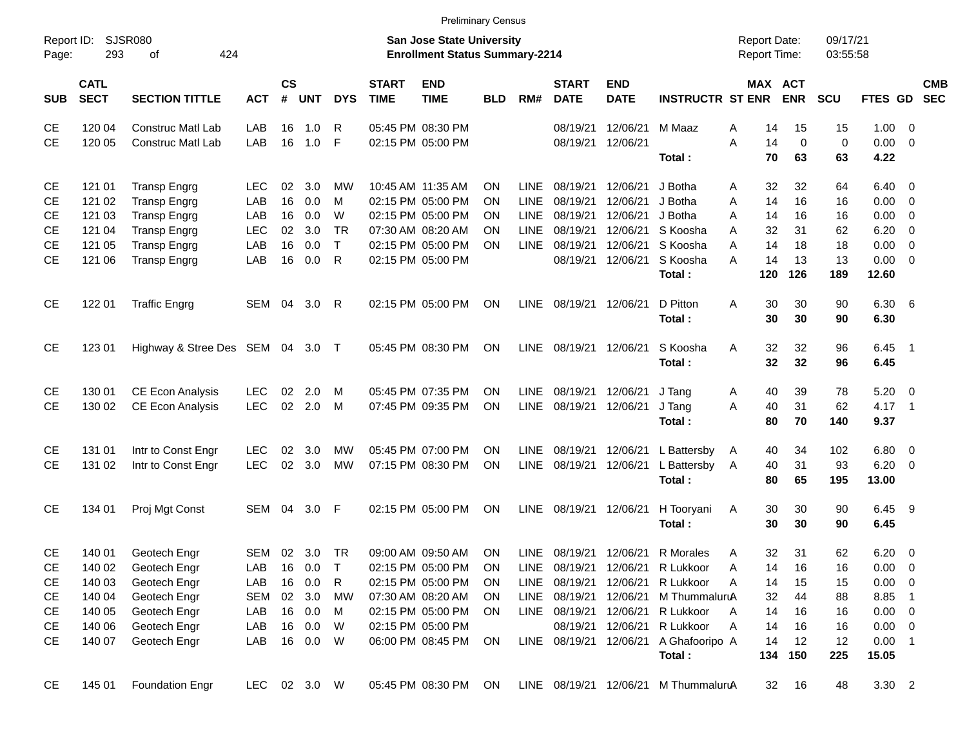|                     |                            |                             |              |                         |                |            |                             | <b>Preliminary Census</b>                                                 |            |             |                             |                           |                         |                                     |                       |                      |              |                          |                          |
|---------------------|----------------------------|-----------------------------|--------------|-------------------------|----------------|------------|-----------------------------|---------------------------------------------------------------------------|------------|-------------|-----------------------------|---------------------------|-------------------------|-------------------------------------|-----------------------|----------------------|--------------|--------------------------|--------------------------|
| Report ID:<br>Page: | 293                        | <b>SJSR080</b><br>424<br>of |              |                         |                |            |                             | <b>San Jose State University</b><br><b>Enrollment Status Summary-2214</b> |            |             |                             |                           |                         | <b>Report Date:</b><br>Report Time: |                       | 09/17/21<br>03:55:58 |              |                          |                          |
| <b>SUB</b>          | <b>CATL</b><br><b>SECT</b> | <b>SECTION TITTLE</b>       | <b>ACT</b>   | <b>CS</b><br>$\pmb{\#}$ | <b>UNT</b>     | <b>DYS</b> | <b>START</b><br><b>TIME</b> | <b>END</b><br><b>TIME</b>                                                 | <b>BLD</b> | RM#         | <b>START</b><br><b>DATE</b> | <b>END</b><br><b>DATE</b> | <b>INSTRUCTR ST ENR</b> |                                     | MAX ACT<br><b>ENR</b> | <b>SCU</b>           | FTES GD      |                          | <b>CMB</b><br><b>SEC</b> |
| CE                  | 120 04                     | <b>Construc Matl Lab</b>    | LAB          | 16                      | 1.0            | R          |                             | 05:45 PM 08:30 PM                                                         |            |             | 08/19/21                    | 12/06/21                  | M Maaz                  | A                                   | 14<br>15              | 15                   | 1.00         | - 0                      |                          |
| <b>CE</b>           | 120 05                     | <b>Construc Matl Lab</b>    | LAB          | 16                      | 1.0            | F          |                             | 02:15 PM 05:00 PM                                                         |            |             | 08/19/21                    | 12/06/21                  |                         | A<br>14                             | $\mathbf 0$           | $\mathbf 0$          | 0.00         | $\overline{0}$           |                          |
|                     |                            |                             |              |                         |                |            |                             |                                                                           |            |             |                             |                           | Total:                  | 70                                  | 63                    | 63                   | 4.22         |                          |                          |
| CE                  | 121 01                     | <b>Transp Engrg</b>         | <b>LEC</b>   | 02                      | 3.0            | MW         | 10:45 AM 11:35 AM           |                                                                           | <b>ON</b>  | <b>LINE</b> | 08/19/21                    | 12/06/21                  | J Botha                 | 32<br>A                             | 32                    | 64                   | 6.40         | - 0                      |                          |
| <b>CE</b>           | 121 02                     | <b>Transp Engrg</b>         | LAB          | 16                      | 0.0            | M          |                             | 02:15 PM 05:00 PM                                                         | <b>ON</b>  | <b>LINE</b> | 08/19/21                    | 12/06/21                  | J Botha                 | 14<br>A                             | 16                    | 16                   | 0.00         | $\overline{\mathbf{0}}$  |                          |
| <b>CE</b>           | 121 03                     | <b>Transp Engrg</b>         | LAB          | 16                      | 0.0            | W          |                             | 02:15 PM 05:00 PM                                                         | <b>ON</b>  | <b>LINE</b> | 08/19/21                    | 12/06/21                  | J Botha                 | A<br>14                             | 16                    | 16                   | 0.00         | $\overline{\mathbf{0}}$  |                          |
| <b>CE</b>           | 121 04                     | <b>Transp Engrg</b>         | <b>LEC</b>   | 02                      | 3.0            | <b>TR</b>  |                             | 07:30 AM 08:20 AM                                                         | <b>ON</b>  | <b>LINE</b> | 08/19/21                    | 12/06/21                  | S Koosha                | 32<br>A                             | 31                    | 62                   | 6.20         | $\overline{\mathbf{0}}$  |                          |
| <b>CE</b>           | 121 05                     | <b>Transp Engrg</b>         | LAB          | 16                      | 0.0            | T.         |                             | 02:15 PM 05:00 PM                                                         | <b>ON</b>  | <b>LINE</b> | 08/19/21                    | 12/06/21                  | S Koosha                | 14<br>A                             | 18                    | 18                   | 0.00         | $\overline{0}$           |                          |
| <b>CE</b>           | 121 06                     | <b>Transp Engrg</b>         | LAB          | 16                      | 0.0            | R          |                             | 02:15 PM 05:00 PM                                                         |            |             | 08/19/21                    | 12/06/21                  | S Koosha                | 14<br>А                             | 13                    | 13                   | 0.00         | $\overline{\mathbf{0}}$  |                          |
|                     |                            |                             |              |                         |                |            |                             |                                                                           |            |             |                             |                           | Total:                  | 120                                 | 126                   | 189                  | 12.60        |                          |                          |
| <b>CE</b>           | 122 01                     | <b>Traffic Engrg</b>        | SEM          | 04                      | 3.0            | R          |                             | 02:15 PM 05:00 PM                                                         | ON         | LINE        | 08/19/21 12/06/21           |                           | D Pitton<br>Total:      | 30<br>A<br>30                       | 30<br>30              | 90<br>90             | 6.30<br>6.30 | $6\overline{6}$          |                          |
|                     |                            |                             |              |                         |                |            |                             |                                                                           |            |             |                             |                           |                         |                                     |                       |                      |              |                          |                          |
| <b>CE</b>           | 123 01                     | Highway & Stree Des SEM 04  |              |                         | 3.0            | $\top$     |                             | 05:45 PM 08:30 PM                                                         | <b>ON</b>  | LINE        | 08/19/21 12/06/21           |                           | S Koosha                | 32<br>A                             | 32                    | 96                   | 6.45         | - 1                      |                          |
|                     |                            |                             |              |                         |                |            |                             |                                                                           |            |             |                             |                           | Total:                  | 32                                  | 32                    | 96                   | 6.45         |                          |                          |
| CE                  | 130 01                     | <b>CE Econ Analysis</b>     | <b>LEC</b>   | 02                      | 2.0            | M          |                             | 05:45 PM 07:35 PM                                                         | <b>ON</b>  | LINE        | 08/19/21 12/06/21           |                           | J Tang                  | 40<br>A                             | 39                    | 78                   | 5.20         | $\overline{\phantom{0}}$ |                          |
| <b>CE</b>           | 130 02                     | <b>CE Econ Analysis</b>     | <b>LEC</b>   | 02                      | 2.0            | M          |                             | 07:45 PM 09:35 PM                                                         | <b>ON</b>  | <b>LINE</b> | 08/19/21 12/06/21           |                           | J Tang                  | 40<br>A                             | 31                    | 62                   | $4.17$ 1     |                          |                          |
|                     |                            |                             |              |                         |                |            |                             |                                                                           |            |             |                             |                           | Total:                  | 80                                  | 70                    | 140                  | 9.37         |                          |                          |
| CE                  | 131 01                     | Intr to Const Engr          | <b>LEC</b>   | 02                      | 3.0            | MW         |                             | 05:45 PM 07:00 PM                                                         | <b>ON</b>  | LINE        | 08/19/21                    | 12/06/21                  | L Battersby             | 40<br>A                             | 34                    | 102                  | 6.80         | $\overline{\mathbf{0}}$  |                          |
| CE.                 | 131 02                     | Intr to Const Engr          | <b>LEC</b>   | 02                      | 3.0            | MW         |                             | 07:15 PM 08:30 PM                                                         | <b>ON</b>  | <b>LINE</b> | 08/19/21 12/06/21           |                           | L Battersby             | 40<br>A                             | 31                    | 93                   | 6.20         | $\overline{\phantom{0}}$ |                          |
|                     |                            |                             |              |                         |                |            |                             |                                                                           |            |             |                             |                           | Total:                  | 80                                  | 65                    | 195                  | 13.00        |                          |                          |
| <b>CE</b>           | 134 01                     | Proj Mgt Const              | SEM          | 04                      | 3.0            | F          |                             | 02:15 PM 05:00 PM                                                         | ON         | LINE        | 08/19/21 12/06/21           |                           | H Tooryani              | A                                   | 30<br>30              | 90                   | 6.45         | - 9                      |                          |
|                     |                            |                             |              |                         |                |            |                             |                                                                           |            |             |                             |                           | Total:                  | 30                                  | 30                    | 90                   | 6.45         |                          |                          |
| <b>CE</b>           | 140 01                     | Geotech Engr                | SEM          |                         | $02 \quad 3.0$ | <b>TR</b>  |                             | 09:00 AM 09:50 AM                                                         | ON         |             | LINE 08/19/21 12/06/21      |                           | <b>R</b> Morales        | A                                   | 31<br>32              | 62                   | 6.20         | $\overline{\mathbf{0}}$  |                          |
| <b>CE</b>           | 140 02                     | Geotech Engr                | LAB          | 16                      | 0.0            | Т          |                             | 02:15 PM 05:00 PM                                                         | <b>ON</b>  | LINE        | 08/19/21 12/06/21           |                           | R Lukkoor               | Α                                   | 16<br>14              | 16                   | 0.00         | $\overline{\phantom{0}}$ |                          |
| CE                  | 140 03                     | Geotech Engr                | LAB          | 16                      | 0.0            | R          |                             | 02:15 PM 05:00 PM                                                         | <b>ON</b>  | LINE        | 08/19/21                    | 12/06/21                  | R Lukkoor               | 14<br>Α                             | 15                    | 15                   | $0.00 \t 0$  |                          |                          |
| CE                  | 140 04                     | Geotech Engr                | <b>SEM</b>   |                         | 02 3.0         | MW         |                             | 07:30 AM 08:20 AM                                                         | <b>ON</b>  |             | LINE 08/19/21 12/06/21      |                           | M ThummaluruA           | 32                                  | 44                    | 88                   | 8.85 1       |                          |                          |
| CE                  | 140 05                     | Geotech Engr                | LAB          |                         | 16 0.0         | M          |                             | 02:15 PM 05:00 PM                                                         | ON         |             | LINE 08/19/21 12/06/21      |                           | R Lukkoor               | 14<br>A                             | 16                    | 16                   | $0.00 \t 0$  |                          |                          |
| CE                  | 140 06                     | Geotech Engr                | LAB          |                         | 16 0.0         | W          |                             | 02:15 PM 05:00 PM                                                         |            |             | 08/19/21 12/06/21           |                           | R Lukkoor               | 14<br>Α                             | 16                    | 16                   | $0.00 \t 0$  |                          |                          |
| <b>CE</b>           | 140 07                     | Geotech Engr                | LAB          |                         | 16 0.0         | W          |                             | 06:00 PM 08:45 PM                                                         | ON         |             | LINE 08/19/21 12/06/21      |                           | A Ghafooripo A          | 14                                  | 12                    | 12                   | $0.00$ 1     |                          |                          |
|                     |                            |                             |              |                         |                |            |                             |                                                                           |            |             |                             |                           | Total:                  | 134                                 | 150                   | 225                  | 15.05        |                          |                          |
| <b>CE</b>           | 145 01                     | <b>Foundation Engr</b>      | LEC 02 3.0 W |                         |                |            |                             | 05:45 PM 08:30 PM                                                         | ON         |             | LINE 08/19/21 12/06/21      |                           | M ThummaluruA           |                                     | 16<br>32              | 48                   | $3.30$ 2     |                          |                          |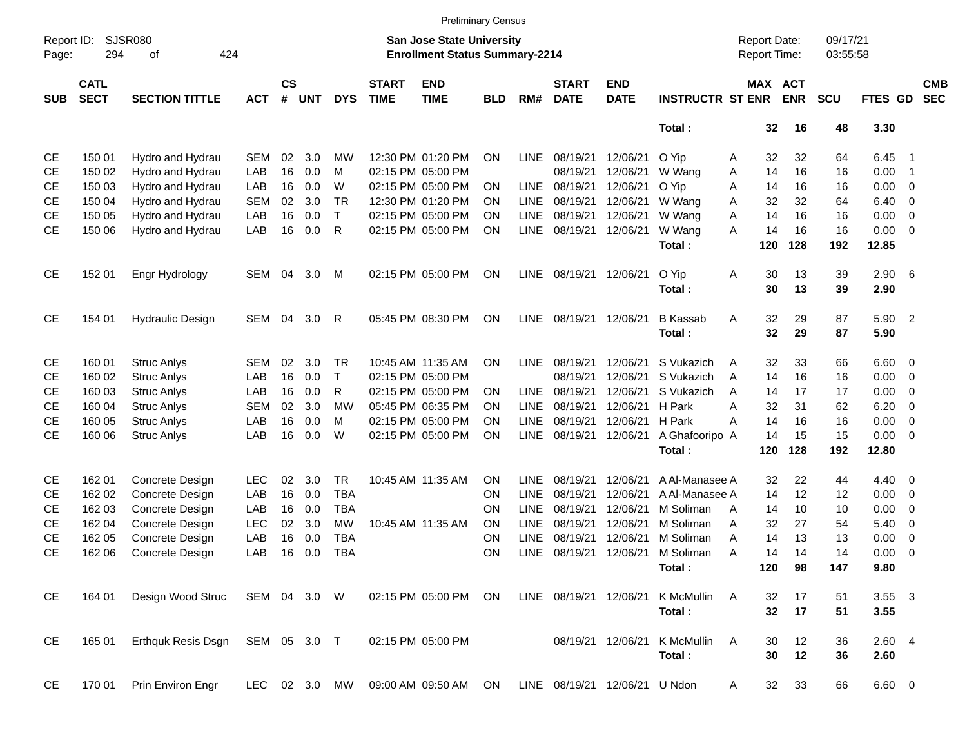|                     |                            |                             |               |                |            |            |                             |                                                                    | <b>Preliminary Census</b> |             |                             |                           |                         |   |                     |                       |                      |                |                         |                          |
|---------------------|----------------------------|-----------------------------|---------------|----------------|------------|------------|-----------------------------|--------------------------------------------------------------------|---------------------------|-------------|-----------------------------|---------------------------|-------------------------|---|---------------------|-----------------------|----------------------|----------------|-------------------------|--------------------------|
| Report ID:<br>Page: | 294                        | <b>SJSR080</b><br>424<br>of |               |                |            |            |                             | San Jose State University<br><b>Enrollment Status Summary-2214</b> |                           |             |                             |                           |                         |   | <b>Report Date:</b> | Report Time:          | 09/17/21<br>03:55:58 |                |                         |                          |
| <b>SUB</b>          | <b>CATL</b><br><b>SECT</b> | <b>SECTION TITTLE</b>       | <b>ACT</b>    | <b>CS</b><br># | <b>UNT</b> | <b>DYS</b> | <b>START</b><br><b>TIME</b> | <b>END</b><br><b>TIME</b>                                          | <b>BLD</b>                | RM#         | <b>START</b><br><b>DATE</b> | <b>END</b><br><b>DATE</b> | <b>INSTRUCTR ST ENR</b> |   |                     | MAX ACT<br><b>ENR</b> | <b>SCU</b>           | <b>FTES GD</b> |                         | <b>CMB</b><br><b>SEC</b> |
|                     |                            |                             |               |                |            |            |                             |                                                                    |                           |             |                             |                           | Total:                  |   | 32                  | 16                    | 48                   | 3.30           |                         |                          |
| CE                  | 150 01                     | Hydro and Hydrau            | <b>SEM</b>    | 02             | 3.0        | МW         |                             | 12:30 PM 01:20 PM                                                  | ΟN                        | <b>LINE</b> | 08/19/21                    | 12/06/21                  | O Yip                   | A | 32                  | 32                    | 64                   | 6.45           | - 1                     |                          |
| <b>CE</b>           | 150 02                     | Hydro and Hydrau            | LAB           | 16             | 0.0        | М          |                             | 02:15 PM 05:00 PM                                                  |                           |             | 08/19/21                    | 12/06/21                  | W Wang                  | Α | 14                  | 16                    | 16                   | 0.00           | -1                      |                          |
| <b>CE</b>           | 150 03                     | Hydro and Hydrau            | LAB           | 16             | 0.0        | W          |                             | 02:15 PM 05:00 PM                                                  | ΟN                        | <b>LINE</b> | 08/19/21                    | 12/06/21                  | O Yip                   | Α | 14                  | 16                    | 16                   | 0.00           | 0                       |                          |
| <b>CE</b>           | 150 04                     | Hydro and Hydrau            | <b>SEM</b>    | 02             | 3.0        | <b>TR</b>  |                             | 12:30 PM 01:20 PM                                                  | ON                        | <b>LINE</b> | 08/19/21                    | 12/06/21                  | W Wang                  | A | 32                  | 32                    | 64                   | 6.40           | 0                       |                          |
| <b>CE</b>           | 150 05                     | Hydro and Hydrau            | LAB           | 16             | 0.0        | т          |                             | 02:15 PM 05:00 PM                                                  | ON                        | <b>LINE</b> | 08/19/21                    | 12/06/21                  | W Wang                  | Α | 14                  | 16                    | 16                   | 0.00           | 0                       |                          |
| <b>CE</b>           | 150 06                     | Hydro and Hydrau            | LAB           | 16             | 0.0        | R          |                             | 02:15 PM 05:00 PM                                                  | ΟN                        | <b>LINE</b> | 08/19/21                    | 12/06/21                  | W Wang<br>Total:        | A | 14<br>120           | 16<br>128             | 16<br>192            | 0.00<br>12.85  | 0                       |                          |
| CE                  | 152 01                     | Engr Hydrology              | SEM           | 04             | 3.0        | M          |                             | 02:15 PM 05:00 PM                                                  | <b>ON</b>                 | <b>LINE</b> | 08/19/21 12/06/21           |                           | O Yip                   | Α | 30                  | 13                    | 39                   | 2.90           | - 6                     |                          |
|                     |                            |                             |               |                |            |            |                             |                                                                    |                           |             |                             |                           | Total:                  |   | 30                  | 13                    | 39                   | 2.90           |                         |                          |
| <b>CE</b>           | 154 01                     | <b>Hydraulic Design</b>     | SEM           | 04             | 3.0        | R          |                             | 05:45 PM 08:30 PM                                                  | <b>ON</b>                 | <b>LINE</b> | 08/19/21 12/06/21           |                           | <b>B</b> Kassab         | Α | 32                  | 29                    | 87                   | 5.90 2         |                         |                          |
|                     |                            |                             |               |                |            |            |                             |                                                                    |                           |             |                             |                           | Total:                  |   | 32                  | 29                    | 87                   | 5.90           |                         |                          |
| CE                  | 160 01                     | <b>Struc Anlys</b>          | <b>SEM</b>    | 02             | 3.0        | TR         |                             | 10:45 AM 11:35 AM                                                  | ON                        | <b>LINE</b> | 08/19/21                    | 12/06/21                  | S Vukazich              | A | 32                  | 33                    | 66                   | 6.60           | $\overline{\mathbf{0}}$ |                          |
| <b>CE</b>           | 160 02                     | <b>Struc Anlys</b>          | LAB           | 16             | 0.0        | т          |                             | 02:15 PM 05:00 PM                                                  |                           |             | 08/19/21                    | 12/06/21                  | S Vukazich              | A | 14                  | 16                    | 16                   | 0.00           | 0                       |                          |
| <b>CE</b>           | 160 03                     | <b>Struc Anlys</b>          | LAB           | 16             | 0.0        | R          |                             | 02:15 PM 05:00 PM                                                  | ON                        | LINE        | 08/19/21                    | 12/06/21                  | S Vukazich              | A | 14                  | 17                    | 17                   | 0.00           | 0                       |                          |
| CЕ                  | 160 04                     | <b>Struc Anlys</b>          | <b>SEM</b>    | 02             | 3.0        | <b>MW</b>  |                             | 05:45 PM 06:35 PM                                                  | ON                        | <b>LINE</b> | 08/19/21                    | 12/06/21                  | H Park                  | А | 32                  | 31                    | 62                   | 6.20           | 0                       |                          |
| CЕ                  | 160 05                     | <b>Struc Anlys</b>          | LAB           | 16             | 0.0        | М          |                             | 02:15 PM 05:00 PM                                                  | ON                        | LINE        | 08/19/21                    | 12/06/21                  | H Park                  | А | 14                  | 16                    | 16                   | 0.00           | 0                       |                          |
| <b>CE</b>           | 160 06                     | <b>Struc Anlys</b>          | LAB           | 16             | 0.0        | W          |                             | 02:15 PM 05:00 PM                                                  | ΟN                        | <b>LINE</b> | 08/19/21                    | 12/06/21                  | A Ghafooripo A          |   | 14                  | 15                    | 15                   | 0.00           | - 0                     |                          |
|                     |                            |                             |               |                |            |            |                             |                                                                    |                           |             |                             |                           | Total:                  |   | 120                 | 128                   | 192                  | 12.80          |                         |                          |
| CE                  | 162 01                     | Concrete Design             | <b>LEC</b>    | 02             | 3.0        | <b>TR</b>  |                             | 10:45 AM 11:35 AM                                                  | ΟN                        | LINE        | 08/19/21                    | 12/06/21                  | A Al-Manasee A          |   | 32                  | 22                    | 44                   | 4.40           | $\overline{\mathbf{0}}$ |                          |
| CE                  | 162 02                     | Concrete Design             | LAB           | 16             | 0.0        | <b>TBA</b> |                             |                                                                    | ON                        | LINE        | 08/19/21                    | 12/06/21                  | A Al-Manasee A          |   | 14                  | 12                    | 12                   | 0.00           | 0                       |                          |
| <b>CE</b>           | 162 03                     | Concrete Design             | LAB           | 16             | 0.0        | <b>TBA</b> |                             |                                                                    | ON                        | <b>LINE</b> | 08/19/21                    | 12/06/21                  | M Soliman               | A | 14                  | 10                    | 10                   | 0.00           | 0                       |                          |
| <b>CE</b>           | 162 04                     | Concrete Design             | <b>LEC</b>    | 02             | 3.0        | MW         |                             | 10:45 AM 11:35 AM                                                  | <b>ON</b>                 | LINE        | 08/19/21                    | 12/06/21                  | M Soliman               | A | 32                  | 27                    | 54                   | 5.40           | 0                       |                          |
| <b>CE</b>           | 162 05                     | Concrete Design             | LAB           | 16             | 0.0        | <b>TBA</b> |                             |                                                                    | ON                        | <b>LINE</b> | 08/19/21                    | 12/06/21                  | M Soliman               | A | 14                  | 13                    | 13                   | 0.00           | 0                       |                          |
| <b>CE</b>           | 162 06                     | Concrete Design             | LAB           | 16             | 0.0        | <b>TBA</b> |                             |                                                                    | <b>ON</b>                 | <b>LINE</b> |                             | 08/19/21 12/06/21         | M Soliman               | A | 14                  | 14                    | 14                   | 0.00           | $\overline{0}$          |                          |
|                     |                            |                             |               |                |            |            |                             |                                                                    |                           |             |                             |                           | Total:                  |   |                     | 120 98                | 147                  | 9.80           |                         |                          |
| CE                  | 164 01                     | Design Wood Struc           | SEM 04 3.0 W  |                |            |            |                             | 02:15 PM 05:00 PM ON                                               |                           |             | LINE 08/19/21 12/06/21      |                           | K McMullin              | A | 32                  | 17                    | 51                   | $3.55 \quad 3$ |                         |                          |
|                     |                            |                             |               |                |            |            |                             |                                                                    |                           |             |                             |                           | Total:                  |   | 32                  | 17                    | 51                   | 3.55           |                         |                          |
| CE                  | 165 01                     | <b>Erthquk Resis Dsgn</b>   | SEM 05 3.0 T  |                |            |            |                             | 02:15 PM 05:00 PM                                                  |                           |             |                             | 08/19/21 12/06/21         | K McMullin              | A | 30                  | 12                    | 36                   | 2.604          |                         |                          |
|                     |                            |                             |               |                |            |            |                             |                                                                    |                           |             |                             |                           | Total:                  |   | 30                  | 12                    | 36                   | 2.60           |                         |                          |
| CE                  | 170 01                     | Prin Environ Engr           | LEC 02 3.0 MW |                |            |            |                             | 09:00 AM 09:50 AM ON                                               |                           |             | LINE 08/19/21 12/06/21      |                           | U Ndon                  | A | 32                  | 33                    | 66                   | $6.60 \t 0$    |                         |                          |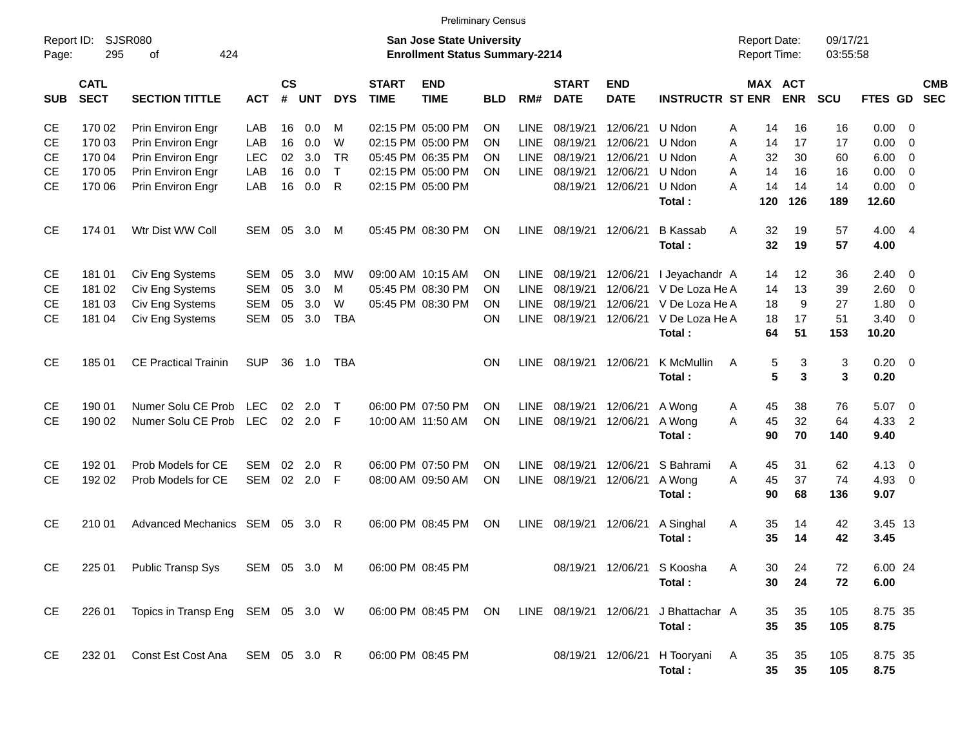|                     |                            |                                   |              |                    |            |              |                                | <b>Preliminary Census</b>                                                 |            |             |                             |                           |                                |                                     |                       |                      |                |                          |                          |
|---------------------|----------------------------|-----------------------------------|--------------|--------------------|------------|--------------|--------------------------------|---------------------------------------------------------------------------|------------|-------------|-----------------------------|---------------------------|--------------------------------|-------------------------------------|-----------------------|----------------------|----------------|--------------------------|--------------------------|
| Report ID:<br>Page: | 295                        | <b>SJSR080</b><br>424<br>οf       |              |                    |            |              |                                | <b>San Jose State University</b><br><b>Enrollment Status Summary-2214</b> |            |             |                             |                           |                                | <b>Report Date:</b><br>Report Time: |                       | 09/17/21<br>03:55:58 |                |                          |                          |
| <b>SUB</b>          | <b>CATL</b><br><b>SECT</b> | <b>SECTION TITTLE</b>             | <b>ACT</b>   | $\mathsf{cs}$<br># | <b>UNT</b> | <b>DYS</b>   | <b>START</b><br><b>TIME</b>    | <b>END</b><br><b>TIME</b>                                                 | <b>BLD</b> | RM#         | <b>START</b><br><b>DATE</b> | <b>END</b><br><b>DATE</b> | <b>INSTRUCTR ST ENR</b>        |                                     | MAX ACT<br><b>ENR</b> | SCU                  | <b>FTES GD</b> |                          | <b>CMB</b><br><b>SEC</b> |
| CЕ                  | 170 02                     | Prin Environ Engr                 | LAB          | 16                 | 0.0        | м            |                                | 02:15 PM 05:00 PM                                                         | ON         | <b>LINE</b> | 08/19/21                    | 12/06/21                  | U Ndon                         | 14<br>Α                             | 16                    | 16                   | 0.00           | - 0                      |                          |
| СE                  | 170 03                     | Prin Environ Engr                 | LAB          | 16                 | 0.0        | W            |                                | 02:15 PM 05:00 PM                                                         | ON         | <b>LINE</b> | 08/19/21                    | 12/06/21                  | U Ndon                         | 14<br>Α                             | 17                    | 17                   | 0.00           | $\mathbf 0$              |                          |
| СE                  | 170 04                     | Prin Environ Engr                 | <b>LEC</b>   | 02                 | 3.0        | <b>TR</b>    |                                | 05:45 PM 06:35 PM                                                         | ON         | <b>LINE</b> | 08/19/21                    | 12/06/21                  | U Ndon                         | 32<br>Α                             | 30                    | 60                   | 6.00           | $\mathbf 0$              |                          |
| СE                  | 170 05                     | Prin Environ Engr                 | LAB          | 16                 | 0.0        | $\mathsf{T}$ |                                | 02:15 PM 05:00 PM                                                         | ΟN         | LINE        | 08/19/21                    | 12/06/21                  | U Ndon                         | 14<br>A                             | 16                    | 16                   | 0.00           | $\mathbf 0$              |                          |
| СE                  | 170 06                     | Prin Environ Engr                 | LAB          | 16                 | 0.0        | R            |                                | 02:15 PM 05:00 PM                                                         |            |             | 08/19/21                    | 12/06/21                  | U Ndon                         | 14<br>A                             | 14                    | 14                   | 0.00           | $\mathbf 0$              |                          |
|                     |                            |                                   |              |                    |            |              |                                |                                                                           |            |             |                             |                           | Total:                         | 120                                 | 126                   | 189                  | 12.60          |                          |                          |
| <b>CE</b>           | 174 01                     | Wtr Dist WW Coll                  | SEM          | 05                 | 3.0        | M            |                                | 05:45 PM 08:30 PM                                                         | ON         | LINE        | 08/19/21                    | 12/06/21                  | <b>B</b> Kassab                | 32<br>A                             | 19                    | 57                   | 4.00           | $\overline{4}$           |                          |
|                     |                            |                                   |              |                    |            |              |                                |                                                                           |            |             |                             |                           | Total:                         | 32                                  | 19                    | 57                   | 4.00           |                          |                          |
| СE                  | 181 01                     | Civ Eng Systems                   | SEM          | 05                 | 3.0        | MW           |                                | 09:00 AM 10:15 AM                                                         | ON         | <b>LINE</b> | 08/19/21                    | 12/06/21                  | I Jeyachandr A                 | 14                                  | 12                    | 36                   | 2.40           | 0                        |                          |
| СE                  | 181 02                     | Civ Eng Systems                   | SEM          | 05                 | 3.0        | м            |                                | 05:45 PM 08:30 PM                                                         | OΝ         | <b>LINE</b> | 08/19/21                    | 12/06/21                  | V De Loza He A                 | 14                                  | 13                    | 39                   | 2.60           | $\mathbf 0$              |                          |
| СE                  | 181 03                     | Civ Eng Systems                   | <b>SEM</b>   | 05                 | 3.0        | W            |                                | 05:45 PM 08:30 PM                                                         | <b>ON</b>  | <b>LINE</b> | 08/19/21                    | 12/06/21                  | V De Loza He A                 | 18                                  | 9                     | 27                   | 1.80           | 0                        |                          |
| СE                  | 181 04                     | Civ Eng Systems                   | <b>SEM</b>   | 05                 | 3.0        | <b>TBA</b>   |                                |                                                                           | ON         | <b>LINE</b> | 08/19/21                    | 12/06/21                  | V De Loza He A                 | 18                                  | 17                    | 51                   | 3.40           | $\mathbf 0$              |                          |
|                     |                            |                                   |              |                    |            |              |                                |                                                                           |            |             |                             |                           | Total:                         | 64                                  | 51                    | 153                  | 10.20          |                          |                          |
| <b>CE</b>           | 185 01                     | <b>CE Practical Trainin</b>       | <b>SUP</b>   | 36                 | 1.0        | TBA          |                                |                                                                           | <b>ON</b>  | LINE        | 08/19/21                    | 12/06/21                  | K McMullin                     | Α<br>5                              | 3                     | 3                    | 0.20           | $\overline{\phantom{0}}$ |                          |
|                     |                            |                                   |              |                    |            |              |                                |                                                                           |            |             |                             |                           | Total:                         |                                     | 5<br>3                | 3                    | 0.20           |                          |                          |
| СE                  | 190 01                     | Numer Solu CE Prob                | <b>LEC</b>   | 02                 | 2.0        | $\top$       |                                | 06:00 PM 07:50 PM                                                         | ON         | <b>LINE</b> | 08/19/21                    | 12/06/21                  | A Wong                         | 45<br>A                             | 38                    | 76                   | 5.07           | $\overline{\mathbf{0}}$  |                          |
| <b>CE</b>           | 190 02                     | Numer Solu CE Prob                | LEC          |                    | 02 2.0     | F            |                                | 10:00 AM 11:50 AM                                                         | <b>ON</b>  | <b>LINE</b> | 08/19/21                    | 12/06/21                  | A Wong                         | 45<br>A                             | 32                    | 64                   | 4.33           | $\overline{2}$           |                          |
|                     |                            |                                   |              |                    |            |              |                                |                                                                           |            |             |                             |                           | Total:                         | 90                                  | 70                    | 140                  | 9.40           |                          |                          |
| СE                  | 192 01                     | Prob Models for CE                | SEM          | 02                 | 2.0        | R            |                                | 06:00 PM 07:50 PM                                                         | ON         | <b>LINE</b> | 08/19/21                    | 12/06/21                  | S Bahrami                      | 45<br>A                             | 31                    | 62                   | 4.13           | $\overline{\mathbf{0}}$  |                          |
| <b>CE</b>           | 192 02                     | Prob Models for CE                | SEM 02 2.0   |                    |            | F            |                                | 08:00 AM 09:50 AM                                                         | ON         | LINE        | 08/19/21                    | 12/06/21                  | A Wong                         | A<br>45                             | 37                    | 74                   | 4.93           | $\mathbf 0$              |                          |
|                     |                            |                                   |              |                    |            |              |                                |                                                                           |            |             |                             |                           | Total:                         | 90                                  | 68                    | 136                  | 9.07           |                          |                          |
| <b>CE</b>           | 210 01                     | Advanced Mechanics SEM 05         |              |                    | - 3.0      | R            |                                | 06:00 PM 08:45 PM                                                         | <b>ON</b>  | LINE        | 08/19/21                    | 12/06/21                  | A Singhal                      | Α<br>35                             | 14                    | 42                   | 3.45 13        |                          |                          |
|                     |                            |                                   |              |                    |            |              |                                |                                                                           |            |             |                             |                           | Total:                         | 35                                  | 14                    | 42                   | 3.45           |                          |                          |
| CE                  |                            | 225 01 Public Transp Sys          |              |                    |            |              | SEM 05 3.0 M 06:00 PM 08:45 PM |                                                                           |            |             |                             |                           | 08/19/21 12/06/21 S Koosha     | 30<br>A                             | 24                    | $72\,$               | 6.00 24        |                          |                          |
|                     |                            |                                   |              |                    |            |              |                                |                                                                           |            |             |                             |                           | Total:                         | 30                                  | 24                    | 72                   | 6.00           |                          |                          |
| CE                  | 226 01                     | Topics in Transp Eng SEM 05 3.0 W |              |                    |            |              |                                | 06:00 PM 08:45 PM ON                                                      |            |             | LINE 08/19/21 12/06/21      |                           | J Bhattachar A                 | 35                                  | 35                    | 105                  | 8.75 35        |                          |                          |
|                     |                            |                                   |              |                    |            |              |                                |                                                                           |            |             |                             |                           | Total:                         | 35                                  | 35                    | 105                  | 8.75           |                          |                          |
|                     |                            |                                   |              |                    |            |              |                                |                                                                           |            |             |                             |                           |                                |                                     |                       |                      |                |                          |                          |
| CE                  | 232 01                     | Const Est Cost Ana                | SEM 05 3.0 R |                    |            |              |                                | 06:00 PM 08:45 PM                                                         |            |             |                             |                           | 08/19/21 12/06/21 H Tooryani A | 35                                  | 35                    | 105                  | 8.75 35        |                          |                          |
|                     |                            |                                   |              |                    |            |              |                                |                                                                           |            |             |                             |                           | Total:                         | $35\phantom{a}$                     | 35                    | 105                  | 8.75           |                          |                          |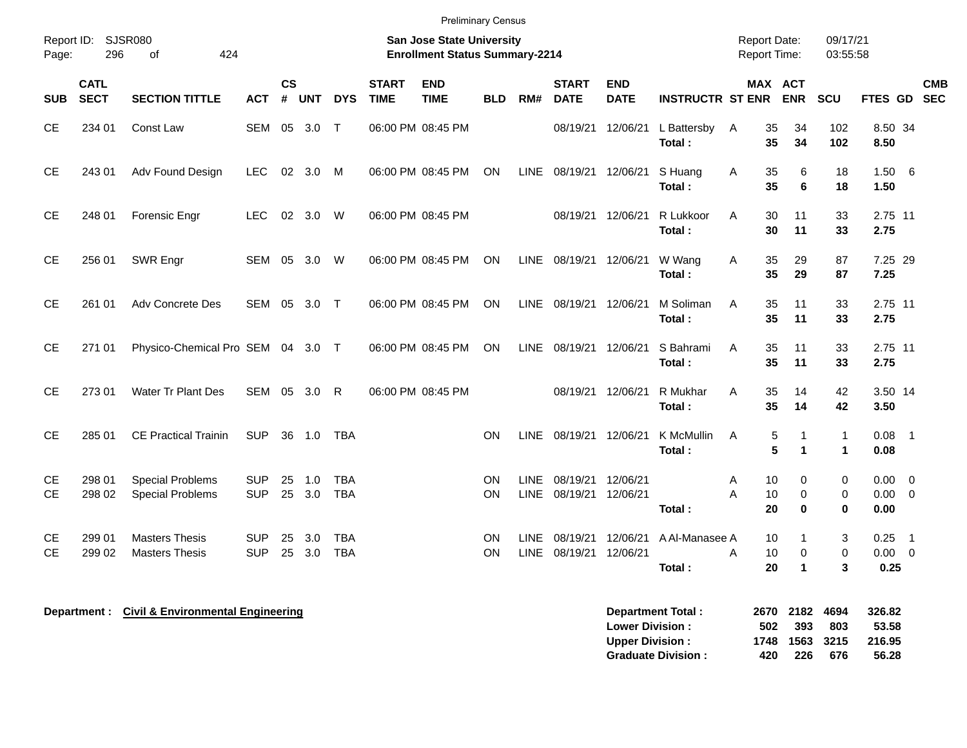| Report ID: SJSR080<br>296<br>Page:<br><b>CATL</b> | 424<br>of<br><b>SECTION TITTLE</b>                 |                          |                |                |                          |                             | <b>San Jose State University</b><br><b>Enrollment Status Summary-2214</b> |            |                            |                             |                           |                          | <b>Report Date:</b>      |                                     | 09/17/21                               |                      |                                            |
|---------------------------------------------------|----------------------------------------------------|--------------------------|----------------|----------------|--------------------------|-----------------------------|---------------------------------------------------------------------------|------------|----------------------------|-----------------------------|---------------------------|--------------------------|--------------------------|-------------------------------------|----------------------------------------|----------------------|--------------------------------------------|
|                                                   |                                                    |                          |                |                |                          |                             |                                                                           |            |                            |                             |                           |                          | Report Time:             |                                     | 03:55:58                               |                      |                                            |
| <b>SECT</b><br><b>SUB</b>                         |                                                    | <b>ACT</b>               | <b>CS</b><br># | <b>UNT</b>     | <b>DYS</b>               | <b>START</b><br><b>TIME</b> | <b>END</b><br><b>TIME</b>                                                 | <b>BLD</b> | RM#                        | <b>START</b><br><b>DATE</b> | <b>END</b><br><b>DATE</b> | <b>INSTRUCTR ST ENR</b>  | MAX ACT                  | <b>ENR</b>                          | SCU                                    | <b>FTES GD</b>       | <b>CMB</b><br><b>SEC</b>                   |
| CE<br>234 01                                      | Const Law                                          | <b>SEM</b>               | 05             | 3.0            | $\mathsf{T}$             | 06:00 PM 08:45 PM           |                                                                           |            |                            | 08/19/21                    | 12/06/21                  | L Battersby<br>Total:    | 35<br>A<br>35            | 34<br>34                            | 102<br>102                             | 8.50 34<br>8.50      |                                            |
| <b>CE</b><br>243 01                               | Adv Found Design                                   | <b>LEC</b>               | 02             | 3.0            | M                        | 06:00 PM 08:45 PM           |                                                                           | ON         | <b>LINE</b>                | 08/19/21                    | 12/06/21                  | S Huang<br>Total:        | 35<br>A<br>35            | 6<br>6                              | 18<br>18                               | 1.506<br>1.50        |                                            |
| <b>CE</b><br>248 01                               | Forensic Engr                                      | LEC.                     |                | $02 \quad 3.0$ | W                        | 06:00 PM 08:45 PM           |                                                                           |            |                            | 08/19/21                    | 12/06/21                  | R Lukkoor<br>Total:      | A<br>30<br>30            | 11<br>11                            | 33<br>33                               | 2.75 11<br>2.75      |                                            |
| <b>CE</b><br>256 01                               | SWR Engr                                           | SEM 05                   |                | 3.0            | W                        | 06:00 PM 08:45 PM           |                                                                           | <b>ON</b>  | <b>LINE</b>                | 08/19/21 12/06/21           |                           | W Wang<br>Total:         | 35<br>A<br>35            | 29<br>29                            | 87<br>87                               | 7.25 29<br>7.25      |                                            |
| CE<br>261 01                                      | Adv Concrete Des                                   | <b>SEM</b>               | 05             | 3.0            | $\top$                   | 06:00 PM 08:45 PM           |                                                                           | ON         | <b>LINE</b>                | 08/19/21                    | 12/06/21                  | M Soliman<br>Total:      | 35<br>A<br>35            | 11<br>11                            | 33<br>33                               | 2.75 11<br>2.75      |                                            |
| <b>CE</b><br>271 01                               | Physico-Chemical Pro SEM 04 3.0 T                  |                          |                |                |                          | 06:00 PM 08:45 PM           |                                                                           | ON         | <b>LINE</b>                | 08/19/21                    | 12/06/21                  | S Bahrami<br>Total:      | 35<br>A<br>35            | 11<br>11                            | 33<br>33                               | 2.75 11<br>2.75      |                                            |
| <b>CE</b><br>273 01                               | Water Tr Plant Des                                 | SEM                      |                | 05 3.0         | R                        | 06:00 PM 08:45 PM           |                                                                           |            |                            | 08/19/21                    | 12/06/21                  | R Mukhar<br>Total:       | 35<br>A<br>35            | 14<br>14                            | 42<br>42                               | 3.50 14<br>3.50      |                                            |
| <b>CE</b><br>285 01                               | <b>CE Practical Trainin</b>                        | <b>SUP</b>               | 36             | 1.0            | <b>TBA</b>               |                             |                                                                           | <b>ON</b>  | <b>LINE</b>                | 08/19/21                    | 12/06/21                  | K McMullin<br>Total:     | $\mathbf 5$<br>A<br>5    | 1<br>$\blacktriangleleft$           | $\mathbf{1}$<br>1                      | 0.08<br>0.08         | $\overline{\phantom{0}}$                   |
| <b>CE</b><br>298 01<br><b>CE</b><br>298 02        | <b>Special Problems</b><br><b>Special Problems</b> | <b>SUP</b><br><b>SUP</b> | 25<br>25       | 1.0<br>3.0     | <b>TBA</b><br><b>TBA</b> |                             |                                                                           | ON<br>ON   | <b>LINE</b><br><b>LINE</b> | 08/19/21<br>08/19/21        | 12/06/21<br>12/06/21      | Total:                   | A<br>10<br>10<br>A<br>20 | $\Omega$<br>$\mathbf 0$<br>$\bf{0}$ | $\mathbf 0$<br>$\mathbf 0$<br>$\bf{0}$ | 0.00<br>0.00<br>0.00 | $\overline{0}$<br>$\overline{0}$           |
| 299 01<br><b>CE</b><br><b>CE</b><br>299 02        | <b>Masters Thesis</b><br><b>Masters Thesis</b>     | <b>SUP</b><br><b>SUP</b> | 25<br>25       | 3.0<br>3.0     | <b>TBA</b><br><b>TBA</b> |                             |                                                                           | ON<br>ON   | LINE.<br><b>LINE</b>       | 08/19/21<br>08/19/21        | 12/06/21<br>12/06/21      | A Al-Manasee A<br>Total: | 10<br>10<br>A<br>20      | $\mathbf 0$<br>$\blacktriangleleft$ | 3<br>$\mathbf 0$<br>3                  | 0.25<br>0.00<br>0.25 | $\overline{\phantom{0}}$<br>$\overline{0}$ |

| Department Total:         |     | 2670 2182 4694 |      | 326.82 |
|---------------------------|-----|----------------|------|--------|
| <b>Lower Division:</b>    | 502 | -393           | -803 | 53.58  |
| <b>Upper Division:</b>    |     | 1748 1563 3215 |      | 216.95 |
| <b>Graduate Division:</b> | 420 | 226            | 676  | 56.28  |

**Department : Civil & Environmental Engineering**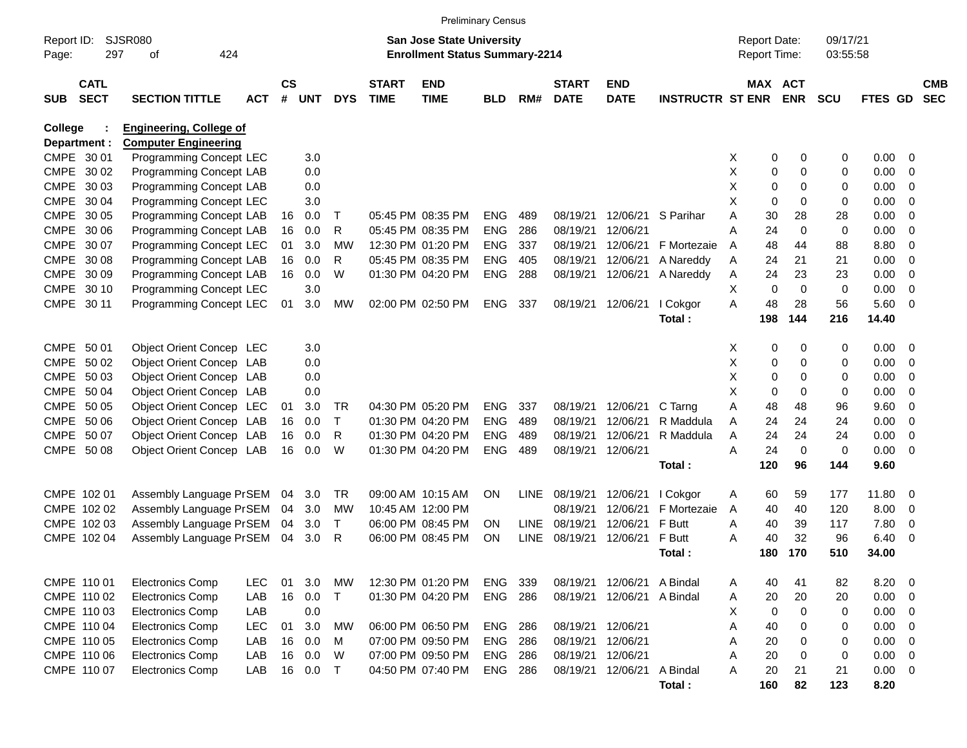|            |              |                                |            |               |            |            |              |                                       | <b>Preliminary Census</b> |             |              |                            |                         |   |                     |             |            |                |                          |            |
|------------|--------------|--------------------------------|------------|---------------|------------|------------|--------------|---------------------------------------|---------------------------|-------------|--------------|----------------------------|-------------------------|---|---------------------|-------------|------------|----------------|--------------------------|------------|
| Report ID: |              | SJSR080                        |            |               |            |            |              | <b>San Jose State University</b>      |                           |             |              |                            |                         |   | <b>Report Date:</b> |             | 09/17/21   |                |                          |            |
| Page:      | 297          | 424<br>οf                      |            |               |            |            |              | <b>Enrollment Status Summary-2214</b> |                           |             |              |                            |                         |   | Report Time:        |             | 03:55:58   |                |                          |            |
|            | <b>CATL</b>  |                                |            | $\mathsf{cs}$ |            |            | <b>START</b> | <b>END</b>                            |                           |             | <b>START</b> | <b>END</b>                 |                         |   | MAX ACT             |             |            |                |                          | <b>CMB</b> |
| <b>SUB</b> | <b>SECT</b>  | <b>SECTION TITTLE</b>          | <b>ACT</b> | #             | <b>UNT</b> | <b>DYS</b> | <b>TIME</b>  | <b>TIME</b>                           | <b>BLD</b>                | RM#         | <b>DATE</b>  | <b>DATE</b>                | <b>INSTRUCTR ST ENR</b> |   |                     | <b>ENR</b>  | <b>SCU</b> | <b>FTES GD</b> |                          | <b>SEC</b> |
| College    |              | <b>Engineering, College of</b> |            |               |            |            |              |                                       |                           |             |              |                            |                         |   |                     |             |            |                |                          |            |
|            | Department : | <b>Computer Engineering</b>    |            |               |            |            |              |                                       |                           |             |              |                            |                         |   |                     |             |            |                |                          |            |
|            | CMPE 30 01   | Programming Concept LEC        |            |               | 3.0        |            |              |                                       |                           |             |              |                            |                         | X | 0                   | 0           | 0          | 0.00           | $\overline{\phantom{0}}$ |            |
|            | CMPE 30 02   | Programming Concept LAB        |            |               | 0.0        |            |              |                                       |                           |             |              |                            |                         | х | 0                   | 0           | 0          | 0.00           | - 0                      |            |
|            | CMPE 30 03   | Programming Concept LAB        |            |               | 0.0        |            |              |                                       |                           |             |              |                            |                         | х | 0                   | $\Omega$    | 0          | 0.00           | $\overline{0}$           |            |
|            | CMPE 30 04   | Programming Concept LEC        |            |               | 3.0        |            |              |                                       |                           |             |              |                            |                         | X | $\mathbf 0$         | $\Omega$    | 0          | 0.00           | $\overline{0}$           |            |
|            | CMPE 30 05   | Programming Concept LAB        |            | 16            | 0.0        | Т          |              | 05:45 PM 08:35 PM                     | <b>ENG</b>                | 489         | 08/19/21     | 12/06/21                   | S Parihar               | A | 30                  | 28          | 28         | 0.00           | $\overline{0}$           |            |
|            | CMPE 30 06   | Programming Concept LAB        |            | 16            | 0.0        | R          |              | 05:45 PM 08:35 PM                     | <b>ENG</b>                | 286         | 08/19/21     | 12/06/21                   |                         | Α | 24                  | $\mathbf 0$ | 0          | 0.00           | $\overline{0}$           |            |
|            | CMPE 30 07   | Programming Concept LEC        |            | 01            | 3.0        | <b>MW</b>  |              | 12:30 PM 01:20 PM                     | <b>ENG</b>                | 337         | 08/19/21     | 12/06/21                   | F Mortezaie             | A | 48                  | 44          | 88         | 8.80           | $\overline{0}$           |            |
|            | CMPE 30 08   | Programming Concept LAB        |            | 16            | 0.0        | R          |              | 05:45 PM 08:35 PM                     | <b>ENG</b>                | 405         | 08/19/21     | 12/06/21                   | A Nareddy               | Α | 24                  | 21          | 21         | 0.00           | $\overline{0}$           |            |
|            | CMPE 30 09   | Programming Concept LAB        |            | 16            | 0.0        | W          |              | 01:30 PM 04:20 PM                     | <b>ENG</b>                | 288         | 08/19/21     | 12/06/21                   | A Nareddy               | Α | 24                  | 23          | 23         | 0.00           | $\overline{0}$           |            |
|            | CMPE 30 10   | Programming Concept LEC        |            |               | 3.0        |            |              |                                       |                           |             |              |                            |                         | Χ | $\mathbf 0$         | $\Omega$    | 0          | 0.00           | $\overline{0}$           |            |
|            | CMPE 30 11   | Programming Concept LEC        |            | 01            | 3.0        | МW         |              | 02:00 PM 02:50 PM                     | <b>ENG</b>                | 337         |              | 08/19/21 12/06/21          | I Cokgor                | A | 48                  | 28          | 56         | 5.60           | $\overline{\phantom{0}}$ |            |
|            |              |                                |            |               |            |            |              |                                       |                           |             |              |                            | Total:                  |   | 198                 | 144         | 216        | 14.40          |                          |            |
|            | CMPE 50 01   | Object Orient Concep LEC       |            |               | 3.0        |            |              |                                       |                           |             |              |                            |                         | X | 0                   | 0           | 0          | $0.00 \t 0$    |                          |            |
|            | CMPE 50 02   | Object Orient Concep LAB       |            |               | 0.0        |            |              |                                       |                           |             |              |                            |                         | х | 0                   | 0           | 0          | 0.00           | - 0                      |            |
|            | CMPE 50 03   | Object Orient Concep LAB       |            |               | 0.0        |            |              |                                       |                           |             |              |                            |                         | х | 0                   | $\Omega$    | 0          | 0.00           | $\overline{0}$           |            |
|            | CMPE 50 04   | Object Orient Concep LAB       |            |               | 0.0        |            |              |                                       |                           |             |              |                            |                         | X | $\mathbf 0$         | $\Omega$    | 0          | 0.00           | $\overline{0}$           |            |
|            | CMPE 50 05   | Object Orient Concep LEC       |            | 01            | 3.0        | TR         |              | 04:30 PM 05:20 PM                     | <b>ENG</b>                | 337         | 08/19/21     | 12/06/21                   | C Tarng                 | Α | 48                  | 48          | 96         | 9.60           | $\overline{0}$           |            |
|            | CMPE 50 06   | Object Orient Concep LAB       |            | 16            | 0.0        | Τ          |              | 01:30 PM 04:20 PM                     | <b>ENG</b>                | 489         | 08/19/21     | 12/06/21                   | R Maddula               | A | 24                  | 24          | 24         | 0.00           | $\overline{0}$           |            |
|            | CMPE 50 07   | Object Orient Concep LAB       |            | 16            | 0.0        | R          |              | 01:30 PM 04:20 PM                     | <b>ENG</b>                | 489         | 08/19/21     | 12/06/21                   | R Maddula               | Α | 24                  | 24          | 24         | 0.00           | $\overline{0}$           |            |
|            | CMPE 50 08   | Object Orient Concep LAB       |            | 16            | 0.0        | W          |              | 01:30 PM 04:20 PM                     | <b>ENG</b>                | 489         |              | 08/19/21 12/06/21          |                         | Α | 24                  | $\mathbf 0$ | 0          | 0.00           | $\overline{\phantom{0}}$ |            |
|            |              |                                |            |               |            |            |              |                                       |                           |             |              |                            | Total:                  |   | 120                 | 96          | 144        | 9.60           |                          |            |
|            |              |                                |            |               |            |            |              |                                       |                           |             |              |                            |                         |   |                     |             |            |                |                          |            |
|            | CMPE 102 01  | Assembly Language PrSEM        |            | 04            | 3.0        | TR         |              | 09:00 AM 10:15 AM                     | <b>ON</b>                 | <b>LINE</b> | 08/19/21     | 12/06/21                   | I Cokgor                | A | 60                  | 59          | 177        | 11.80          | - 0                      |            |
|            | CMPE 102 02  | Assembly Language PrSEM        |            | 04            | 3.0        | MW         |              | 10:45 AM 12:00 PM                     |                           |             | 08/19/21     | 12/06/21                   | F Mortezaie             | A | 40                  | 40          | 120        | 8.00           | $\overline{\mathbf{0}}$  |            |
|            | CMPE 102 03  | Assembly Language PrSEM        |            | 04            | 3.0        | Τ          |              | 06:00 PM 08:45 PM                     | ON                        | <b>LINE</b> | 08/19/21     | 12/06/21                   | F Butt                  | Α | 40                  | 39          | 117        | 7.80           | 0                        |            |
|            | CMPE 102 04  | Assembly Language PrSEM        |            | 04            | 3.0        | R          |              | 06:00 PM 08:45 PM                     | ON                        | <b>LINE</b> | 08/19/21     | 12/06/21                   | F Butt                  | Α | 40                  | 32          | 96         | 6.40           | - 0                      |            |
|            |              |                                |            |               |            |            |              |                                       |                           |             |              |                            | Total :                 |   | 180                 | 170         | 510        | 34.00          |                          |            |
|            | CMPE 110 01  | <b>Electronics Comp</b>        | <b>LEC</b> | 01            | 3.0        | МW         |              | 12:30 PM 01:20 PM                     | ENG                       | 339         |              | 08/19/21 12/06/21 A Bindal |                         | Α | 40                  | 41          | 82         | 8.20           | $\overline{\phantom{0}}$ |            |
|            | CMPE 110 02  | <b>Electronics Comp</b>        | LAB        | 16            | 0.0        | T          |              | 01:30 PM 04:20 PM                     | ENG                       | 286         |              | 08/19/21 12/06/21          | A Bindal                | Α | 20                  | 20          | 20         | 0.00           | $\overline{\phantom{0}}$ |            |
|            | CMPE 110 03  | <b>Electronics Comp</b>        | LAB        |               | 0.0        |            |              |                                       |                           |             |              |                            |                         | х | 0                   | 0           | 0          | 0.00           | $\overline{\phantom{0}}$ |            |
|            | CMPE 110 04  | <b>Electronics Comp</b>        | <b>LEC</b> | 01            | 3.0        | <b>MW</b>  |              | 06:00 PM 06:50 PM                     | ENG                       | 286         |              | 08/19/21 12/06/21          |                         | Α | 40                  | 0           | 0          | 0.00           | $\overline{\mathbf{0}}$  |            |
|            | CMPE 110 05  | <b>Electronics Comp</b>        | LAB        | 16            | 0.0        | M          |              | 07:00 PM 09:50 PM                     | ENG                       | 286         |              | 08/19/21 12/06/21          |                         | Α | 20                  | 0           | 0          | 0.00           | $\overline{\phantom{0}}$ |            |
|            | CMPE 110 06  | <b>Electronics Comp</b>        | LAB        | 16            | 0.0        | W          |              | 07:00 PM 09:50 PM                     | ENG                       | 286         |              | 08/19/21 12/06/21          |                         | Α | 20                  | 0           | 0          | 0.00           | $\overline{\phantom{0}}$ |            |
|            | CMPE 110 07  | <b>Electronics Comp</b>        | LAB        |               | 16 0.0     | $\top$     |              | 04:50 PM 07:40 PM                     | <b>ENG 286</b>            |             |              | 08/19/21 12/06/21          | A Bindal                | Α | 20                  | 21          | 21         | $0.00 \t 0$    |                          |            |
|            |              |                                |            |               |            |            |              |                                       |                           |             |              |                            | Total:                  |   | 160                 | 82          | 123        | 8.20           |                          |            |
|            |              |                                |            |               |            |            |              |                                       |                           |             |              |                            |                         |   |                     |             |            |                |                          |            |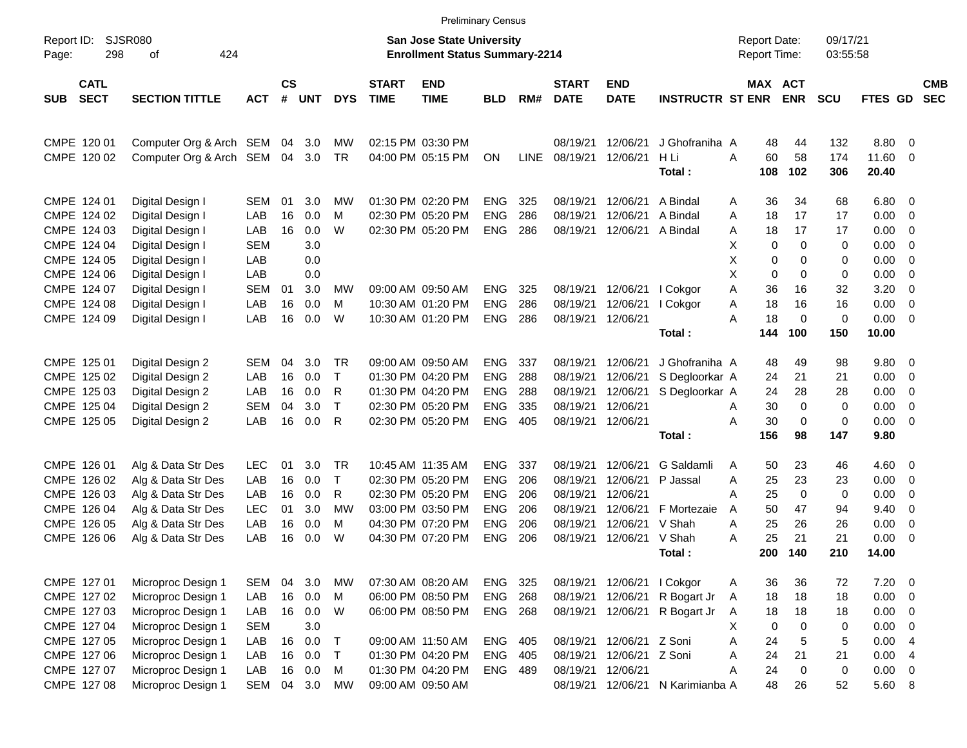|                                          |                             |            |                |            |            |                             | <b>Preliminary Census</b>                                                 |            |      |                             |                           |                         |   |                                     |                       |                      |                |                          |                          |
|------------------------------------------|-----------------------------|------------|----------------|------------|------------|-----------------------------|---------------------------------------------------------------------------|------------|------|-----------------------------|---------------------------|-------------------------|---|-------------------------------------|-----------------------|----------------------|----------------|--------------------------|--------------------------|
| Report ID:<br>298<br>Page:               | <b>SJSR080</b><br>424<br>оf |            |                |            |            |                             | <b>San Jose State University</b><br><b>Enrollment Status Summary-2214</b> |            |      |                             |                           |                         |   | <b>Report Date:</b><br>Report Time: |                       | 09/17/21<br>03:55:58 |                |                          |                          |
| <b>CATL</b><br><b>SECT</b><br><b>SUB</b> | <b>SECTION TITTLE</b>       | <b>ACT</b> | <b>CS</b><br># | <b>UNT</b> | <b>DYS</b> | <b>START</b><br><b>TIME</b> | <b>END</b><br><b>TIME</b>                                                 | <b>BLD</b> | RM#  | <b>START</b><br><b>DATE</b> | <b>END</b><br><b>DATE</b> | <b>INSTRUCTR ST ENR</b> |   |                                     | MAX ACT<br><b>ENR</b> | <b>SCU</b>           | FTES GD        |                          | <b>CMB</b><br><b>SEC</b> |
| CMPE 120 01                              | Computer Org & Arch SEM     |            | 04             | 3.0        | MW         |                             | 02:15 PM 03:30 PM                                                         |            |      | 08/19/21                    | 12/06/21                  | J Ghofraniha A          |   | 48                                  | 44                    | 132                  | 8.80           | - 0                      |                          |
| CMPE 120 02                              | Computer Org & Arch SEM     |            | 04             | 3.0        | TR         |                             | 04:00 PM 05:15 PM                                                         | <b>ON</b>  | LINE | 08/19/21                    | 12/06/21                  | H Li<br>Total:          | A | 60<br>108                           | 58<br>102             | 174<br>306           | 11.60<br>20.40 | $\overline{0}$           |                          |
| CMPE 124 01                              | Digital Design I            | <b>SEM</b> | 01             | 3.0        | MW         |                             | 01:30 PM 02:20 PM                                                         | <b>ENG</b> | 325  | 08/19/21                    | 12/06/21                  | A Bindal                | A | 36                                  | 34                    | 68                   | 6.80           | - 0                      |                          |
| CMPE 124 02                              | Digital Design I            | LAB        | 16             | 0.0        | M          |                             | 02:30 PM 05:20 PM                                                         | <b>ENG</b> | 286  | 08/19/21                    | 12/06/21                  | A Bindal                | A | 18                                  | 17                    | 17                   | 0.00           | 0                        |                          |
| CMPE 124 03                              | Digital Design I            | LAB        | 16             | 0.0        | W          |                             | 02:30 PM 05:20 PM                                                         | <b>ENG</b> | 286  | 08/19/21                    | 12/06/21                  | A Bindal                | Α | 18                                  | 17                    | 17                   | 0.00           | 0                        |                          |
| CMPE 124 04                              | Digital Design I            | <b>SEM</b> |                | 3.0        |            |                             |                                                                           |            |      |                             |                           |                         | X | 0                                   | $\mathbf 0$           | 0                    | 0.00           | $\mathbf 0$              |                          |
| CMPE 124 05                              | Digital Design I            | LAB        |                | 0.0        |            |                             |                                                                           |            |      |                             |                           |                         | X | 0                                   | 0                     | 0                    | 0.00           | 0                        |                          |
| CMPE 124 06                              | Digital Design I            | LAB        |                | 0.0        |            |                             |                                                                           |            |      |                             |                           |                         | X | $\mathbf 0$                         | 0                     | 0                    | 0.00           | $\mathbf 0$              |                          |
| CMPE 124 07                              | Digital Design I            | <b>SEM</b> | 01             | 3.0        | MW         |                             | 09:00 AM 09:50 AM                                                         | <b>ENG</b> | 325  | 08/19/21                    | 12/06/21                  | I Cokgor                | A | 36                                  | 16                    | 32                   | 3.20           | $\mathbf 0$              |                          |
| CMPE 124 08                              | Digital Design I            | LAB        | 16             | 0.0        | M          |                             | 10:30 AM 01:20 PM                                                         | <b>ENG</b> | 286  | 08/19/21                    | 12/06/21                  | I Cokgor                | A | 18                                  | 16                    | 16                   | 0.00           | $\mathbf 0$              |                          |
| CMPE 124 09                              | Digital Design I            | LAB        | 16             | 0.0        | W          |                             | 10:30 AM 01:20 PM                                                         | <b>ENG</b> | 286  | 08/19/21                    | 12/06/21                  |                         | Α | 18                                  | $\mathbf 0$           | 0                    | 0.00           | $\overline{0}$           |                          |
|                                          |                             |            |                |            |            |                             |                                                                           |            |      |                             |                           | Total:                  |   | 144                                 | 100                   | 150                  | 10.00          |                          |                          |
| CMPE 125 01                              | Digital Design 2            | <b>SEM</b> | 04             | 3.0        | <b>TR</b>  |                             | 09:00 AM 09:50 AM                                                         | <b>ENG</b> | 337  | 08/19/21                    | 12/06/21                  | J Ghofraniha A          |   | 48                                  | 49                    | 98                   | 9.80           | $\overline{\mathbf{0}}$  |                          |
| CMPE 125 02                              | Digital Design 2            | LAB        | 16             | 0.0        | $\top$     |                             | 01:30 PM 04:20 PM                                                         | <b>ENG</b> | 288  | 08/19/21                    | 12/06/21                  | S Degloorkar A          |   | 24                                  | 21                    | 21                   | 0.00           | 0                        |                          |
| CMPE 125 03                              | Digital Design 2            | LAB        | 16             | 0.0        | R          |                             | 01:30 PM 04:20 PM                                                         | <b>ENG</b> | 288  | 08/19/21                    | 12/06/21                  | S Degloorkar A          |   | 24                                  | 28                    | 28                   | 0.00           | 0                        |                          |
| CMPE 125 04                              | Digital Design 2            | <b>SEM</b> | 04             | 3.0        | $\top$     |                             | 02:30 PM 05:20 PM                                                         | <b>ENG</b> | 335  | 08/19/21                    | 12/06/21                  |                         | A | 30                                  | $\mathbf 0$           | 0                    | 0.00           | $\mathbf 0$              |                          |
| CMPE 125 05                              | Digital Design 2            | LAB        | 16             | 0.0        | R          |                             | 02:30 PM 05:20 PM                                                         | <b>ENG</b> | 405  | 08/19/21 12/06/21           |                           |                         | Α | 30                                  | 0                     | 0                    | 0.00           | $\overline{0}$           |                          |
|                                          |                             |            |                |            |            |                             |                                                                           |            |      |                             |                           | Total:                  |   | 156                                 | 98                    | 147                  | 9.80           |                          |                          |
| CMPE 126 01                              | Alg & Data Str Des          | <b>LEC</b> | 01             | 3.0        | TR         |                             | 10:45 AM 11:35 AM                                                         | <b>ENG</b> | 337  | 08/19/21                    | 12/06/21                  | G Saldamli              | A | 50                                  | 23                    | 46                   | 4.60           | 0                        |                          |
| CMPE 126 02                              | Alg & Data Str Des          | LAB        | 16             | 0.0        | т          |                             | 02:30 PM 05:20 PM                                                         | <b>ENG</b> | 206  | 08/19/21                    | 12/06/21                  | P Jassal                | Α | 25                                  | 23                    | 23                   | 0.00           | 0                        |                          |
| CMPE 126 03                              | Alg & Data Str Des          | LAB        | 16             | 0.0        | R          |                             | 02:30 PM 05:20 PM                                                         | <b>ENG</b> | 206  | 08/19/21                    | 12/06/21                  |                         | Α | 25                                  | $\mathbf 0$           | 0                    | 0.00           | 0                        |                          |
| CMPE 126 04                              | Alg & Data Str Des          | <b>LEC</b> | 01             | 3.0        | MW         |                             | 03:00 PM 03:50 PM                                                         | <b>ENG</b> | 206  | 08/19/21                    | 12/06/21                  | F Mortezaie             | A | 50                                  | 47                    | 94                   | 9.40           | 0                        |                          |
| CMPE 126 05                              | Alg & Data Str Des          | LAB        | 16             | 0.0        | M          |                             | 04:30 PM 07:20 PM                                                         | <b>ENG</b> | 206  | 08/19/21                    | 12/06/21                  | V Shah                  | Α | 25                                  | 26                    | 26                   | 0.00           | 0                        |                          |
| CMPE 126 06                              | Alg & Data Str Des          | LAB        | 16             | 0.0        | W          |                             | 04:30 PM 07:20 PM                                                         | <b>ENG</b> | 206  | 08/19/21                    | 12/06/21                  | V Shah                  | Α | 25                                  | 21                    | 21                   | 0.00           | 0                        |                          |
|                                          |                             |            |                |            |            |                             |                                                                           |            |      |                             |                           | Total:                  |   | 200                                 | 140                   | 210                  | 14.00          |                          |                          |
| CMPE 127 01                              | Microproc Design 1          | <b>SEM</b> | 04             | 3.0        | <b>MW</b>  |                             | 07:30 AM 08:20 AM                                                         | ENG        | 325  | 08/19/21                    | 12/06/21                  | I Cokgor                | Α | 36                                  | 36                    | 72                   | 7.20           | $\overline{\phantom{0}}$ |                          |
| CMPE 127 02                              | Microproc Design 1          | LAB        | 16             | 0.0        | M          |                             | 06:00 PM 08:50 PM                                                         | ENG        | 268  | 08/19/21                    | 12/06/21                  | R Bogart Jr             | A | 18                                  | 18                    | 18                   | $0.00 \t 0$    |                          |                          |
| CMPE 127 03                              | Microproc Design 1          | LAB        | 16             | 0.0        | W          |                             | 06:00 PM 08:50 PM                                                         | ENG 268    |      |                             | 08/19/21 12/06/21         | R Bogart Jr             | A | 18                                  | 18                    | 18                   | 0.00           | $\overline{\phantom{0}}$ |                          |
| CMPE 127 04                              | Microproc Design 1          | <b>SEM</b> |                | 3.0        |            |                             |                                                                           |            |      |                             |                           |                         | X | 0                                   | $\mathbf 0$           | 0                    | 0.00           | $\overline{0}$           |                          |
| CMPE 127 05                              | Microproc Design 1          | LAB        | 16             | 0.0        | T          |                             | 09:00 AM 11:50 AM                                                         | ENG        | 405  |                             | 08/19/21 12/06/21         | Z Soni                  | A | 24                                  | 5                     | $\mathbf 5$          | 0.00           | $\overline{4}$           |                          |
| CMPE 127 06                              | Microproc Design 1          | LAB        | 16             | 0.0        | T          |                             | 01:30 PM 04:20 PM                                                         | ENG 405    |      | 08/19/21                    | 12/06/21                  | Z Soni                  | A | 24                                  | 21                    | 21                   | 0.00           | $\overline{4}$           |                          |
| CMPE 127 07                              | Microproc Design 1          | LAB        | 16             | 0.0        | M          |                             | 01:30 PM 04:20 PM                                                         | ENG 489    |      | 08/19/21                    | 12/06/21                  |                         | Α | 24                                  | $\pmb{0}$             | $\pmb{0}$            | $0.00 \t 0$    |                          |                          |
| CMPE 127 08                              | Microproc Design 1          | SEM        |                | 04 3.0     | MW         |                             | 09:00 AM 09:50 AM                                                         |            |      |                             | 08/19/21 12/06/21         | N Karimianba A          |   | 48                                  | 26                    | 52                   | 5.60 8         |                          |                          |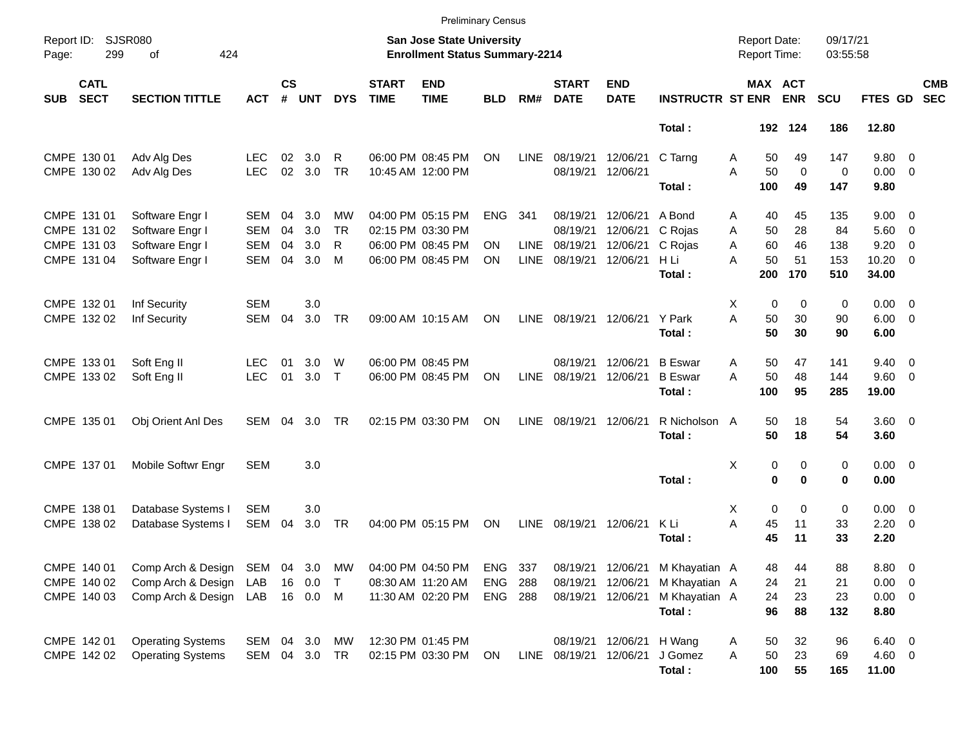|            |                            |                                    |                          |                    |            |                 |                             | <b>Preliminary Census</b>                                          |                |             |                             |                           |                         |        |                                            |                   |                      |                               |                          |                          |
|------------|----------------------------|------------------------------------|--------------------------|--------------------|------------|-----------------|-----------------------------|--------------------------------------------------------------------|----------------|-------------|-----------------------------|---------------------------|-------------------------|--------|--------------------------------------------|-------------------|----------------------|-------------------------------|--------------------------|--------------------------|
| Page:      | Report ID: SJSR080<br>299  | 424<br>of                          |                          |                    |            |                 |                             | San Jose State University<br><b>Enrollment Status Summary-2214</b> |                |             |                             |                           |                         |        | <b>Report Date:</b><br><b>Report Time:</b> |                   | 09/17/21<br>03:55:58 |                               |                          |                          |
| <b>SUB</b> | <b>CATL</b><br><b>SECT</b> | <b>SECTION TITTLE</b>              | <b>ACT</b>               | $\mathsf{cs}$<br># | <b>UNT</b> | <b>DYS</b>      | <b>START</b><br><b>TIME</b> | <b>END</b><br><b>TIME</b>                                          | <b>BLD</b>     | RM#         | <b>START</b><br><b>DATE</b> | <b>END</b><br><b>DATE</b> | <b>INSTRUCTR ST ENR</b> |        | MAX ACT                                    | <b>ENR</b>        | <b>SCU</b>           | FTES GD                       |                          | <b>CMB</b><br><b>SEC</b> |
|            |                            |                                    |                          |                    |            |                 |                             |                                                                    |                |             |                             |                           | Total:                  |        |                                            | 192 124           | 186                  | 12.80                         |                          |                          |
|            | CMPE 130 01<br>CMPE 130 02 | Adv Alg Des<br>Adv Alg Des         | LEC<br><b>LEC</b>        | 02<br>02           | 3.0<br>3.0 | R<br><b>TR</b>  |                             | 06:00 PM 08:45 PM<br>10:45 AM 12:00 PM                             | ON             | <b>LINE</b> | 08/19/21<br>08/19/21        | 12/06/21<br>12/06/21      | C Tarng                 | Α<br>A | 50<br>50                                   | 49<br>$\mathbf 0$ | 147<br>0             | 9.80 0<br>$0.00 \t 0$         |                          |                          |
|            |                            |                                    |                          |                    |            |                 |                             |                                                                    |                |             |                             |                           | Total:                  |        | 100                                        | 49                | 147                  | 9.80                          |                          |                          |
|            | CMPE 131 01<br>CMPE 131 02 | Software Engr I<br>Software Engr I | <b>SEM</b><br><b>SEM</b> | 04<br>04           | 3.0<br>3.0 | MW<br><b>TR</b> |                             | 04:00 PM 05:15 PM<br>02:15 PM 03:30 PM                             | <b>ENG</b>     | 341         | 08/19/21<br>08/19/21        | 12/06/21<br>12/06/21      | A Bond<br>C Rojas       | Α<br>A | 40<br>50                                   | 45<br>28          | 135<br>84            | $9.00 \t 0$<br>$5.60 \quad 0$ |                          |                          |
|            | CMPE 131 03                | Software Engr I                    | <b>SEM</b>               | 04                 | 3.0        | R               |                             | 06:00 PM 08:45 PM                                                  | ΟN             | <b>LINE</b> | 08/19/21                    | 12/06/21                  | C Rojas                 | A      | 60                                         | 46                | 138                  | 9.20                          | $\overline{\phantom{0}}$ |                          |
|            | CMPE 131 04                | Software Engr I                    | <b>SEM</b>               | 04                 | 3.0        | M               |                             | 06:00 PM 08:45 PM                                                  | <b>ON</b>      | <b>LINE</b> | 08/19/21                    | 12/06/21                  | H Li                    | А      | 50                                         | 51                | 153                  | $10.20 \t 0$                  |                          |                          |
|            |                            |                                    |                          |                    |            |                 |                             |                                                                    |                |             |                             |                           | Total:                  |        | 200                                        | 170               | 510                  | 34.00                         |                          |                          |
|            | CMPE 132 01                | Inf Security                       | <b>SEM</b>               |                    | 3.0        |                 |                             |                                                                    |                |             |                             |                           |                         | X      | $\mathbf 0$                                | $\mathbf 0$       | 0                    | $0.00 \t 0$                   |                          |                          |
|            | CMPE 132 02                | Inf Security                       | <b>SEM</b>               | 04                 | 3.0        | <b>TR</b>       |                             | 09:00 AM 10:15 AM                                                  | <b>ON</b>      | <b>LINE</b> | 08/19/21                    | 12/06/21 Y Park           |                         | A      | 50                                         | 30                | 90                   | $6.00 \quad 0$                |                          |                          |
|            |                            |                                    |                          |                    |            |                 |                             |                                                                    |                |             |                             |                           | Total:                  |        | 50                                         | 30                | 90                   | 6.00                          |                          |                          |
|            | CMPE 133 01                | Soft Eng II                        | <b>LEC</b>               | 01                 | 3.0        | W               |                             | 06:00 PM 08:45 PM                                                  |                |             | 08/19/21                    | 12/06/21                  | <b>B</b> Eswar          | A      | 50                                         | 47                | 141                  | $9.40 \quad 0$                |                          |                          |
|            | CMPE 133 02                | Soft Eng II                        | <b>LEC</b>               | 01                 | 3.0        | $\top$          |                             | 06:00 PM 08:45 PM                                                  | ΟN             | LINE        | 08/19/21                    | 12/06/21                  | <b>B</b> Eswar          | A      | 50                                         | 48                | 144                  | $9.60 \quad 0$                |                          |                          |
|            |                            |                                    |                          |                    |            |                 |                             |                                                                    |                |             |                             |                           | Total:                  |        | 100                                        | 95                | 285                  | 19.00                         |                          |                          |
|            | CMPE 135 01                | Obj Orient Anl Des                 | <b>SEM</b>               | 04                 | 3.0        | TR              |                             | 02:15 PM 03:30 PM                                                  | ON             | <b>LINE</b> | 08/19/21                    | 12/06/21                  | R Nicholson A           |        | 50                                         | 18                | 54                   | $3.60 \ 0$                    |                          |                          |
|            |                            |                                    |                          |                    |            |                 |                             |                                                                    |                |             |                             |                           | Total:                  |        | 50                                         | 18                | 54                   | 3.60                          |                          |                          |
|            | CMPE 137 01                | Mobile Softwr Engr                 | <b>SEM</b>               |                    | 3.0        |                 |                             |                                                                    |                |             |                             |                           |                         | Χ      | 0                                          | 0                 | 0                    | $0.00 \t 0$                   |                          |                          |
|            |                            |                                    |                          |                    |            |                 |                             |                                                                    |                |             |                             |                           | Total:                  |        | $\bf{0}$                                   | $\bf{0}$          | 0                    | 0.00                          |                          |                          |
|            | CMPE 138 01                | Database Systems I                 | SEM                      |                    | 3.0        |                 |                             |                                                                    |                |             |                             |                           |                         | X      | $\mathbf 0$                                | $\mathbf 0$       | 0                    | $0.00 \t 0$                   |                          |                          |
|            | CMPE 138 02                | Database Systems I                 | SEM                      | 04                 | 3.0        | <b>TR</b>       |                             | 04:00 PM 05:15 PM                                                  | ON             | <b>LINE</b> | 08/19/21                    | 12/06/21                  | K Li                    | A      | 45                                         | 11                | 33                   | $2.20 \t 0$                   |                          |                          |
|            |                            |                                    |                          |                    |            |                 |                             |                                                                    |                |             |                             |                           | Total:                  |        | 45                                         | 11                | 33                   | 2.20                          |                          |                          |
|            | CMPE 140 01                | Comp Arch & Design SEM             |                          | 04                 | 3.0        | МW              |                             | 04:00 PM 04:50 PM                                                  | <b>ENG</b>     | 337         |                             | 08/19/21 12/06/21         | M Khayatian A           |        | 48                                         | 44                | 88                   | 8.80 0                        |                          |                          |
|            | CMPE 140 02                | Comp Arch & Design                 | LAB                      |                    | 16  0.0    | $\top$          |                             | 08:30 AM 11:20 AM                                                  | <b>ENG</b>     | 288         | 08/19/21                    | 12/06/21                  | M Khayatian A           |        | 24                                         | 21                | 21                   | $0.00 \t 0$                   |                          |                          |
|            | CMPE 140 03                | Comp Arch & Design                 | LAB                      |                    | 16  0.0  M |                 |                             | 11:30 AM 02:20 PM                                                  | <b>ENG 288</b> |             | 08/19/21                    | 12/06/21                  | M Khayatian A           |        | 24                                         | 23                | 23                   | $0.00 \t 0$                   |                          |                          |
|            |                            |                                    |                          |                    |            |                 |                             |                                                                    |                |             |                             |                           | Total:                  |        | 96                                         | 88                | 132                  | 8.80                          |                          |                          |
|            | CMPE 142 01                | <b>Operating Systems</b>           | SEM                      |                    | 04 3.0     | МW              |                             | 12:30 PM 01:45 PM                                                  |                |             | 08/19/21                    | 12/06/21 H Wang           |                         | Α      | 50                                         | 32                | 96                   | $6.40\quad 0$                 |                          |                          |
|            | CMPE 142 02                | <b>Operating Systems</b>           | SEM 04 3.0 TR            |                    |            |                 |                             | 02:15 PM 03:30 PM                                                  | ON             |             | LINE 08/19/21               | 12/06/21                  | J Gomez                 | A      | 50                                         | 23                | 69                   | 4.60 0                        |                          |                          |
|            |                            |                                    |                          |                    |            |                 |                             |                                                                    |                |             |                             |                           | Total:                  |        | 100                                        | 55                | 165                  | 11.00                         |                          |                          |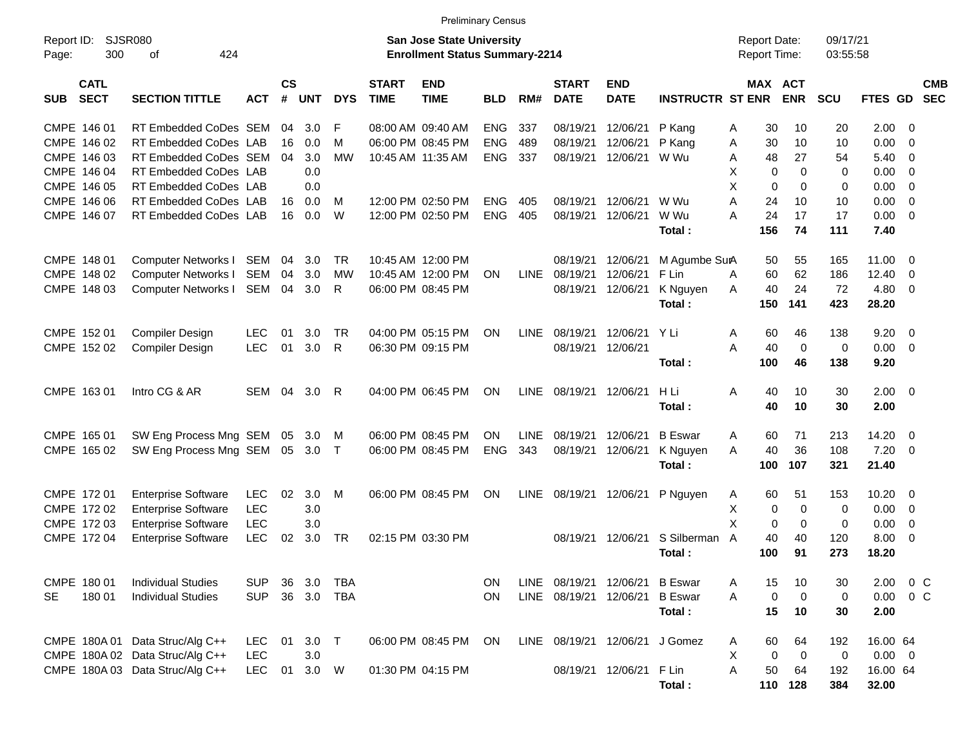|                                          |                                 |            |               |         |            |                             | <b>Preliminary Census</b>                                          |            |             |                             |                                |                         |                                     |             |                      |              |                          |  |
|------------------------------------------|---------------------------------|------------|---------------|---------|------------|-----------------------------|--------------------------------------------------------------------|------------|-------------|-----------------------------|--------------------------------|-------------------------|-------------------------------------|-------------|----------------------|--------------|--------------------------|--|
| Report ID:<br>300<br>Page:               | <b>SJSR080</b><br>424<br>οf     |            |               |         |            |                             | San Jose State University<br><b>Enrollment Status Summary-2214</b> |            |             |                             |                                |                         | <b>Report Date:</b><br>Report Time: |             | 09/17/21<br>03:55:58 |              |                          |  |
| <b>CATL</b><br><b>SECT</b><br><b>SUB</b> | <b>SECTION TITTLE</b>           | <b>ACT</b> | $\mathsf{cs}$ | # UNT   | <b>DYS</b> | <b>START</b><br><b>TIME</b> | <b>END</b><br><b>TIME</b>                                          | <b>BLD</b> | RM#         | <b>START</b><br><b>DATE</b> | <b>END</b><br><b>DATE</b>      | <b>INSTRUCTR ST ENR</b> | MAX ACT                             | <b>ENR</b>  | <b>SCU</b>           | FTES GD SEC  | <b>CMB</b>               |  |
| CMPE 146 01                              | RT Embedded CoDes SEM           |            | 04            | 3.0     | F          |                             | 08:00 AM 09:40 AM                                                  | <b>ENG</b> | 337         | 08/19/21                    | 12/06/21                       | P Kang                  | 30<br>Α                             | 10          | 20                   | 2.00         | - 0                      |  |
| CMPE 146 02                              | RT Embedded CoDes LAB           |            | 16            | 0.0     | м          |                             | 06:00 PM 08:45 PM                                                  | <b>ENG</b> | 489         | 08/19/21                    | 12/06/21                       | P Kang                  | 30<br>Α                             | 10          | 10                   | 0.00         | - 0                      |  |
| CMPE 146 03                              | RT Embedded CoDes SEM           |            | 04            | 3.0     | <b>MW</b>  |                             | 10:45 AM 11:35 AM                                                  | <b>ENG</b> | 337         | 08/19/21                    | 12/06/21                       | W Wu                    | 48<br>A                             | 27          | 54                   | 5.40         | - 0                      |  |
| CMPE 146 04                              | RT Embedded CoDes LAB           |            |               | 0.0     |            |                             |                                                                    |            |             |                             |                                |                         | X<br>$\Omega$                       | $\Omega$    | $\Omega$             | 0.00         | - 0                      |  |
| CMPE 146 05                              | RT Embedded CoDes LAB           |            |               | 0.0     |            |                             |                                                                    |            |             |                             |                                |                         | X<br>0                              | $\Omega$    | 0                    | 0.00         | - 0                      |  |
| CMPE 146 06                              | RT Embedded CoDes LAB           |            | 16            | 0.0     | M          |                             | 12:00 PM 02:50 PM                                                  | <b>ENG</b> | 405         | 08/19/21                    | 12/06/21                       | W Wu                    | A<br>24                             | 10          | 10                   | 0.00         | $\overline{0}$           |  |
| CMPE 146 07                              | RT Embedded CoDes LAB           |            | 16            | 0.0     | W          |                             | 12:00 PM 02:50 PM                                                  | <b>ENG</b> | 405         | 08/19/21                    | 12/06/21                       | W Wu                    | A<br>24                             | 17          | 17                   | 0.00         | $\overline{0}$           |  |
|                                          |                                 |            |               |         |            |                             |                                                                    |            |             |                             |                                | Total:                  | 156                                 | 74          | 111                  | 7.40         |                          |  |
| CMPE 148 01                              | Computer Networks I SEM 04      |            |               | 3.0     | TR.        |                             | 10:45 AM 12:00 PM                                                  |            |             | 08/19/21                    | 12/06/21                       | M Agumbe SurA           | 50                                  | 55          | 165                  | 11.00        | $\overline{0}$           |  |
| CMPE 148 02                              | Computer Networks I SEM         |            | 04            | 3.0     | MW         |                             | 10:45 AM 12:00 PM                                                  | <b>ON</b>  | <b>LINE</b> | 08/19/21                    | 12/06/21                       | F Lin                   | 60<br>A                             | 62          | 186                  | 12.40        | - 0                      |  |
| CMPE 148 03                              | Computer Networks I SEM         |            | 04            | 3.0     | R          |                             | 06:00 PM 08:45 PM                                                  |            |             | 08/19/21                    | 12/06/21                       | K Nguyen                | 40<br>A                             | 24          | 72                   | 4.80         | $\overline{\mathbf{0}}$  |  |
|                                          |                                 |            |               |         |            |                             |                                                                    |            |             |                             |                                | Total:                  | 150                                 | 141         | 423                  | 28.20        |                          |  |
|                                          |                                 |            |               |         |            |                             |                                                                    |            |             |                             |                                |                         |                                     |             |                      |              |                          |  |
| CMPE 152 01                              | <b>Compiler Design</b>          | <b>LEC</b> | 01            | 3.0     | <b>TR</b>  |                             | 04:00 PM 05:15 PM                                                  | <b>ON</b>  | <b>LINE</b> | 08/19/21                    | 12/06/21 Y Li                  |                         | Α<br>60                             | 46          | 138                  | 9.20         | $\overline{0}$           |  |
| CMPE 152 02                              | Compiler Design                 | <b>LEC</b> | 01            | 3.0     | R          |                             | 06:30 PM 09:15 PM                                                  |            |             | 08/19/21 12/06/21           |                                |                         | A<br>40                             | $\Omega$    | $\mathbf 0$          | 0.00         | $\overline{\phantom{0}}$ |  |
|                                          |                                 |            |               |         |            |                             |                                                                    |            |             |                             |                                | Total:                  | 100                                 | 46          | 138                  | 9.20         |                          |  |
| CMPE 163 01                              | Intro CG & AR                   | SEM        | 04            | 3.0     | R          |                             | 04:00 PM 06:45 PM                                                  | ON         | <b>LINE</b> | 08/19/21 12/06/21           |                                | H Li                    | Α<br>40                             | 10          | 30                   | $2.00 \t 0$  |                          |  |
|                                          |                                 |            |               |         |            |                             |                                                                    |            |             |                             |                                | Total:                  | 40                                  | 10          | 30                   | 2.00         |                          |  |
|                                          |                                 |            |               |         |            |                             |                                                                    |            |             |                             |                                |                         |                                     |             |                      |              |                          |  |
| CMPE 165 01                              | SW Eng Process Mng SEM 05       |            |               | 3.0     | M          |                             | 06:00 PM 08:45 PM                                                  | ON         | <b>LINE</b> | 08/19/21                    | 12/06/21                       | <b>B</b> Eswar          | 60<br>A                             | 71          | 213                  | 14.20        | $\overline{0}$           |  |
| CMPE 165 02                              | SW Eng Process Mng SEM 05 3.0 T |            |               |         |            |                             | 06:00 PM 08:45 PM                                                  | <b>ENG</b> | 343         | 08/19/21                    | 12/06/21                       | K Nguyen                | A<br>40                             | 36          | 108                  | 7.20         | $\overline{\mathbf{0}}$  |  |
|                                          |                                 |            |               |         |            |                             |                                                                    |            |             |                             |                                | Total:                  | 100                                 | 107         | 321                  | 21.40        |                          |  |
| CMPE 172 01                              | <b>Enterprise Software</b>      | <b>LEC</b> | 02            | 3.0     | м          |                             | 06:00 PM 08:45 PM                                                  | ON         | <b>LINE</b> |                             | 08/19/21 12/06/21              | P Nguyen                | 60<br>Α                             | 51          | 153                  | 10.20        | $\overline{\mathbf{0}}$  |  |
| CMPE 172 02                              | <b>Enterprise Software</b>      | <b>LEC</b> |               | 3.0     |            |                             |                                                                    |            |             |                             |                                |                         | Χ<br>0                              | 0           | 0                    | 0.00         | - 0                      |  |
| CMPE 172 03                              | <b>Enterprise Software</b>      | <b>LEC</b> |               | 3.0     |            |                             |                                                                    |            |             |                             |                                |                         | X<br>0                              | $\mathbf 0$ | 0                    | 0.00         | - 0                      |  |
| CMPE 172 04                              | <b>Enterprise Software</b>      | <b>LEC</b> | 02            | 3.0     | TR         |                             | 02:15 PM 03:30 PM                                                  |            |             |                             | 08/19/21 12/06/21              | S Silberman             | 40<br>A                             | 40          | 120                  | 8.00         | - 0                      |  |
|                                          |                                 |            |               |         |            |                             |                                                                    |            |             |                             |                                | Total:                  | 100                                 | 91          | 273                  | 18.20        |                          |  |
|                                          |                                 |            |               |         |            |                             |                                                                    |            |             |                             |                                |                         |                                     |             |                      |              |                          |  |
| CMPE 180 01                              | <b>Individual Studies</b>       | <b>SUP</b> | 36            | 3.0     | TBA        |                             |                                                                    | <b>ON</b>  | <b>LINE</b> |                             | 08/19/21 12/06/21 B Eswar      |                         | 15<br>Α                             | 10          | 30                   | 2.00         | 0 C                      |  |
| 180 01<br>SE                             | <b>Individual Studies</b>       | <b>SUP</b> |               | 36 3.0  | TBA        |                             |                                                                    | <b>ON</b>  |             |                             | LINE 08/19/21 12/06/21 B Eswar |                         | 0<br>A<br>15                        | 0<br>10     | 0                    | 0.00<br>2.00 | $0\,$ C                  |  |
|                                          |                                 |            |               |         |            |                             |                                                                    |            |             |                             |                                | Total:                  |                                     |             | 30                   |              |                          |  |
|                                          | CMPE 180A 01 Data Struc/Alg C++ | <b>LEC</b> | 01            | $3.0$ T |            |                             | 06:00 PM 08:45 PM                                                  | ON         |             |                             | LINE 08/19/21 12/06/21         | J Gomez                 | 60<br>Α                             | 64          | 192                  | 16.00 64     |                          |  |
|                                          | CMPE 180A 02 Data Struc/Alg C++ | <b>LEC</b> |               | 3.0     |            |                             |                                                                    |            |             |                             |                                |                         | X<br>0                              | $\mathbf 0$ | 0                    | $0.00 \t 0$  |                          |  |
|                                          | CMPE 180A 03 Data Struc/Alg C++ | LEC        | 01            | 3.0 W   |            |                             | 01:30 PM 04:15 PM                                                  |            |             |                             | 08/19/21 12/06/21 F Lin        |                         | Α<br>50                             | 64          | 192                  | 16.00 64     |                          |  |
|                                          |                                 |            |               |         |            |                             |                                                                    |            |             |                             |                                | Total:                  |                                     | 110 128     | 384                  | 32.00        |                          |  |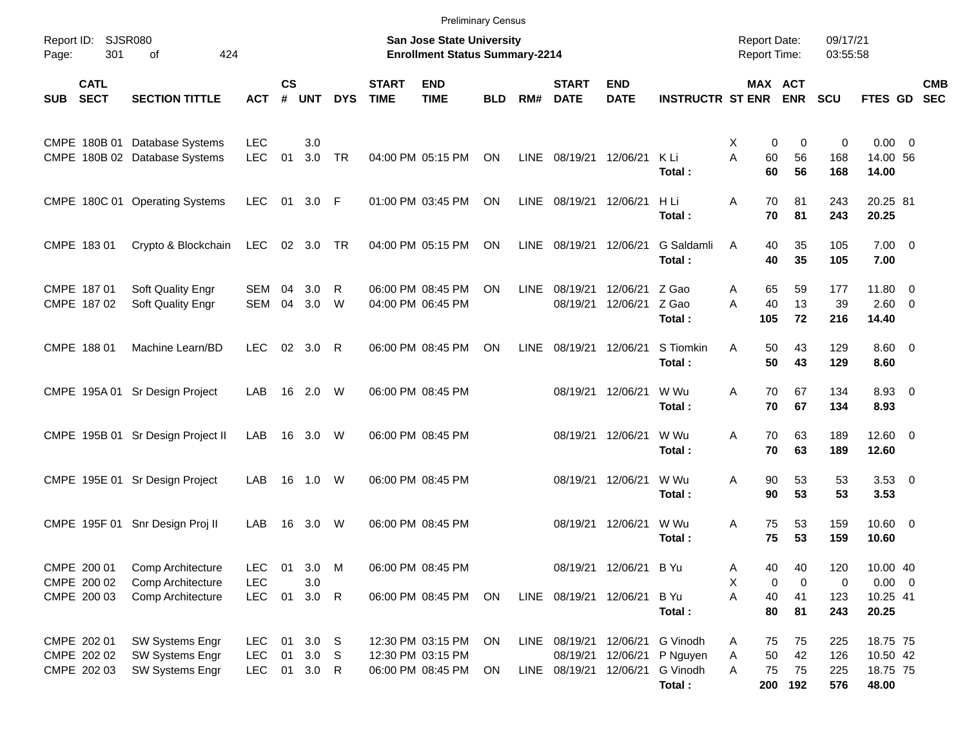|            |                                        |                                                                |                          |                    |            |            |                             | <b>Preliminary Census</b>                                                 |            |             |                             |                           |                             |        |           |                                            |                      |                         |                          |
|------------|----------------------------------------|----------------------------------------------------------------|--------------------------|--------------------|------------|------------|-----------------------------|---------------------------------------------------------------------------|------------|-------------|-----------------------------|---------------------------|-----------------------------|--------|-----------|--------------------------------------------|----------------------|-------------------------|--------------------------|
| Page:      | Report ID: SJSR080<br>301<br>424<br>οf |                                                                |                          |                    |            |            |                             | <b>San Jose State University</b><br><b>Enrollment Status Summary-2214</b> |            |             |                             |                           |                             |        |           | <b>Report Date:</b><br><b>Report Time:</b> | 09/17/21<br>03:55:58 |                         |                          |
| <b>SUB</b> | <b>CATL</b><br><b>SECT</b>             | <b>SECTION TITTLE</b>                                          | <b>ACT</b>               | $\mathsf{cs}$<br># | <b>UNT</b> | <b>DYS</b> | <b>START</b><br><b>TIME</b> | <b>END</b><br><b>TIME</b>                                                 | <b>BLD</b> | RM#         | <b>START</b><br><b>DATE</b> | <b>END</b><br><b>DATE</b> | <b>INSTRUCTR ST ENR ENR</b> |        |           | MAX ACT                                    | <b>SCU</b>           | <b>FTES GD</b>          | <b>CMB</b><br><b>SEC</b> |
|            |                                        | CMPE 180B 01 Database Systems<br>CMPE 180B 02 Database Systems | <b>LEC</b><br><b>LEC</b> | 01                 | 3.0<br>3.0 | <b>TR</b>  |                             | 04:00 PM 05:15 PM                                                         | ON         |             | LINE 08/19/21 12/06/21      |                           | K Li                        | Χ<br>A | 0<br>60   | 0<br>56                                    | 0<br>168             | $0.00 \t 0$<br>14.00 56 |                          |
|            |                                        |                                                                |                          |                    |            |            |                             |                                                                           |            |             |                             |                           | Total:                      |        | 60        | 56                                         | 168                  | 14.00                   |                          |
|            |                                        | CMPE 180C 01 Operating Systems                                 | <b>LEC</b>               |                    | 01 3.0 F   |            |                             | 01:00 PM 03:45 PM                                                         | ON         |             | LINE 08/19/21 12/06/21      |                           | H Li<br>Total:              | Α      | 70<br>70  | 81<br>81                                   | 243<br>243           | 20.25 81<br>20.25       |                          |
|            | CMPE 183 01                            | Crypto & Blockchain                                            | LEC                      |                    | 02 3.0     | TR         |                             | 04:00 PM 05:15 PM                                                         | ON         |             | LINE 08/19/21 12/06/21      |                           | G Saldamli<br>Total:        | A      | 40<br>40  | 35<br>35                                   | 105<br>105           | $7.00 \t 0$<br>7.00     |                          |
|            | CMPE 187 01                            | Soft Quality Engr                                              | <b>SEM</b>               | 04                 | 3.0        | R          |                             | 06:00 PM 08:45 PM                                                         | ON         | <b>LINE</b> | 08/19/21                    | 12/06/21                  | Z Gao                       | Α      | 65        | 59                                         | 177                  | 11.80 0                 |                          |
|            | CMPE 187 02                            | Soft Quality Engr                                              | <b>SEM</b>               | 04                 | 3.0        | W          |                             | 04:00 PM 06:45 PM                                                         |            |             |                             | 08/19/21 12/06/21         | Z Gao<br>Total:             | A      | 40<br>105 | 13<br>72                                   | 39<br>216            | $2.60 \t 0$<br>14.40    |                          |
|            | CMPE 188 01                            | Machine Learn/BD                                               | <b>LEC</b>               |                    | 02 3.0     | -R         |                             | 06:00 PM 08:45 PM                                                         | ON         | LINE        | 08/19/21 12/06/21           |                           | S Tiomkin                   | A      | 50        | 43                                         | 129                  | $8.60 \quad 0$          |                          |
|            |                                        |                                                                |                          |                    |            |            |                             |                                                                           |            |             |                             |                           | Total:                      |        | 50        | 43                                         | 129                  | 8.60                    |                          |
|            |                                        | CMPE 195A 01 Sr Design Project                                 | LAB                      |                    | 16 2.0     | W          |                             | 06:00 PM 08:45 PM                                                         |            |             |                             | 08/19/21 12/06/21         | W Wu<br>Total:              | Α      | 70<br>70  | 67<br>67                                   | 134<br>134           | 8.93 0<br>8.93          |                          |
|            |                                        | CMPE 195B 01 Sr Design Project II                              | LAB                      |                    | 16 3.0     | W          |                             | 06:00 PM 08:45 PM                                                         |            |             |                             | 08/19/21 12/06/21         | W Wu<br>Total:              | Α      | 70<br>70  | 63<br>63                                   | 189<br>189           | $12.60 \t 0$<br>12.60   |                          |
|            |                                        | CMPE 195E 01 Sr Design Project                                 | LAB                      | 16                 | 1.0        | W          |                             | 06:00 PM 08:45 PM                                                         |            |             |                             | 08/19/21 12/06/21         | W Wu                        | Α      | 90        | 53                                         | 53                   | $3.53 \ 0$              |                          |
|            |                                        |                                                                |                          |                    |            |            |                             |                                                                           |            |             |                             |                           | Total:                      |        | 90        | 53                                         | 53                   | 3.53                    |                          |
|            | CMPE 195F 01                           | Snr Design Proj II                                             | LAB                      |                    | 16 3.0     | W          |                             | 06:00 PM 08:45 PM                                                         |            |             | 08/19/21 12/06/21           |                           | W Wu<br>Total:              | Α      | 75<br>75  | 53<br>53                                   | 159<br>159           | $10.60 \t 0$<br>10.60   |                          |
|            | CMPE 200 01                            | Comp Architecture                                              | <b>LEC</b>               | 01                 | 3.0        | M          |                             | 06:00 PM 08:45 PM                                                         |            |             |                             | 08/19/21 12/06/21 B Yu    |                             | Α      | 40        | 40                                         | 120                  | 10.00 40                |                          |
|            | CMPE 200 02                            | Comp Architecture                                              | LEC                      |                    | 3.0        |            |                             |                                                                           |            |             |                             |                           |                             | х      | 0         | 0                                          | 0                    | $0.00 \t 0$             |                          |
|            | CMPE 200 03                            | Comp Architecture                                              | <b>LEC</b>               | 01                 | $3.0$ R    |            |                             | 06:00 PM 08:45 PM                                                         | ON         |             | LINE 08/19/21 12/06/21      |                           | B Yu<br>Total:              | Α      | 40<br>80  | 41<br>81                                   | 123<br>243           | 10.25 41<br>20.25       |                          |
|            | CMPE 202 01                            | SW Systems Engr                                                | LEC.                     | 01                 | 3.0        | -S         |                             | 12:30 PM 03:15 PM                                                         | ON         |             | LINE 08/19/21 12/06/21      |                           | G Vinodh                    | A      | 75        | 75                                         | 225                  | 18.75 75                |                          |
|            | CMPE 202 02                            | SW Systems Engr                                                | <b>LEC</b>               | 01                 | 3.0        | -S         |                             | 12:30 PM 03:15 PM                                                         |            |             | 08/19/21 12/06/21           |                           | P Nguyen                    | Α      | 50        | 42                                         | 126                  | 10.50 42                |                          |
|            | CMPE 202 03                            | SW Systems Engr                                                | <b>LEC</b>               |                    | 01 3.0 R   |            |                             | 06:00 PM 08:45 PM                                                         | ON         |             | LINE 08/19/21 12/06/21      |                           | G Vinodh<br>Total:          | Α      | 75<br>200 | 75<br>192                                  | 225<br>576           | 18.75 75<br>48.00       |                          |
|            |                                        |                                                                |                          |                    |            |            |                             |                                                                           |            |             |                             |                           |                             |        |           |                                            |                      |                         |                          |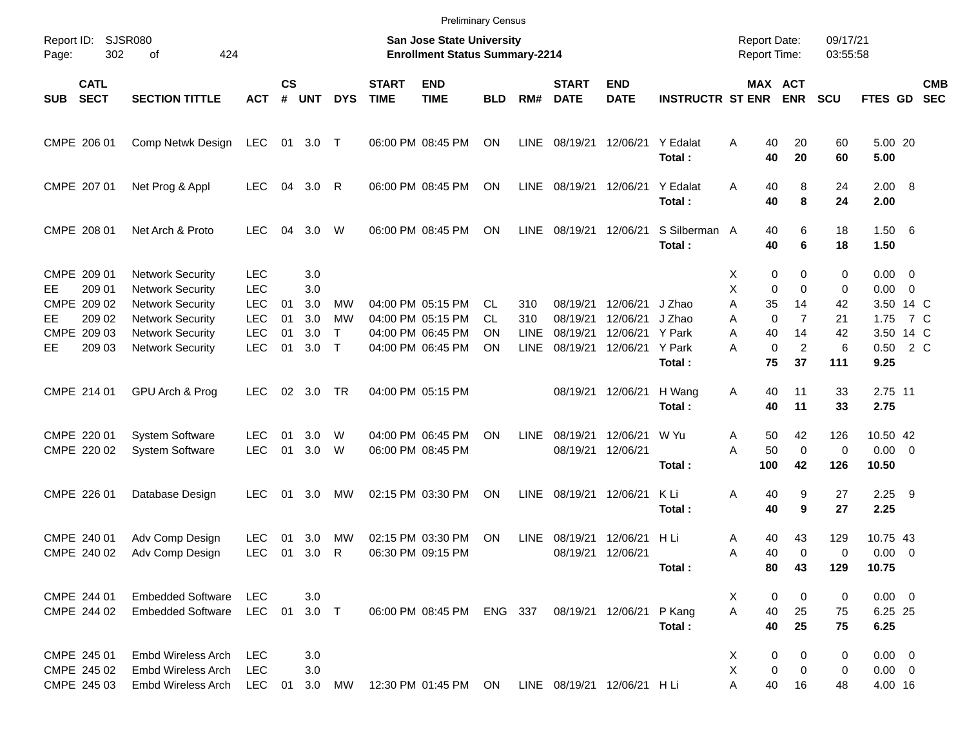|                                                                                                          |                            |                                                                                                                                                                                                                                       |                                                                                                              |                                        |                                                             |                                                                     |                             | <b>Preliminary Census</b>                                                                                                                       |                                    |                                                         |                                                                                  |                                                                                  |                                                                            |                                           |                                                                                |                                                                                                         |                                                                      |                                                                                                                     |                                        |                          |
|----------------------------------------------------------------------------------------------------------|----------------------------|---------------------------------------------------------------------------------------------------------------------------------------------------------------------------------------------------------------------------------------|--------------------------------------------------------------------------------------------------------------|----------------------------------------|-------------------------------------------------------------|---------------------------------------------------------------------|-----------------------------|-------------------------------------------------------------------------------------------------------------------------------------------------|------------------------------------|---------------------------------------------------------|----------------------------------------------------------------------------------|----------------------------------------------------------------------------------|----------------------------------------------------------------------------|-------------------------------------------|--------------------------------------------------------------------------------|---------------------------------------------------------------------------------------------------------|----------------------------------------------------------------------|---------------------------------------------------------------------------------------------------------------------|----------------------------------------|--------------------------|
| Report ID:<br>Page:                                                                                      | <b>SJSR080</b><br>302      | 424<br>of                                                                                                                                                                                                                             |                                                                                                              |                                        |                                                             |                                                                     |                             | <b>San Jose State University</b><br><b>Enrollment Status Summary-2214</b>                                                                       |                                    |                                                         |                                                                                  |                                                                                  |                                                                            |                                           |                                                                                | <b>Report Date:</b><br>Report Time:                                                                     | 09/17/21<br>03:55:58                                                 |                                                                                                                     |                                        |                          |
| <b>SECT</b><br><b>SUB</b>                                                                                | <b>CATL</b>                | <b>SECTION TITTLE</b>                                                                                                                                                                                                                 | <b>ACT</b>                                                                                                   | <b>CS</b><br>#                         | <b>UNT</b>                                                  | <b>DYS</b>                                                          | <b>START</b><br><b>TIME</b> | <b>END</b><br><b>TIME</b>                                                                                                                       | <b>BLD</b>                         | RM#                                                     | <b>START</b><br><b>DATE</b>                                                      | <b>END</b><br><b>DATE</b>                                                        | <b>INSTRUCTR ST ENR</b>                                                    |                                           |                                                                                | MAX ACT<br><b>ENR</b>                                                                                   | SCU                                                                  | FTES GD                                                                                                             |                                        | <b>CMB</b><br><b>SEC</b> |
| CMPE 206 01                                                                                              |                            | Comp Netwk Design                                                                                                                                                                                                                     | LEC                                                                                                          | 01                                     | 3.0                                                         | $\top$                                                              |                             | 06:00 PM 08:45 PM                                                                                                                               | ΟN                                 | LINE                                                    | 08/19/21                                                                         | 12/06/21                                                                         | Y Edalat<br>Total:                                                         | A                                         | 40<br>40                                                                       | 20<br>20                                                                                                | 60<br>60                                                             | 5.00 20<br>5.00                                                                                                     |                                        |                          |
| CMPE 207 01                                                                                              |                            | Net Prog & Appl                                                                                                                                                                                                                       | <b>LEC</b>                                                                                                   | 04                                     | 3.0                                                         | R                                                                   |                             | 06:00 PM 08:45 PM                                                                                                                               | ΟN                                 | LINE                                                    | 08/19/21                                                                         | 12/06/21                                                                         | Y Edalat<br>Total:                                                         | A                                         | 40<br>40                                                                       | 8<br>8                                                                                                  | 24<br>24                                                             | $2.00 \ 8$<br>2.00                                                                                                  |                                        |                          |
| CMPE 208 01                                                                                              |                            | Net Arch & Proto                                                                                                                                                                                                                      | <b>LEC</b>                                                                                                   | 04                                     | 3.0                                                         | W                                                                   |                             | 06:00 PM 08:45 PM                                                                                                                               | ΟN                                 | <b>LINE</b>                                             | 08/19/21                                                                         | 12/06/21                                                                         | S Silberman A<br>Total:                                                    |                                           | 40<br>40                                                                       | 6<br>6                                                                                                  | 18<br>18                                                             | 1.506<br>1.50                                                                                                       |                                        |                          |
| CMPE 209 01<br>EE<br>CMPE 209 02<br>EЕ<br>CMPE 209 03<br>EЕ<br>CMPE 214 01<br>CMPE 220 01<br>CMPE 220 02 | 209 01<br>209 02<br>209 03 | <b>Network Security</b><br><b>Network Security</b><br><b>Network Security</b><br><b>Network Security</b><br><b>Network Security</b><br><b>Network Security</b><br>GPU Arch & Prog<br><b>System Software</b><br><b>System Software</b> | <b>LEC</b><br><b>LEC</b><br>LEC<br><b>LEC</b><br>LEC<br><b>LEC</b><br><b>LEC</b><br><b>LEC</b><br><b>LEC</b> | 01<br>01<br>01<br>01<br>02<br>01<br>01 | 3.0<br>3.0<br>3.0<br>3.0<br>3.0<br>3.0<br>3.0<br>3.0<br>3.0 | <b>MW</b><br><b>MW</b><br>T.<br>$\mathsf{T}$<br><b>TR</b><br>W<br>W |                             | 04:00 PM 05:15 PM<br>04:00 PM 05:15 PM<br>04:00 PM 06:45 PM<br>04:00 PM 06:45 PM<br>04:00 PM 05:15 PM<br>04:00 PM 06:45 PM<br>06:00 PM 08:45 PM | CL.<br><b>CL</b><br>ΟN<br>ΟN<br>ON | 310<br>310<br><b>LINE</b><br><b>LINE</b><br><b>LINE</b> | 08/19/21<br>08/19/21<br>08/19/21<br>08/19/21<br>08/19/21<br>08/19/21<br>08/19/21 | 12/06/21<br>12/06/21<br>12/06/21<br>12/06/21<br>12/06/21<br>12/06/21<br>12/06/21 | J Zhao<br>J Zhao<br>Y Park<br>Y Park<br>Total:<br>H Wang<br>Total:<br>W Yu | х<br>Χ<br>A<br>Α<br>A<br>A<br>Α<br>Α<br>A | 0<br>0<br>35<br>$\mathbf 0$<br>40<br>$\mathbf 0$<br>75<br>40<br>40<br>50<br>50 | 0<br>$\mathbf 0$<br>14<br>$\overline{7}$<br>14<br>$\overline{c}$<br>37<br>11<br>11<br>42<br>$\mathbf 0$ | 0<br>0<br>42<br>21<br>42<br>6<br>111<br>33<br>33<br>126<br>$\pmb{0}$ | $0.00 \t 0$<br>0.00<br>3.50 14 C<br>1.75<br>3.50 14 C<br>0.50<br>9.25<br>2.75 11<br>2.75<br>10.50 42<br>$0.00 \t 0$ | $\overline{\phantom{0}}$<br>7 C<br>2 C |                          |
| CMPE 226 01                                                                                              |                            | Database Design                                                                                                                                                                                                                       | <b>LEC</b>                                                                                                   | 01                                     | 3.0                                                         | MW                                                                  |                             | 02:15 PM 03:30 PM                                                                                                                               | ON                                 | <b>LINE</b>                                             | 08/19/21                                                                         | 12/06/21                                                                         | Total:<br>K Li<br>Total:                                                   | Α                                         | 100<br>40<br>40                                                                | 42<br>9<br>9                                                                                            | 126<br>27<br>27                                                      | 10.50<br>2.25<br>2.25                                                                                               | - 9                                    |                          |
| CMPE 240 01<br>CMPE 240 02                                                                               |                            | Adv Comp Design<br>Adv Comp Design                                                                                                                                                                                                    | <b>LEC</b><br><b>LEC</b>                                                                                     | 01<br>01                               | 3.0<br>3.0                                                  | MW<br>R                                                             |                             | 02:15 PM 03:30 PM<br>06:30 PM 09:15 PM                                                                                                          | ON                                 | <b>LINE</b>                                             | 08/19/21<br>08/19/21                                                             | 12/06/21<br>12/06/21                                                             | H Li<br>Total:                                                             | Α<br>Α                                    | 40<br>40<br>80                                                                 | 43<br>$\Omega$<br>43                                                                                    | 129<br>0<br>129                                                      | 10.75 43<br>0.00<br>10.75                                                                                           | - 0                                    |                          |
| CMPE 244 01<br>CMPE 244 02                                                                               |                            | <b>Embedded Software</b><br><b>Embedded Software</b>                                                                                                                                                                                  | <b>LEC</b><br><b>LEC</b>                                                                                     | 01                                     | 3.0<br>$3.0$ T                                              |                                                                     |                             | 06:00 PM 08:45 PM                                                                                                                               | ENG 337                            |                                                         |                                                                                  | 08/19/21 12/06/21                                                                | P Kang<br>Total:                                                           | X<br>A                                    | 0<br>40<br>40                                                                  | 0<br>25<br>25                                                                                           | 0<br>75<br>75                                                        | $0.00 \t 0$<br>6.25 25<br>6.25                                                                                      |                                        |                          |
| CMPE 245 01<br>CMPE 245 02<br>CMPE 245 03                                                                |                            | Embd Wireless Arch<br><b>Embd Wireless Arch</b><br>Embd Wireless Arch                                                                                                                                                                 | <b>LEC</b><br><b>LEC</b><br><b>LEC</b>                                                                       | 01                                     | 3.0<br>3.0<br>3.0                                           | MW                                                                  |                             | 12:30 PM 01:45 PM                                                                                                                               | ON                                 |                                                         | LINE 08/19/21 12/06/21 H Li                                                      |                                                                                  |                                                                            | X<br>Χ                                    | 0<br>0<br>40                                                                   | 0<br>0<br>16                                                                                            | 0<br>0<br>48                                                         | $0.00 \t 0$<br>$0.00 \t 0$<br>4.00 16                                                                               |                                        |                          |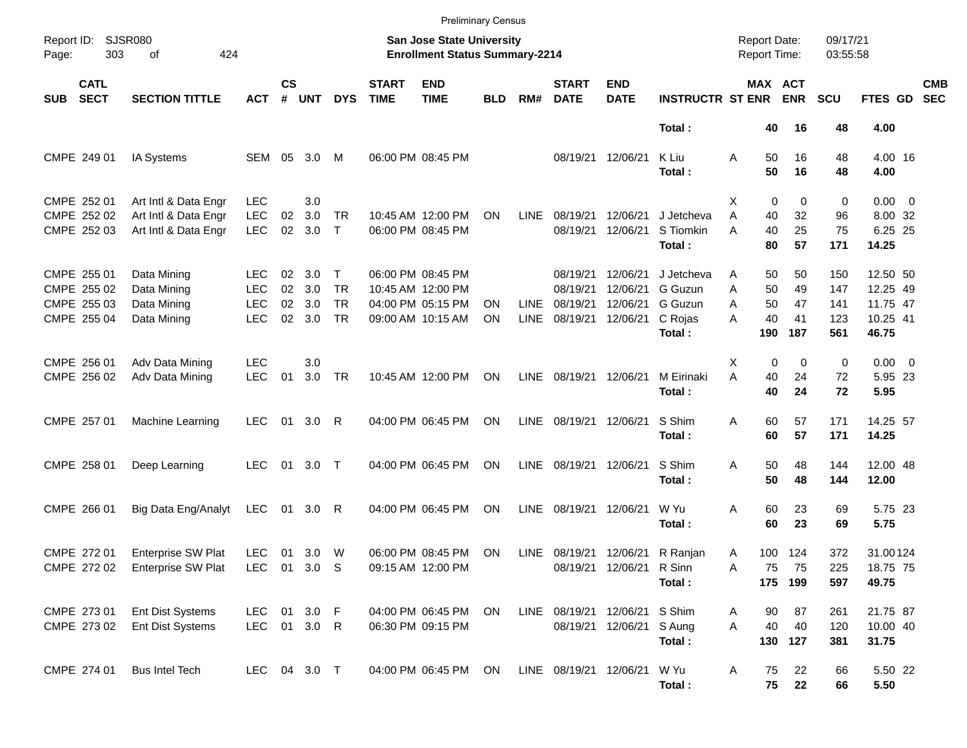|                     |                                                          |                                                                      |                                                      |                      |                          |                                                     |                             | <b>Preliminary Census</b>                                                        |            |                            |                                              |                                              |                                                       |                                     |                               |                             |                                 |                                                       |                          |
|---------------------|----------------------------------------------------------|----------------------------------------------------------------------|------------------------------------------------------|----------------------|--------------------------|-----------------------------------------------------|-----------------------------|----------------------------------------------------------------------------------|------------|----------------------------|----------------------------------------------|----------------------------------------------|-------------------------------------------------------|-------------------------------------|-------------------------------|-----------------------------|---------------------------------|-------------------------------------------------------|--------------------------|
| Report ID:<br>Page: | 303                                                      | <b>SJSR080</b><br>424<br>of                                          |                                                      |                      |                          |                                                     |                             | <b>San Jose State University</b><br><b>Enrollment Status Summary-2214</b>        |            |                            |                                              |                                              |                                                       | <b>Report Date:</b><br>Report Time: |                               |                             | 09/17/21<br>03:55:58            |                                                       |                          |
| <b>SUB</b>          | <b>CATL</b><br><b>SECT</b>                               | <b>SECTION TITTLE</b>                                                | ACT                                                  | $\mathsf{cs}$<br>#   | <b>UNT</b>               | <b>DYS</b>                                          | <b>START</b><br><b>TIME</b> | <b>END</b><br><b>TIME</b>                                                        | <b>BLD</b> | RM#                        | <b>START</b><br><b>DATE</b>                  | <b>END</b><br><b>DATE</b>                    | <b>INSTRUCTR ST ENR</b>                               | MAX ACT                             |                               | <b>ENR</b>                  | <b>SCU</b>                      | FTES GD                                               | <b>CMB</b><br><b>SEC</b> |
|                     |                                                          |                                                                      |                                                      |                      |                          |                                                     |                             |                                                                                  |            |                            |                                              |                                              | Total:                                                |                                     | 40                            | 16                          | 48                              | 4.00                                                  |                          |
|                     | CMPE 249 01                                              | IA Systems                                                           | SEM                                                  | 05                   | 3.0                      | M                                                   |                             | 06:00 PM 08:45 PM                                                                |            |                            |                                              | 08/19/21 12/06/21                            | K Liu<br>Total:                                       | Α                                   | 50<br>50                      | 16<br>16                    | 48<br>48                        | 4.00 16<br>4.00                                       |                          |
|                     | CMPE 252 01<br>CMPE 252 02<br>CMPE 252 03                | Art Intl & Data Engr<br>Art Intl & Data Engr<br>Art Intl & Data Engr | <b>LEC</b><br><b>LEC</b><br><b>LEC</b>               | 02<br>02             | 3.0<br>3.0<br>3.0        | <b>TR</b><br>$\mathsf{T}$                           |                             | 10:45 AM 12:00 PM<br>06:00 PM 08:45 PM                                           | ΟN         | <b>LINE</b>                | 08/19/21<br>08/19/21                         | 12/06/21<br>12/06/21                         | J Jetcheva<br>S Tiomkin<br>Total:                     | X<br>A<br>A                         | $\mathbf 0$<br>40<br>40<br>80 | 0<br>32<br>25<br>57         | 0<br>96<br>75<br>171            | $0.00 \t 0$<br>8.00 32<br>6.25 25<br>14.25            |                          |
|                     | CMPE 255 01<br>CMPE 255 02<br>CMPE 255 03<br>CMPE 255 04 | Data Mining<br>Data Mining<br>Data Mining<br>Data Mining             | <b>LEC</b><br><b>LEC</b><br><b>LEC</b><br><b>LEC</b> | 02<br>02<br>02<br>02 | 3.0<br>3.0<br>3.0<br>3.0 | $\mathsf{T}$<br><b>TR</b><br><b>TR</b><br><b>TR</b> |                             | 06:00 PM 08:45 PM<br>10:45 AM 12:00 PM<br>04:00 PM 05:15 PM<br>09:00 AM 10:15 AM | ΟN<br>ΟN   | <b>LINE</b><br><b>LINE</b> | 08/19/21<br>08/19/21<br>08/19/21<br>08/19/21 | 12/06/21<br>12/06/21<br>12/06/21<br>12/06/21 | J Jetcheva<br>G Guzun<br>G Guzun<br>C Rojas<br>Total: | A<br>A<br>A<br>A                    | 50<br>50<br>50<br>40<br>190   | 50<br>49<br>47<br>41<br>187 | 150<br>147<br>141<br>123<br>561 | 12.50 50<br>12.25 49<br>11.75 47<br>10.25 41<br>46.75 |                          |
|                     | CMPE 256 01<br>CMPE 256 02                               | Adv Data Mining<br>Adv Data Mining                                   | <b>LEC</b><br><b>LEC</b>                             | 01                   | 3.0<br>3.0               | <b>TR</b>                                           |                             | 10:45 AM 12:00 PM                                                                | ON         | LINE                       | 08/19/21                                     | 12/06/21                                     | M Eirinaki<br>Total:                                  | X<br>A                              | $\mathbf 0$<br>40<br>40       | $\mathbf 0$<br>24<br>24     | 0<br>72<br>72                   | $0.00 \t 0$<br>5.95 23<br>5.95                        |                          |
|                     | CMPE 257 01                                              | Machine Learning                                                     | <b>LEC</b>                                           | 01                   | 3.0                      | R                                                   |                             | 04:00 PM 06:45 PM                                                                | ON         | LINE                       | 08/19/21                                     | 12/06/21                                     | S Shim<br>Total:                                      | Α                                   | 60<br>60                      | 57<br>57                    | 171<br>171                      | 14.25 57<br>14.25                                     |                          |
|                     | CMPE 258 01                                              | Deep Learning                                                        | <b>LEC</b>                                           | 01                   | 3.0                      | $\top$                                              |                             | 04:00 PM 06:45 PM                                                                | ΟN         | LINE                       | 08/19/21                                     | 12/06/21                                     | S Shim<br>Total:                                      | Α                                   | 50<br>50                      | 48<br>48                    | 144<br>144                      | 12.00 48<br>12.00                                     |                          |
|                     | CMPE 266 01                                              | Big Data Eng/Analyt                                                  | LEC                                                  | 01                   | 3.0                      | R                                                   |                             | 04:00 PM 06:45 PM                                                                | ON         | <b>LINE</b>                | 08/19/21                                     | 12/06/21                                     | W Yu<br>Total:                                        | Α                                   | 60<br>60                      | 23<br>23                    | 69<br>69                        | 5.75 23<br>5.75                                       |                          |
|                     | CMPE 272 01<br>CMPE 272 02                               | <b>Enterprise SW Plat</b><br>Enterprise SW Plat LEC 01 3.0 S         | <b>LEC</b>                                           | 01                   | 3.0                      | W                                                   |                             | 06:00 PM 08:45 PM<br>09:15 AM 12:00 PM                                           | ON         | LINE                       |                                              | 08/19/21 12/06/21 R Sinn                     | 08/19/21 12/06/21 R Ranjan<br>Total:                  | Α<br>Α                              | 75                            | 100 124<br>75<br>175 199    | 372<br>225<br>597               | 31.00124<br>18.75 75<br>49.75                         |                          |
|                     | CMPE 273 01<br>CMPE 273 02                               | Ent Dist Systems<br>Ent Dist Systems                                 | LEC<br>LEC 01 3.0 R                                  |                      | 01 3.0 F                 |                                                     |                             | 04:00 PM 06:45 PM<br>06:30 PM 09:15 PM                                           | ON         |                            | LINE 08/19/21 12/06/21 S Shim                | 08/19/21 12/06/21 S Aung                     | Total:                                                | Α<br>A                              | 90<br>40                      | 87<br>40<br>130 127         | 261<br>120<br>381               | 21.75 87<br>10.00 40<br>31.75                         |                          |
|                     | CMPE 274 01                                              | <b>Bus Intel Tech</b>                                                | LEC 04 3.0 T                                         |                      |                          |                                                     |                             | 04:00 PM 06:45 PM                                                                | ON         |                            | LINE 08/19/21 12/06/21                       |                                              | W Yu<br>Total:                                        | Α                                   | 75<br>75                      | 22<br>22                    | 66<br>66                        | 5.50 22<br>5.50                                       |                          |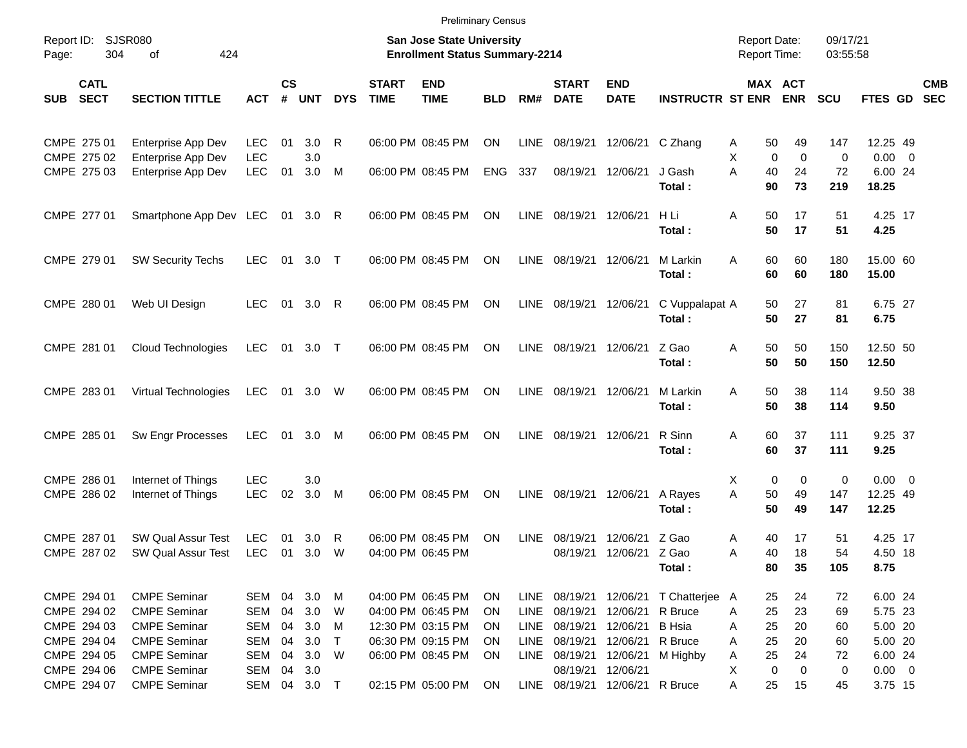|       |                                           |                                                                   |                                        |                    |                     |                  |                             | <b>Preliminary Census</b>                                                 |                       |                      |                                  |                                  |                                      |                                            |                              |                      |                                 |                          |
|-------|-------------------------------------------|-------------------------------------------------------------------|----------------------------------------|--------------------|---------------------|------------------|-----------------------------|---------------------------------------------------------------------------|-----------------------|----------------------|----------------------------------|----------------------------------|--------------------------------------|--------------------------------------------|------------------------------|----------------------|---------------------------------|--------------------------|
| Page: | Report ID: SJSR080<br>304                 | 424<br>of                                                         |                                        |                    |                     |                  |                             | <b>San Jose State University</b><br><b>Enrollment Status Summary-2214</b> |                       |                      |                                  |                                  |                                      | <b>Report Date:</b><br><b>Report Time:</b> |                              | 09/17/21<br>03:55:58 |                                 |                          |
| SUB   | <b>CATL</b><br><b>SECT</b>                | <b>SECTION TITTLE</b>                                             | <b>ACT</b>                             | $\mathsf{cs}$<br># | <b>UNT</b>          | <b>DYS</b>       | <b>START</b><br><b>TIME</b> | <b>END</b><br><b>TIME</b>                                                 | <b>BLD</b>            | RM#                  | <b>START</b><br><b>DATE</b>      | <b>END</b><br><b>DATE</b>        | <b>INSTRUCTR ST ENR</b>              |                                            | <b>MAX ACT</b><br><b>ENR</b> | <b>SCU</b>           | <b>FTES GD</b>                  | <b>CMB</b><br><b>SEC</b> |
|       | CMPE 275 01                               | Enterprise App Dev                                                | <b>LEC</b>                             | 01                 | 3.0                 | R                |                             | 06:00 PM 08:45 PM                                                         | ON                    | LINE                 | 08/19/21                         | 12/06/21                         | C Zhang                              | 50<br>A                                    | 49                           | 147                  | 12.25 49                        |                          |
|       | CMPE 275 02<br>CMPE 275 03                | Enterprise App Dev<br>Enterprise App Dev                          | <b>LEC</b><br><b>LEC</b>               | 01                 | 3.0<br>3.0          | M                |                             | 06:00 PM 08:45 PM                                                         | <b>ENG</b>            | 337                  | 08/19/21                         | 12/06/21                         | J Gash<br>Total:                     | X<br>$\mathbf 0$<br>A<br>40<br>90          | $\mathbf 0$<br>24<br>73      | 0<br>72<br>219       | $0.00 \t 0$<br>6.00 24<br>18.25 |                          |
|       | CMPE 277 01                               | Smartphone App Dev LEC 01                                         |                                        |                    | 3.0                 | R                |                             | 06:00 PM 08:45 PM                                                         | ON                    | LINE                 | 08/19/21                         | 12/06/21                         | H Li<br>Total:                       | Α<br>50<br>50                              | 17<br>17                     | 51<br>51             | 4.25 17<br>4.25                 |                          |
|       | CMPE 279 01                               | <b>SW Security Techs</b>                                          | <b>LEC</b>                             | 01                 | $3.0$ T             |                  |                             | 06:00 PM 08:45 PM                                                         | ON                    | LINE                 | 08/19/21                         | 12/06/21                         | M Larkin<br>Total:                   | A<br>60<br>60                              | 60<br>60                     | 180<br>180           | 15.00 60<br>15.00               |                          |
|       | CMPE 280 01                               | Web UI Design                                                     | <b>LEC</b>                             | 01                 | 3.0                 | R                |                             | 06:00 PM 08:45 PM                                                         | ON                    | LINE                 | 08/19/21                         | 12/06/21                         | C Vuppalapat A<br>Total:             | 50<br>50                                   | 27<br>27                     | 81<br>81             | 6.75 27<br>6.75                 |                          |
|       | CMPE 281 01                               | Cloud Technologies                                                | <b>LEC</b>                             | 01                 | $3.0$ T             |                  |                             | 06:00 PM 08:45 PM                                                         | <b>ON</b>             | LINE                 | 08/19/21                         | 12/06/21                         | Z Gao<br>Total:                      | A<br>50<br>50                              | 50<br>50                     | 150<br>150           | 12.50 50<br>12.50               |                          |
|       | CMPE 283 01                               | Virtual Technologies                                              | LEC                                    | 01                 | 3.0                 | W                |                             | 06:00 PM 08:45 PM                                                         | <b>ON</b>             | LINE                 | 08/19/21                         | 12/06/21                         | M Larkin<br>Total:                   | A<br>50<br>50                              | 38<br>38                     | 114<br>114           | 9.50 38<br>9.50                 |                          |
|       | CMPE 285 01                               | Sw Engr Processes                                                 | LEC                                    | 01                 | 3.0                 | M                |                             | 06:00 PM 08:45 PM                                                         | ON                    | LINE                 | 08/19/21                         | 12/06/21                         | R Sinn<br>Total:                     | A<br>60<br>60                              | 37<br>37                     | 111<br>111           | 9.25 37<br>9.25                 |                          |
|       | CMPE 286 01                               | Internet of Things                                                | <b>LEC</b>                             |                    | 3.0                 |                  |                             |                                                                           |                       |                      |                                  |                                  |                                      | 0<br>Х                                     | $\mathbf 0$                  | $\pmb{0}$            | $0.00 \t 0$                     |                          |
|       | CMPE 286 02                               | Internet of Things                                                | <b>LEC</b>                             | 02                 | 3.0                 | M                |                             | 06:00 PM 08:45 PM                                                         | ON                    | LINE                 | 08/19/21                         | 12/06/21                         | A Rayes<br>Total:                    | A<br>50<br>50                              | 49<br>49                     | 147<br>147           | 12.25 49<br>12.25               |                          |
|       | CMPE 287 01<br>CMPE 287 02                | <b>SW Qual Assur Test</b><br><b>SW Qual Assur Test</b>            | <b>LEC</b><br><b>LEC</b>               | 01<br>01           | 3.0<br>3.0          | R<br>W           |                             | 06:00 PM 08:45 PM<br>04:00 PM 06:45 PM                                    | ΟN                    | LINE                 | 08/19/21<br>08/19/21             | 12/06/21<br>12/06/21 Z Gao       | Z Gao<br>Total:                      | 40<br>A<br>A<br>40<br>80                   | 17<br>18<br>35               | 51<br>54<br>105      | 4.25 17<br>4.50 18<br>8.75      |                          |
|       | CMPE 294 01<br>CMPE 294 02                | <b>CMPE Seminar</b><br><b>CMPE Seminar</b>                        | SEM<br>SEM                             | 04<br>04           | 3.0<br>3.0          | M<br>W           |                             | 04:00 PM 06:45 PM<br>04:00 PM 06:45 PM                                    | <b>ON</b><br>ON       | LINE<br>LINE         | 08/19/21<br>08/19/21             | 12/06/21                         | 12/06/21 T Chatterjee A<br>R Bruce   | 25<br>25<br>A                              | 24<br>23                     | 72<br>69             | 6.00 24<br>5.75 23              |                          |
|       | CMPE 294 03<br>CMPE 294 04<br>CMPE 294 05 | <b>CMPE Seminar</b><br><b>CMPE Seminar</b><br><b>CMPE Seminar</b> | <b>SEM</b><br><b>SEM</b><br><b>SEM</b> | 04<br>04<br>04     | 3.0<br>3.0<br>3.0   | M<br>$\top$<br>W |                             | 12:30 PM 03:15 PM<br>06:30 PM 09:15 PM<br>06:00 PM 08:45 PM               | <b>ON</b><br>ON<br>ON | LINE<br>LINE<br>LINE | 08/19/21<br>08/19/21<br>08/19/21 | 12/06/21<br>12/06/21<br>12/06/21 | <b>B</b> Hsia<br>R Bruce<br>M Highby | 25<br>A<br>25<br>A<br>25<br>A              | 20<br>20<br>24               | 60<br>60<br>72       | 5.00 20<br>5.00 20<br>6.00 24   |                          |
|       | CMPE 294 06<br>CMPE 294 07                | <b>CMPE Seminar</b><br><b>CMPE Seminar</b>                        | SEM                                    | 04                 | 3.0<br>SEM 04 3.0 T |                  |                             | 02:15 PM 05:00 PM                                                         | ON                    | LINE                 | 08/19/21<br>08/19/21             | 12/06/21<br>12/06/21 R Bruce     |                                      | X<br>0<br>Α<br>25                          | 0<br>15                      | 0<br>45              | $0.00 \t 0$<br>3.75 15          |                          |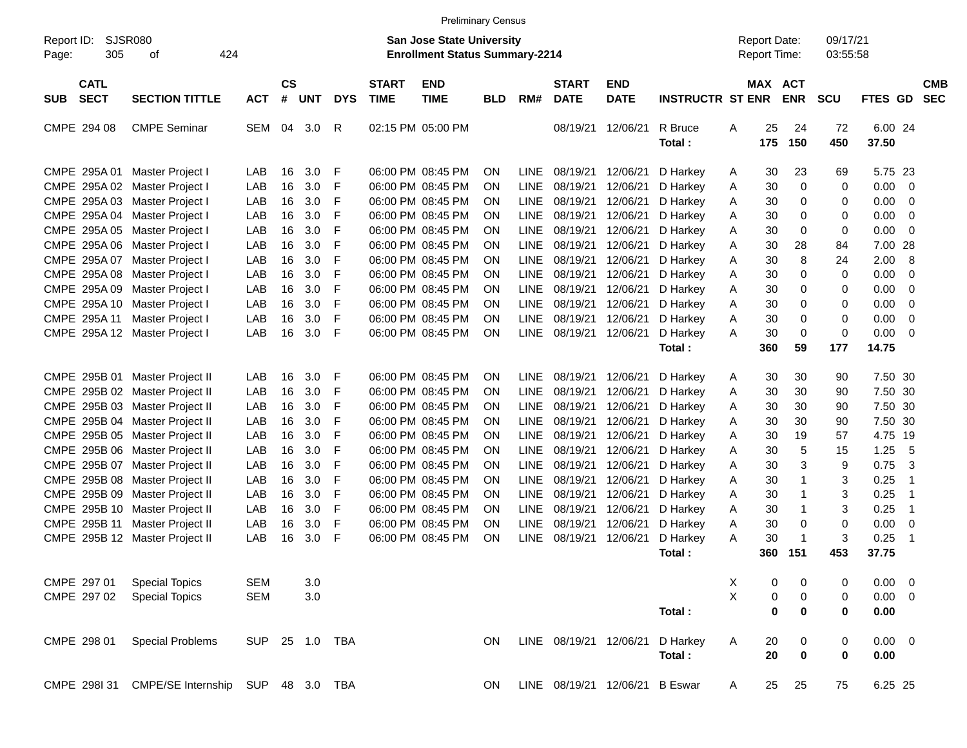|                                                                                                                                              |                                                                                                                                                                                                                                                                         |                                                             |                                                    |                                                             |                                           |                             | <b>Preliminary Census</b>                                                                                                                                                                 |                                                                                                                   |                                                                                                                                     |                                                                                                          |                                                                                                          |                                                                                                          |                                           |                                                    |                                                                              |                                                |                                                                               |                                                          |                          |
|----------------------------------------------------------------------------------------------------------------------------------------------|-------------------------------------------------------------------------------------------------------------------------------------------------------------------------------------------------------------------------------------------------------------------------|-------------------------------------------------------------|----------------------------------------------------|-------------------------------------------------------------|-------------------------------------------|-----------------------------|-------------------------------------------------------------------------------------------------------------------------------------------------------------------------------------------|-------------------------------------------------------------------------------------------------------------------|-------------------------------------------------------------------------------------------------------------------------------------|----------------------------------------------------------------------------------------------------------|----------------------------------------------------------------------------------------------------------|----------------------------------------------------------------------------------------------------------|-------------------------------------------|----------------------------------------------------|------------------------------------------------------------------------------|------------------------------------------------|-------------------------------------------------------------------------------|----------------------------------------------------------|--------------------------|
| Report ID:<br>305<br>Page:                                                                                                                   | SJSR080<br>424<br>оf                                                                                                                                                                                                                                                    |                                                             |                                                    |                                                             |                                           |                             | <b>San Jose State University</b><br><b>Enrollment Status Summary-2214</b>                                                                                                                 |                                                                                                                   |                                                                                                                                     |                                                                                                          |                                                                                                          |                                                                                                          |                                           | <b>Report Date:</b><br>Report Time:                |                                                                              | 09/17/21<br>03:55:58                           |                                                                               |                                                          |                          |
| <b>CATL</b><br><b>SECT</b><br><b>SUB</b>                                                                                                     | <b>SECTION TITTLE</b>                                                                                                                                                                                                                                                   | <b>ACT</b>                                                  | $\mathsf{cs}$<br>#                                 | <b>UNT</b>                                                  | <b>DYS</b>                                | <b>START</b><br><b>TIME</b> | <b>END</b><br><b>TIME</b>                                                                                                                                                                 | <b>BLD</b>                                                                                                        | RM#                                                                                                                                 | <b>START</b><br><b>DATE</b>                                                                              | <b>END</b><br><b>DATE</b>                                                                                | <b>INSTRUCTR ST ENR</b>                                                                                  |                                           | MAX ACT                                            | <b>ENR</b>                                                                   | <b>SCU</b>                                     | <b>FTES</b>                                                                   | <b>GD</b>                                                | <b>CMB</b><br><b>SEC</b> |
| CMPE 294 08                                                                                                                                  | <b>CMPE Seminar</b>                                                                                                                                                                                                                                                     | <b>SEM</b>                                                  | 04                                                 | 3.0                                                         | R                                         |                             | 02:15 PM 05:00 PM                                                                                                                                                                         |                                                                                                                   |                                                                                                                                     | 08/19/21                                                                                                 | 12/06/21                                                                                                 | R Bruce<br>Total:                                                                                        | A                                         | 25<br>175                                          | 24<br>150                                                                    | 72<br>450                                      | 6.00 24<br>37.50                                                              |                                                          |                          |
| CMPE 295A 01<br>CMPE 295A 02<br>CMPE 295A 03<br>CMPE 295A 04<br>CMPE 295A 05<br>CMPE 295A 06<br>CMPE 295A 07<br>CMPE 295A 08<br>CMPE 295A 09 | Master Project I<br>Master Project I<br>Master Project I<br>Master Project I<br>Master Project I<br>Master Project I<br>Master Project I<br>Master Project I<br>Master Project I                                                                                        | LAB<br>LAB<br>LAB<br>LAB<br>LAB<br>LAB<br>LAB<br>LAB<br>LAB | 16<br>16<br>16<br>16<br>16<br>16<br>16<br>16<br>16 | 3.0<br>3.0<br>3.0<br>3.0<br>3.0<br>3.0<br>3.0<br>3.0<br>3.0 | F<br>F<br>F<br>F<br>F<br>F<br>F<br>F<br>F |                             | 06:00 PM 08:45 PM<br>06:00 PM 08:45 PM<br>06:00 PM 08:45 PM<br>06:00 PM 08:45 PM<br>06:00 PM 08:45 PM<br>06:00 PM 08:45 PM<br>06:00 PM 08:45 PM<br>06:00 PM 08:45 PM<br>06:00 PM 08:45 PM | <b>ON</b><br><b>ON</b><br><b>ON</b><br><b>ON</b><br><b>ON</b><br><b>ON</b><br><b>ON</b><br><b>ON</b><br><b>ON</b> | <b>LINE</b><br><b>LINE</b><br><b>LINE</b><br><b>LINE</b><br><b>LINE</b><br><b>LINE</b><br><b>LINE</b><br><b>LINE</b><br><b>LINE</b> | 08/19/21<br>08/19/21<br>08/19/21<br>08/19/21<br>08/19/21<br>08/19/21<br>08/19/21<br>08/19/21<br>08/19/21 | 12/06/21<br>12/06/21<br>12/06/21<br>12/06/21<br>12/06/21<br>12/06/21<br>12/06/21<br>12/06/21<br>12/06/21 | D Harkey<br>D Harkey<br>D Harkey<br>D Harkey<br>D Harkey<br>D Harkey<br>D Harkey<br>D Harkey<br>D Harkey | A<br>Α<br>Α<br>Α<br>Α<br>Α<br>Α<br>Α<br>Α | 30<br>30<br>30<br>30<br>30<br>30<br>30<br>30<br>30 | 23<br>0<br>0<br>0<br>$\mathbf 0$<br>28<br>8<br>$\mathbf 0$<br>$\mathbf 0$    | 69<br>0<br>0<br>0<br>0<br>84<br>24<br>0<br>0   | 5.75 23<br>0.00<br>0.00<br>0.00<br>0.00<br>7.00<br>2.00<br>0.00<br>0.00       | 0<br>0<br>0<br>0<br>-28<br>8<br>0<br>0                   |                          |
| CMPE 295A 10<br>CMPE 295A 11<br>CMPE 295A 12<br>CMPE 295B 01                                                                                 | Master Project I<br>Master Project I<br>Master Project I<br>Master Project II                                                                                                                                                                                           | LAB<br>LAB<br>LAB<br>LAB                                    | 16<br>16<br>16<br>16                               | 3.0<br>3.0<br>3.0<br>3.0                                    | F<br>F<br>F<br>F                          |                             | 06:00 PM 08:45 PM<br>06:00 PM 08:45 PM<br>06:00 PM 08:45 PM<br>06:00 PM 08:45 PM                                                                                                          | <b>ON</b><br><b>ON</b><br><b>ON</b><br><b>ON</b>                                                                  | <b>LINE</b><br><b>LINE</b><br><b>LINE</b><br><b>LINE</b>                                                                            | 08/19/21<br>08/19/21<br>08/19/21<br>08/19/21                                                             | 12/06/21<br>12/06/21<br>12/06/21<br>12/06/21                                                             | D Harkey<br>D Harkey<br>D Harkey<br>Total:<br>D Harkey                                                   | A<br>Α<br>A<br>A                          | 30<br>30<br>30<br>360<br>30                        | $\mathbf 0$<br>$\mathbf 0$<br>$\mathbf 0$<br>59<br>30                        | 0<br>0<br>0<br>177<br>90                       | 0.00<br>0.00<br>0.00<br>14.75<br>7.50 30                                      | 0<br>$\mathbf 0$<br>0                                    |                          |
| CMPE 295B 08<br>CMPE 295B 09<br>CMPE 295B 10                                                                                                 | CMPE 295B 02 Master Project II<br>CMPE 295B 03 Master Project II<br>CMPE 295B 04 Master Project II<br>CMPE 295B 05 Master Project II<br>CMPE 295B 06 Master Project II<br>CMPE 295B 07 Master Project II<br>Master Project II<br>Master Project II<br>Master Project II | LAB<br>LAB<br>LAB<br>LAB<br>LAB<br>LAB<br>LAB<br>LAB<br>LAB | 16<br>16<br>16<br>16<br>16<br>16<br>16<br>16<br>16 | 3.0<br>3.0<br>3.0<br>3.0<br>3.0<br>3.0<br>3.0<br>3.0<br>3.0 | F<br>F<br>F<br>F<br>F<br>F<br>F<br>F<br>F |                             | 06:00 PM 08:45 PM<br>06:00 PM 08:45 PM<br>06:00 PM 08:45 PM<br>06:00 PM 08:45 PM<br>06:00 PM 08:45 PM<br>06:00 PM 08:45 PM<br>06:00 PM 08:45 PM<br>06:00 PM 08:45 PM<br>06:00 PM 08:45 PM | <b>ON</b><br><b>ON</b><br><b>ON</b><br><b>ON</b><br><b>ON</b><br><b>ON</b><br><b>ON</b><br><b>ON</b><br><b>ON</b> | <b>LINE</b><br><b>LINE</b><br><b>LINE</b><br><b>LINE</b><br><b>LINE</b><br><b>LINE</b><br><b>LINE</b><br><b>LINE</b><br><b>LINE</b> | 08/19/21<br>08/19/21<br>08/19/21<br>08/19/21<br>08/19/21<br>08/19/21<br>08/19/21<br>08/19/21<br>08/19/21 | 12/06/21<br>12/06/21<br>12/06/21<br>12/06/21<br>12/06/21<br>12/06/21<br>12/06/21<br>12/06/21<br>12/06/21 | D Harkey<br>D Harkey<br>D Harkey<br>D Harkey<br>D Harkey<br>D Harkey<br>D Harkey<br>D Harkey<br>D Harkey | Α<br>Α<br>Α<br>Α<br>Α<br>Α<br>Α<br>Α<br>A | 30<br>30<br>30<br>30<br>30<br>30<br>30<br>30<br>30 | 30<br>30<br>30<br>19<br>5<br>3<br>$\mathbf{1}$<br>$\mathbf 1$<br>$\mathbf 1$ | 90<br>90<br>90<br>57<br>15<br>9<br>3<br>3<br>3 | 7.50 30<br>7.50 30<br>7.50 30<br>4.75<br>1.25<br>0.75<br>0.25<br>0.25<br>0.25 | - 19<br>5<br>3<br>-1<br>$\overline{1}$<br>$\overline{1}$ |                          |
| CMPE 295B 11<br>CMPE 295B 12<br>CMPE 297 01<br>CMPE 297 02                                                                                   | Master Project II<br>Master Project II<br><b>Special Topics</b><br><b>Special Topics</b>                                                                                                                                                                                | LAB<br>LAB<br><b>SEM</b><br><b>SEM</b>                      | 16<br>16                                           | 3.0<br>3.0<br>3.0<br>$3.0\,$                                | F<br>F                                    |                             | 06:00 PM 08:45 PM<br>06:00 PM 08:45 PM                                                                                                                                                    | <b>ON</b><br><b>ON</b>                                                                                            | <b>LINE</b><br><b>LINE</b>                                                                                                          | 08/19/21<br>08/19/21                                                                                     | 12/06/21<br>12/06/21                                                                                     | D Harkey<br>D Harkey<br>Total:                                                                           | Α<br>A<br>Χ<br>X                          | 30<br>30<br>360<br>0<br>0                          | $\mathbf 0$<br>$\mathbf{1}$<br>151<br>$\boldsymbol{0}$<br>$\mathbf 0$        | 0<br>3<br>453<br>0<br>0                        | 0.00<br>0.25<br>37.75<br>0.00<br>$0.00 \t 0$                                  | $\mathbf 0$<br>-1<br>- 0                                 |                          |
| CMPE 298 01<br>CMPE 298I 31                                                                                                                  | <b>Special Problems</b><br>CMPE/SE Internship SUP 48 3.0 TBA                                                                                                                                                                                                            | <b>SUP</b>                                                  |                                                    | 25 1.0 TBA                                                  |                                           |                             |                                                                                                                                                                                           | ON<br>ON                                                                                                          |                                                                                                                                     | LINE 08/19/21 12/06/21<br>LINE 08/19/21 12/06/21 B Eswar                                                 |                                                                                                          | Total:<br>D Harkey<br>Total:                                                                             | A<br>A                                    | $\mathbf 0$<br>20<br>20<br>25                      | $\bf{0}$<br>0<br>$\bf{0}$<br>25                                              | 0<br>0<br>0<br>75                              | 0.00<br>$0.00 \t 0$<br>0.00<br>6.25 25                                        |                                                          |                          |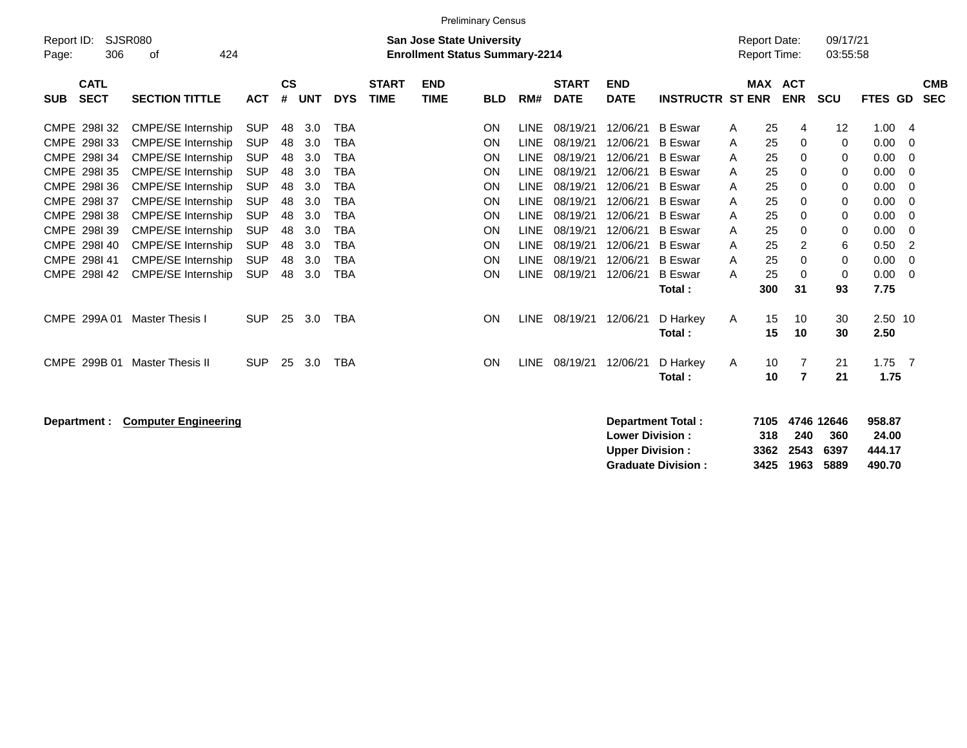|                                          | <b>Preliminary Census</b>                                |            |                    |            |            |                             |                                                                           |            |             |                             |                           |                           |   |                                     |            |                      |          |                          |
|------------------------------------------|----------------------------------------------------------|------------|--------------------|------------|------------|-----------------------------|---------------------------------------------------------------------------|------------|-------------|-----------------------------|---------------------------|---------------------------|---|-------------------------------------|------------|----------------------|----------|--------------------------|
| Report ID:<br>306<br>Page:               | <b>SJSR080</b><br>424<br>οf                              |            |                    |            |            |                             | <b>San Jose State University</b><br><b>Enrollment Status Summary-2214</b> |            |             |                             |                           |                           |   | <b>Report Date:</b><br>Report Time: |            | 09/17/21<br>03:55:58 |          |                          |
| <b>CATL</b><br><b>SECT</b><br><b>SUB</b> | <b>SECTION TITTLE</b>                                    | <b>ACT</b> | $\mathsf{cs}$<br># | <b>UNT</b> | <b>DYS</b> | <b>START</b><br><b>TIME</b> | <b>END</b><br><b>TIME</b>                                                 | <b>BLD</b> | RM#         | <b>START</b><br><b>DATE</b> | <b>END</b><br><b>DATE</b> | <b>INSTRUCTR ST ENR</b>   |   | MAX ACT                             | <b>ENR</b> | SCU                  | FTES GD  | <b>CMB</b><br><b>SEC</b> |
| CMPE 298132                              | <b>CMPE/SE Internship</b>                                | <b>SUP</b> | 48                 | 3.0        | <b>TBA</b> |                             |                                                                           | ON         | <b>LINE</b> | 08/19/21                    | 12/06/21                  | <b>B</b> Eswar            | Α | 25                                  | 4          | 12                   | 1.00     | $\overline{4}$           |
| CMPE 2981 33                             | <b>CMPE/SE Internship</b>                                | <b>SUP</b> | 48                 | 3.0        | <b>TBA</b> |                             |                                                                           | <b>ON</b>  | <b>LINE</b> | 08/19/21                    | 12/06/21                  | <b>B</b> Eswar            | Α | 25                                  | 0          | 0                    | 0.00     | 0                        |
| CMPE 298134                              | <b>CMPE/SE Internship</b>                                | <b>SUP</b> | 48                 | 3.0        | <b>TBA</b> |                             |                                                                           | ON         | <b>LINE</b> | 08/19/21                    | 12/06/21                  | <b>B</b> Eswar            | Α | 25                                  | 0          | 0                    | 0.00     | 0                        |
| CMPE 2981 35                             | <b>CMPE/SE Internship</b>                                | <b>SUP</b> | 48                 | 3.0        | <b>TBA</b> |                             |                                                                           | ON         | <b>LINE</b> | 08/19/21                    | 12/06/21                  | <b>B</b> Eswar            | Α | 25                                  | 0          | 0                    | 0.00     | 0                        |
| CMPE 2981 36                             | <b>CMPE/SE Internship</b>                                | <b>SUP</b> | 48                 | 3.0        | <b>TBA</b> |                             |                                                                           | ON         | <b>LINE</b> | 08/19/21                    | 12/06/21                  | <b>B</b> Eswar            | Α | 25                                  | 0          | 0                    | 0.00     | 0                        |
| CMPE 298I 37                             | <b>CMPE/SE Internship</b>                                | <b>SUP</b> | 48                 | 3.0        | <b>TBA</b> |                             |                                                                           | ON         | <b>LINE</b> | 08/19/21                    | 12/06/21                  | <b>B</b> Eswar            | A | 25                                  | 0          | 0                    | 0.00     | 0                        |
| CMPE 298138                              | <b>CMPE/SE Internship</b>                                | <b>SUP</b> | 48                 | 3.0        | <b>TBA</b> |                             |                                                                           | ON         | <b>LINE</b> | 08/19/21                    | 12/06/21                  | <b>B</b> Eswar            | Α | 25                                  | 0          | 0                    | 0.00     | 0                        |
| CMPE 2981 39                             | <b>CMPE/SE Internship</b>                                | <b>SUP</b> | 48                 | 3.0        | <b>TBA</b> |                             |                                                                           | ON         | <b>LINE</b> | 08/19/21                    | 12/06/21                  | <b>B</b> Eswar            | Α | 25                                  | 0          | 0                    | 0.00     | 0                        |
| CMPE 298140                              | <b>CMPE/SE Internship</b>                                | <b>SUP</b> | 48                 | 3.0        | <b>TBA</b> |                             |                                                                           | ON         | <b>LINE</b> | 08/19/21                    | 12/06/21                  | <b>B</b> Eswar            | Α | 25                                  | 2          | 6                    | 0.50     | 2                        |
| CMPE 298141                              | <b>CMPE/SE Internship</b>                                | <b>SUP</b> | 48                 | 3.0        | <b>TBA</b> |                             |                                                                           | ON         | <b>LINE</b> | 08/19/21                    | 12/06/21                  | <b>B</b> Eswar            | A | 25                                  | 0          | 0                    | 0.00     | 0                        |
| CMPE 298I 42                             | <b>CMPE/SE Internship</b>                                | <b>SUP</b> | 48                 | 3.0        | <b>TBA</b> |                             |                                                                           | ON         | <b>LINE</b> | 08/19/21                    | 12/06/21                  | <b>B</b> Eswar            | A | 25                                  | 0          | 0                    | 0.00     | 0                        |
|                                          |                                                          |            |                    |            |            |                             |                                                                           |            |             |                             |                           | Total:                    |   | 300                                 | 31         | 93                   | 7.75     |                          |
| CMPE 299A 01                             | Master Thesis I                                          | <b>SUP</b> | 25                 | 3.0        | <b>TBA</b> |                             |                                                                           | ON         | <b>LINE</b> | 08/19/21                    | 12/06/21                  | D Harkey                  | Α | 15                                  | 10         | 30                   | 2.50 10  |                          |
|                                          |                                                          |            |                    |            |            |                             |                                                                           |            |             |                             |                           | Total :                   |   | 15                                  | 10         | 30                   | 2.50     |                          |
| CMPE 299B 01                             | <b>Master Thesis II</b>                                  | <b>SUP</b> | 25                 | 3.0        | <b>TBA</b> |                             |                                                                           | ON         | <b>LINE</b> | 08/19/21                    | 12/06/21                  | D Harkey                  | Α | 10                                  | 7          | 21                   | $1.75$ 7 |                          |
|                                          |                                                          |            |                    |            |            |                             |                                                                           |            |             |                             |                           | Total:                    |   | 10                                  | 7          | 21                   | 1.75     |                          |
|                                          |                                                          |            |                    |            |            |                             |                                                                           |            |             |                             |                           |                           |   |                                     |            |                      |          |                          |
| Department :                             | <b>Computer Engineering</b>                              |            |                    |            |            |                             |                                                                           |            |             |                             |                           | Department Total:         |   | 7105                                |            | 4746 12646           | 958.87   |                          |
|                                          |                                                          |            |                    |            |            |                             |                                                                           |            |             |                             | <b>Lower Division:</b>    |                           |   | 318                                 | 240        | 360                  | 24.00    |                          |
|                                          | <b>Upper Division:</b><br>444.17<br>3362<br>2543<br>6397 |            |                    |            |            |                             |                                                                           |            |             |                             |                           |                           |   |                                     |            |                      |          |                          |
|                                          |                                                          |            |                    |            |            |                             |                                                                           |            |             |                             |                           | <b>Graduate Division:</b> |   | 3425                                | 1963       | 5889                 | 490.70   |                          |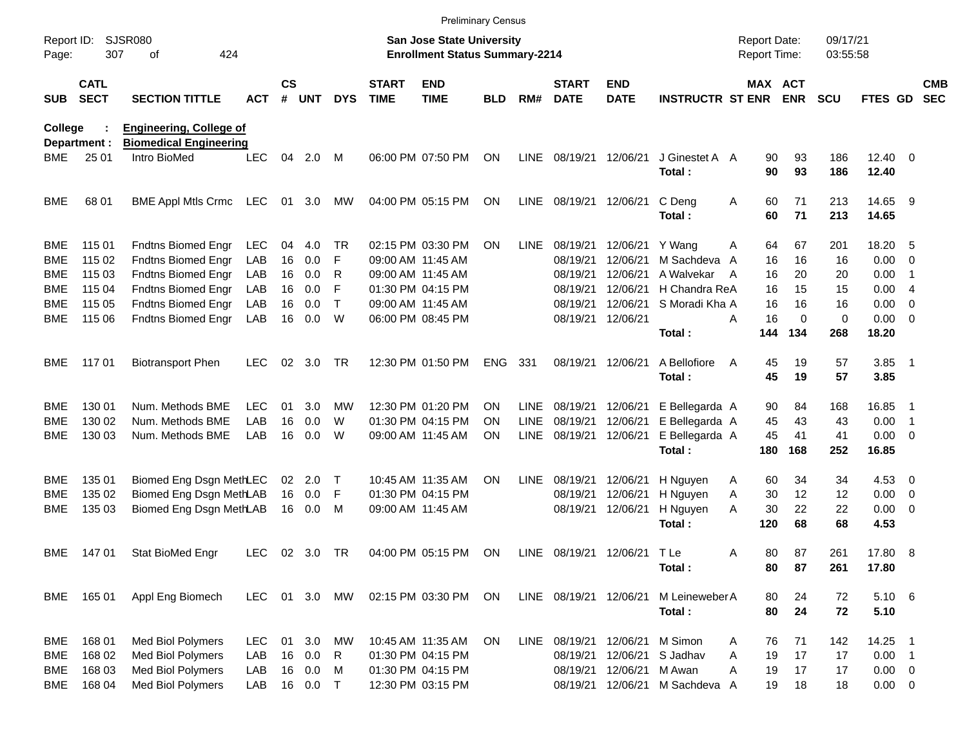|                     |                            |                                                                 |            |                 |        |              |                             |                                                                           | <b>Preliminary Census</b> |             |                             |                           |                             |                                            |          |                      |                       |                          |                          |
|---------------------|----------------------------|-----------------------------------------------------------------|------------|-----------------|--------|--------------|-----------------------------|---------------------------------------------------------------------------|---------------------------|-------------|-----------------------------|---------------------------|-----------------------------|--------------------------------------------|----------|----------------------|-----------------------|--------------------------|--------------------------|
| Report ID:<br>Page: | 307                        | SJSR080<br>424<br>οf                                            |            |                 |        |              |                             | <b>San Jose State University</b><br><b>Enrollment Status Summary-2214</b> |                           |             |                             |                           |                             | <b>Report Date:</b><br><b>Report Time:</b> |          | 09/17/21<br>03:55:58 |                       |                          |                          |
| <b>SUB</b>          | <b>CATL</b><br><b>SECT</b> | <b>SECTION TITTLE</b>                                           | <b>ACT</b> | $\mathsf{cs}$   | # UNT  | <b>DYS</b>   | <b>START</b><br><b>TIME</b> | <b>END</b><br><b>TIME</b>                                                 | <b>BLD</b>                | RM#         | <b>START</b><br><b>DATE</b> | <b>END</b><br><b>DATE</b> | <b>INSTRUCTR ST ENR ENR</b> |                                            | MAX ACT  | <b>SCU</b>           | FTES GD               |                          | <b>CMB</b><br><b>SEC</b> |
| College             | Department :               | <b>Engineering, College of</b><br><b>Biomedical Engineering</b> |            |                 |        |              |                             |                                                                           |                           |             |                             |                           |                             |                                            |          |                      |                       |                          |                          |
| BME                 | 25 01                      | Intro BioMed                                                    | <b>LEC</b> | 04              | 2.0    | M            |                             | 06:00 PM 07:50 PM                                                         | ON                        | <b>LINE</b> | 08/19/21 12/06/21           |                           | J Ginestet A A<br>Total:    | 90<br>90                                   | 93<br>93 | 186<br>186           | $12.40 \t 0$<br>12.40 |                          |                          |
| <b>BME</b>          | 68 01                      | BME Appl Mtls Crmc LEC                                          |            | 01              | 3.0    | МW           |                             | 04:00 PM 05:15 PM                                                         | ON                        | <b>LINE</b> | 08/19/21 12/06/21           |                           | C Deng<br>Total:            | Α<br>60<br>60                              | 71<br>71 | 213<br>213           | 14.65 9<br>14.65      |                          |                          |
| <b>BME</b>          | 115 01                     | <b>Fndtns Biomed Engr</b>                                       | <b>LEC</b> | 04              | 4.0    | TR.          |                             | 02:15 PM 03:30 PM                                                         | <b>ON</b>                 | <b>LINE</b> | 08/19/21                    | 12/06/21                  | Y Wang                      | 64<br>A                                    | 67       | 201                  | 18.20 5               |                          |                          |
| BME                 | 115 02                     | <b>Fndtns Biomed Engr</b>                                       | LAB        | 16              | 0.0    | F            |                             | 09:00 AM 11:45 AM                                                         |                           |             | 08/19/21                    | 12/06/21                  | M Sachdeva                  | 16<br>A                                    | 16       | 16                   | 0.00                  | $\overline{\phantom{0}}$ |                          |
| BME                 | 115 03                     | <b>Fndtns Biomed Engr</b>                                       | LAB        | 16              | 0.0    | R            |                             | 09:00 AM 11:45 AM                                                         |                           |             | 08/19/21                    | 12/06/21                  | A Walvekar                  | 16<br>A                                    | 20       | 20                   | 0.00                  | $\overline{1}$           |                          |
| BME                 | 115 04                     | <b>Fndtns Biomed Engr</b>                                       | LAB        | 16              | 0.0    | F            |                             | 01:30 PM 04:15 PM                                                         |                           |             | 08/19/21                    | 12/06/21                  | H Chandra ReA               | 16                                         | 15       | 15                   | 0.00                  | $\overline{4}$           |                          |
| BME                 | 115 05                     | <b>Fndtns Biomed Engr</b>                                       | LAB        | 16              | 0.0    | $\mathsf{T}$ |                             | 09:00 AM 11:45 AM                                                         |                           |             | 08/19/21                    | 12/06/21                  | S Moradi Kha A              | 16                                         | 16       | 16                   | 0.00                  | $\overline{\phantom{0}}$ |                          |
| BME                 | 115 06                     | <b>Fndtns Biomed Engr</b>                                       | LAB        | 16              | 0.0    | W            |                             | 06:00 PM 08:45 PM                                                         |                           |             |                             | 08/19/21 12/06/21         |                             | 16<br>Α                                    | $\Omega$ | $\mathbf 0$          | $0.00 \t 0$           |                          |                          |
|                     |                            |                                                                 |            |                 |        |              |                             |                                                                           |                           |             |                             |                           | Total:                      | 144                                        | 134      | 268                  | 18.20                 |                          |                          |
| <b>BME</b>          | 117 01                     | <b>Biotransport Phen</b>                                        | <b>LEC</b> | 02              | 3.0    | TR           |                             | 12:30 PM 01:50 PM                                                         | <b>ENG</b>                | 331         |                             | 08/19/21 12/06/21         | A Bellofiore<br>Total:      | 45<br>A<br>45                              | 19<br>19 | 57<br>57             | $3.85$ 1<br>3.85      |                          |                          |
| BME                 | 130 01                     | Num. Methods BME                                                | <b>LEC</b> | 01              | 3.0    | МW           |                             | 12:30 PM 01:20 PM                                                         | <b>ON</b>                 | <b>LINE</b> | 08/19/21                    | 12/06/21                  | E Bellegarda A              | 90                                         | 84       | 168                  | 16.85                 | - 1                      |                          |
| BME                 | 130 02                     | Num. Methods BME                                                | LAB        | 16              | 0.0    | W            |                             | 01:30 PM 04:15 PM                                                         | <b>ON</b>                 | <b>LINE</b> | 08/19/21                    | 12/06/21                  | E Bellegarda A              | 45                                         | 43       | 43                   | 0.00                  | $\overline{\phantom{1}}$ |                          |
| <b>BME</b>          | 130 03                     | Num. Methods BME                                                | LAB        | 16              | 0.0    | W            |                             | 09:00 AM 11:45 AM                                                         | ON                        | LINE        | 08/19/21                    | 12/06/21                  | E Bellegarda A              | 45                                         | 41       | 41                   | $0.00 \t 0$           |                          |                          |
|                     |                            |                                                                 |            |                 |        |              |                             |                                                                           |                           |             |                             |                           | Total:                      | 180                                        | 168      | 252                  | 16.85                 |                          |                          |
| BME                 | 135 01                     | Biomed Eng Dsgn MethLEC                                         |            | 02 <sub>o</sub> | 2.0    | т            |                             | 10:45 AM 11:35 AM                                                         | <b>ON</b>                 | <b>LINE</b> | 08/19/21                    | 12/06/21                  | H Nguyen                    | 60<br>A                                    | 34       | 34                   | $4.53$ 0              |                          |                          |
| BME                 | 135 02                     | Biomed Eng Dsgn MethLAB                                         |            |                 | 16 0.0 | F            |                             | 01:30 PM 04:15 PM                                                         |                           |             | 08/19/21                    | 12/06/21                  | H Nguyen                    | 30<br>A                                    | 12       | 12                   | $0.00 \t 0$           |                          |                          |
| <b>BME</b>          | 135 03                     | Biomed Eng Dsgn MethLAB                                         |            |                 | 16 0.0 | M            |                             | 09:00 AM 11:45 AM                                                         |                           |             |                             | 08/19/21 12/06/21         | H Nguyen                    | 30<br>A                                    | 22       | 22                   | $0.00 \t 0$           |                          |                          |
|                     |                            |                                                                 |            |                 |        |              |                             |                                                                           |                           |             |                             |                           | Total:                      | 120                                        | 68       | 68                   | 4.53                  |                          |                          |
| BME.                | 14701                      | Stat BioMed Engr                                                | LEC        |                 | 02 3.0 | TR           |                             | 04:00 PM 05:15 PM                                                         | ON                        | LINE        |                             | 08/19/21 12/06/21         | T Le<br>Total:              | 80<br>A<br>80                              | 87<br>87 | 261<br>261           | 17.80 8<br>17.80      |                          |                          |
| BME                 | 165 01                     | Appl Eng Biomech                                                | LEC        |                 |        | 01 3.0 MW    |                             | 02:15 PM 03:30 PM                                                         | ON                        |             | LINE 08/19/21 12/06/21      |                           | M Leineweber A              | 80                                         | 24       | 72                   | $5.10\ 6$             |                          |                          |
|                     |                            |                                                                 |            |                 |        |              |                             |                                                                           |                           |             |                             |                           | Total:                      | 80                                         | 24       | 72                   | 5.10                  |                          |                          |
| <b>BME</b>          | 168 01                     | Med Biol Polymers                                               | LEC        | 01              | 3.0    | MW           |                             | 10:45 AM 11:35 AM                                                         | ON                        | <b>LINE</b> |                             | 08/19/21 12/06/21         | M Simon                     | 76<br>A                                    | 71       | 142                  | 14.25 1               |                          |                          |
| <b>BME</b>          | 168 02                     | Med Biol Polymers                                               | LAB        |                 | 16 0.0 | R            |                             | 01:30 PM 04:15 PM                                                         |                           |             | 08/19/21                    | 12/06/21                  | S Jadhav                    | Α<br>19                                    | 17       | 17                   | $0.00$ 1              |                          |                          |
| <b>BME</b>          | 168 03                     | Med Biol Polymers                                               | LAB        |                 | 16 0.0 | M            |                             | 01:30 PM 04:15 PM                                                         |                           |             |                             | 08/19/21 12/06/21         | M Awan                      | Α<br>19                                    | 17       | 17                   | $0.00 \t 0$           |                          |                          |
| <b>BME</b>          | 168 04                     | Med Biol Polymers                                               | LAB        |                 | 16 0.0 | $\top$       |                             | 12:30 PM 03:15 PM                                                         |                           |             |                             | 08/19/21 12/06/21         | M Sachdeva A                | 19                                         | 18       | 18                   | $0.00 \t 0$           |                          |                          |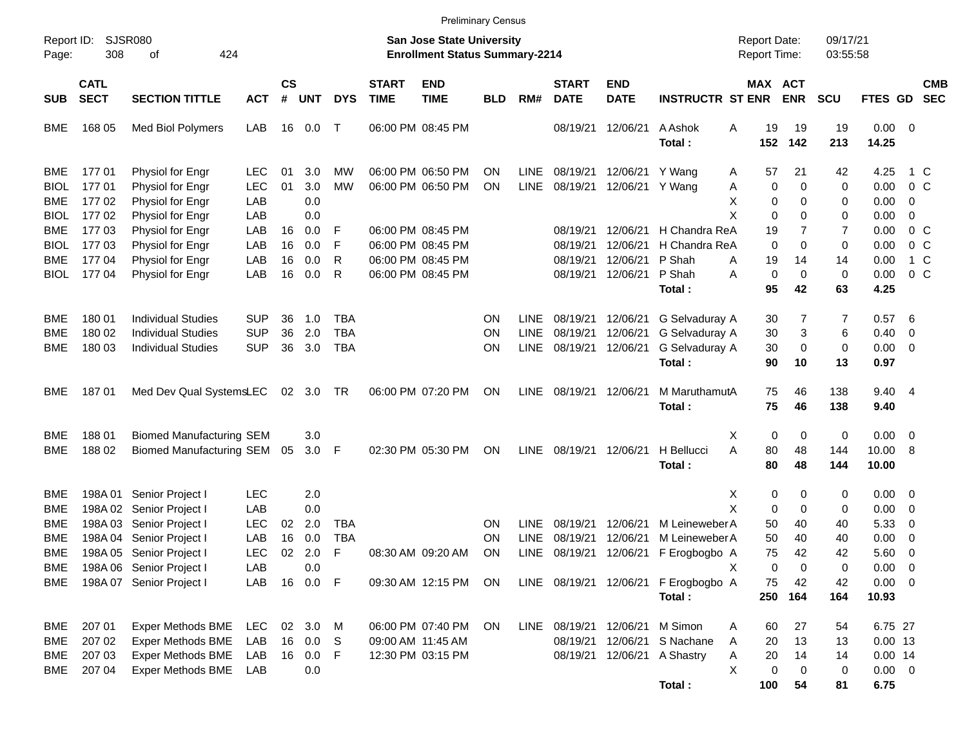|                                   |                                      |                                                                                                      |                                        |                             |                                             |                          |                             |                                                                           | <b>Preliminary Census</b> |                                           |                                  |                                    |                                                                                  |                                         |                             |                      |                                                  |                                                     |                          |
|-----------------------------------|--------------------------------------|------------------------------------------------------------------------------------------------------|----------------------------------------|-----------------------------|---------------------------------------------|--------------------------|-----------------------------|---------------------------------------------------------------------------|---------------------------|-------------------------------------------|----------------------------------|------------------------------------|----------------------------------------------------------------------------------|-----------------------------------------|-----------------------------|----------------------|--------------------------------------------------|-----------------------------------------------------|--------------------------|
| Report ID:<br>Page:               | 308                                  | <b>SJSR080</b><br>424<br>οf                                                                          |                                        |                             |                                             |                          |                             | <b>San Jose State University</b><br><b>Enrollment Status Summary-2214</b> |                           |                                           |                                  |                                    |                                                                                  | <b>Report Date:</b><br>Report Time:     |                             | 09/17/21<br>03:55:58 |                                                  |                                                     |                          |
| <b>SUB</b>                        | <b>CATL</b><br><b>SECT</b>           | <b>SECTION TITTLE</b>                                                                                | <b>ACT</b>                             | $\mathbf{c}\mathbf{s}$<br># | <b>UNT</b>                                  | <b>DYS</b>               | <b>START</b><br><b>TIME</b> | <b>END</b><br><b>TIME</b>                                                 | <b>BLD</b>                | RM#                                       | <b>START</b><br><b>DATE</b>      | <b>END</b><br><b>DATE</b>          | <b>INSTRUCTR ST ENR</b>                                                          | MAX ACT                                 | <b>ENR</b>                  | <b>SCU</b>           | FTES GD                                          |                                                     | <b>CMB</b><br><b>SEC</b> |
| BME.                              | 168 05                               | Med Biol Polymers                                                                                    | LAB                                    |                             | 16  0.0                                     | $\mathsf{T}$             |                             | 06:00 PM 08:45 PM                                                         |                           |                                           | 08/19/21                         | 12/06/21                           | A Ashok<br>Total:                                                                | Α<br>19<br>152                          | 19<br>142                   | 19<br>213            | $0.00 \t 0$<br>14.25                             |                                                     |                          |
| BME<br><b>BIOL</b><br>BME         | 17701<br>17701<br>17702              | Physiol for Engr<br>Physiol for Engr<br>Physiol for Engr                                             | LEC.<br><b>LEC</b><br>LAB              | 01<br>01                    | 3.0<br>3.0<br>0.0                           | MW<br><b>MW</b>          |                             | 06:00 PM 06:50 PM<br>06:00 PM 06:50 PM                                    | ΟN<br>ΟN                  | <b>LINE</b><br><b>LINE</b>                | 08/19/21<br>08/19/21             | 12/06/21 Y Wang<br>12/06/21 Y Wang | Α                                                                                | 57<br>Α<br>0<br>х<br>0                  | 21<br>0<br>0                | 42<br>0<br>0         | 4.25<br>0.00<br>0.00                             | 1 C<br>$0\,$ C<br>0                                 |                          |
| <b>BIOL</b><br>BME<br><b>BIOL</b> | 17702<br>17703<br>17703              | Physiol for Engr<br>Physiol for Engr<br>Physiol for Engr                                             | LAB<br>LAB<br>LAB                      | 16<br>16                    | 0.0<br>0.0<br>0.0                           | F<br>F                   |                             | 06:00 PM 08:45 PM<br>06:00 PM 08:45 PM                                    |                           |                                           | 08/19/21<br>08/19/21             | 12/06/21<br>12/06/21               | H Chandra ReA<br>H Chandra ReA                                                   | X<br>0<br>19<br>$\Omega$                | 0<br>7<br>0                 | 0<br>7<br>0          | 0.00<br>0.00<br>0.00                             | 0<br>0 <sup>o</sup><br>$0\,C$                       |                          |
| BME.<br>BIOL                      | 177 04<br>17704                      | Physiol for Engr<br>Physiol for Engr                                                                 | LAB<br>LAB                             | 16<br>16                    | 0.0<br>0.0                                  | R<br>R                   |                             | 06:00 PM 08:45 PM<br>06:00 PM 08:45 PM                                    |                           |                                           | 08/19/21<br>08/19/21             | 12/06/21<br>12/06/21               | P Shah<br>Α<br>P Shah<br>Α<br>Total:                                             | 19<br>0<br>95                           | 14<br>$\mathbf 0$<br>42     | 14<br>0<br>63        | 0.00<br>0.00<br>4.25                             | 1 C<br>0 <sup>o</sup>                               |                          |
| BME<br>BME<br>BME                 | 180 01<br>180 02<br>180 03           | <b>Individual Studies</b><br><b>Individual Studies</b><br><b>Individual Studies</b>                  | <b>SUP</b><br><b>SUP</b><br><b>SUP</b> | 36<br>36<br>36              | 1.0<br>2.0<br>3.0                           | TBA<br><b>TBA</b><br>TBA |                             |                                                                           | ΟN<br>ΟN<br>ON            | <b>LINE</b><br><b>LINE</b><br><b>LINE</b> | 08/19/21<br>08/19/21<br>08/19/21 | 12/06/21<br>12/06/21<br>12/06/21   | G Selvaduray A<br>G Selvaduray A<br>G Selvaduray A<br>Total:                     | 30<br>30<br>30<br>90                    | 7<br>3<br>$\mathbf 0$<br>10 | 7<br>6<br>0<br>13    | 0.57<br>0.40<br>$0.00 \t 0$<br>0.97              | - 6<br>0                                            |                          |
| BME.                              | 18701                                | Med Dev Qual SystemsLEC                                                                              |                                        |                             | 02 3.0 TR                                   |                          |                             | 06:00 PM 07:20 PM                                                         | ON                        | <b>LINE</b>                               | 08/19/21                         | 12/06/21                           | M MaruthamutA<br>Total:                                                          | 75<br>75                                | 46<br>46                    | 138<br>138           | 9.40 4<br>9.40                                   |                                                     |                          |
| BME<br>BME                        | 18801<br>188 02                      | <b>Biomed Manufacturing SEM</b><br><b>Biomed Manufacturing SEM</b>                                   |                                        | 05                          | 3.0<br>$3.0$ F                              |                          |                             | 02:30 PM 05:30 PM                                                         | ON                        | <b>LINE</b>                               | 08/19/21                         | 12/06/21                           | H Bellucci<br>Total:                                                             | 0<br>X<br>A<br>80<br>80                 | 0<br>48<br>48               | 0<br>144<br>144      | $0.00 \t 0$<br>10.00 8<br>10.00                  |                                                     |                          |
| BME<br>BME<br>BME                 | 198A 01<br>198A 03                   | Senior Project I<br>198A 02 Senior Project I<br>Senior Project I                                     | <b>LEC</b><br>LAB<br><b>LEC</b>        | 02                          | 2.0<br>0.0<br>2.0                           | TBA                      |                             |                                                                           | ΟN                        | LINE                                      | 08/19/21                         | 12/06/21                           | M Leineweber A                                                                   | X<br>0<br>X<br>0<br>50                  | 0<br>$\mathbf 0$<br>40      | 0<br>0<br>40         | $0.00 \quad 0$<br>0.00<br>5.33                   | $\overline{\phantom{0}}$<br>$\overline{\mathbf{0}}$ |                          |
| BME<br>BME<br>BME<br>BME          | 198A 04                              | Senior Project I<br>198A 05 Senior Project I<br>198A 06 Senior Project I<br>198A 07 Senior Project I | LAB<br><b>LEC</b><br>LAB<br>LAB        | 16<br>02                    | 0.0<br>2.0<br>0.0<br>16  0.0  F             | <b>TBA</b><br>F          |                             | 08:30 AM 09:20 AM<br>09:30 AM 12:15 PM ON                                 | ON<br>ON                  | <b>LINE</b><br>LINE                       | 08/19/21<br>08/19/21             | 12/06/21                           | M Leineweber A<br>12/06/21 F Erogbogbo A<br>LINE 08/19/21 12/06/21 F Erogbogbo A | 50<br>75<br>х<br>0<br>75                | 40<br>42<br>0<br>42         | 40<br>42<br>0<br>42  | 0.00<br>5.60<br>$0.00 \t 0$<br>$0.00 \t 0$       | $\overline{\mathbf{0}}$<br>$\overline{\phantom{0}}$ |                          |
|                                   |                                      |                                                                                                      |                                        |                             |                                             |                          |                             |                                                                           |                           |                                           |                                  |                                    | Total:                                                                           | 250                                     | 164                         | 164                  | 10.93                                            |                                                     |                          |
| BME<br>BME<br><b>BME</b><br>BME   | 207 01<br>207 02<br>207 03<br>207 04 | Exper Methods BME<br><b>Exper Methods BME</b><br>Exper Methods BME<br>Exper Methods BME              | <b>LEC</b><br>LAB<br>LAB<br>LAB        |                             | 02 3.0 M<br>16  0.0  S<br>16  0.0  F<br>0.0 |                          |                             | 06:00 PM 07:40 PM<br>09:00 AM 11:45 AM<br>12:30 PM 03:15 PM               | ON                        |                                           | 08/19/21<br>08/19/21             | LINE 08/19/21 12/06/21             | M Simon<br>12/06/21 S Nachane<br>12/06/21 A Shastry                              | 60<br>A<br>20<br>A<br>20<br>Α<br>X<br>0 | 27<br>13<br>14<br>0         | 54<br>13<br>14<br>0  | 6.75 27<br>$0.00$ 13<br>$0.00$ 14<br>$0.00 \t 0$ |                                                     |                          |
|                                   |                                      |                                                                                                      |                                        |                             |                                             |                          |                             |                                                                           |                           |                                           |                                  |                                    | Total:                                                                           | 100                                     | 54                          | 81                   | 6.75                                             |                                                     |                          |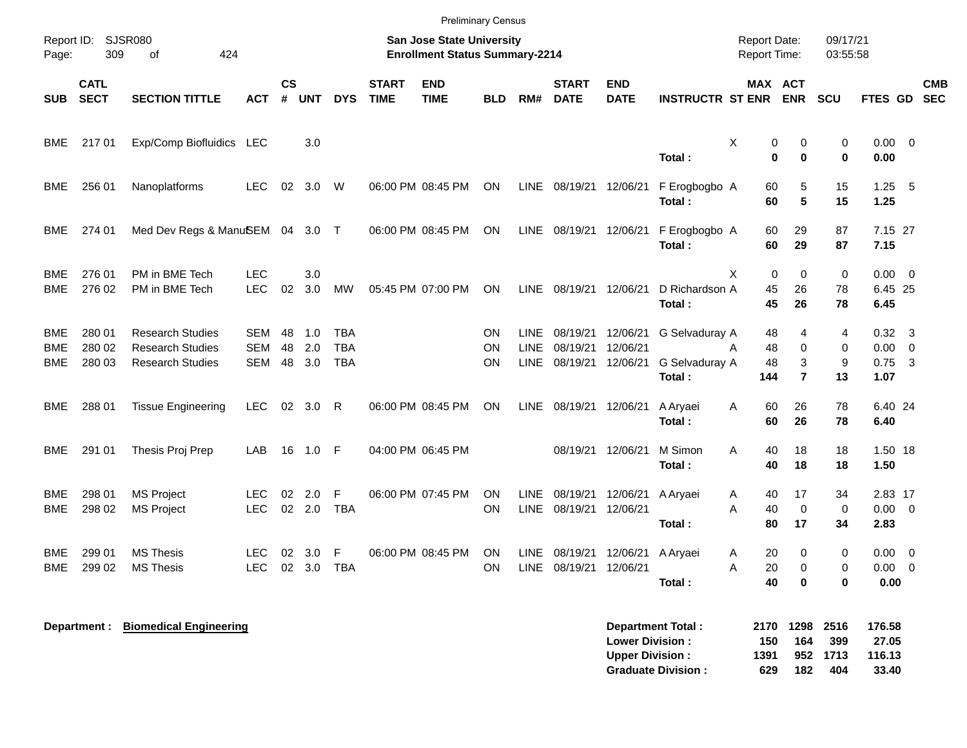|                     |                            |                                                                               |                                 |                |                   |                                        |                             | <b>Preliminary Census</b>                                          |                                     |                                    |                                  |                                  |                                            |                                     |                               |                         |                                  |                                           |            |
|---------------------|----------------------------|-------------------------------------------------------------------------------|---------------------------------|----------------|-------------------|----------------------------------------|-----------------------------|--------------------------------------------------------------------|-------------------------------------|------------------------------------|----------------------------------|----------------------------------|--------------------------------------------|-------------------------------------|-------------------------------|-------------------------|----------------------------------|-------------------------------------------|------------|
| Report ID:<br>Page: | 309                        | SJSR080<br>424<br>οf                                                          |                                 |                |                   |                                        |                             | San Jose State University<br><b>Enrollment Status Summary-2214</b> |                                     |                                    |                                  |                                  |                                            | <b>Report Date:</b><br>Report Time: |                               | 09/17/21<br>03:55:58    |                                  |                                           |            |
| <b>SUB</b>          | <b>CATL</b><br><b>SECT</b> | <b>SECTION TITTLE</b>                                                         | <b>ACT</b>                      | <b>CS</b><br># | <b>UNT</b>        | <b>DYS</b>                             | <b>START</b><br><b>TIME</b> | <b>END</b><br><b>TIME</b>                                          | <b>BLD</b>                          | RM#                                | <b>START</b><br><b>DATE</b>      | <b>END</b><br><b>DATE</b>        | <b>INSTRUCTR ST ENR</b>                    | MAX ACT                             | <b>ENR</b>                    | <b>SCU</b>              | FTES GD SEC                      |                                           | <b>CMB</b> |
| BME                 | 21701                      | Exp/Comp Biofluidics LEC                                                      |                                 |                | 3.0               |                                        |                             |                                                                    |                                     |                                    |                                  |                                  | Total:                                     | Χ<br>0<br>$\bf{0}$                  | 0<br>$\bf{0}$                 | 0<br>$\mathbf 0$        | $0.00 \ 0$<br>0.00               |                                           |            |
| BME                 | 256 01                     | Nanoplatforms                                                                 | LEC.                            | 02             | 3.0               | W                                      |                             | 06:00 PM 08:45 PM                                                  | ON                                  |                                    | LINE 08/19/21 12/06/21           |                                  | F Erogbogbo A<br>Total:                    | 60<br>60                            | 5<br>5                        | 15<br>15                | 1.25<br>1.25                     | - 5                                       |            |
| BME                 | 274 01                     | Med Dev Regs & ManuSEM 04 3.0 T                                               |                                 |                |                   |                                        |                             | 06:00 PM 08:45 PM                                                  | <b>ON</b>                           |                                    | LINE 08/19/21 12/06/21           |                                  | F Erogbogbo A<br>Total:                    | 60<br>60                            | 29<br>29                      | 87<br>87                | 7.15 27<br>7.15                  |                                           |            |
| BME<br>BME          | 276 01<br>276 02           | PM in BME Tech<br>PM in BME Tech                                              | <b>LEC</b><br><b>LEC</b>        | 02             | 3.0<br>3.0        | <b>MW</b>                              |                             | 05:45 PM 07:00 PM                                                  | <b>ON</b>                           | LINE                               | 08/19/21 12/06/21                |                                  | D Richardson A<br>Total:                   | X<br>$\Omega$<br>45<br>45           | $\Omega$<br>26<br>26          | $\mathbf 0$<br>78<br>78 | 0.00<br>6.45 25<br>6.45          | - 0                                       |            |
| BME<br>BME<br>BME   | 280 01<br>280 02<br>280 03 | <b>Research Studies</b><br><b>Research Studies</b><br><b>Research Studies</b> | <b>SEM</b><br>SEM<br><b>SEM</b> | 48<br>48<br>48 | 1.0<br>2.0<br>3.0 | <b>TBA</b><br><b>TBA</b><br><b>TBA</b> |                             |                                                                    | <b>ON</b><br><b>ON</b><br><b>ON</b> | <b>LINE</b><br><b>LINE</b><br>LINE | 08/19/21<br>08/19/21<br>08/19/21 | 12/06/21<br>12/06/21<br>12/06/21 | G Selvaduray A<br>G Selvaduray A<br>Total: | 48<br>48<br>A<br>48<br>144          | 4<br>0<br>3<br>$\overline{7}$ | 4<br>0<br>9<br>13       | 0.32<br>0.00<br>$0.75$ 3<br>1.07 | $\mathbf{3}$<br>$\overline{\mathbf{0}}$   |            |
| <b>BME</b>          | 288 01                     | <b>Tissue Engineering</b>                                                     | <b>LEC</b>                      | 02             | 3.0               | R                                      |                             | 06:00 PM 08:45 PM                                                  | <b>ON</b>                           |                                    | LINE 08/19/21                    | 12/06/21                         | A Aryaei<br>Total:                         | A<br>60<br>60                       | 26<br>26                      | 78<br>78                | 6.40 24<br>6.40                  |                                           |            |
| <b>BME</b>          | 291 01                     | Thesis Proj Prep                                                              | LAB                             | 16             | 1.0               | -F                                     |                             | 04:00 PM 06:45 PM                                                  |                                     |                                    | 08/19/21                         | 12/06/21                         | M Simon<br>Total:                          | A<br>40<br>40                       | 18<br>18                      | 18<br>18                | 1.50 18<br>1.50                  |                                           |            |
| BME<br>BME          | 298 01<br>298 02           | <b>MS Project</b><br><b>MS Project</b>                                        | LEC<br><b>LEC</b>               | 02             | 2.0<br>02 2.0     | F<br><b>TBA</b>                        |                             | 06:00 PM 07:45 PM                                                  | <b>ON</b><br><b>ON</b>              | <b>LINE</b>                        | 08/19/21<br>LINE 08/19/21        | 12/06/21<br>12/06/21             | A Aryaei<br>Total:                         | A<br>40<br>A<br>40<br>80            | 17<br>$\mathbf 0$<br>17       | 34<br>0<br>34           | 2.83 17<br>0.00 0<br>2.83        |                                           |            |
| BME<br>BME          | 299 01<br>299 02           | <b>MS Thesis</b><br><b>MS Thesis</b>                                          | LEC<br><b>LEC</b>               | 02<br>02       | 3.0<br>3.0        | F<br>TBA                               |                             | 06:00 PM 08:45 PM                                                  | <b>ON</b><br><b>ON</b>              | LINE                               | 08/19/21<br>LINE 08/19/21        | 12/06/21<br>12/06/21             | A Aryaei<br>Total:                         | 20<br>A<br>A<br>20<br>40            | 0<br>0<br>$\mathbf 0$         | 0<br>0<br>0             | $0.00\,$<br>0.00<br>0.00         | $\overline{\mathbf{0}}$<br>$\overline{0}$ |            |
|                     | <b>Department:</b>         | <b>Biomedical Engineering</b>                                                 |                                 |                |                   |                                        |                             |                                                                    |                                     |                                    |                                  |                                  | Department Total:                          |                                     | 2170 1298                     | 2516                    | 176.58                           |                                           |            |

**Lower Division : 150 164 399 27.05 Upper Division : 1391 952 1713 116.13 Graduate Division : 629 182 404 33.40**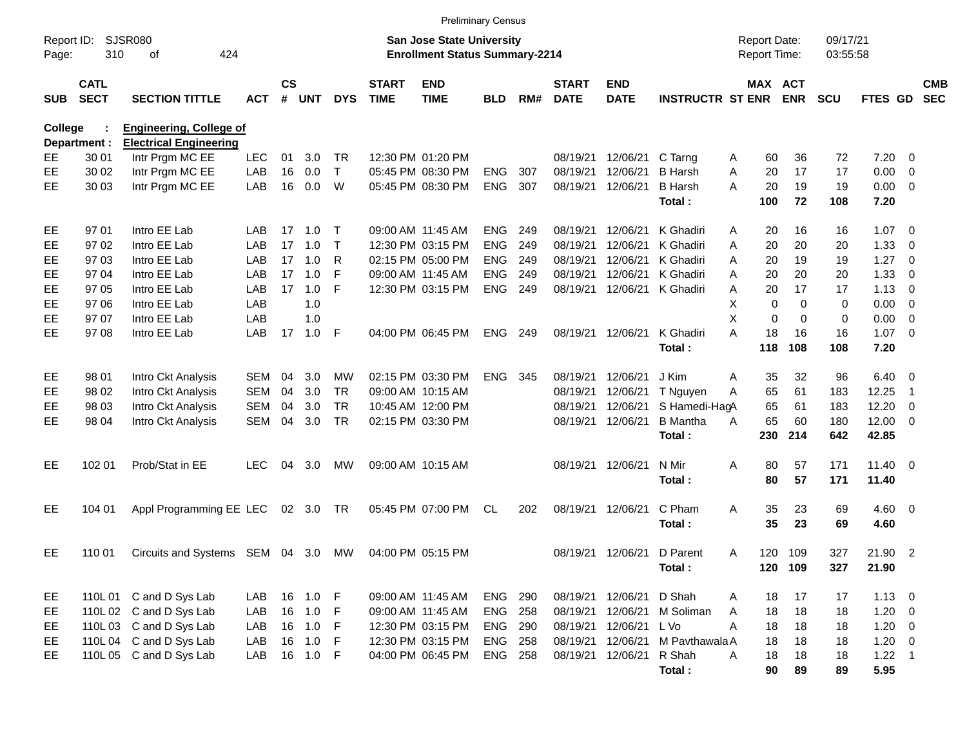|                     |                            |                                 |            |                    |            |              |                             | <b>Preliminary Census</b>                                                 |                |     |                             |                           |                         |                                     |             |             |                      |              |                          |                          |
|---------------------|----------------------------|---------------------------------|------------|--------------------|------------|--------------|-----------------------------|---------------------------------------------------------------------------|----------------|-----|-----------------------------|---------------------------|-------------------------|-------------------------------------|-------------|-------------|----------------------|--------------|--------------------------|--------------------------|
| Report ID:<br>Page: | 310                        | SJSR080<br>424<br>οf            |            |                    |            |              |                             | <b>San Jose State University</b><br><b>Enrollment Status Summary-2214</b> |                |     |                             |                           |                         | <b>Report Date:</b><br>Report Time: |             |             | 09/17/21<br>03:55:58 |              |                          |                          |
| <b>SUB</b>          | <b>CATL</b><br><b>SECT</b> | <b>SECTION TITTLE</b>           | <b>ACT</b> | $\mathsf{cs}$<br># | <b>UNT</b> | <b>DYS</b>   | <b>START</b><br><b>TIME</b> | <b>END</b><br><b>TIME</b>                                                 | <b>BLD</b>     | RM# | <b>START</b><br><b>DATE</b> | <b>END</b><br><b>DATE</b> | <b>INSTRUCTR ST ENR</b> |                                     | MAX ACT     | <b>ENR</b>  | <b>SCU</b>           | FTES GD      |                          | <b>CMB</b><br><b>SEC</b> |
| <b>College</b>      |                            | <b>Engineering, College of</b>  |            |                    |            |              |                             |                                                                           |                |     |                             |                           |                         |                                     |             |             |                      |              |                          |                          |
|                     | Department :               | <b>Electrical Engineering</b>   |            |                    |            |              |                             |                                                                           |                |     |                             |                           |                         |                                     |             |             |                      |              |                          |                          |
| EE                  | 30 01                      | Intr Prgm MC EE                 | <b>LEC</b> | 01                 | 3.0        | TR.          |                             | 12:30 PM 01:20 PM                                                         |                |     | 08/19/21                    | 12/06/21                  | C Tarng                 | A                                   | 60          | 36          | 72                   | 7.20         | - 0                      |                          |
| EE                  | 30 02                      | Intr Prgm MC EE                 | LAB        | 16                 | 0.0        | $\mathsf{T}$ |                             | 05:45 PM 08:30 PM                                                         | <b>ENG</b>     | 307 | 08/19/21                    | 12/06/21                  | <b>B</b> Harsh          | A                                   | 20          | 17          | 17                   | 0.00         | $\overline{\mathbf{0}}$  |                          |
| EE                  | 30 03                      | Intr Prgm MC EE                 | LAB        | 16                 | 0.0        | W            |                             | 05:45 PM 08:30 PM                                                         | <b>ENG</b>     | 307 | 08/19/21                    | 12/06/21                  | <b>B</b> Harsh          | A                                   | 20          | 19          | 19                   | 0.00         | $\overline{\mathbf{0}}$  |                          |
|                     |                            |                                 |            |                    |            |              |                             |                                                                           |                |     |                             |                           | Total:                  |                                     | 100         | 72          | 108                  | 7.20         |                          |                          |
| EE                  | 97 01                      | Intro EE Lab                    | LAB        | 17                 | 1.0        | $\top$       |                             | 09:00 AM 11:45 AM                                                         | <b>ENG</b>     | 249 | 08/19/21                    | 12/06/21                  | K Ghadiri               | A                                   | 20          | 16          | 16                   | $1.07 \t 0$  |                          |                          |
| EE                  | 9702                       | Intro EE Lab                    | LAB        | 17                 | 1.0        | Т            |                             | 12:30 PM 03:15 PM                                                         | <b>ENG</b>     | 249 | 08/19/21                    | 12/06/21                  | K Ghadiri               | A                                   | 20          | 20          | 20                   | 1.33         | $\overline{\mathbf{0}}$  |                          |
| EE                  | 97 03                      | Intro EE Lab                    | LAB        | 17                 | 1.0        | R            |                             | 02:15 PM 05:00 PM                                                         | <b>ENG</b>     | 249 | 08/19/21                    | 12/06/21                  | K Ghadiri               | A                                   | 20          | 19          | 19                   | 1.27         | $\overline{\mathbf{0}}$  |                          |
| EE                  | 97 04                      | Intro EE Lab                    | LAB        | 17                 | 1.0        | F            |                             | 09:00 AM 11:45 AM                                                         | <b>ENG</b>     | 249 | 08/19/21                    | 12/06/21                  | K Ghadiri               | A                                   | 20          | 20          | 20                   | 1.33         | $\overline{0}$           |                          |
| EE                  | 97 05                      | Intro EE Lab                    | LAB        | 17                 | 1.0        | F            |                             | 12:30 PM 03:15 PM                                                         | <b>ENG</b>     | 249 | 08/19/21                    | 12/06/21                  | K Ghadiri               | А                                   | 20          | 17          | 17                   | 1.13         | $\overline{\mathbf{0}}$  |                          |
| EE                  | 97 06                      | Intro EE Lab                    | LAB        |                    | 1.0        |              |                             |                                                                           |                |     |                             |                           |                         | Χ                                   | 0           | $\mathbf 0$ | 0                    | 0.00         | $\overline{\mathbf{0}}$  |                          |
| EE                  | 97 07                      | Intro EE Lab                    | LAB        |                    | 1.0        |              |                             |                                                                           |                |     |                             |                           |                         | X                                   | $\mathbf 0$ | $\mathbf 0$ | 0                    | 0.00         | $\overline{\mathbf{0}}$  |                          |
| EE                  | 97 08                      | Intro EE Lab                    | LAB        | 17                 | 1.0        | F            |                             | 04:00 PM 06:45 PM                                                         | <b>ENG</b>     | 249 | 08/19/21                    | 12/06/21                  | K Ghadiri               | А                                   | 18          | 16          | 16                   | $1.07 \t 0$  |                          |                          |
|                     |                            |                                 |            |                    |            |              |                             |                                                                           |                |     |                             |                           | Total:                  |                                     | 118         | 108         | 108                  | 7.20         |                          |                          |
| EE                  | 98 01                      | Intro Ckt Analysis              | SEM        | 04                 | 3.0        | <b>MW</b>    |                             | 02:15 PM 03:30 PM                                                         | ENG.           | 345 | 08/19/21                    | 12/06/21                  | J Kim                   | Α                                   | 35          | 32          | 96                   | 6.40         | $\overline{\phantom{0}}$ |                          |
| EE                  | 98 02                      | Intro Ckt Analysis              | SEM        | 04                 | 3.0        | TR.          |                             | 09:00 AM 10:15 AM                                                         |                |     | 08/19/21                    | 12/06/21                  | T Nguyen                | А                                   | 65          | 61          | 183                  | 12.25        | -1                       |                          |
| EE                  | 98 03                      | Intro Ckt Analysis              | <b>SEM</b> | 04                 | 3.0        | <b>TR</b>    |                             | 10:45 AM 12:00 PM                                                         |                |     | 08/19/21                    | 12/06/21                  | S Hamedi-HagA           |                                     | 65          | 61          | 183                  | 12.20        | - 0                      |                          |
| EE                  | 98 04                      | Intro Ckt Analysis              | SEM        | 04                 | 3.0        | <b>TR</b>    |                             | 02:15 PM 03:30 PM                                                         |                |     | 08/19/21                    | 12/06/21                  | <b>B</b> Mantha         | А                                   | 65          | 60          | 180                  | 12.00        | $\overline{\phantom{0}}$ |                          |
|                     |                            |                                 |            |                    |            |              |                             |                                                                           |                |     |                             |                           | Total:                  |                                     | 230         | 214         | 642                  | 42.85        |                          |                          |
| EE                  | 102 01                     | Prob/Stat in EE                 | <b>LEC</b> | 04                 | 3.0        | МW           |                             | 09:00 AM 10:15 AM                                                         |                |     | 08/19/21                    | 12/06/21                  | N Mir                   | Α                                   | 80          | 57          | 171                  | $11.40 \t 0$ |                          |                          |
|                     |                            |                                 |            |                    |            |              |                             |                                                                           |                |     |                             |                           | Total:                  |                                     | 80          | 57          | 171                  | 11.40        |                          |                          |
| EE                  | 104 01                     | Appl Programming EE LEC         |            |                    | 02 3.0 TR  |              |                             | 05:45 PM 07:00 PM                                                         | CL             | 202 | 08/19/21                    | 12/06/21                  | C Pham                  | Α                                   | 35          | 23          | 69                   | $4.60$ 0     |                          |                          |
|                     |                            |                                 |            |                    |            |              |                             |                                                                           |                |     |                             |                           | Total:                  |                                     | 35          | 23          | 69                   | 4.60         |                          |                          |
| <b>EE</b>           | 110 01                     | Circuits and Systems SEM 04 3.0 |            |                    |            | MW           |                             | 04:00 PM 05:15 PM                                                         |                |     | 08/19/21                    | 12/06/21                  | D Parent                | A                                   | 120         | 109         | 327                  | 21.90 2      |                          |                          |
|                     |                            |                                 |            |                    |            |              |                             |                                                                           |                |     |                             |                           | Total :                 |                                     | 120 109     |             | 327                  | 21.90        |                          |                          |
| EE                  |                            | 110L 01 C and D Sys Lab         | LAB        |                    | 16  1.0  F |              |                             | 09:00 AM 11:45 AM                                                         | ENG 290        |     |                             | 08/19/21 12/06/21         | D Shah                  | A                                   | 18          | 17          | 17                   | $1.13 \ 0$   |                          |                          |
| EE                  |                            | 110L 02 C and D Sys Lab         | LAB        |                    | 16 1.0 F   |              |                             | 09:00 AM 11:45 AM                                                         | <b>ENG 258</b> |     | 08/19/21                    | 12/06/21                  | M Soliman               | A                                   | 18          | 18          | 18                   | $1.20 \t 0$  |                          |                          |
| EE                  |                            | 110L 03 C and D Sys Lab         | LAB        |                    | 16 1.0     | F.           |                             | 12:30 PM 03:15 PM                                                         | <b>ENG 290</b> |     | 08/19/21                    | 12/06/21 L Vo             |                         | A                                   | 18          | 18          | 18                   | $1.20 \t 0$  |                          |                          |
| EE                  |                            | 110L04 C and D Sys Lab          | LAB        |                    | 16 1.0 F   |              |                             | 12:30 PM 03:15 PM                                                         | <b>ENG 258</b> |     | 08/19/21                    | 12/06/21                  | M Pavthawala A          |                                     | 18          | 18          | 18                   | $1.20 \t 0$  |                          |                          |
| EE                  |                            | 110L 05 C and D Sys Lab         | LAB        |                    | 16  1.0  F |              |                             | 04:00 PM 06:45 PM                                                         | ENG 258        |     | 08/19/21                    | 12/06/21                  | R Shah                  | A                                   | 18          | 18          | 18                   | $1.22$ 1     |                          |                          |
|                     |                            |                                 |            |                    |            |              |                             |                                                                           |                |     |                             |                           | Total:                  |                                     | 90          | 89          | 89                   | 5.95         |                          |                          |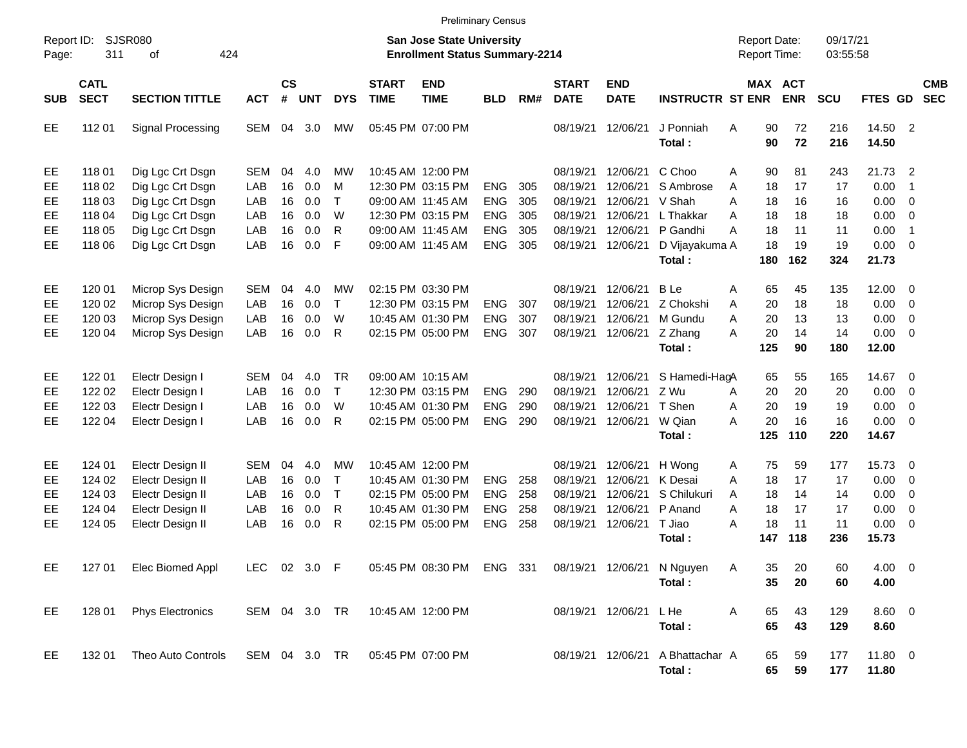|                                   |                                                          |                                                                                                                      |                                        |                                  |                                        |                                                   |                             | <b>Preliminary Census</b>                                                                                                  |                                                                    |                                 |                                                                      |                                                                      |                                                                          |                       |                                            |                                   |                                     |                                                        |                                                                                                  |                          |
|-----------------------------------|----------------------------------------------------------|----------------------------------------------------------------------------------------------------------------------|----------------------------------------|----------------------------------|----------------------------------------|---------------------------------------------------|-----------------------------|----------------------------------------------------------------------------------------------------------------------------|--------------------------------------------------------------------|---------------------------------|----------------------------------------------------------------------|----------------------------------------------------------------------|--------------------------------------------------------------------------|-----------------------|--------------------------------------------|-----------------------------------|-------------------------------------|--------------------------------------------------------|--------------------------------------------------------------------------------------------------|--------------------------|
| Report ID:<br>Page:               | 311                                                      | <b>SJSR080</b><br>424<br>οf                                                                                          |                                        |                                  |                                        |                                                   |                             | <b>San Jose State University</b><br><b>Enrollment Status Summary-2214</b>                                                  |                                                                    |                                 |                                                                      |                                                                      |                                                                          |                       | <b>Report Date:</b><br><b>Report Time:</b> |                                   | 09/17/21<br>03:55:58                |                                                        |                                                                                                  |                          |
| <b>SUB</b>                        | <b>CATL</b><br><b>SECT</b>                               | <b>SECTION TITTLE</b>                                                                                                | <b>ACT</b>                             | <b>CS</b><br>$\pmb{\#}$          | <b>UNT</b>                             | <b>DYS</b>                                        | <b>START</b><br><b>TIME</b> | <b>END</b><br><b>TIME</b>                                                                                                  | <b>BLD</b>                                                         | RM#                             | <b>START</b><br><b>DATE</b>                                          | <b>END</b><br><b>DATE</b>                                            | <b>INSTRUCTR ST ENR</b>                                                  |                       |                                            | MAX ACT<br><b>ENR</b>             | SCU                                 | FTES GD                                                |                                                                                                  | <b>CMB</b><br><b>SEC</b> |
| EE.                               | 112 01                                                   | Signal Processing                                                                                                    | SEM                                    | 04                               | 3.0                                    | MW                                                |                             | 05:45 PM 07:00 PM                                                                                                          |                                                                    |                                 | 08/19/21                                                             | 12/06/21                                                             | J Ponniah<br>Total:                                                      | A                     | 90<br>90                                   | 72<br>72                          | 216<br>216                          | 14.50 2<br>14.50                                       |                                                                                                  |                          |
| EE<br>EE<br>EE<br>EE<br>EE<br>EE. | 118 01<br>118 02<br>118 03<br>118 04<br>118 05<br>118 06 | Dig Lgc Crt Dsgn<br>Dig Lgc Crt Dsgn<br>Dig Lgc Crt Dsgn<br>Dig Lgc Crt Dsgn<br>Dig Lgc Crt Dsgn<br>Dig Lgc Crt Dsgn | SEM<br>LAB<br>LAB<br>LAB<br>LAB<br>LAB | 04<br>16<br>16<br>16<br>16<br>16 | 4.0<br>0.0<br>0.0<br>0.0<br>0.0<br>0.0 | <b>MW</b><br>M<br>$\top$<br>W<br>R<br>$\mathsf F$ |                             | 10:45 AM 12:00 PM<br>12:30 PM 03:15 PM<br>09:00 AM 11:45 AM<br>12:30 PM 03:15 PM<br>09:00 AM 11:45 AM<br>09:00 AM 11:45 AM | <b>ENG</b><br><b>ENG</b><br><b>ENG</b><br><b>ENG</b><br><b>ENG</b> | 305<br>305<br>305<br>305<br>305 | 08/19/21<br>08/19/21<br>08/19/21<br>08/19/21<br>08/19/21<br>08/19/21 | 12/06/21<br>12/06/21<br>12/06/21<br>12/06/21<br>12/06/21<br>12/06/21 | C Choo<br>S Ambrose<br>V Shah<br>L Thakkar<br>P Gandhi<br>D Vijayakuma A | A<br>A<br>A<br>A<br>A | 90<br>18<br>18<br>18<br>18<br>18           | 81<br>17<br>16<br>18<br>11<br>19  | 243<br>17<br>16<br>18<br>11<br>19   | 21.73 2<br>0.00<br>0.00<br>0.00<br>0.00<br>$0.00 \t 0$ | $\overline{1}$<br>$\overline{0}$<br>$\overline{0}$<br>$\overline{1}$                             |                          |
| EE<br>EE<br>EE<br>EE.             | 120 01<br>120 02<br>120 03<br>120 04                     | Microp Sys Design<br>Microp Sys Design<br>Microp Sys Design<br>Microp Sys Design                                     | SEM<br>LAB<br>LAB<br>LAB               | 04<br>16<br>16<br>16             | 4.0<br>0.0<br>0.0<br>0.0               | <b>MW</b><br>$\mathsf{T}$<br>W<br>R               |                             | 02:15 PM 03:30 PM<br>12:30 PM 03:15 PM<br>10:45 AM 01:30 PM<br>02:15 PM 05:00 PM                                           | <b>ENG</b><br><b>ENG</b><br><b>ENG</b>                             | 307<br>307<br>307               | 08/19/21<br>08/19/21<br>08/19/21<br>08/19/21                         | 12/06/21<br>12/06/21<br>12/06/21<br>12/06/21                         | Total:<br><b>B</b> Le<br>Z Chokshi<br>M Gundu<br>Z Zhang<br>Total:       | Α<br>A<br>A<br>A      | 180<br>65<br>20<br>20<br>20<br>125         | 162<br>45<br>18<br>13<br>14<br>90 | 324<br>135<br>18<br>13<br>14<br>180 | 21.73<br>12.00 0<br>0.00<br>0.00<br>0.00<br>12.00      | $\overline{0}$<br>$\overline{0}$<br>$\overline{0}$                                               |                          |
| EE<br>EE<br>EE<br>EE.             | 122 01<br>122 02<br>122 03<br>122 04                     | Electr Design I<br>Electr Design I<br>Electr Design I<br>Electr Design I                                             | <b>SEM</b><br>LAB<br>LAB<br>LAB        | 04<br>16<br>16<br>16             | 4.0<br>0.0<br>0.0<br>0.0               | <b>TR</b><br>$\mathsf{T}$<br>W<br>R               |                             | 09:00 AM 10:15 AM<br>12:30 PM 03:15 PM<br>10:45 AM 01:30 PM<br>02:15 PM 05:00 PM                                           | <b>ENG</b><br><b>ENG</b><br><b>ENG</b>                             | 290<br>290<br>290               | 08/19/21<br>08/19/21<br>08/19/21<br>08/19/21                         | 12/06/21<br>12/06/21<br>12/06/21<br>12/06/21                         | S Hamedi-HagA<br>Z Wu<br>T Shen<br>W Qian<br>Total:                      | A<br>A<br>A           | 65<br>20<br>20<br>20<br>125                | 55<br>20<br>19<br>16<br>110       | 165<br>20<br>19<br>16<br>220        | 14.67<br>0.00<br>0.00<br>0.00<br>14.67                 | $\overline{\phantom{0}}$<br>$\overline{0}$<br>$\overline{0}$<br>$\overline{0}$                   |                          |
| EE<br>EE<br>EE<br>EE<br>EE.       | 124 01<br>124 02<br>124 03<br>124 04<br>124 05           | Electr Design II<br>Electr Design II<br>Electr Design II<br>Electr Design II<br>Electr Design II                     | <b>SEM</b><br>LAB<br>LAB<br>LAB<br>LAB | 04<br>16<br>16<br>16<br>16       | 4.0<br>0.0<br>0.0<br>0.0<br>0.0        | <b>MW</b><br>$\top$<br>$\top$<br>R<br>R           |                             | 10:45 AM 12:00 PM<br>10:45 AM 01:30 PM<br>02:15 PM 05:00 PM<br>10:45 AM 01:30 PM<br>02:15 PM 05:00 PM                      | <b>ENG</b><br><b>ENG</b><br><b>ENG</b><br><b>ENG</b>               | 258<br>258<br>258<br>258        | 08/19/21<br>08/19/21<br>08/19/21<br>08/19/21<br>08/19/21             | 12/06/21<br>12/06/21<br>12/06/21<br>12/06/21<br>12/06/21             | H Wong<br>K Desai<br>S Chilukuri<br>P Anand<br>T Jiao<br>Total:          | Α<br>A<br>A<br>A<br>A | 75<br>18<br>18<br>18<br>18<br>147          | 59<br>17<br>14<br>17<br>11<br>118 | 177<br>17<br>14<br>17<br>11<br>236  | 15.73<br>0.00<br>0.00<br>0.00<br>0.00<br>15.73         | $\overline{\phantom{0}}$<br>$\overline{0}$<br>$\overline{0}$<br>$\overline{0}$<br>$\overline{0}$ |                          |
| EE                                |                                                          | 127 01 Elec Biomed Appl                                                                                              | LEC 02 3.0 F                           |                                  |                                        |                                                   |                             | 05:45 PM 08:30 PM ENG 331                                                                                                  |                                                                    |                                 |                                                                      |                                                                      | 08/19/21 12/06/21 N Nguyen<br>Total:                                     | Α                     | 35<br>35                                   | 20<br>20                          | 60<br>60                            | 4.00 0<br>4.00                                         |                                                                                                  |                          |
| EE                                | 128 01                                                   | <b>Phys Electronics</b>                                                                                              | SEM 04 3.0 TR                          |                                  |                                        |                                                   |                             | 10:45 AM 12:00 PM                                                                                                          |                                                                    |                                 |                                                                      | 08/19/21 12/06/21                                                    | L He<br>Total:                                                           | Α                     | 65<br>65                                   | 43<br>43                          | 129<br>129                          | 8.60 0<br>8.60                                         |                                                                                                  |                          |
| EE                                | 132 01                                                   | Theo Auto Controls                                                                                                   | SEM 04 3.0 TR                          |                                  |                                        |                                                   | 05:45 PM 07:00 PM           |                                                                                                                            |                                                                    |                                 |                                                                      |                                                                      | 08/19/21 12/06/21 A Bhattachar A<br>Total:                               |                       | 65<br>65                                   | 59<br>59                          | 177<br>177                          | 11.80 0<br>11.80                                       |                                                                                                  |                          |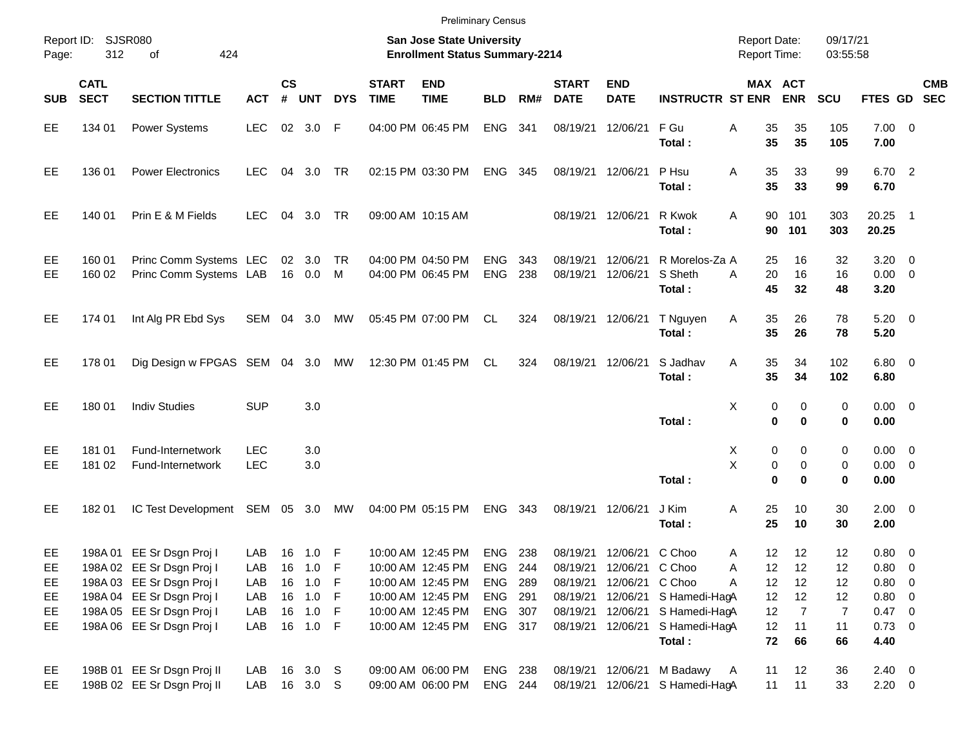|            |                            |                                                        |                          |                    |                   |            |                             | <b>Preliminary Census</b>                                                 |                          |            |                             |                             |                                     |                                            |                    |                      |                                    |                          |            |
|------------|----------------------------|--------------------------------------------------------|--------------------------|--------------------|-------------------|------------|-----------------------------|---------------------------------------------------------------------------|--------------------------|------------|-----------------------------|-----------------------------|-------------------------------------|--------------------------------------------|--------------------|----------------------|------------------------------------|--------------------------|------------|
| Page:      | Report ID: SJSR080<br>312  | 424<br>of                                              |                          |                    |                   |            |                             | <b>San Jose State University</b><br><b>Enrollment Status Summary-2214</b> |                          |            |                             |                             |                                     | <b>Report Date:</b><br><b>Report Time:</b> |                    | 09/17/21<br>03:55:58 |                                    |                          |            |
| <b>SUB</b> | <b>CATL</b><br><b>SECT</b> | <b>SECTION TITTLE</b>                                  | <b>ACT</b>               | $\mathsf{cs}$<br># | <b>UNT</b>        | <b>DYS</b> | <b>START</b><br><b>TIME</b> | <b>END</b><br><b>TIME</b>                                                 | <b>BLD</b>               | RM#        | <b>START</b><br><b>DATE</b> | <b>END</b><br><b>DATE</b>   | <b>INSTRUCTR ST ENR</b>             | MAX ACT                                    | <b>ENR</b>         | <b>SCU</b>           | FTES GD SEC                        |                          | <b>CMB</b> |
| EE         | 134 01                     | <b>Power Systems</b>                                   | <b>LEC</b>               |                    | 02 3.0            | F          |                             | 04:00 PM 06:45 PM                                                         | <b>ENG</b>               | 341        | 08/19/21                    | 12/06/21                    | F Gu<br>Total:                      | 35<br>Α<br>35                              | 35<br>35           | 105<br>105           | $7.00 \t 0$<br>7.00                |                          |            |
| EE         | 136 01                     | <b>Power Electronics</b>                               | <b>LEC</b>               | 04                 | 3.0               | <b>TR</b>  |                             | 02:15 PM 03:30 PM                                                         | <b>ENG</b>               | 345        | 08/19/21                    | 12/06/21                    | P Hsu<br>Total:                     | 35<br>Α<br>35                              | 33<br>33           | 99<br>99             | 6.70 2<br>6.70                     |                          |            |
| EE         | 140 01                     | Prin E & M Fields                                      | <b>LEC</b>               | 04                 | 3.0               | <b>TR</b>  |                             | 09:00 AM 10:15 AM                                                         |                          |            | 08/19/21                    | 12/06/21                    | R Kwok<br>Total:                    | 90<br>A<br>90                              | 101<br>101         | 303<br>303           | 20.25<br>20.25                     | $\overline{\phantom{1}}$ |            |
| EE<br>EE   | 160 01<br>160 02           | Princ Comm Systems LEC<br>Princ Comm Systems LAB       |                          |                    | 02 3.0<br>16 0.0  | TR<br>M    |                             | 04:00 PM 04:50 PM<br>04:00 PM 06:45 PM                                    | <b>ENG</b><br><b>ENG</b> | 343<br>238 | 08/19/21<br>08/19/21        | 12/06/21<br>12/06/21        | R Morelos-Za A<br>S Sheth<br>Total: | 25<br>20<br>A<br>45                        | 16<br>16<br>32     | 32<br>16<br>48       | $3.20 \ 0$<br>$0.00 \t 0$<br>3.20  |                          |            |
| EE         | 174 01                     | Int Alg PR Ebd Sys                                     | SEM 04 3.0               |                    |                   | MW         |                             | 05:45 PM 07:00 PM                                                         | CL                       | 324        | 08/19/21                    | 12/06/21                    | T Nguyen<br>Total:                  | 35<br>Α<br>35                              | 26<br>26           | 78<br>78             | $5.20 \ 0$<br>5.20                 |                          |            |
| EE         | 178 01                     | Dig Design w FPGAS SEM 04 3.0                          |                          |                    |                   | MW         |                             | 12:30 PM 01:45 PM                                                         | CL                       | 324        | 08/19/21                    | 12/06/21                    | S Jadhav<br>Total:                  | 35<br>A<br>35                              | 34<br>34           | 102<br>102           | $6.80$ 0<br>6.80                   |                          |            |
| EE         | 180 01                     | <b>Indiv Studies</b>                                   | <b>SUP</b>               |                    | 3.0               |            |                             |                                                                           |                          |            |                             |                             | Total:                              | X<br>0<br>$\bf{0}$                         | 0<br>$\bf{0}$      | 0<br>0               | $0.00 \t 0$<br>0.00                |                          |            |
| EE<br>EE   | 181 01<br>181 02           | Fund-Internetwork<br>Fund-Internetwork                 | <b>LEC</b><br><b>LEC</b> |                    | 3.0<br>3.0        |            |                             |                                                                           |                          |            |                             |                             | Total:                              | X<br>0<br>X<br>0<br>$\bf{0}$               | 0<br>0<br>$\bf{0}$ | 0<br>0<br>0          | $0.00 \t 0$<br>$0.00 \t 0$<br>0.00 |                          |            |
| EE         | 18201                      | IC Test Development                                    | SEM 05 3.0               |                    |                   | MW         |                             | 04:00 PM 05:15 PM                                                         | <b>ENG</b>               | 343        | 08/19/21                    | 12/06/21                    | J Kim<br>Total:                     | 25<br>Α<br>25                              | 10<br>10           | 30<br>30             | $2.00 \t 0$<br>2.00                |                          |            |
| EE<br>EE   |                            | 198A 01 EE Sr Dsgn Proj I<br>198A 02 EE Sr Dsgn Proj I | LAB<br>LAB               | 16                 | 16  1.0  F<br>1.0 | F          |                             | 10:00 AM 12:45 PM<br>10:00 AM 12:45 PM                                    | <b>ENG</b><br><b>ENG</b> | 238<br>244 | 08/19/21<br>08/19/21        | 12/06/21<br>12/06/21 C Choo | C Choo                              | 12<br>Α<br>Α<br>12                         | 12<br>12           | 12<br>12             | $0.80 \ 0$<br>$0.80 \t 0$          |                          |            |
| EE         |                            | 198A 03 EE Sr Dsgn Proj I                              | LAB                      |                    | 16 1.0            | - F        |                             | 10:00 AM 12:45 PM                                                         | ENG                      | - 289      | 08/19/21                    | 12/06/21 C Choo             |                                     | 12<br>Α                                    | 12                 | 12                   | 0.80 0                             |                          |            |
| EE         |                            | 198A 04 EE Sr Dsgn Proj I                              | LAB                      |                    | 16 1.0 F          |            |                             | 10:00 AM 12:45 PM                                                         | ENG 291                  |            | 08/19/21                    |                             | 12/06/21 S Hamedi-HagA              | 12                                         | 12                 | 12                   | 0.80 0                             |                          |            |
| EE         |                            | 198A 05 EE Sr Dsgn Proj I                              | LAB                      |                    | 16 1.0 F          |            |                             | 10:00 AM 12:45 PM                                                         | ENG 307                  |            | 08/19/21                    |                             | 12/06/21 S Hamedi-HagA              | 12                                         | $\overline{7}$     | 7                    | 0.47 0                             |                          |            |
| EE         |                            | 198A 06 EE Sr Dsgn Proj I                              | LAB                      |                    | 16 1.0 F          |            |                             | 10:00 AM 12:45 PM                                                         | ENG 317                  |            | 08/19/21                    |                             | 12/06/21 S Hamedi-HagA<br>Total:    | 12<br>72                                   | 11<br>66           | 11<br>66             | $0.73 \ 0$<br>4.40                 |                          |            |
| EE         |                            | 198B 01 EE Sr Dsgn Proj II                             | LAB                      |                    | 16 3.0 S          |            |                             | 09:00 AM 06:00 PM                                                         | ENG 238                  |            |                             | 08/19/21 12/06/21           | M Badawy                            | 11<br>A                                    | 12                 | 36                   | $2.40 \ 0$                         |                          |            |
| EE         |                            | 198B 02 EE Sr Dsgn Proj II                             | LAB                      |                    | 16 3.0 S          |            |                             | 09:00 AM 06:00 PM                                                         | ENG 244                  |            |                             |                             | 08/19/21 12/06/21 S Hamedi-HagA     | 11                                         | 11                 | 33                   | $2.20 \t 0$                        |                          |            |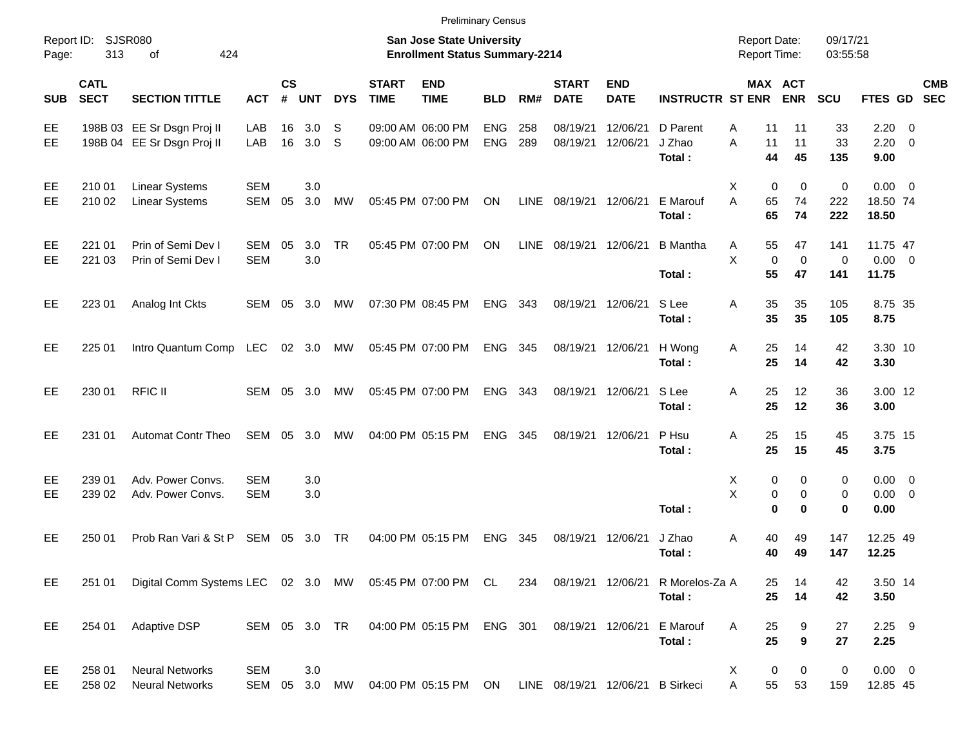|            |                            |                                                             |                          |                    |            |            |                             | <b>Preliminary Census</b>                                          |                          |            |                             |                                  |                              |                                            |                         |                           |                                    |            |
|------------|----------------------------|-------------------------------------------------------------|--------------------------|--------------------|------------|------------|-----------------------------|--------------------------------------------------------------------|--------------------------|------------|-----------------------------|----------------------------------|------------------------------|--------------------------------------------|-------------------------|---------------------------|------------------------------------|------------|
| Page:      | Report ID: SJSR080<br>313  | 424<br>of                                                   |                          |                    |            |            |                             | San Jose State University<br><b>Enrollment Status Summary-2214</b> |                          |            |                             |                                  |                              | <b>Report Date:</b><br><b>Report Time:</b> |                         | 09/17/21<br>03:55:58      |                                    |            |
| <b>SUB</b> | <b>CATL</b><br><b>SECT</b> | <b>SECTION TITTLE</b>                                       | <b>ACT</b>               | $\mathsf{cs}$<br># | <b>UNT</b> | <b>DYS</b> | <b>START</b><br><b>TIME</b> | <b>END</b><br><b>TIME</b>                                          | <b>BLD</b>               | RM#        | <b>START</b><br><b>DATE</b> | <b>END</b><br><b>DATE</b>        | <b>INSTRUCTR ST ENR</b>      | MAX ACT                                    | <b>ENR</b>              | SCU                       | FTES GD SEC                        | <b>CMB</b> |
| EE<br>EE.  |                            | 198B 03 EE Sr Dsgn Proj II<br>198B 04 EE Sr Dsgn Proj II    | LAB<br>LAB               | 16<br>16           | 3.0<br>3.0 | S<br>S     |                             | 09:00 AM 06:00 PM<br>09:00 AM 06:00 PM                             | <b>ENG</b><br><b>ENG</b> | 258<br>289 | 08/19/21<br>08/19/21        | 12/06/21<br>12/06/21             | D Parent<br>J Zhao<br>Total: | Α<br>11<br>A<br>11<br>44                   | 11<br>11<br>45          | 33<br>33<br>135           | 2.20<br>$2.20 \t 0$<br>9.00        | - 0        |
| EE<br>EE   | 210 01<br>210 02           | <b>Linear Systems</b><br><b>Linear Systems</b>              | <b>SEM</b><br>SEM        | 05                 | 3.0<br>3.0 | MW         |                             | 05:45 PM 07:00 PM                                                  | ON                       | LINE       | 08/19/21                    | 12/06/21                         | E Marouf<br>Total:           | X<br>0<br>A<br>65<br>65                    | 0<br>74<br>74           | 0<br>222<br>222           | $0.00 \t 0$<br>18.50 74<br>18.50   |            |
| EE<br>EE   | 221 01<br>221 03           | Prin of Semi Dev I<br>Prin of Semi Dev I                    | <b>SEM</b><br><b>SEM</b> | 05                 | 3.0<br>3.0 | <b>TR</b>  |                             | 05:45 PM 07:00 PM                                                  | ON                       | LINE       | 08/19/21                    | 12/06/21                         | <b>B</b> Mantha<br>Total:    | 55<br>Α<br>X<br>$\mathbf 0$<br>55          | 47<br>$\mathbf 0$<br>47 | 141<br>$\mathbf 0$<br>141 | 11.75 47<br>$0.00 \t 0$<br>11.75   |            |
| EE         | 223 01                     | Analog Int Ckts                                             | SEM 05                   |                    | 3.0        | MW         |                             | 07:30 PM 08:45 PM                                                  | <b>ENG</b>               | 343        | 08/19/21                    | 12/06/21                         | S Lee<br>Total:              | 35<br>Α<br>35                              | 35<br>35                | 105<br>105                | 8.75 35<br>8.75                    |            |
| EE         | 225 01                     | Intro Quantum Comp LEC                                      |                          |                    | 02 3.0     | MW         |                             | 05:45 PM 07:00 PM                                                  | <b>ENG</b>               | 345        | 08/19/21                    | 12/06/21                         | H Wong<br>Total:             | 25<br>Α<br>25                              | 14<br>14                | 42<br>42                  | 3.30 10<br>3.30                    |            |
| EE         | 230 01                     | <b>RFIC II</b>                                              | SEM                      | 05                 | 3.0        | MW         |                             | 05:45 PM 07:00 PM                                                  | <b>ENG</b>               | 343        | 08/19/21                    | 12/06/21                         | S Lee<br>Total:              | Α<br>25<br>25                              | 12<br>12                | 36<br>36                  | 3.00 12<br>3.00                    |            |
| EE         | 231 01                     | <b>Automat Contr Theo</b>                                   | SEM                      | 05                 | 3.0        | MW         |                             | 04:00 PM 05:15 PM                                                  | <b>ENG</b>               | 345        | 08/19/21                    | 12/06/21                         | P Hsu<br>Total:              | Α<br>25<br>25                              | 15<br>15                | 45<br>45                  | 3.75 15<br>3.75                    |            |
| EE<br>EE   | 239 01<br>239 02           | Adv. Power Convs.<br>Adv. Power Convs.                      | <b>SEM</b><br><b>SEM</b> |                    | 3.0<br>3.0 |            |                             |                                                                    |                          |            |                             |                                  | Total:                       | 0<br>Х<br>X<br>0<br>$\bf{0}$               | 0<br>0<br>$\bf{0}$      | 0<br>0<br>0               | $0.00 \t 0$<br>$0.00 \t 0$<br>0.00 |            |
| EE         | 250 01                     | Prob Ran Vari & St P                                        | SEM                      | 05                 | 3.0        | TR         |                             | 04:00 PM 05:15 PM                                                  | <b>ENG</b>               | 345        | 08/19/21                    | 12/06/21                         | J Zhao<br>Total:             | Α<br>40<br>40                              | 49<br>49                | 147<br>147                | 12.25 49<br>12.25                  |            |
| EE         | 251 01                     | Digital Comm Systems LEC 02 3.0 MW 05:45 PM 07:00 PM CL 234 |                          |                    |            |            |                             |                                                                    |                          |            |                             | 08/19/21 12/06/21                | R Morelos-Za A<br>Total:     | 25<br>25                                   | 14<br>14                | 42<br>42                  | 3.50 14<br>3.50                    |            |
| EE         | 254 01                     | Adaptive DSP                                                | SEM 05 3.0 TR            |                    |            |            |                             | 04:00 PM 05:15 PM ENG 301                                          |                          |            | 08/19/21 12/06/21           |                                  | E Marouf<br>Total:           | Α<br>25<br>25                              | 9<br>9                  | 27<br>27                  | $2.25$ 9<br>2.25                   |            |
| EE<br>EE   | 258 01<br>258 02           | <b>Neural Networks</b><br><b>Neural Networks</b>            | <b>SEM</b><br>SEM        | 05                 | 3.0<br>3.0 | MW         |                             | 04:00 PM 05:15 PM ON                                               |                          |            |                             | LINE 08/19/21 12/06/21 B Sirkeci |                              | 0<br>X<br>55<br>A                          | 0<br>53                 | 0<br>159                  | $0.00 \t 0$<br>12.85 45            |            |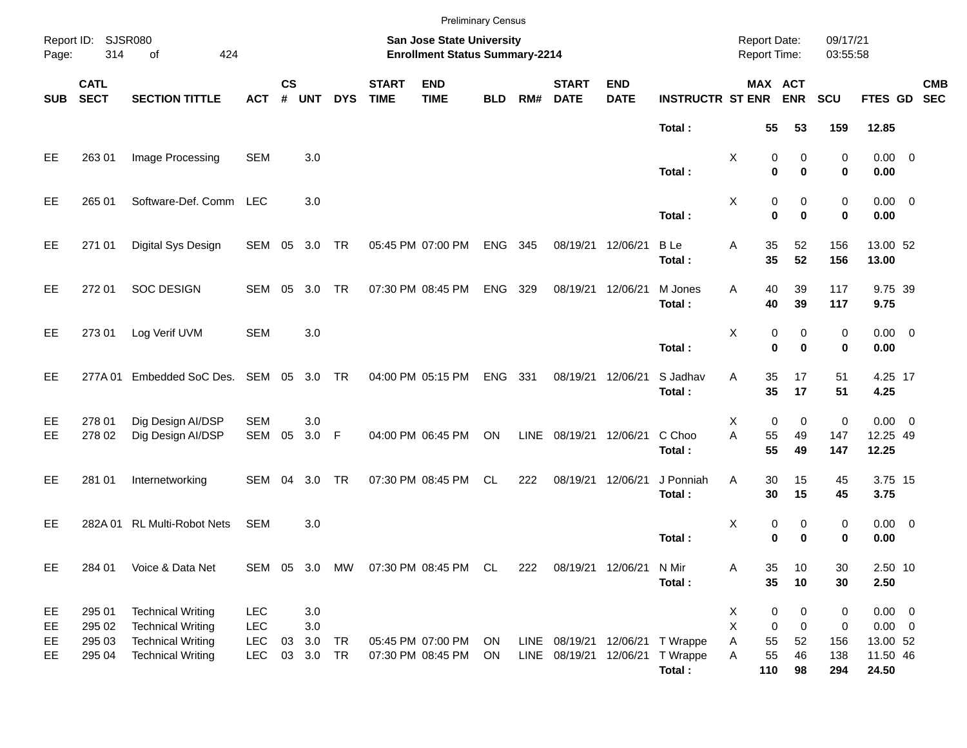|                      |                                      |                                                                                                              |                                                      |                    |                                 |            |                             | <b>Preliminary Census</b>                                          |            |      |                                |                           |                                         |                                            |                            |                                                         |                                                 |                            |            |
|----------------------|--------------------------------------|--------------------------------------------------------------------------------------------------------------|------------------------------------------------------|--------------------|---------------------------------|------------|-----------------------------|--------------------------------------------------------------------|------------|------|--------------------------------|---------------------------|-----------------------------------------|--------------------------------------------|----------------------------|---------------------------------------------------------|-------------------------------------------------|----------------------------|------------|
| Page:                | Report ID: SJSR080<br>314            | 424<br>of                                                                                                    |                                                      |                    |                                 |            |                             | San Jose State University<br><b>Enrollment Status Summary-2214</b> |            |      |                                |                           |                                         | <b>Report Date:</b><br><b>Report Time:</b> |                            |                                                         | 09/17/21<br>03:55:58                            |                            |            |
| <b>SUB</b>           | <b>CATL</b><br><b>SECT</b>           | <b>SECTION TITTLE</b>                                                                                        | <b>ACT</b>                                           | $\mathsf{cs}$<br># | <b>UNT</b>                      | <b>DYS</b> | <b>START</b><br><b>TIME</b> | <b>END</b><br><b>TIME</b>                                          | <b>BLD</b> | RM#  | <b>START</b><br><b>DATE</b>    | <b>END</b><br><b>DATE</b> | <b>INSTRUCTR ST ENR</b>                 |                                            | MAX ACT<br><b>ENR</b>      | SCU                                                     | FTES GD SEC                                     |                            | <b>CMB</b> |
|                      |                                      |                                                                                                              |                                                      |                    |                                 |            |                             |                                                                    |            |      |                                |                           | Total:                                  |                                            | 55                         | 53<br>159                                               | 12.85                                           |                            |            |
| EE                   | 263 01                               | Image Processing                                                                                             | <b>SEM</b>                                           |                    | 3.0                             |            |                             |                                                                    |            |      |                                |                           | Total:                                  | X                                          | 0<br>$\bf{0}$              | 0<br>$\bf{0}$                                           | 0<br>0<br>0.00                                  | $0.00 \t 0$                |            |
| EE                   | 265 01                               | Software-Def. Comm LEC                                                                                       |                                                      |                    | 3.0                             |            |                             |                                                                    |            |      |                                |                           | Total:                                  | Χ                                          | 0<br>$\mathbf{0}$          | 0<br>$\bf{0}$                                           | 0<br>$\mathbf 0$<br>0.00                        | $0.00 \t 0$                |            |
| EE                   | 271 01                               | Digital Sys Design                                                                                           | SEM 05                                               |                    | 3.0 TR                          |            |                             | 05:45 PM 07:00 PM                                                  | <b>ENG</b> | 345  | 08/19/21                       | 12/06/21                  | <b>B</b> Le<br>Total:                   | Α                                          | 35<br>35                   | 156<br>52<br>52<br>156                                  | 13.00 52<br>13.00                               |                            |            |
| EE                   | 272 01                               | <b>SOC DESIGN</b>                                                                                            | SEM                                                  | 05                 | 3.0                             | <b>TR</b>  |                             | 07:30 PM 08:45 PM                                                  | <b>ENG</b> | 329  | 08/19/21                       | 12/06/21                  | M Jones<br>Total:                       | Α                                          | 40<br>40                   | 39<br>117<br>39<br>117                                  | 9.75                                            | 9.75 39                    |            |
| EE                   | 273 01                               | Log Verif UVM                                                                                                | <b>SEM</b>                                           |                    | 3.0                             |            |                             |                                                                    |            |      |                                |                           | Total:                                  | X                                          | 0<br>$\bf{0}$              | 0<br>$\bf{0}$                                           | 0<br>0<br>0.00                                  | $0.00 \t 0$                |            |
| EE                   | 277A 01                              | Embedded SoC Des. SEM 05                                                                                     |                                                      |                    | 3.0                             | <b>TR</b>  |                             | 04:00 PM 05:15 PM                                                  | <b>ENG</b> | 331  | 08/19/21                       | 12/06/21                  | S Jadhav<br>Total:                      | Α                                          | 35<br>35                   | 17<br>51<br>17<br>51                                    | 4.25                                            | 4.25 17                    |            |
| EE<br>EE             | 278 01<br>278 02                     | Dig Design AI/DSP<br>Dig Design AI/DSP                                                                       | <b>SEM</b><br>SEM                                    | 05                 | 3.0<br>3.0 F                    |            |                             | 04:00 PM 06:45 PM                                                  | ON         | LINE | 08/19/21                       | 12/06/21                  | C Choo<br>Total:                        | X<br>A                                     | 0<br>55<br>55              | 0<br>49<br>147<br>49<br>147                             | $\pmb{0}$<br>12.25 49<br>12.25                  | $0.00 \t 0$                |            |
| EE                   | 281 01                               | Internetworking                                                                                              | SEM 04                                               |                    | 3.0                             | <b>TR</b>  |                             | 07:30 PM 08:45 PM                                                  | CL.        | 222  | 08/19/21                       | 12/06/21                  | J Ponniah<br>Total:                     | A                                          | 30<br>30                   | 15<br>45<br>15<br>45                                    | 3.75                                            | 3.75 15                    |            |
| EE                   |                                      | 282A 01 RL Multi-Robot Nets                                                                                  | <b>SEM</b>                                           |                    | 3.0                             |            |                             |                                                                    |            |      |                                |                           | Total:                                  | х                                          | 0<br>0                     | 0<br>$\bf{0}$                                           | 0<br>0<br>0.00                                  | $0.00 \t 0$                |            |
| EE                   | 284 01                               | Voice & Data Net                                                                                             |                                                      |                    |                                 |            |                             | SEM 05 3.0 MW 07:30 PM 08:45 PM CL                                 |            | 222  |                                | 08/19/21 12/06/21         | N Mir<br>Total:                         | Α                                          | 35<br>35                   | 10<br>30<br>10<br>30                                    | 2.50                                            | 2.50 10                    |            |
| EE<br>EE<br>EE<br>EE | 295 01<br>295 02<br>295 03<br>295 04 | <b>Technical Writing</b><br><b>Technical Writing</b><br><b>Technical Writing</b><br><b>Technical Writing</b> | <b>LEC</b><br><b>LEC</b><br><b>LEC</b><br><b>LEC</b> | 03<br>03           | 3.0<br>$3.0\,$<br>3.0<br>3.0 TR | TR         |                             | 05:45 PM 07:00 PM<br>07:30 PM 08:45 PM                             | ON<br>ON   |      | LINE 08/19/21<br>LINE 08/19/21 | 12/06/21                  | 12/06/21 T Wrappe<br>T Wrappe<br>Total: | X<br>X<br>Α<br>A<br>110                    | $\pmb{0}$<br>0<br>55<br>55 | 0<br>$\mathbf 0$<br>52<br>156<br>46<br>138<br>98<br>294 | $\pmb{0}$<br>0<br>13.00 52<br>11.50 46<br>24.50 | $0.00 \t 0$<br>$0.00 \t 0$ |            |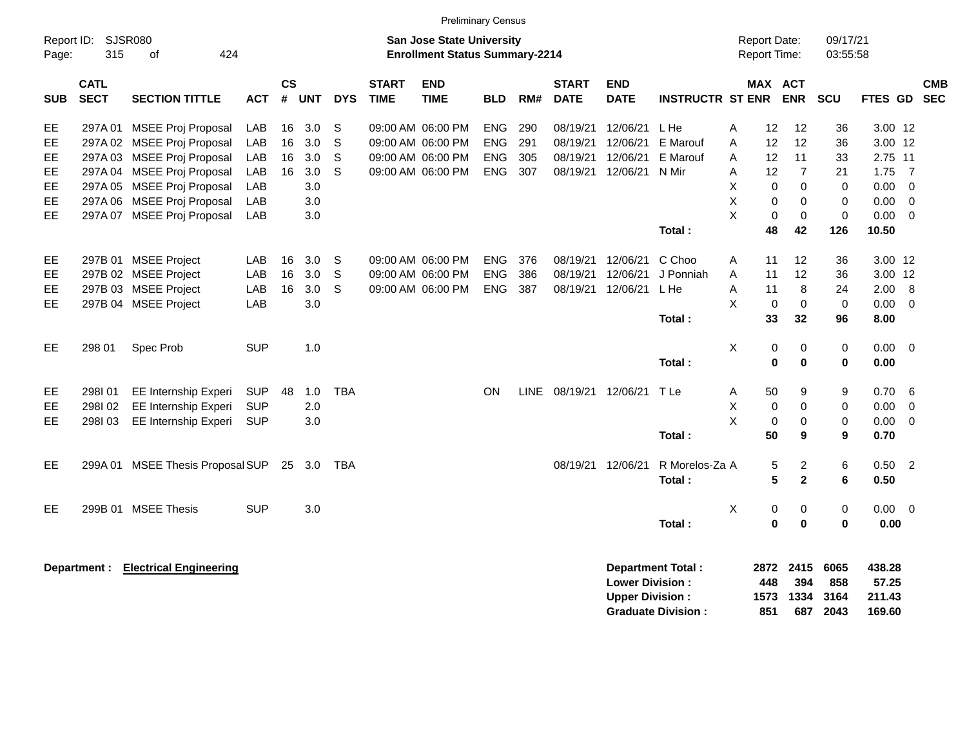|                     |                            |                                           |            |                   |            |            |                             | <b>Preliminary Census</b>                                                 |            |     |                             |                                                  |                           |                                            |                     |                         |                      |                           |                          |                          |
|---------------------|----------------------------|-------------------------------------------|------------|-------------------|------------|------------|-----------------------------|---------------------------------------------------------------------------|------------|-----|-----------------------------|--------------------------------------------------|---------------------------|--------------------------------------------|---------------------|-------------------------|----------------------|---------------------------|--------------------------|--------------------------|
| Report ID:<br>Page: | 315                        | SJSR080<br>424<br>of                      |            |                   |            |            |                             | <b>San Jose State University</b><br><b>Enrollment Status Summary-2214</b> |            |     |                             |                                                  |                           | <b>Report Date:</b><br><b>Report Time:</b> |                     |                         | 09/17/21<br>03:55:58 |                           |                          |                          |
| <b>SUB</b>          | <b>CATL</b><br><b>SECT</b> | <b>SECTION TITTLE</b>                     | ACT        | <b>CS</b><br>$\#$ | <b>UNT</b> | <b>DYS</b> | <b>START</b><br><b>TIME</b> | <b>END</b><br><b>TIME</b>                                                 | <b>BLD</b> | RM# | <b>START</b><br><b>DATE</b> | END<br><b>DATE</b>                               | <b>INSTRUCTR ST ENR</b>   |                                            |                     | MAX ACT<br><b>ENR</b>   | <b>SCU</b>           | FTES GD                   |                          | <b>CMB</b><br><b>SEC</b> |
| EE                  | 297A 01                    | <b>MSEE Proj Proposal</b>                 | LAB        | 16                | 3.0        | S          |                             | 09:00 AM 06:00 PM                                                         | <b>ENG</b> | 290 | 08/19/21                    | 12/06/21                                         | L He                      | A                                          | 12                  | 12                      | 36                   | 3.00 12                   |                          |                          |
| EE                  |                            | 297A 02 MSEE Proj Proposal                | LAB        | 16                | 3.0        | S          |                             | 09:00 AM 06:00 PM                                                         | <b>ENG</b> | 291 | 08/19/21                    | 12/06/21                                         | E Marouf                  | A                                          | 12                  | 12                      | 36                   | 3.00 12                   |                          |                          |
| EE                  |                            | 297A 03 MSEE Proj Proposal                | LAB        | 16                | 3.0        | S          |                             | 09:00 AM 06:00 PM                                                         | <b>ENG</b> | 305 | 08/19/21                    | 12/06/21                                         | E Marouf                  | A                                          | 12                  | 11                      | 33                   | 2.75 11                   |                          |                          |
| EE                  |                            | 297A 04 MSEE Proj Proposal                | <b>LAB</b> | 16                | 3.0        | S          |                             | 09:00 AM 06:00 PM                                                         | ENG        | 307 | 08/19/21                    | 12/06/21                                         | N Mir                     | A                                          | 12                  | $\overline{7}$          | 21                   | 1.75                      | $\overline{7}$           |                          |
| EE                  |                            | 297A 05 MSEE Proj Proposal                | LAB        |                   | 3.0        |            |                             |                                                                           |            |     |                             |                                                  |                           | X                                          | $\mathbf 0$         | $\Omega$                | 0                    | 0.00                      | $\overline{0}$           |                          |
| EE                  |                            | 297A 06 MSEE Proj Proposal                | LAB        |                   | 3.0        |            |                             |                                                                           |            |     |                             |                                                  |                           | X                                          | 0                   | $\mathbf 0$             | $\mathbf 0$          | 0.00                      | $\overline{0}$           |                          |
| <b>EE</b>           |                            | 297A 07 MSEE Proj Proposal                | <b>LAB</b> |                   | 3.0        |            |                             |                                                                           |            |     |                             |                                                  |                           | X                                          | 0                   | $\mathbf 0$             | $\mathbf 0$          | 0.00                      | 0                        |                          |
|                     |                            |                                           |            |                   |            |            |                             |                                                                           |            |     |                             |                                                  | Total:                    |                                            | 48                  | 42                      | 126                  | 10.50                     |                          |                          |
| EE                  |                            | 297B 01 MSEE Project                      | LAB        | 16                | 3.0        | S          |                             | 09:00 AM 06:00 PM                                                         | <b>ENG</b> | 376 |                             | 08/19/21 12/06/21                                | C Choo                    | A                                          | 11                  | 12                      | 36                   | 3.00 12                   |                          |                          |
| EE                  |                            | 297B 02 MSEE Project                      | <b>LAB</b> | 16                | 3.0        | S          |                             | 09:00 AM 06:00 PM                                                         | <b>ENG</b> | 386 | 08/19/21                    | 12/06/21                                         | J Ponniah                 | A                                          | 11                  | 12                      | 36                   | 3.00 12                   |                          |                          |
| EE                  |                            | 297B 03 MSEE Project                      | LAB        | 16                | 3.0        | S          |                             | 09:00 AM 06:00 PM                                                         | ENG        | 387 |                             | 08/19/21 12/06/21                                | L He                      | Α                                          | 11                  | 8                       | 24                   | 2.00                      | 8                        |                          |
| <b>EE</b>           |                            | 297B 04 MSEE Project                      | LAB        |                   | 3.0        |            |                             |                                                                           |            |     |                             |                                                  |                           | X                                          | 0                   | $\mathbf 0$             | $\mathbf 0$          | 0.00                      | 0                        |                          |
|                     |                            |                                           |            |                   |            |            |                             |                                                                           |            |     |                             |                                                  | Total:                    |                                            | 33                  | 32                      | 96                   | 8.00                      |                          |                          |
| EE                  | 298 01                     | Spec Prob                                 | <b>SUP</b> |                   | 1.0        |            |                             |                                                                           |            |     |                             |                                                  |                           | X                                          | 0                   | $\mathbf 0$             | 0                    | 0.00 <sub>1</sub>         | - 0                      |                          |
|                     |                            |                                           |            |                   |            |            |                             |                                                                           |            |     |                             |                                                  | Total:                    |                                            | $\bf{0}$            | $\mathbf 0$             | $\bf{0}$             | 0.00                      |                          |                          |
| EE                  | 298I01                     | EE Internship Experi                      | <b>SUP</b> | 48                | 1.0        | TBA        |                             |                                                                           | <b>ON</b>  |     | LINE 08/19/21 12/06/21      |                                                  | T Le                      | Α                                          | 50                  | 9                       | 9                    | 0.70                      | 6                        |                          |
| EE                  | 298I02                     | EE Internship Experi                      | <b>SUP</b> |                   | 2.0        |            |                             |                                                                           |            |     |                             |                                                  |                           | X                                          | 0                   | 0                       | 0                    | 0.00                      | $\overline{0}$           |                          |
| EE                  | 298I 03                    | EE Internship Experi                      | <b>SUP</b> |                   | 3.0        |            |                             |                                                                           |            |     |                             |                                                  |                           | X                                          | 0                   | $\mathbf 0$             | $\mathbf 0$          | 0.00                      | 0                        |                          |
|                     |                            |                                           |            |                   |            |            |                             |                                                                           |            |     |                             |                                                  | Total:                    |                                            | 50                  | 9                       | 9                    | 0.70                      |                          |                          |
| EE                  |                            | 299A 01 MSEE Thesis Proposal SUP          |            | 25                | - 3.0      | TBA        |                             |                                                                           |            |     | 08/19/21 12/06/21           |                                                  | R Morelos-Za A            |                                            | 5                   | $\overline{c}$          | 6                    | 0.50                      | $\overline{2}$           |                          |
|                     |                            |                                           |            |                   |            |            |                             |                                                                           |            |     |                             |                                                  | Total:                    |                                            | 5                   | $\overline{\mathbf{2}}$ | 6                    | 0.50                      |                          |                          |
| EE                  |                            | 299B 01 MSEE Thesis                       | <b>SUP</b> |                   | 3.0        |            |                             |                                                                           |            |     |                             |                                                  |                           | X                                          | 0                   | 0                       | 0                    | 0.00                      | $\overline{\phantom{0}}$ |                          |
|                     |                            |                                           |            |                   |            |            |                             |                                                                           |            |     |                             |                                                  | Total:                    |                                            | $\bf{0}$            | $\mathbf 0$             | $\bf{0}$             | 0.00                      |                          |                          |
|                     |                            | <b>Department: Electrical Engineering</b> |            |                   |            |            |                             |                                                                           |            |     |                             | <b>Lower Division:</b><br><b>Upper Division:</b> | <b>Department Total:</b>  |                                            | 2872<br>448<br>1573 | 2415<br>394<br>1334     | 6065<br>858<br>3164  | 438.28<br>57.25<br>211.43 |                          |                          |
|                     |                            |                                           |            |                   |            |            |                             |                                                                           |            |     |                             |                                                  | <b>Graduate Division:</b> |                                            | 851                 | 687                     | 2043                 | 169.60                    |                          |                          |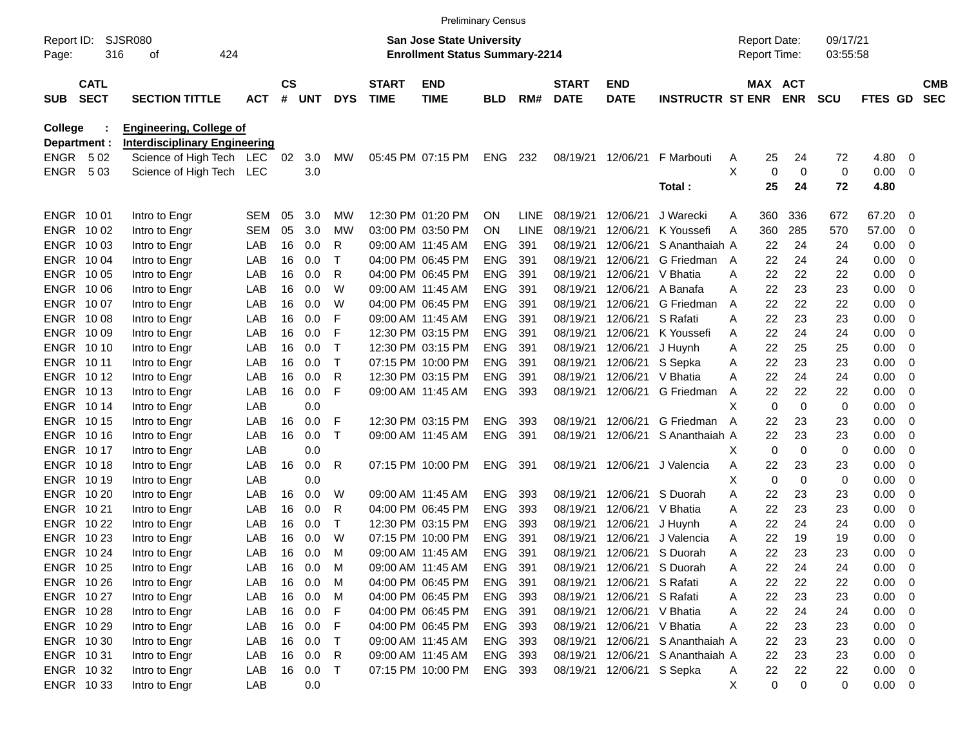|                     |                            |                                      |            |                |            |              |                             | <b>Preliminary Census</b>                                                 |            |             |                             |                           |                         |                                            |                        |                      |              |     |                          |
|---------------------|----------------------------|--------------------------------------|------------|----------------|------------|--------------|-----------------------------|---------------------------------------------------------------------------|------------|-------------|-----------------------------|---------------------------|-------------------------|--------------------------------------------|------------------------|----------------------|--------------|-----|--------------------------|
| Report ID:<br>Page: |                            | <b>SJSR080</b><br>316<br>424<br>οf   |            |                |            |              |                             | <b>San Jose State University</b><br><b>Enrollment Status Summary-2214</b> |            |             |                             |                           |                         | <b>Report Date:</b><br><b>Report Time:</b> |                        | 09/17/21<br>03:55:58 |              |     |                          |
| <b>SUB</b>          | <b>CATL</b><br><b>SECT</b> | <b>SECTION TITTLE</b>                | <b>ACT</b> | <b>CS</b><br># | <b>UNT</b> | <b>DYS</b>   | <b>START</b><br><b>TIME</b> | <b>END</b><br><b>TIME</b>                                                 | <b>BLD</b> | RM#         | <b>START</b><br><b>DATE</b> | <b>END</b><br><b>DATE</b> | <b>INSTRUCTR ST ENR</b> |                                            | MAX ACT<br><b>ENR</b>  | <b>SCU</b>           | FTES GD      |     | <b>CMB</b><br><b>SEC</b> |
| College             |                            | <b>Engineering, College of</b>       |            |                |            |              |                             |                                                                           |            |             |                             |                           |                         |                                            |                        |                      |              |     |                          |
| Department :        |                            | <b>Interdisciplinary Engineering</b> |            |                |            |              |                             |                                                                           |            |             |                             |                           |                         |                                            |                        |                      |              |     |                          |
| <b>ENGR</b>         | 502                        | Science of High Tech LEC             |            | 02             | 3.0        | МW           |                             | 05:45 PM 07:15 PM                                                         | ENG        | 232         | 08/19/21                    | 12/06/21                  | F Marbouti              | 25<br>Α                                    | 24                     | 72                   | 4.80         | 0   |                          |
| <b>ENGR</b>         | 503                        | Science of High Tech LEC             |            |                | 3.0        |              |                             |                                                                           |            |             |                             |                           | Total:                  | X<br>25                                    | 0<br>$\mathbf 0$<br>24 | 0<br>72              | 0.00<br>4.80 | 0   |                          |
| ENGR 1001           |                            | Intro to Engr                        | SEM        | 05             | 3.0        | МW           |                             | 12:30 PM 01:20 PM                                                         | <b>ON</b>  | LINE.       | 08/19/21                    | 12/06/21                  | J Warecki               | 360<br>Α                                   | 336                    | 672                  | 67.20        | 0   |                          |
| ENGR 1002           |                            | Intro to Engr                        | <b>SEM</b> | 05             | 3.0        | МW           |                             | 03:00 PM 03:50 PM                                                         | ON         | <b>LINE</b> | 08/19/21                    | 12/06/21                  | K Youssefi              | 360<br>Α                                   | 285                    | 570                  | 57.00        | 0   |                          |
| ENGR 1003           |                            | Intro to Engr                        | LAB        | 16             | 0.0        | R            |                             | 09:00 AM 11:45 AM                                                         | <b>ENG</b> | 391         | 08/19/21                    | 12/06/21                  | S Ananthaiah A          | 22                                         | 24                     | 24                   | 0.00         | 0   |                          |
| ENGR 1004           |                            | Intro to Engr                        | LAB        | 16             | 0.0        | Т            |                             | 04:00 PM 06:45 PM                                                         | <b>ENG</b> | 391         | 08/19/21                    | 12/06/21                  | G Friedman              | 22<br>A                                    | 24                     | 24                   | 0.00         | 0   |                          |
| ENGR 1005           |                            | Intro to Engr                        | LAB        | 16             | 0.0        | R            |                             | 04:00 PM 06:45 PM                                                         | <b>ENG</b> | 391         | 08/19/21                    | 12/06/21                  | V Bhatia                | 22<br>Α                                    | 22                     | 22                   | 0.00         | 0   |                          |
| ENGR 1006           |                            | Intro to Engr                        | LAB        | 16             | 0.0        | W            |                             | 09:00 AM 11:45 AM                                                         | <b>ENG</b> | 391         | 08/19/21                    | 12/06/21                  | A Banafa                | 22<br>Α                                    | 23                     | 23                   | 0.00         | 0   |                          |
| ENGR 1007           |                            | Intro to Engr                        | LAB        | 16             | 0.0        | W            |                             | 04:00 PM 06:45 PM                                                         | <b>ENG</b> | 391         | 08/19/21                    | 12/06/21                  | G Friedman              | 22<br>A                                    | 22                     | 22                   | 0.00         | 0   |                          |
| ENGR 1008           |                            | Intro to Engr                        | LAB        | 16             | 0.0        | F            |                             | 09:00 AM 11:45 AM                                                         | <b>ENG</b> | 391         | 08/19/21                    | 12/06/21                  | S Rafati                | 22<br>A                                    | 23                     | 23                   | 0.00         | 0   |                          |
| ENGR 10 09          |                            | Intro to Engr                        | LAB        | 16             | 0.0        | F            |                             | 12:30 PM 03:15 PM                                                         | <b>ENG</b> | 391         | 08/19/21                    | 12/06/21                  | K Youssefi              | 22<br>Α                                    | 24                     | 24                   | 0.00         | 0   |                          |
| ENGR 1010           |                            | Intro to Engr                        | LAB        | 16             | 0.0        | $\top$       |                             | 12:30 PM 03:15 PM                                                         | <b>ENG</b> | 391         | 08/19/21                    | 12/06/21                  | J Huynh                 | 22<br>Α                                    | 25                     | 25                   | 0.00         | 0   |                          |
| ENGR 1011           |                            | Intro to Engr                        | LAB        | 16             | 0.0        | $\mathsf T$  |                             | 07:15 PM 10:00 PM                                                         | ENG        | 391         | 08/19/21                    | 12/06/21                  | S Sepka                 | 22<br>Α                                    | 23                     | 23                   | 0.00         | 0   |                          |
| ENGR 1012           |                            | Intro to Engr                        | LAB        | 16             | 0.0        | R            |                             | 12:30 PM 03:15 PM                                                         | <b>ENG</b> | 391         | 08/19/21                    | 12/06/21                  | V Bhatia                | 22<br>Α                                    | 24                     | 24                   | 0.00         | 0   |                          |
| ENGR 1013           |                            | Intro to Engr                        | LAB        | 16             | 0.0        | F            |                             | 09:00 AM 11:45 AM                                                         | <b>ENG</b> | 393         | 08/19/21                    | 12/06/21                  | G Friedman              | 22<br>Α                                    | 22                     | 22                   | 0.00         | 0   |                          |
| ENGR 1014           |                            | Intro to Engr                        | LAB        |                | 0.0        |              |                             |                                                                           |            |             |                             |                           |                         | X                                          | 0<br>0                 | 0                    | 0.00         | 0   |                          |
| <b>ENGR 1015</b>    |                            | Intro to Engr                        | LAB        | 16             | 0.0        | F            |                             | 12:30 PM 03:15 PM                                                         | <b>ENG</b> | 393         | 08/19/21                    | 12/06/21                  | G Friedman              | 22<br>A                                    | 23                     | 23                   | 0.00         | 0   |                          |
| <b>ENGR 1016</b>    |                            | Intro to Engr                        | LAB        | 16             | 0.0        | $\mathsf{T}$ |                             | 09:00 AM 11:45 AM                                                         | <b>ENG</b> | 391         | 08/19/21                    | 12/06/21                  | S Ananthaiah A          | 22                                         | 23                     | 23                   | 0.00         | 0   |                          |
| ENGR 1017           |                            | Intro to Engr                        | LAB        |                | 0.0        |              |                             |                                                                           |            |             |                             |                           |                         | х                                          | 0<br>0                 | 0                    | 0.00         | 0   |                          |
| <b>ENGR 1018</b>    |                            | Intro to Engr                        | LAB        | 16             | 0.0        | R            |                             | 07:15 PM 10:00 PM                                                         | <b>ENG</b> | 391         | 08/19/21                    | 12/06/21                  | J Valencia              | 22<br>Α                                    | 23                     | 23                   | 0.00         | 0   |                          |
| ENGR 1019           |                            | Intro to Engr                        | LAB        |                | 0.0        |              |                             |                                                                           |            |             |                             |                           |                         | Χ                                          | 0<br>0                 | 0                    | 0.00         | 0   |                          |
| ENGR 10 20          |                            | Intro to Engr                        | LAB        | 16             | 0.0        | W            |                             | 09:00 AM 11:45 AM                                                         | <b>ENG</b> | 393         | 08/19/21                    | 12/06/21                  | S Duorah                | Α<br>22                                    | 23                     | 23                   | 0.00         | 0   |                          |
| <b>ENGR 1021</b>    |                            | Intro to Engr                        | LAB        | 16             | 0.0        | R            |                             | 04:00 PM 06:45 PM                                                         | <b>ENG</b> | 393         | 08/19/21                    | 12/06/21                  | V Bhatia                | 22<br>Α                                    | 23                     | 23                   | 0.00         | 0   |                          |
| ENGR 1022           |                            | Intro to Engr                        | LAB        | 16             | 0.0        | т            |                             | 12:30 PM 03:15 PM                                                         | ENG        | 393         | 08/19/21                    | 12/06/21                  | J Huynh                 | 22<br>Α                                    | 24                     | 24                   | 0.00         | 0   |                          |
| ENGR 10 23          |                            | Intro to Engr                        | LAB        | 16             | 0.0        | W            |                             | 07:15 PM 10:00 PM                                                         | <b>ENG</b> | 391         | 08/19/21                    | 12/06/21                  | J Valencia              | 22<br>A                                    | 19                     | 19                   | 0.00         | 0   |                          |
| ENGR 1024           |                            | Intro to Engr                        | LAB        | 16             | 0.0        | M            |                             | 09:00 AM 11:45 AM                                                         | <b>ENG</b> | 391         | 08/19/21                    | 12/06/21                  | S Duorah                | 22<br>A                                    | 23                     | 23                   | 0.00         | 0   |                          |
| ENGR 10 25          |                            | Intro to Engr                        | LAB        | 16             | 0.0        | M            |                             | 09:00 AM 11:45 AM                                                         | <b>ENG</b> | 391         | 08/19/21                    |                           | 12/06/21 S Duorah       | 22<br>A                                    | 24                     | 24                   | 0.00         | 0   |                          |
| ENGR 10 26          |                            | Intro to Engr                        | LAB        | 16             | 0.0        | M            |                             | 04:00 PM 06:45 PM                                                         | <b>ENG</b> | 391         | 08/19/21                    | 12/06/21 S Rafati         |                         | 22<br>A                                    | 22                     | 22                   | 0.00         | 0   |                          |
| ENGR 1027           |                            | Intro to Engr                        | LAB        |                | 16 0.0     | M            |                             | 04:00 PM 06:45 PM                                                         | ENG        | 393         | 08/19/21                    | 12/06/21                  | S Rafati                | 22<br>A                                    | 23                     | 23                   | 0.00         | - 0 |                          |
| ENGR 10 28          |                            | Intro to Engr                        | LAB        | 16             | 0.0        | F            |                             | 04:00 PM 06:45 PM                                                         | ENG        | 391         | 08/19/21                    | 12/06/21 V Bhatia         |                         | 22<br>A                                    | 24                     | 24                   | 0.00         | - 0 |                          |
| ENGR 10 29          |                            | Intro to Engr                        | LAB        | 16             | 0.0        | F            |                             | 04:00 PM 06:45 PM                                                         | ENG        | 393         | 08/19/21                    | 12/06/21 V Bhatia         |                         | 22<br>Α                                    | 23                     | 23                   | 0.00         | - 0 |                          |
| ENGR 1030           |                            | Intro to Engr                        | LAB        | 16             | 0.0        | $\mathsf{T}$ |                             | 09:00 AM 11:45 AM                                                         | ENG        | 393         | 08/19/21                    | 12/06/21                  | S Ananthaiah A          | 22                                         | 23                     | 23                   | 0.00         | - 0 |                          |
| ENGR 1031           |                            | Intro to Engr                        | LAB        |                | 16 0.0     | R            |                             | 09:00 AM 11:45 AM                                                         | ENG        | 393         | 08/19/21                    | 12/06/21                  | S Ananthaiah A          | 22                                         | 23                     | 23                   | 0.00         | - 0 |                          |
| ENGR 1032           |                            | Intro to Engr                        | LAB        |                | 16 0.0     | $\top$       |                             | 07:15 PM 10:00 PM                                                         | ENG 393    |             | 08/19/21                    | 12/06/21 S Sepka          |                         | 22<br>A                                    | 22                     | 22                   | $0.00 \t 0$  |     |                          |
| ENGR 1033           |                            | Intro to Engr                        | LAB        |                | 0.0        |              |                             |                                                                           |            |             |                             |                           |                         | X                                          | 0<br>0                 | 0                    | $0.00 \t 0$  |     |                          |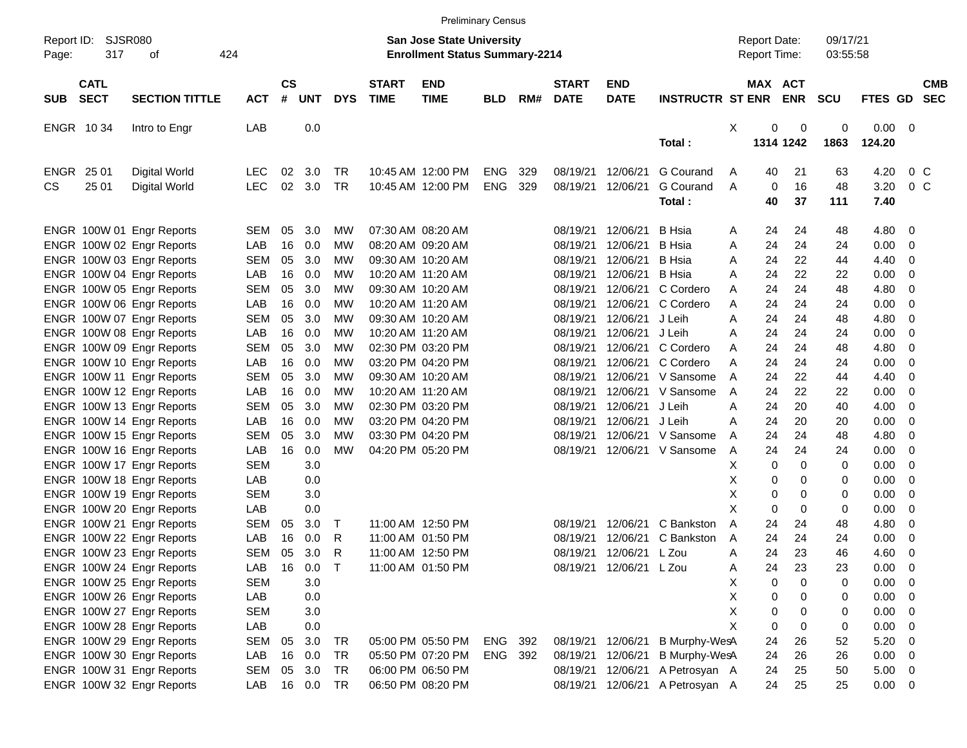|                                          |                             |            |                |            |             |                             |                                                                           | <b>Preliminary Census</b> |     |                             |                           |                         |   |                                     |            |                      |             |                          |            |
|------------------------------------------|-----------------------------|------------|----------------|------------|-------------|-----------------------------|---------------------------------------------------------------------------|---------------------------|-----|-----------------------------|---------------------------|-------------------------|---|-------------------------------------|------------|----------------------|-------------|--------------------------|------------|
| Report ID:<br>317<br>Page:               | <b>SJSR080</b><br>424<br>оf |            |                |            |             |                             | <b>San Jose State University</b><br><b>Enrollment Status Summary-2214</b> |                           |     |                             |                           |                         |   | <b>Report Date:</b><br>Report Time: |            | 09/17/21<br>03:55:58 |             |                          |            |
| <b>CATL</b><br><b>SECT</b><br><b>SUB</b> | <b>SECTION TITTLE</b>       | <b>ACT</b> | <b>CS</b><br># | <b>UNT</b> | <b>DYS</b>  | <b>START</b><br><b>TIME</b> | <b>END</b><br><b>TIME</b>                                                 | <b>BLD</b>                | RM# | <b>START</b><br><b>DATE</b> | <b>END</b><br><b>DATE</b> | <b>INSTRUCTR ST ENR</b> |   | MAX ACT                             | <b>ENR</b> | <b>SCU</b>           | FTES GD SEC |                          | <b>CMB</b> |
| ENGR 1034                                | Intro to Engr               | LAB        |                | 0.0        |             |                             |                                                                           |                           |     |                             |                           |                         | X | 0                                   | 0          | 0                    | 0.00        | $\overline{\phantom{0}}$ |            |
|                                          |                             |            |                |            |             |                             |                                                                           |                           |     |                             |                           | Total:                  |   |                                     | 1314 1242  | 1863                 | 124.20      |                          |            |
| ENGR<br>25 01                            | Digital World               | <b>LEC</b> | 02             | 3.0        | TR          |                             | 10:45 AM 12:00 PM                                                         | <b>ENG</b>                | 329 | 08/19/21                    | 12/06/21                  | G Courand               | Α | 40                                  | 21         | 63                   | 4.20        | 0 <sup>o</sup>           |            |
| CS.<br>25 01                             | Digital World               | <b>LEC</b> | 02             | 3.0        | <b>TR</b>   |                             | 10:45 AM 12:00 PM                                                         | <b>ENG</b>                | 329 | 08/19/21                    | 12/06/21                  | G Courand               | A | 0                                   | 16         | 48                   | 3.20        | 0 <sup>o</sup>           |            |
|                                          |                             |            |                |            |             |                             |                                                                           |                           |     |                             |                           | Total:                  |   | 40                                  | 37         | 111                  | 7.40        |                          |            |
| ENGR 100W 01 Engr Reports                |                             | <b>SEM</b> | 05             | 3.0        | MW          |                             | 07:30 AM 08:20 AM                                                         |                           |     | 08/19/21                    | 12/06/21                  | <b>B</b> Hsia           | Α | 24                                  | 24         | 48                   | 4.80        | - 0                      |            |
| ENGR 100W 02 Engr Reports                |                             | LAB        | 16             | 0.0        | MW          |                             | 08:20 AM 09:20 AM                                                         |                           |     | 08/19/21                    | 12/06/21                  | <b>B</b> Hsia           | Α | 24                                  | 24         | 24                   | 0.00        | 0                        |            |
| ENGR 100W 03 Engr Reports                |                             | <b>SEM</b> | 05             | 3.0        | MW          |                             | 09:30 AM 10:20 AM                                                         |                           |     | 08/19/21                    | 12/06/21                  | <b>B</b> Hsia           | Α | 24                                  | 22         | 44                   | 4.40        | 0                        |            |
| ENGR 100W 04 Engr Reports                |                             | LAB        | 16             | 0.0        | МW          |                             | 10:20 AM 11:20 AM                                                         |                           |     | 08/19/21                    | 12/06/21                  | <b>B</b> Hsia           | Α | 24                                  | 22         | 22                   | 0.00        | -0                       |            |
| ENGR 100W 05 Engr Reports                |                             | <b>SEM</b> | 05             | 3.0        | МW          |                             | 09:30 AM 10:20 AM                                                         |                           |     | 08/19/21                    | 12/06/21                  | C Cordero               | Α | 24                                  | 24         | 48                   | 4.80        | -0                       |            |
| ENGR 100W 06 Engr Reports                |                             | LAB        | 16             | 0.0        | МW          |                             | 10:20 AM 11:20 AM                                                         |                           |     | 08/19/21                    | 12/06/21                  | C Cordero               | A | 24                                  | 24         | 24                   | 0.00        | -0                       |            |
| ENGR 100W 07 Engr Reports                |                             | <b>SEM</b> | 05             | 3.0        | MW          |                             | 09:30 AM 10:20 AM                                                         |                           |     | 08/19/21                    | 12/06/21                  | J Leih                  | Α | 24                                  | 24         | 48                   | 4.80        | 0                        |            |
| ENGR 100W 08 Engr Reports                |                             | LAB        | 16             | 0.0        | МW          |                             | 10:20 AM 11:20 AM                                                         |                           |     | 08/19/21                    | 12/06/21                  | J Leih                  | Α | 24                                  | 24         | 24                   | 0.00        | -0                       |            |
| ENGR 100W 09 Engr Reports                |                             | <b>SEM</b> | 05             | 3.0        | МW          |                             | 02:30 PM 03:20 PM                                                         |                           |     | 08/19/21                    | 12/06/21                  | C Cordero               | A | 24                                  | 24         | 48                   | 4.80        | -0                       |            |
| ENGR 100W 10 Engr Reports                |                             | LAB        | 16             | 0.0        | МW          |                             | 03:20 PM 04:20 PM                                                         |                           |     | 08/19/21                    | 12/06/21                  | C Cordero               | Α | 24                                  | 24         | 24                   | 0.00        | 0                        |            |
| ENGR 100W 11 Engr Reports                |                             | <b>SEM</b> | 05             | 3.0        | MW          |                             | 09:30 AM 10:20 AM                                                         |                           |     | 08/19/21                    | 12/06/21                  | V Sansome               | A | 24                                  | 22         | 44                   | 4.40        | 0                        |            |
| ENGR 100W 12 Engr Reports                |                             | LAB        | 16             | 0.0        | МW          |                             | 10:20 AM 11:20 AM                                                         |                           |     | 08/19/21                    | 12/06/21                  | V Sansome               | A | 24                                  | 22         | 22                   | 0.00        | -0                       |            |
| ENGR 100W 13 Engr Reports                |                             | <b>SEM</b> | 05             | 3.0        | МW          |                             | 02:30 PM 03:20 PM                                                         |                           |     | 08/19/21                    | 12/06/21                  | J Leih                  | Α | 24                                  | 20         | 40                   | 4.00        | -0                       |            |
| ENGR 100W 14 Engr Reports                |                             | LAB        | 16             | 0.0        | МW          |                             | 03:20 PM 04:20 PM                                                         |                           |     | 08/19/21                    | 12/06/21                  | J Leih                  | A | 24                                  | 20         | 20                   | 0.00        | 0                        |            |
| ENGR 100W 15 Engr Reports                |                             | <b>SEM</b> | 05             | 3.0        | МW          |                             | 03:30 PM 04:20 PM                                                         |                           |     | 08/19/21                    | 12/06/21                  | V Sansome               | A | 24                                  | 24         | 48                   | 4.80        | 0                        |            |
| ENGR 100W 16 Engr Reports                |                             | LAB        | 16             | 0.0        | MW          |                             | 04:20 PM 05:20 PM                                                         |                           |     | 08/19/21                    | 12/06/21                  | V Sansome               | Α | 24                                  | 24         | 24                   | 0.00        | -0                       |            |
| ENGR 100W 17 Engr Reports                |                             | <b>SEM</b> |                | 3.0        |             |                             |                                                                           |                           |     |                             |                           |                         | х | 0                                   | 0          | 0                    | 0.00        | -0                       |            |
| ENGR 100W 18 Engr Reports                |                             | LAB        |                | 0.0        |             |                             |                                                                           |                           |     |                             |                           |                         | Χ | 0                                   | 0          | 0                    | 0.00        | 0                        |            |
| ENGR 100W 19 Engr Reports                |                             | <b>SEM</b> |                | 3.0        |             |                             |                                                                           |                           |     |                             |                           |                         | Χ | 0                                   | 0          | 0                    | 0.00        | 0                        |            |
| ENGR 100W 20 Engr Reports                |                             | LAB        |                | 0.0        |             |                             |                                                                           |                           |     |                             |                           |                         | X | $\mathbf 0$                         | 0          | 0                    | 0.00        | 0                        |            |
| ENGR 100W 21 Engr Reports                |                             | <b>SEM</b> | 05             | 3.0        | $\top$      |                             | 11:00 AM 12:50 PM                                                         |                           |     | 08/19/21                    | 12/06/21                  | C Bankston              | A | 24                                  | 24         | 48                   | 4.80        | 0                        |            |
| ENGR 100W 22 Engr Reports                |                             | LAB        | 16             | 0.0        | R           |                             | 11:00 AM 01:50 PM                                                         |                           |     | 08/19/21                    | 12/06/21                  | C Bankston              | A | 24                                  | 24         | 24                   | 0.00        | 0                        |            |
| ENGR 100W 23 Engr Reports                |                             | SEM        | 05             | 3.0        | R           |                             | 11:00 AM 12:50 PM                                                         |                           |     | 08/19/21                    | 12/06/21                  | L Zou                   | Α | 24                                  | 23         | 46                   | 4.60        | -0                       |            |
| ENGR 100W 24 Engr Reports                |                             | LAB        | 16             | 0.0        | $\mathsf T$ |                             | 11:00 AM 01:50 PM                                                         |                           |     |                             | 08/19/21 12/06/21 L Zou   |                         | A | 24                                  | 23         | 23                   | 0.00        | $\overline{\mathbf{0}}$  |            |
| ENGR 100W 25 Engr Reports                |                             | <b>SEM</b> |                | 3.0        |             |                             |                                                                           |                           |     |                             |                           |                         | Χ | $\mathbf 0$                         | 0          | 0                    | 0.00        | - 0                      |            |
| ENGR 100W 26 Engr Reports                |                             | LAB        |                | 0.0        |             |                             |                                                                           |                           |     |                             |                           |                         | Χ | 0                                   | 0          | 0                    | 0.00        | $\overline{\phantom{0}}$ |            |
| ENGR 100W 27 Engr Reports                |                             | <b>SEM</b> |                | 3.0        |             |                             |                                                                           |                           |     |                             |                           |                         | X | 0                                   | 0          | 0                    | 0.00        | $\overline{\mathbf{0}}$  |            |
| ENGR 100W 28 Engr Reports                |                             | LAB        |                | 0.0        |             |                             |                                                                           |                           |     |                             |                           |                         | X | $\mathbf 0$                         | 0          | 0                    | 0.00        | $\overline{\mathbf{0}}$  |            |
| ENGR 100W 29 Engr Reports                |                             | <b>SEM</b> | 05             | 3.0        | TR          |                             | 05:00 PM 05:50 PM                                                         | ENG                       | 392 | 08/19/21                    | 12/06/21                  | B Murphy-WesA           |   | 24                                  | 26         | 52                   | 5.20        | $\overline{\mathbf{0}}$  |            |
| ENGR 100W 30 Engr Reports                |                             | LAB        | 16             | 0.0        | TR          |                             | 05:50 PM 07:20 PM                                                         | ENG                       | 392 | 08/19/21                    | 12/06/21                  | B Murphy-WesA           |   | 24                                  | 26         | 26                   | 0.00        | $\overline{\phantom{0}}$ |            |
| ENGR 100W 31 Engr Reports                |                             | SEM        | 05             | 3.0        | TR          |                             | 06:00 PM 06:50 PM                                                         |                           |     | 08/19/21                    | 12/06/21                  | A Petrosyan A           |   | 24                                  | 25         | 50                   | $5.00 \t 0$ |                          |            |
| ENGR 100W 32 Engr Reports                |                             | LAB        |                | 16 0.0     | TR          |                             | 06:50 PM 08:20 PM                                                         |                           |     | 08/19/21                    | 12/06/21                  | A Petrosyan A           |   | 24                                  | 25         | 25                   | $0.00 \t 0$ |                          |            |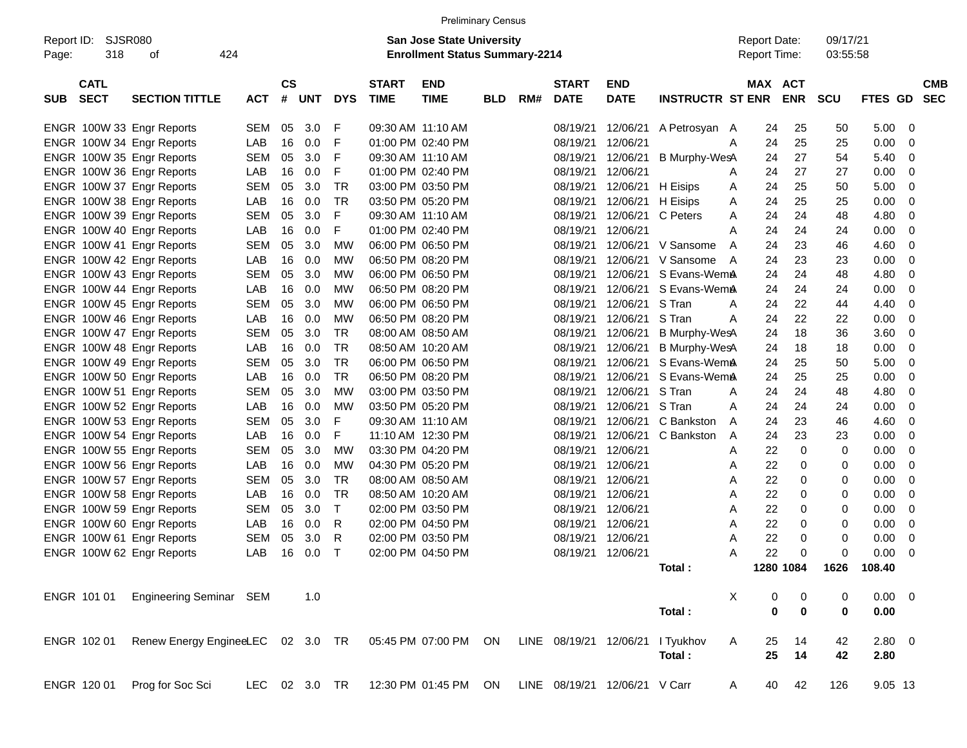|                     |                            |                                                                               |            |                    |     |               |                             |                                                                           | <b>Preliminary Census</b> |     |                             |                           |                         |              |                                     |                          |             |     |                          |
|---------------------|----------------------------|-------------------------------------------------------------------------------|------------|--------------------|-----|---------------|-----------------------------|---------------------------------------------------------------------------|---------------------------|-----|-----------------------------|---------------------------|-------------------------|--------------|-------------------------------------|--------------------------|-------------|-----|--------------------------|
| Report ID:<br>Page: | SJSR080<br>318             | οf                                                                            | 424        |                    |     |               |                             | <b>San Jose State University</b><br><b>Enrollment Status Summary-2214</b> |                           |     |                             |                           |                         |              | <b>Report Date:</b><br>Report Time: | 09/17/21<br>03:55:58     |             |     |                          |
| <b>SUB</b>          | <b>CATL</b><br><b>SECT</b> | <b>SECTION TITTLE</b>                                                         | <b>ACT</b> | $\mathsf{cs}$<br># | UNT | <b>DYS</b>    | <b>START</b><br><b>TIME</b> | <b>END</b><br><b>TIME</b>                                                 | <b>BLD</b>                | RM# | <b>START</b><br><b>DATE</b> | <b>END</b><br><b>DATE</b> | <b>INSTRUCTR ST ENR</b> | MAX          | <b>ACT</b><br><b>ENR</b>            | <b>SCU</b>               | FTES GD     |     | <b>CMB</b><br><b>SEC</b> |
|                     |                            | ENGR 100W 33 Engr Reports                                                     | <b>SEM</b> | 05                 | 3.0 | F             |                             | 09:30 AM 11:10 AM                                                         |                           |     | 08/19/21                    | 12/06/21                  | A Petrosyan A           |              | 25<br>24                            | 50                       | 5.00        | - 0 |                          |
|                     |                            | ENGR 100W 34 Engr Reports                                                     | LAB        | 16                 | 0.0 | F             | 01:00 PM 02:40 PM           |                                                                           |                           |     | 08/19/21                    | 12/06/21                  |                         | A            | 25<br>24                            | 25                       | 0.00        | -0  |                          |
|                     |                            | ENGR 100W 35 Engr Reports                                                     | <b>SEM</b> | 05                 | 3.0 | F             |                             | 09:30 AM 11:10 AM                                                         |                           |     | 08/19/21                    | 12/06/21                  | <b>B Murphy-WesA</b>    |              | 27<br>24                            | 54                       | 5.40        | - 0 |                          |
|                     |                            | ENGR 100W 36 Engr Reports                                                     | LAB        | 16                 | 0.0 | F             |                             | 01:00 PM 02:40 PM                                                         |                           |     | 08/19/21                    | 12/06/21                  |                         | A            | 27<br>24                            | 27                       | 0.00        | -0  |                          |
|                     |                            | ENGR 100W 37 Engr Reports                                                     | <b>SEM</b> | 05                 | 3.0 | TR            |                             | 03:00 PM 03:50 PM                                                         |                           |     | 08/19/21                    | 12/06/21                  | H Eisips                | A            | 25<br>24                            | 50                       | 5.00        | -0  |                          |
|                     |                            | ENGR 100W 38 Engr Reports                                                     | LAB        | 16                 | 0.0 | <b>TR</b>     |                             | 03:50 PM 05:20 PM                                                         |                           |     | 08/19/21                    | 12/06/21                  | H Eisips                | A            | 25<br>24                            | 25                       | 0.00        | -0  |                          |
|                     |                            | ENGR 100W 39 Engr Reports                                                     | <b>SEM</b> | 05                 | 3.0 | F             |                             | 09:30 AM 11:10 AM                                                         |                           |     | 08/19/21                    | 12/06/21                  | C Peters                | Α            | 24<br>24                            | 48                       | 4.80        | -0  |                          |
|                     |                            | ENGR 100W 40 Engr Reports                                                     | LAB        | 16                 | 0.0 | F             |                             | 01:00 PM 02:40 PM                                                         |                           |     | 08/19/21                    | 12/06/21                  |                         | Α            | 24<br>24                            | 24                       | 0.00        | -0  |                          |
|                     |                            | ENGR 100W 41 Engr Reports                                                     | <b>SEM</b> | 05                 | 3.0 | MW            |                             | 06:00 PM 06:50 PM                                                         |                           |     | 08/19/21                    | 12/06/21                  | V Sansome               | A            | 23<br>24                            | 46                       | 4.60        | -0  |                          |
|                     |                            | ENGR 100W 42 Engr Reports                                                     | LAB        | 16                 | 0.0 | MW            |                             | 06:50 PM 08:20 PM                                                         |                           |     | 08/19/21                    | 12/06/21                  | V Sansome               | A            | 23<br>24                            | 23                       | 0.00        | -0  |                          |
|                     |                            | ENGR 100W 43 Engr Reports                                                     | <b>SEM</b> | 05                 | 3.0 | MW            |                             | 06:00 PM 06:50 PM                                                         |                           |     | 08/19/21                    | 12/06/21                  | S Evans-WemA            |              | 24<br>24                            | 48                       | 4.80        | -0  |                          |
|                     |                            | ENGR 100W 44 Engr Reports                                                     | LAB        | 16                 | 0.0 | MW            |                             | 06:50 PM 08:20 PM                                                         |                           |     | 08/19/21                    | 12/06/21                  | S Evans-WemA            |              | 24<br>24                            | 24                       | 0.00        | -0  |                          |
|                     |                            | ENGR 100W 45 Engr Reports                                                     | <b>SEM</b> | 05                 | 3.0 | MW            |                             | 06:00 PM 06:50 PM                                                         |                           |     | 08/19/21                    | 12/06/21                  | S Tran                  | A            | 22<br>24                            | 44                       | 4.40        | -0  |                          |
|                     |                            | ENGR 100W 46 Engr Reports                                                     | LAB        | 16                 | 0.0 | MW            |                             | 06:50 PM 08:20 PM                                                         |                           |     | 08/19/21                    | 12/06/21                  | S Tran                  | A            | 22<br>24                            | 22                       | 0.00        | -0  |                          |
|                     |                            | ENGR 100W 47 Engr Reports                                                     | <b>SEM</b> | 05                 | 3.0 | TR            |                             | 08:00 AM 08:50 AM                                                         |                           |     | 08/19/21                    | 12/06/21                  | B Murphy-WesA           |              | 18<br>24                            | 36                       | 3.60        | -0  |                          |
|                     |                            | ENGR 100W 48 Engr Reports                                                     | LAB        | 16                 | 0.0 | TR            |                             | 08:50 AM 10:20 AM                                                         |                           |     | 08/19/21                    | 12/06/21                  | B Murphy-WesA           |              | 18<br>24                            | 18                       | 0.00        | -0  |                          |
|                     |                            | ENGR 100W 49 Engr Reports                                                     | <b>SEM</b> | 05                 | 3.0 | <b>TR</b>     |                             | 06:00 PM 06:50 PM                                                         |                           |     | 08/19/21                    | 12/06/21                  | S Evans-WemA            |              | 25<br>24                            | 50                       | 5.00        | -0  |                          |
|                     |                            | ENGR 100W 50 Engr Reports                                                     | LAB        | 16                 | 0.0 | <b>TR</b>     |                             | 06:50 PM 08:20 PM                                                         |                           |     | 08/19/21                    | 12/06/21                  | S Evans-WemA            |              | 25<br>24                            | 25                       | 0.00        | -0  |                          |
|                     |                            | ENGR 100W 51 Engr Reports                                                     | <b>SEM</b> | 05                 | 3.0 | MW            |                             | 03:00 PM 03:50 PM                                                         |                           |     | 08/19/21                    | 12/06/21                  | S Tran                  | A            | 24<br>24                            | 48                       | 4.80        | -0  |                          |
|                     |                            | ENGR 100W 52 Engr Reports                                                     | LAB        | 16                 | 0.0 | MW            |                             | 03:50 PM 05:20 PM                                                         |                           |     | 08/19/21                    | 12/06/21                  | S Tran                  | Α            | 24<br>24                            | 24                       | 0.00        | -0  |                          |
|                     |                            | ENGR 100W 53 Engr Reports                                                     | <b>SEM</b> | 05                 | 3.0 | F             |                             | 09:30 AM 11:10 AM                                                         |                           |     | 08/19/21                    | 12/06/21                  | C Bankston              | Α            | 23<br>24                            | 46                       | 4.60        | -0  |                          |
|                     |                            | ENGR 100W 54 Engr Reports                                                     | LAB        | 16                 | 0.0 | F             |                             | 11:10 AM 12:30 PM                                                         |                           |     | 08/19/21                    | 12/06/21                  | C Bankston              | Α            | 23<br>24                            | 23                       | 0.00        | -0  |                          |
|                     |                            | ENGR 100W 55 Engr Reports                                                     | <b>SEM</b> | 05                 | 3.0 | MW            |                             | 03:30 PM 04:20 PM                                                         |                           |     | 08/19/21                    | 12/06/21                  |                         | A            | 22                                  | $\mathbf 0$<br>0         | 0.00        | -0  |                          |
|                     |                            | ENGR 100W 56 Engr Reports                                                     | LAB        | 16                 | 0.0 | MW            |                             | 04:30 PM 05:20 PM                                                         |                           |     | 08/19/21                    | 12/06/21                  |                         | A            | 22                                  | 0<br>0                   | 0.00        | -0  |                          |
|                     |                            | ENGR 100W 57 Engr Reports                                                     | <b>SEM</b> | 05                 | 3.0 | <b>TR</b>     |                             | 08:00 AM 08:50 AM                                                         |                           |     | 08/19/21                    | 12/06/21                  |                         | A            | 22                                  | 0<br>0                   | 0.00        | -0  |                          |
|                     |                            | ENGR 100W 58 Engr Reports                                                     | LAB        | 16                 | 0.0 | TR            |                             | 08:50 AM 10:20 AM                                                         |                           |     | 08/19/21                    | 12/06/21                  |                         | Α            | 22                                  | 0<br>0                   | 0.00        | -0  |                          |
|                     |                            | ENGR 100W 59 Engr Reports                                                     | <b>SEM</b> | 05                 | 3.0 | $\mathsf{T}$  |                             | 02:00 PM 03:50 PM                                                         |                           |     | 08/19/21                    | 12/06/21                  |                         | Α            | 22                                  | 0<br>0                   | 0.00        | -0  |                          |
|                     |                            | ENGR 100W 60 Engr Reports                                                     | LAB        | 16                 | 0.0 | R             |                             | 02:00 PM 04:50 PM                                                         |                           |     | 08/19/21                    | 12/06/21                  |                         | A            | 22                                  | 0<br>0                   | 0.00        | 0   |                          |
|                     |                            | ENGR 100W 61 Engr Reports                                                     | <b>SEM</b> | 05                 | 3.0 | R             |                             | 02:00 PM 03:50 PM                                                         |                           |     | 08/19/21                    | 12/06/21                  |                         | Α            | 22                                  | 0<br>0                   | 0.00        | -0  |                          |
|                     |                            | ENGR 100W 62 Engr Reports                                                     | LAB        | 16                 | 0.0 | $\mathsf T$   |                             | 02:00 PM 04:50 PM                                                         |                           |     | 08/19/21                    | 12/06/21                  |                         | A            | 22                                  | $\Omega$<br>0            | 0.00        | -0  |                          |
|                     |                            |                                                                               |            |                    |     |               |                             |                                                                           |                           |     |                             |                           | Total:                  |              | 1280 1084                           |                          | 1626 108.40 |     |                          |
|                     | ENGR 101 01                | Engineering Seminar SEM                                                       |            |                    | 1.0 |               |                             |                                                                           |                           |     |                             |                           |                         | X            | 0                                   | 0<br>0                   | $0.00 \t 0$ |     |                          |
|                     |                            |                                                                               |            |                    |     |               |                             |                                                                           |                           |     |                             |                           | Total:                  |              | $\pmb{0}$                           | $\pmb{0}$<br>$\mathbf 0$ | 0.00        |     |                          |
|                     | ENGR 102 01                | Renew Energy EngineeLEC 02 3.0 TR 05:45 PM 07:00 PM ON LINE 08/19/21 12/06/21 |            |                    |     |               |                             |                                                                           |                           |     |                             |                           | I Tyukhov               | $\mathsf{A}$ | 25<br>14                            | 42                       | 2.80 0      |     |                          |
|                     |                            |                                                                               |            |                    |     |               |                             |                                                                           |                           |     |                             |                           | Total:                  |              | 25<br>14                            | 42                       | 2.80        |     |                          |
|                     | ENGR 120 01                | Prog for Soc Sci                                                              |            |                    |     | LEC 02 3.0 TR |                             | 12:30 PM 01:45 PM ON LINE 08/19/21 12/06/21 V Carr                        |                           |     |                             |                           |                         | A            | 42<br>40                            | 126                      | 9.05 13     |     |                          |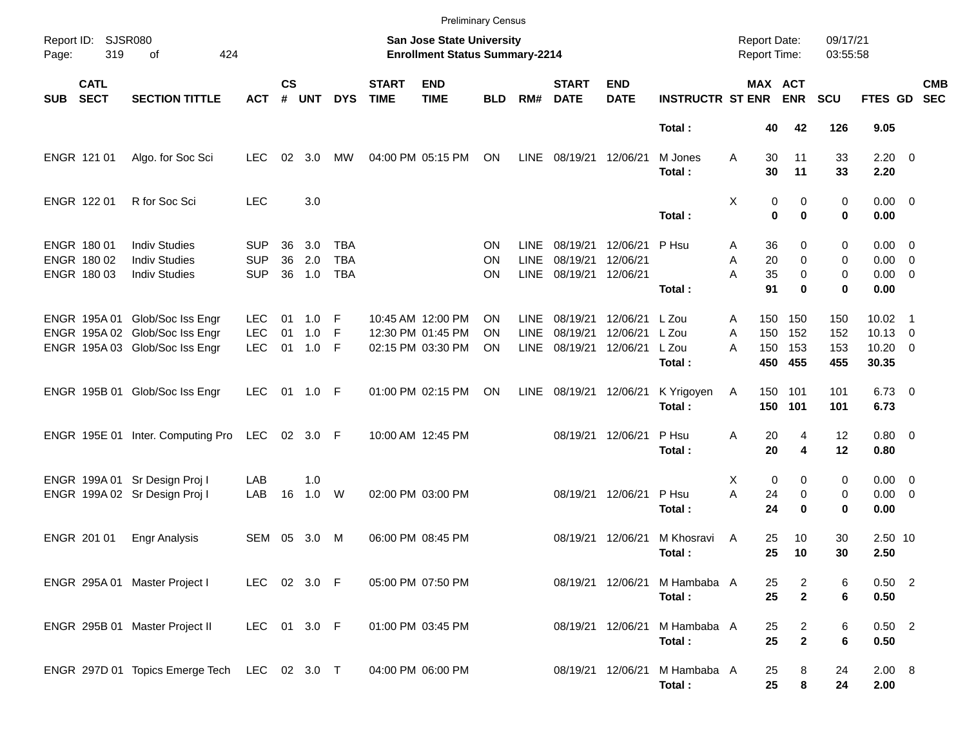|            |                                           |                                                                                                    |                                        |                    |                           |                                 |                             |                                                                           | <b>Preliminary Census</b> |                                    |                                  |                                  |                                         |                                            |                          |                                   |                          |                                                    |                          |
|------------|-------------------------------------------|----------------------------------------------------------------------------------------------------|----------------------------------------|--------------------|---------------------------|---------------------------------|-----------------------------|---------------------------------------------------------------------------|---------------------------|------------------------------------|----------------------------------|----------------------------------|-----------------------------------------|--------------------------------------------|--------------------------|-----------------------------------|--------------------------|----------------------------------------------------|--------------------------|
| Page:      | Report ID: SJSR080<br>319                 | 424<br>of                                                                                          |                                        |                    |                           |                                 |                             | <b>San Jose State University</b><br><b>Enrollment Status Summary-2214</b> |                           |                                    |                                  |                                  |                                         | <b>Report Date:</b><br><b>Report Time:</b> |                          |                                   | 09/17/21<br>03:55:58     |                                                    |                          |
| <b>SUB</b> | <b>CATL</b><br><b>SECT</b>                | <b>SECTION TITTLE</b>                                                                              | <b>ACT</b>                             | $\mathsf{cs}$<br># | <b>UNT</b>                | <b>DYS</b>                      | <b>START</b><br><b>TIME</b> | <b>END</b><br><b>TIME</b>                                                 | <b>BLD</b>                | RM#                                | <b>START</b><br><b>DATE</b>      | <b>END</b><br><b>DATE</b>        | <b>INSTRUCTR ST ENR</b>                 |                                            | MAX ACT                  | <b>ENR</b>                        | <b>SCU</b>               | FTES GD                                            | <b>CMB</b><br><b>SEC</b> |
|            |                                           |                                                                                                    |                                        |                    |                           |                                 |                             |                                                                           |                           |                                    |                                  |                                  | Total:                                  |                                            | 40                       | 42                                | 126                      | 9.05                                               |                          |
|            | ENGR 121 01                               | Algo. for Soc Sci                                                                                  | <b>LEC</b>                             | 02                 | 3.0                       | МW                              |                             | 04:00 PM 05:15 PM                                                         | ON                        | <b>LINE</b>                        | 08/19/21                         | 12/06/21                         | M Jones<br>Total:                       | A                                          | 30<br>30                 | 11<br>11                          | 33<br>33                 | $2.20 \t 0$<br>2.20                                |                          |
|            | ENGR 122 01                               | R for Soc Sci                                                                                      | <b>LEC</b>                             |                    | 3.0                       |                                 |                             |                                                                           |                           |                                    |                                  |                                  | Total:                                  | Χ                                          | 0<br>$\bf{0}$            | 0<br>$\bf{0}$                     | 0<br>0                   | $0.00 \t 0$<br>0.00                                |                          |
|            | ENGR 180 01<br>ENGR 180 02<br>ENGR 180 03 | <b>Indiv Studies</b><br><b>Indiv Studies</b><br><b>Indiv Studies</b>                               | <b>SUP</b><br><b>SUP</b><br><b>SUP</b> | 36<br>36<br>36     | 3.0<br>2.0<br>1.0         | TBA<br><b>TBA</b><br><b>TBA</b> |                             |                                                                           | ΟN<br>ΟN<br>ON            | LINE<br><b>LINE</b><br><b>LINE</b> | 08/19/21<br>08/19/21<br>08/19/21 | 12/06/21<br>12/06/21<br>12/06/21 | P Hsu<br>Total:                         | Α<br>Α<br>A                                | 36<br>20<br>35<br>91     | 0<br>$\mathbf 0$<br>0<br>$\bf{0}$ | 0<br>0<br>0<br>0         | $0.00 \t 0$<br>$0.00 \t 0$<br>$0.00 \t 0$<br>0.00  |                          |
|            |                                           | ENGR 195A 01 Glob/Soc Iss Engr<br>ENGR 195A 02 Glob/Soc Iss Engr<br>ENGR 195A 03 Glob/Soc Iss Engr | <b>LEC</b><br><b>LEC</b><br><b>LEC</b> | 01<br>01<br>01     | $1.0$ F<br>1.0<br>$1.0$ F | E                               |                             | 10:45 AM 12:00 PM<br>12:30 PM 01:45 PM<br>02:15 PM 03:30 PM               | <b>ON</b><br>ΟN<br>ΟN     | LINE<br><b>LINE</b><br><b>LINE</b> | 08/19/21<br>08/19/21<br>08/19/21 | 12/06/21<br>12/06/21<br>12/06/21 | L Zou<br>L Zou<br>L Zou<br>Total:       | A<br>A<br>A                                | 150<br>150<br>150<br>450 | 150<br>152<br>153<br>455          | 150<br>152<br>153<br>455 | $10.02$ 1<br>$10.13 \t 0$<br>$10.20 \t 0$<br>30.35 |                          |
|            |                                           | ENGR 195B 01 Glob/Soc Iss Engr                                                                     | <b>LEC</b>                             | - 01               | 1.0 F                     |                                 |                             | 01:00 PM 02:15 PM                                                         | <b>ON</b>                 | <b>LINE</b>                        | 08/19/21                         | 12/06/21                         | K Yrigoyen<br>Total:                    | Α                                          | 150 101<br>150           | 101                               | 101<br>101               | $6.73$ 0<br>6.73                                   |                          |
|            |                                           | ENGR 195E 01 Inter. Computing Pro                                                                  | LEC                                    |                    | 02 3.0 F                  |                                 |                             | 10:00 AM 12:45 PM                                                         |                           |                                    | 08/19/21                         | 12/06/21                         | P Hsu<br>Total:                         | Α                                          | 20<br>20                 | 4<br>4                            | 12<br>12                 | $0.80 \ 0$<br>0.80                                 |                          |
|            |                                           | ENGR 199A 01 Sr Design Proj I<br>ENGR 199A 02 Sr Design Proj I                                     | LAB<br>LAB                             | 16                 | 1.0<br>1.0                | W                               |                             | 02:00 PM 03:00 PM                                                         |                           |                                    | 08/19/21                         | 12/06/21                         | P Hsu<br>Total:                         | X<br>A                                     | 0<br>24<br>24            | 0<br>0<br>$\bf{0}$                | 0<br>0<br>0              | $0.00 \t 0$<br>$0.00 \t 0$<br>0.00                 |                          |
|            | ENGR 201 01                               | <b>Engr Analysis</b>                                                                               | SEM                                    | 05                 | 3.0                       | M                               |                             | 06:00 PM 08:45 PM                                                         |                           |                                    | 08/19/21                         | 12/06/21                         | M Khosravi<br>Total:                    | A                                          | 25<br>25                 | 10<br>10                          | 30<br>30                 | 2.50 10<br>2.50                                    |                          |
|            |                                           | ENGR 295A 01 Master Project I                                                                      | LEC 02 3.0 F                           |                    |                           |                                 |                             | 05:00 PM 07:50 PM                                                         |                           |                                    |                                  |                                  | 08/19/21 12/06/21 M Hambaba A<br>Total: |                                            | 25<br>25                 | $\overline{a}$<br>$\mathbf{2}$    | 6<br>6                   | $0.50$ 2<br>0.50                                   |                          |
|            |                                           | ENGR 295B 01 Master Project II                                                                     | LEC 01 3.0 F                           |                    |                           |                                 |                             | 01:00 PM 03:45 PM                                                         |                           |                                    |                                  | 08/19/21 12/06/21                | M Hambaba A<br>Total:                   |                                            | 25<br>25                 | $\overline{c}$<br>$\mathbf{2}$    | 6<br>6                   | $0.50$ 2<br>0.50                                   |                          |
|            |                                           | ENGR 297D 01 Topics Emerge Tech                                                                    | LEC 02 3.0 T                           |                    |                           |                                 |                             | 04:00 PM 06:00 PM                                                         |                           |                                    |                                  | 08/19/21 12/06/21                | M Hambaba A<br>Total:                   |                                            | 25<br>25                 | 8<br>8                            | 24<br>24                 | 2.00 8<br>2.00                                     |                          |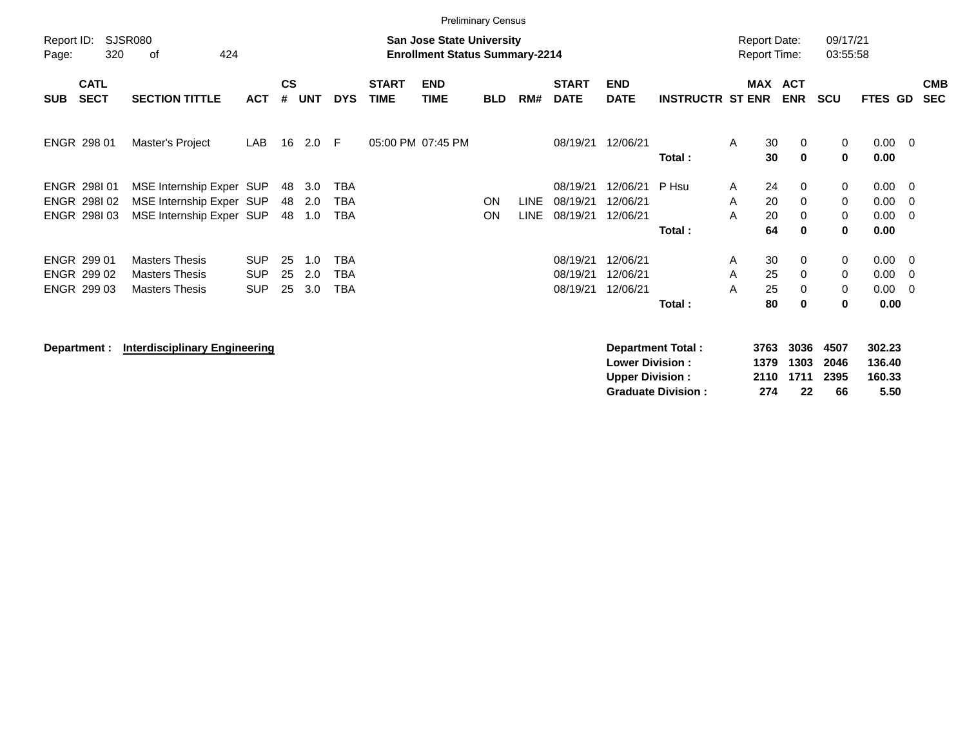|                     |                                           |                                                                                  |                                        |                    |                   |                                        |                             | <b>Preliminary Census</b>                                                 |            |                            |                                  |                                                  |                          |                                            |                      |                            |                      |                                        |                                        |                          |
|---------------------|-------------------------------------------|----------------------------------------------------------------------------------|----------------------------------------|--------------------|-------------------|----------------------------------------|-----------------------------|---------------------------------------------------------------------------|------------|----------------------------|----------------------------------|--------------------------------------------------|--------------------------|--------------------------------------------|----------------------|----------------------------|----------------------|----------------------------------------|----------------------------------------|--------------------------|
| Report ID:<br>Page: | 320                                       | <b>SJSR080</b><br>424<br>оf                                                      |                                        |                    |                   |                                        |                             | <b>San Jose State University</b><br><b>Enrollment Status Summary-2214</b> |            |                            |                                  |                                                  |                          | <b>Report Date:</b><br><b>Report Time:</b> |                      |                            | 09/17/21<br>03:55:58 |                                        |                                        |                          |
| <b>SUB</b>          | <b>CATL</b><br><b>SECT</b>                | <b>SECTION TITTLE</b>                                                            | <b>ACT</b>                             | $\mathsf{cs}$<br># | <b>UNT</b>        | <b>DYS</b>                             | <b>START</b><br><b>TIME</b> | <b>END</b><br><b>TIME</b>                                                 | <b>BLD</b> | RM#                        | <b>START</b><br><b>DATE</b>      | <b>END</b><br><b>DATE</b>                        | <b>INSTRUCTR ST ENR</b>  | MAX                                        |                      | <b>ACT</b><br><b>ENR</b>   | <b>SCU</b>           | FTES GD                                |                                        | <b>CMB</b><br><b>SEC</b> |
|                     | ENGR 298 01                               | Master's Project                                                                 | LAB                                    | 16                 | 2.0               | -F                                     |                             | 05:00 PM 07:45 PM                                                         |            |                            | 08/19/21                         | 12/06/21                                         | Total:                   | A                                          | 30<br>30             | $\mathbf 0$<br>$\mathbf 0$ | 0<br>0               | $0.00 \t 0$<br>0.00                    |                                        |                          |
|                     | ENGR 298101<br>ENGR 298102<br>ENGR 298103 | MSE Internship Exper SUP<br>MSE Internship Exper SUP<br>MSE Internship Exper SUP |                                        | 48<br>48<br>48     | 3.0<br>2.0<br>1.0 | <b>TBA</b><br><b>TBA</b><br><b>TBA</b> |                             |                                                                           | ON<br>ON   | <b>LINE</b><br><b>LINE</b> | 08/19/21<br>08/19/21<br>08/19/21 | 12/06/21<br>12/06/21<br>12/06/21                 | P Hsu<br>Total:          | A<br>A<br>A                                | 24<br>20<br>20<br>64 | $\mathbf 0$<br>0<br>0<br>0 | 0<br>0<br>0<br>0     | $0.00 \quad 0$<br>0.00<br>0.00<br>0.00 | - 0<br>- 0                             |                          |
|                     | ENGR 299 01<br>ENGR 299 02<br>ENGR 299 03 | <b>Masters Thesis</b><br><b>Masters Thesis</b><br><b>Masters Thesis</b>          | <b>SUP</b><br><b>SUP</b><br><b>SUP</b> | 25<br>25<br>25     | 1.0<br>2.0<br>3.0 | <b>TBA</b><br><b>TBA</b><br><b>TBA</b> |                             |                                                                           |            |                            | 08/19/21<br>08/19/21<br>08/19/21 | 12/06/21<br>12/06/21<br>12/06/21                 | Total:                   | A<br>Α<br>A                                | 30<br>25<br>25<br>80 | 0<br>0<br>0<br>$\bf{0}$    | 0<br>0<br>0<br>0     | 0.00<br>0.00<br>0.00<br>0.00           | $\overline{\phantom{0}}$<br>- 0<br>- 0 |                          |
|                     | Department :                              | <b>Interdisciplinary Engineering</b>                                             |                                        |                    |                   |                                        |                             |                                                                           |            |                            |                                  | <b>Lower Division:</b><br><b>Upper Division:</b> | <b>Department Total:</b> | 1379                                       | 3763<br>2110         | 3036<br>1303<br>1711       | 4507<br>2046<br>2395 | 302.23<br>136.40<br>160.33             |                                        |                          |

**Graduate Division : 274 22 66 5.50**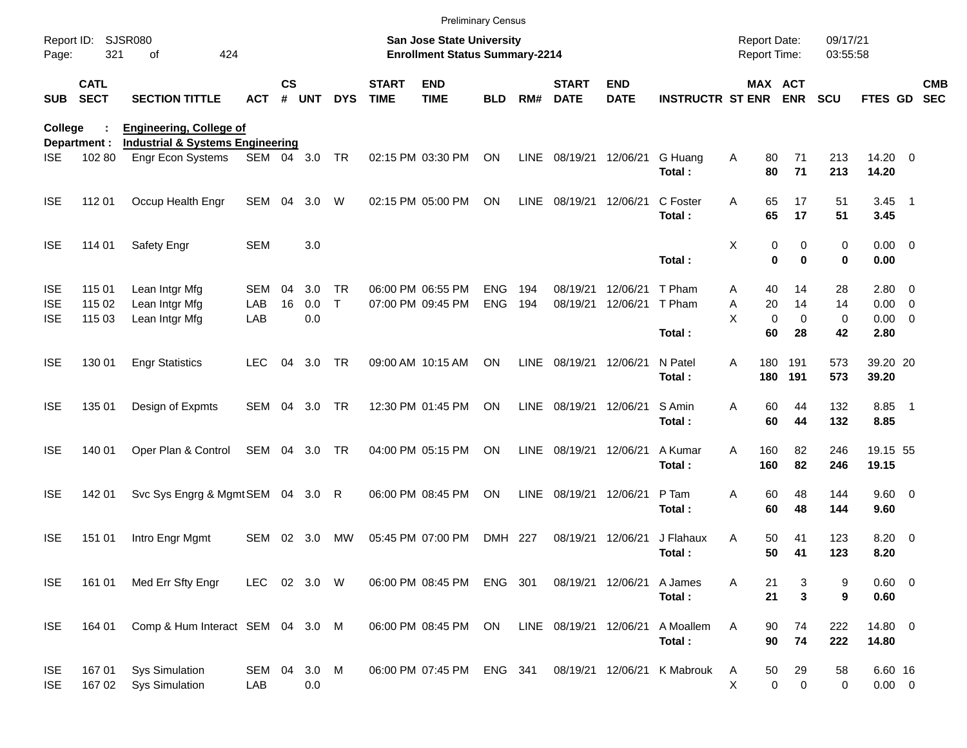|                                        |                            |                                                                  |                   |               |                   |                           |                             | <b>Preliminary Census</b>                                                 |                   |             |                             |                           |                             |                                            |                                              |                      |                                              |                          |
|----------------------------------------|----------------------------|------------------------------------------------------------------|-------------------|---------------|-------------------|---------------------------|-----------------------------|---------------------------------------------------------------------------|-------------------|-------------|-----------------------------|---------------------------|-----------------------------|--------------------------------------------|----------------------------------------------|----------------------|----------------------------------------------|--------------------------|
| Report ID:<br>Page:                    | 321                        | <b>SJSR080</b><br>424<br>of                                      |                   |               |                   |                           |                             | <b>San Jose State University</b><br><b>Enrollment Status Summary-2214</b> |                   |             |                             |                           |                             | <b>Report Date:</b><br><b>Report Time:</b> |                                              | 09/17/21<br>03:55:58 |                                              |                          |
| <b>SUB</b>                             | <b>CATL</b><br><b>SECT</b> | <b>SECTION TITTLE</b>                                            | <b>ACT</b>        | $\mathsf{cs}$ | # UNT             | <b>DYS</b>                | <b>START</b><br><b>TIME</b> | <b>END</b><br><b>TIME</b>                                                 | <b>BLD</b>        | RM#         | <b>START</b><br><b>DATE</b> | <b>END</b><br><b>DATE</b> | <b>INSTRUCTR ST ENR ENR</b> |                                            | <b>MAX ACT</b>                               | <b>SCU</b>           | FTES GD                                      | <b>CMB</b><br><b>SEC</b> |
| College                                |                            | <b>Engineering, College of</b>                                   |                   |               |                   |                           |                             |                                                                           |                   |             |                             |                           |                             |                                            |                                              |                      |                                              |                          |
| <b>ISE</b>                             | Department :<br>102 80     | <b>Industrial &amp; Systems Engineering</b><br>Engr Econ Systems | SEM 04 3.0        |               |                   | TR                        |                             | 02:15 PM 03:30 PM                                                         | ON                | <b>LINE</b> | 08/19/21 12/06/21           |                           | G Huang<br>Total:           | Α<br>80<br>80                              | 71<br>71                                     | 213<br>213           | 14.20 0<br>14.20                             |                          |
| <b>ISE</b>                             | 112 01                     | Occup Health Engr                                                | SEM               | 04            | 3.0               | W                         |                             | 02:15 PM 05:00 PM                                                         | ON                | <b>LINE</b> | 08/19/21 12/06/21           |                           | C Foster<br>Total:          | 65<br>Α<br>65                              | 17<br>17                                     | 51<br>51             | $3.45$ 1<br>3.45                             |                          |
| <b>ISE</b>                             | 114 01                     | <b>Safety Engr</b>                                               | <b>SEM</b>        |               | 3.0               |                           |                             |                                                                           |                   |             |                             |                           | Total:                      | Χ                                          | 0<br>0<br>$\bf{0}$<br>$\bf{0}$               | 0<br>0               | $0.00 \t 0$<br>0.00                          |                          |
| <b>ISE</b><br><b>ISE</b><br><b>ISE</b> | 115 01<br>115 02<br>115 03 | Lean Intgr Mfg<br>Lean Intgr Mfg<br>Lean Intgr Mfg               | SEM<br>LAB<br>LAB | 04<br>16      | 3.0<br>0.0<br>0.0 | <b>TR</b><br>$\mathsf{T}$ |                             | 06:00 PM 06:55 PM<br>07:00 PM 09:45 PM                                    | ENG<br><b>ENG</b> | 194<br>194  | 08/19/21<br>08/19/21        | 12/06/21<br>12/06/21      | T Pham<br>T Pham<br>Total:  | 40<br>A<br>Α<br>20<br>X<br>60              | 14<br>14<br>$\mathbf 0$<br>$\mathbf 0$<br>28 | 28<br>14<br>0<br>42  | 2.80 0<br>$0.00 \t 0$<br>$0.00 \t 0$<br>2.80 |                          |
| <b>ISE</b>                             | 130 01                     | <b>Engr Statistics</b>                                           | <b>LEC</b>        | 04            | 3.0               | TR                        |                             | 09:00 AM 10:15 AM                                                         | ON                | LINE        | 08/19/21 12/06/21           |                           | N Patel<br>Total:           | 180<br>A<br>180                            | 191<br>191                                   | 573<br>573           | 39.20 20<br>39.20                            |                          |
| <b>ISE</b>                             | 135 01                     | Design of Expmts                                                 | SEM               | 04            | 3.0               | TR                        |                             | 12:30 PM 01:45 PM                                                         | ON                | LINE        | 08/19/21 12/06/21           |                           | S Amin<br>Total:            | 60<br>Α<br>60                              | 44<br>44                                     | 132<br>132           | 8.85 1<br>8.85                               |                          |
| <b>ISE</b>                             | 140 01                     | Oper Plan & Control                                              | SEM 04 3.0        |               |                   | TR                        |                             | 04:00 PM 05:15 PM                                                         | ON                | LINE        | 08/19/21 12/06/21           |                           | A Kumar<br>Total:           | 160<br>A<br>160                            | 82<br>82                                     | 246<br>246           | 19.15 55<br>19.15                            |                          |
| <b>ISE</b>                             | 142 01                     | Svc Sys Engrg & Mgmt SEM 04 3.0 R                                |                   |               |                   |                           |                             | 06:00 PM 08:45 PM                                                         | ON                | <b>LINE</b> | 08/19/21 12/06/21           |                           | P Tam<br>Total:             | 60<br>Α<br>60                              | 48<br>48                                     | 144<br>144           | 9.60 0<br>9.60                               |                          |
| <b>ISE</b>                             | 151 01                     | Intro Engr Mgmt                                                  | <b>SEM</b>        | 02            | 3.0               | <b>MW</b>                 |                             | 05:45 PM 07:00 PM                                                         | DMH 227           |             | 08/19/21 12/06/21           |                           | J Flahaux<br>Total:         | Α<br>50<br>50                              | 41<br>41                                     | 123<br>123           | 8.20 0<br>8.20                               |                          |
| <b>ISE</b>                             | 161 01                     | Med Err Sfty Engr                                                | LEC 02 3.0 W      |               |                   |                           |                             | 06:00 PM 08:45 PM                                                         | ENG 301           |             | 08/19/21 12/06/21           |                           | A James<br>Total:           | 21<br>Α<br>21                              | 3<br>$\mathbf{3}$                            | 9<br>9               | 0.60 0<br>0.60                               |                          |
| <b>ISE</b>                             | 164 01                     | Comp & Hum Interact SEM 04 3.0 M                                 |                   |               |                   |                           |                             | 06:00 PM 08:45 PM                                                         | ON                |             | LINE 08/19/21 12/06/21      |                           | A Moallem<br>Total:         | Α<br>90<br>90                              | 74<br>74                                     | 222<br>222           | 14.80 0<br>14.80                             |                          |
| <b>ISE</b><br><b>ISE</b>               | 16701<br>167 02            | <b>Sys Simulation</b><br><b>Sys Simulation</b>                   | SEM 04<br>LAB     |               | 3.0<br>0.0        | M                         |                             | 06:00 PM 07:45 PM                                                         | ENG 341           |             |                             | 08/19/21 12/06/21         | K Mabrouk                   | 50<br>A<br>X                               | 29<br>0<br>$\pmb{0}$                         | 58<br>0              | 6.60 16<br>$0.00 \t 0$                       |                          |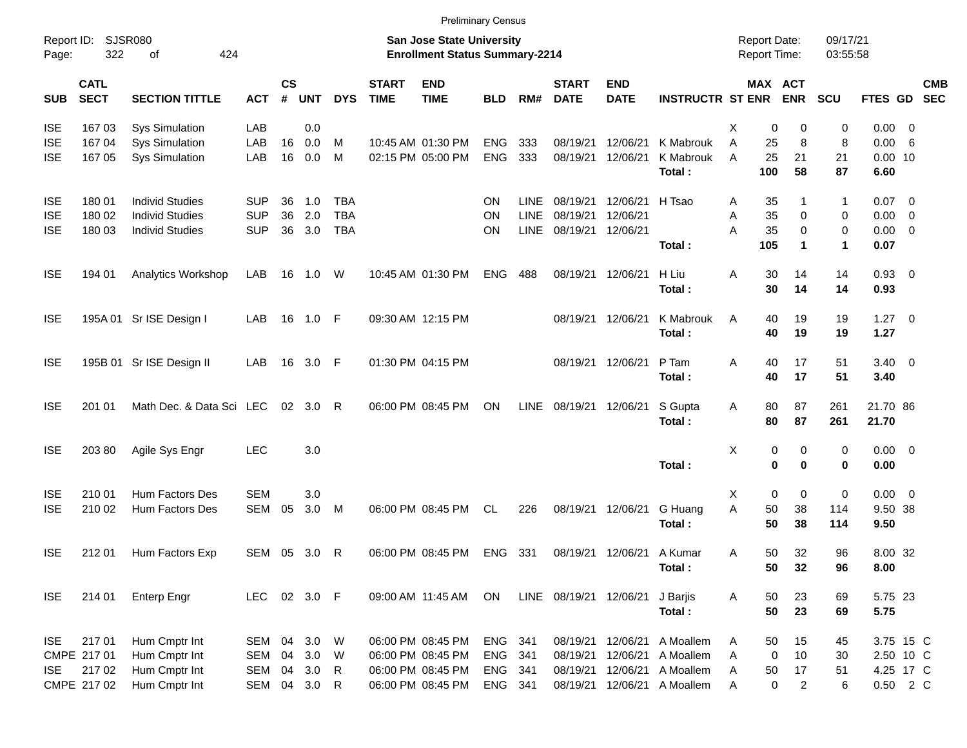|            |                            |                                |            |                    |            |              |                             | <b>Preliminary Census</b>                                          |            |              |                             |                           |                         |                                            |                       |                      |             |     |            |
|------------|----------------------------|--------------------------------|------------|--------------------|------------|--------------|-----------------------------|--------------------------------------------------------------------|------------|--------------|-----------------------------|---------------------------|-------------------------|--------------------------------------------|-----------------------|----------------------|-------------|-----|------------|
| Page:      | Report ID: SJSR080<br>322  | 424<br>of                      |            |                    |            |              |                             | San Jose State University<br><b>Enrollment Status Summary-2214</b> |            |              |                             |                           |                         | <b>Report Date:</b><br><b>Report Time:</b> |                       | 09/17/21<br>03:55:58 |             |     |            |
| <b>SUB</b> | <b>CATL</b><br><b>SECT</b> | <b>SECTION TITTLE</b>          | <b>ACT</b> | $\mathsf{cs}$<br># | <b>UNT</b> | <b>DYS</b>   | <b>START</b><br><b>TIME</b> | <b>END</b><br><b>TIME</b>                                          | <b>BLD</b> | RM#          | <b>START</b><br><b>DATE</b> | <b>END</b><br><b>DATE</b> | <b>INSTRUCTR ST ENR</b> |                                            | MAX ACT<br><b>ENR</b> | <b>SCU</b>           | FTES GD SEC |     | <b>CMB</b> |
| <b>ISE</b> | 16703                      | <b>Sys Simulation</b>          | LAB        |                    | 0.0        |              |                             |                                                                    |            |              |                             |                           |                         | X<br>0                                     | 0                     | 0                    | $0.00 \t 0$ |     |            |
| <b>ISE</b> | 167 04                     | <b>Sys Simulation</b>          | LAB        | 16                 | 0.0        | M            |                             | 10:45 AM 01:30 PM                                                  | <b>ENG</b> | 333          | 08/19/21                    | 12/06/21                  | K Mabrouk               | A<br>25                                    | 8                     | 8                    | 0.00        | - 6 |            |
| <b>ISE</b> | 167 05                     | <b>Sys Simulation</b>          | LAB        | 16                 | 0.0        | M            |                             | 02:15 PM 05:00 PM                                                  | <b>ENG</b> | 333          | 08/19/21                    | 12/06/21                  | K Mabrouk               | 25<br>A                                    | 21                    | 21                   | $0.00$ 10   |     |            |
|            |                            |                                |            |                    |            |              |                             |                                                                    |            |              |                             |                           | Total:                  | 100                                        | 58                    | 87                   | 6.60        |     |            |
| <b>ISE</b> | 180 01                     | <b>Individ Studies</b>         | <b>SUP</b> | 36                 | 1.0        | <b>TBA</b>   |                             |                                                                    | ON         | <b>LINE</b>  | 08/19/21                    | 12/06/21                  | H Tsao                  | 35<br>Α                                    | 1                     | 1                    | $0.07$ 0    |     |            |
| <b>ISE</b> | 180 02                     | <b>Individ Studies</b>         | <b>SUP</b> | 36                 | 2.0        | <b>TBA</b>   |                             |                                                                    | ON         | <b>LINE</b>  | 08/19/21                    | 12/06/21                  |                         | 35<br>Α                                    | 0                     | 0                    | $0.00 \t 0$ |     |            |
| <b>ISE</b> | 180 03                     | <b>Individ Studies</b>         | <b>SUP</b> | 36                 | 3.0        | <b>TBA</b>   |                             |                                                                    | ΟN         | <b>LINE</b>  | 08/19/21                    | 12/06/21                  |                         | A<br>35                                    | 0                     | 0                    | $0.00 \t 0$ |     |            |
|            |                            |                                |            |                    |            |              |                             |                                                                    |            |              |                             |                           | Total:                  | 105                                        | $\blacktriangleleft$  | 1                    | 0.07        |     |            |
| <b>ISE</b> | 194 01                     | Analytics Workshop             | LAB        |                    | 16 1.0     | W            |                             | 10:45 AM 01:30 PM                                                  | <b>ENG</b> | 488          | 08/19/21                    | 12/06/21                  | H Liu                   | 30<br>Α                                    | 14                    | 14                   | $0.93$ 0    |     |            |
|            |                            |                                |            |                    |            |              |                             |                                                                    |            |              |                             |                           | Total:                  | 30                                         | 14                    | 14                   | 0.93        |     |            |
| <b>ISE</b> |                            | 195A 01 Sr ISE Design I        | LAB        |                    | 16 1.0 F   |              |                             | 09:30 AM 12:15 PM                                                  |            |              | 08/19/21                    | 12/06/21                  | K Mabrouk               | A<br>40                                    | 19                    | 19                   | $1.27 \t 0$ |     |            |
|            |                            |                                |            |                    |            |              |                             |                                                                    |            |              |                             |                           | Total:                  | 40                                         | 19                    | 19                   | 1.27        |     |            |
| <b>ISE</b> |                            | 195B 01 Sr ISE Design II       | LAB        |                    | 16 3.0 F   |              |                             | 01:30 PM 04:15 PM                                                  |            |              | 08/19/21                    | 12/06/21                  | P Tam                   | Α<br>40                                    | 17                    | 51                   | $3.40 \ 0$  |     |            |
|            |                            |                                |            |                    |            |              |                             |                                                                    |            |              |                             |                           | Total:                  | 40                                         | 17                    | 51                   | 3.40        |     |            |
| <b>ISE</b> | 201 01                     | Math Dec. & Data Sci LEC       |            |                    | 02 3.0     | R            |                             | 06:00 PM 08:45 PM                                                  | ON         | LINE         | 08/19/21                    | 12/06/21                  | S Gupta                 | 80<br>Α                                    | 87                    | 261                  | 21.70 86    |     |            |
|            |                            |                                |            |                    |            |              |                             |                                                                    |            |              |                             |                           | Total:                  | 80                                         | 87                    | 261                  | 21.70       |     |            |
| <b>ISE</b> | 203 80                     | Agile Sys Engr                 | <b>LEC</b> |                    | 3.0        |              |                             |                                                                    |            |              |                             |                           |                         | X<br>0                                     | 0                     | 0                    | $0.00 \t 0$ |     |            |
|            |                            |                                |            |                    |            |              |                             |                                                                    |            |              |                             |                           | Total:                  | $\mathbf 0$                                | $\bf{0}$              | 0                    | 0.00        |     |            |
| <b>ISE</b> | 210 01                     | <b>Hum Factors Des</b>         | <b>SEM</b> |                    | 3.0        |              |                             |                                                                    |            |              |                             |                           |                         | 0<br>Х                                     | 0                     | 0                    | $0.00 \t 0$ |     |            |
| <b>ISE</b> | 210 02                     | Hum Factors Des                | SEM        | 05                 | 3.0        | M            |                             | 06:00 PM 08:45 PM                                                  | CL.        | 226          | 08/19/21                    | 12/06/21                  | G Huang                 | A<br>50                                    | 38                    | 114                  | 9.50 38     |     |            |
|            |                            |                                |            |                    |            |              |                             |                                                                    |            |              |                             |                           | Total:                  | 50                                         | 38                    | 114                  | 9.50        |     |            |
| <b>ISE</b> | 212 01                     | Hum Factors Exp                | SEM 05     |                    | 3.0        | R            |                             | 06:00 PM 08:45 PM                                                  | <b>ENG</b> | 331          | 08/19/21                    | 12/06/21                  | A Kumar                 | 50<br>Α                                    | 32                    | 96                   | 8.00 32     |     |            |
|            |                            |                                |            |                    |            |              |                             |                                                                    |            |              |                             |                           | Total:                  | 50                                         | 32                    | 96                   | 8.00        |     |            |
| ISE.       | 214 01                     | <b>Enterp Engr</b>             | <b>LEC</b> |                    | 02 3.0 F   |              |                             | 09:00 AM 11:45 AM                                                  | ON         |              | LINE 08/19/21 12/06/21      |                           | J Barjis                | 50<br>Α                                    | 23                    | 69                   | 5.75 23     |     |            |
|            |                            |                                |            |                    |            |              |                             |                                                                    |            |              |                             |                           | Total:                  | 50                                         | 23                    | 69                   | 5.75        |     |            |
|            | 217 01                     |                                | SEM        |                    | 3.0        |              |                             | 06:00 PM 08:45 PM                                                  | ENG        |              |                             | 12/06/21                  | A Moallem               |                                            |                       |                      | 3.75 15 C   |     |            |
| ISE.       | CMPE 217 01                | Hum Cmptr Int<br>Hum Cmptr Int | SEM        | 04<br>04           | 3.0        | W<br>W       |                             | 06:00 PM 08:45 PM                                                  | ENG        | - 341<br>341 | 08/19/21<br>08/19/21        | 12/06/21                  | A Moallem               | 50<br>A<br>0<br>Α                          | 15<br>10              | 45<br>30             | 2.50 10 C   |     |            |
| <b>ISE</b> | 217 02                     | Hum Cmptr Int                  | SEM        |                    | 04 3.0     | $\mathsf{R}$ |                             | 06:00 PM 08:45 PM                                                  | ENG 341    |              | 08/19/21                    |                           | 12/06/21 A Moallem      | Α<br>50                                    | 17                    | 51                   | 4.25 17 C   |     |            |
|            | CMPE 217 02                | Hum Cmptr Int                  | SEM        |                    | 04 3.0 R   |              |                             | 06:00 PM 08:45 PM                                                  | ENG 341    |              | 08/19/21                    |                           | 12/06/21 A Moallem      | Α                                          | 0<br>$\overline{a}$   | $\,6\,$              | 0.50 2 C    |     |            |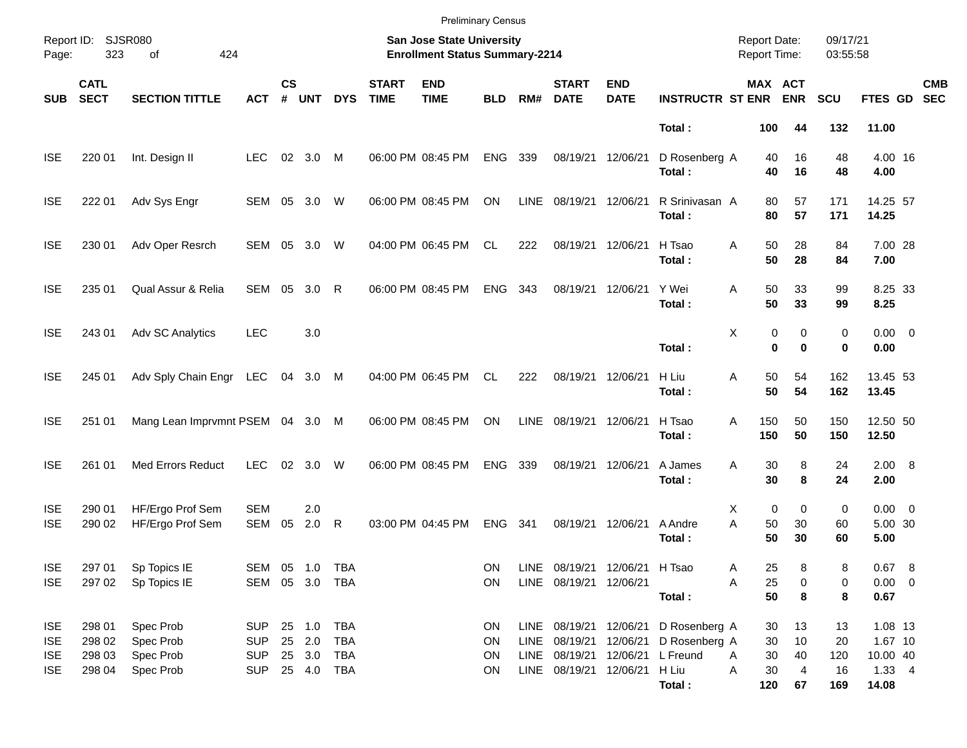|                                                      |                                      |                                                  |                                                      |                    |                                |                          |                             | <b>Preliminary Census</b>                                                 |                      |             |                                                                |                           |                                                                                               |                                       |                           |                              |                                                           |                          |
|------------------------------------------------------|--------------------------------------|--------------------------------------------------|------------------------------------------------------|--------------------|--------------------------------|--------------------------|-----------------------------|---------------------------------------------------------------------------|----------------------|-------------|----------------------------------------------------------------|---------------------------|-----------------------------------------------------------------------------------------------|---------------------------------------|---------------------------|------------------------------|-----------------------------------------------------------|--------------------------|
| Page:                                                | Report ID: SJSR080<br>323            | 424<br>of                                        |                                                      |                    |                                |                          |                             | <b>San Jose State University</b><br><b>Enrollment Status Summary-2214</b> |                      |             |                                                                |                           |                                                                                               | <b>Report Date:</b><br>Report Time:   |                           | 09/17/21<br>03:55:58         |                                                           |                          |
| <b>SUB</b>                                           | <b>CATL</b><br><b>SECT</b>           | <b>SECTION TITTLE</b>                            | <b>ACT</b>                                           | $\mathsf{cs}$<br># | <b>UNT</b>                     | <b>DYS</b>               | <b>START</b><br><b>TIME</b> | <b>END</b><br><b>TIME</b>                                                 | <b>BLD</b>           | RM#         | <b>START</b><br><b>DATE</b>                                    | <b>END</b><br><b>DATE</b> | <b>INSTRUCTR ST ENR</b>                                                                       | MAX ACT                               | <b>ENR</b>                | <b>SCU</b>                   | FTES GD                                                   | <b>CMB</b><br><b>SEC</b> |
|                                                      |                                      |                                                  |                                                      |                    |                                |                          |                             |                                                                           |                      |             |                                                                |                           | Total:                                                                                        | 100                                   | 44                        | 132                          | 11.00                                                     |                          |
| <b>ISE</b>                                           | 220 01                               | Int. Design II                                   | <b>LEC</b>                                           | 02                 | 3.0                            | M                        |                             | 06:00 PM 08:45 PM                                                         | <b>ENG</b>           | 339         | 08/19/21                                                       | 12/06/21                  | D Rosenberg A<br>Total:                                                                       | 40<br>40                              | 16<br>16                  | 48<br>48                     | 4.00 16<br>4.00                                           |                          |
| <b>ISE</b>                                           | 222 01                               | Adv Sys Engr                                     | SEM 05                                               |                    | 3.0                            | W                        |                             | 06:00 PM 08:45 PM                                                         | ON                   | <b>LINE</b> | 08/19/21                                                       | 12/06/21                  | R Srinivasan A<br>Total:                                                                      | 80<br>80                              | 57<br>57                  | 171<br>171                   | 14.25 57<br>14.25                                         |                          |
| <b>ISE</b>                                           | 230 01                               | Adv Oper Resrch                                  | SEM                                                  | 05                 | 3.0                            | W                        |                             | 04:00 PM 06:45 PM                                                         | <b>CL</b>            | 222         | 08/19/21                                                       | 12/06/21                  | H Tsao<br>Total:                                                                              | 50<br>Α<br>50                         | 28<br>28                  | 84<br>84                     | 7.00 28<br>7.00                                           |                          |
| <b>ISE</b>                                           | 235 01                               | Qual Assur & Relia                               | SEM                                                  | 05                 | 3.0                            | $\mathsf{R}$             |                             | 06:00 PM 08:45 PM                                                         | <b>ENG</b>           | 343         | 08/19/21                                                       | 12/06/21                  | Y Wei<br>Total:                                                                               | 50<br>Α<br>50                         | 33<br>33                  | 99<br>99                     | 8.25 33<br>8.25                                           |                          |
| <b>ISE</b>                                           | 243 01                               | Adv SC Analytics                                 | <b>LEC</b>                                           |                    | 3.0                            |                          |                             |                                                                           |                      |             |                                                                |                           | Total:                                                                                        | Χ<br>0<br>$\bf{0}$                    | 0<br>$\bf{0}$             | 0<br>0                       | $0.00 \t 0$<br>0.00                                       |                          |
| <b>ISE</b>                                           | 245 01                               | Adv Sply Chain Engr                              | LEC                                                  |                    | 04 3.0 M                       |                          |                             | 04:00 PM 06:45 PM                                                         | CL.                  | 222         | 08/19/21                                                       | 12/06/21                  | H Liu<br>Total:                                                                               | 50<br>Α<br>50                         | 54<br>54                  | 162<br>162                   | 13.45 53<br>13.45                                         |                          |
| <b>ISE</b>                                           | 251 01                               | Mang Lean Imprvmnt PSEM 04 3.0 M                 |                                                      |                    |                                |                          |                             | 06:00 PM 08:45 PM                                                         | ON                   | <b>LINE</b> | 08/19/21                                                       | 12/06/21                  | H Tsao<br>Total:                                                                              | A<br>150<br>150                       | 50<br>50                  | 150<br>150                   | 12.50 50<br>12.50                                         |                          |
| <b>ISE</b>                                           | 261 01                               | <b>Med Errors Reduct</b>                         | <b>LEC</b>                                           | 02                 | 3.0                            | W                        |                             | 06:00 PM 08:45 PM                                                         | <b>ENG</b>           | 339         | 08/19/21                                                       | 12/06/21                  | A James<br>Total:                                                                             | 30<br>A<br>30                         | 8<br>8                    | 24<br>24                     | 2.00 8<br>2.00                                            |                          |
| <b>ISE</b><br><b>ISE</b>                             | 290 01<br>290 02                     | HF/Ergo Prof Sem<br>HF/Ergo Prof Sem             | <b>SEM</b><br><b>SEM</b>                             | 05                 | 2.0<br>2.0                     | $\mathsf{R}$             |                             | 03:00 PM 04:45 PM                                                         | <b>ENG</b>           | 341         | 08/19/21                                                       | 12/06/21                  | A Andre<br>Total:                                                                             | 0<br>X<br>A<br>50<br>50               | 0<br>30<br>30             | 0<br>60<br>60                | $0.00 \t 0$<br>5.00 30<br>5.00                            |                          |
| <b>ISE</b><br><b>ISE</b>                             | 297 01<br>297 02                     | Sp Topics IE<br>Sp Topics IE                     | SEM 05 1.0 TBA<br>SEM 05 3.0 TBA                     |                    |                                |                          |                             |                                                                           | ON<br>ON             |             | LINE 08/19/21 12/06/21 H Tsao<br>LINE 08/19/21 12/06/21        |                           | Total:                                                                                        | 25<br>A<br>25<br>Α<br>50              | 8<br>0<br>8               | 8<br>0<br>8                  | 0.67 8<br>$0.00 \t 0$<br>0.67                             |                          |
| <b>ISE</b><br><b>ISE</b><br><b>ISE</b><br><b>ISE</b> | 298 01<br>298 02<br>298 03<br>298 04 | Spec Prob<br>Spec Prob<br>Spec Prob<br>Spec Prob | <b>SUP</b><br><b>SUP</b><br><b>SUP</b><br><b>SUP</b> |                    | 25 1.0 TBA<br>25 2.0<br>25 3.0 | TBA<br>TBA<br>25 4.0 TBA |                             |                                                                           | ON<br>ON<br>ON<br>ON |             | LINE 08/19/21<br>LINE 08/19/21<br>LINE 08/19/21 12/06/21 H Liu |                           | LINE 08/19/21 12/06/21 D Rosenberg A<br>12/06/21 D Rosenberg A<br>12/06/21 L Freund<br>Total: | 30<br>30<br>30<br>A<br>30<br>Α<br>120 | 13<br>10<br>40<br>4<br>67 | 13<br>20<br>120<br>16<br>169 | 1.08 13<br>1.67 10<br>10.00 40<br>$1.33 \quad 4$<br>14.08 |                          |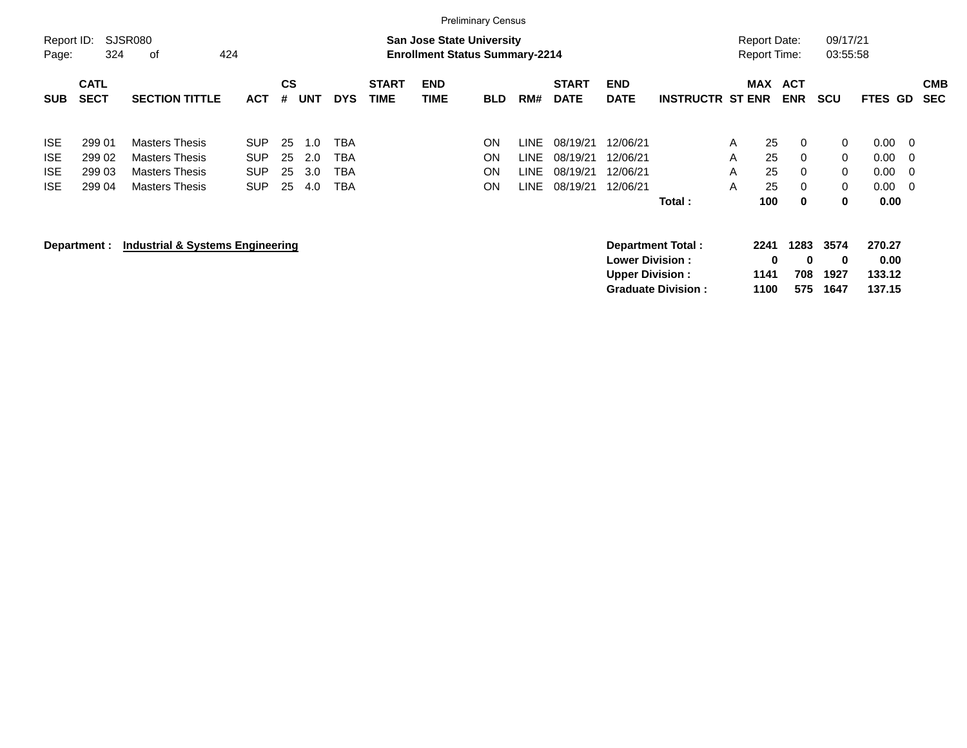|                     |                            |                                             |            |                |            |            |                             |                                                                           | <b>Preliminary Census</b> |       |                             |                                                   |                           |   |                                            |                         |                      |                          |    |                          |
|---------------------|----------------------------|---------------------------------------------|------------|----------------|------------|------------|-----------------------------|---------------------------------------------------------------------------|---------------------------|-------|-----------------------------|---------------------------------------------------|---------------------------|---|--------------------------------------------|-------------------------|----------------------|--------------------------|----|--------------------------|
| Report ID:<br>Page: | 324                        | SJSR080<br>οf<br>424                        |            |                |            |            |                             | <b>San Jose State University</b><br><b>Enrollment Status Summary-2214</b> |                           |       |                             |                                                   |                           |   | <b>Report Date:</b><br><b>Report Time:</b> |                         | 09/17/21<br>03:55:58 |                          |    |                          |
| <b>SUB</b>          | <b>CATL</b><br><b>SECT</b> | <b>SECTION TITTLE</b>                       | <b>ACT</b> | <b>CS</b><br># | <b>UNT</b> | <b>DYS</b> | <b>START</b><br><b>TIME</b> | <b>END</b><br><b>TIME</b>                                                 | <b>BLD</b>                | RM#   | <b>START</b><br><b>DATE</b> | <b>END</b><br><b>DATE</b>                         | <b>INSTRUCTR ST ENR</b>   |   | MAX                                        | ACT<br><b>ENR</b>       | <b>SCU</b>           | <b>FTES GD</b>           |    | <b>CMB</b><br><b>SEC</b> |
| <b>ISE</b>          | 299 01                     | <b>Masters Thesis</b>                       | <b>SUP</b> | 25             | 1.0        | <b>TBA</b> |                             |                                                                           | ON                        | LINE. | 08/19/21                    | 12/06/21                                          |                           | A | 25                                         | $\mathbf{0}$            | 0                    | 0.00                     | -0 |                          |
| <b>ISE</b>          | 299 02                     | <b>Masters Thesis</b>                       | <b>SUP</b> | 25             | 2.0        | <b>TBA</b> |                             |                                                                           | ON                        | LINE. | 08/19/21                    | 12/06/21                                          |                           | A | 25                                         | $\mathbf 0$             | $\mathbf{0}$         | 0.00                     | -0 |                          |
| <b>ISE</b>          | 299 03                     | <b>Masters Thesis</b>                       | <b>SUP</b> | 25             | 3.0        | <b>TBA</b> |                             |                                                                           | ON                        | LINE. | 08/19/21                    | 12/06/21                                          |                           | A | 25                                         | 0                       | 0                    | 0.00                     | 0  |                          |
| <b>ISE</b>          | 299 04                     | <b>Masters Thesis</b>                       | <b>SUP</b> | 25             | 4.0        | TBA        |                             |                                                                           | ΟN                        | LINE  | 08/19/21                    | 12/06/21                                          |                           | A | 25                                         | 0                       | 0                    | 0.00                     | -0 |                          |
|                     |                            |                                             |            |                |            |            |                             |                                                                           |                           |       |                             |                                                   | Total:                    |   | 100                                        | 0                       | 0                    | 0.00                     |    |                          |
|                     | Department :               | <b>Industrial &amp; Systems Engineering</b> |            |                |            |            |                             |                                                                           |                           |       |                             | <b>Lower Division :</b><br><b>Upper Division:</b> | Department Total:         |   | 2241<br>0<br>1141                          | 1283<br>$\bf{0}$<br>708 | 3574<br>0<br>1927    | 270.27<br>0.00<br>133.12 |    |                          |
|                     |                            |                                             |            |                |            |            |                             |                                                                           |                           |       |                             |                                                   | <b>Graduate Division:</b> |   | 1100                                       | 575                     | 1647                 | 137.15                   |    |                          |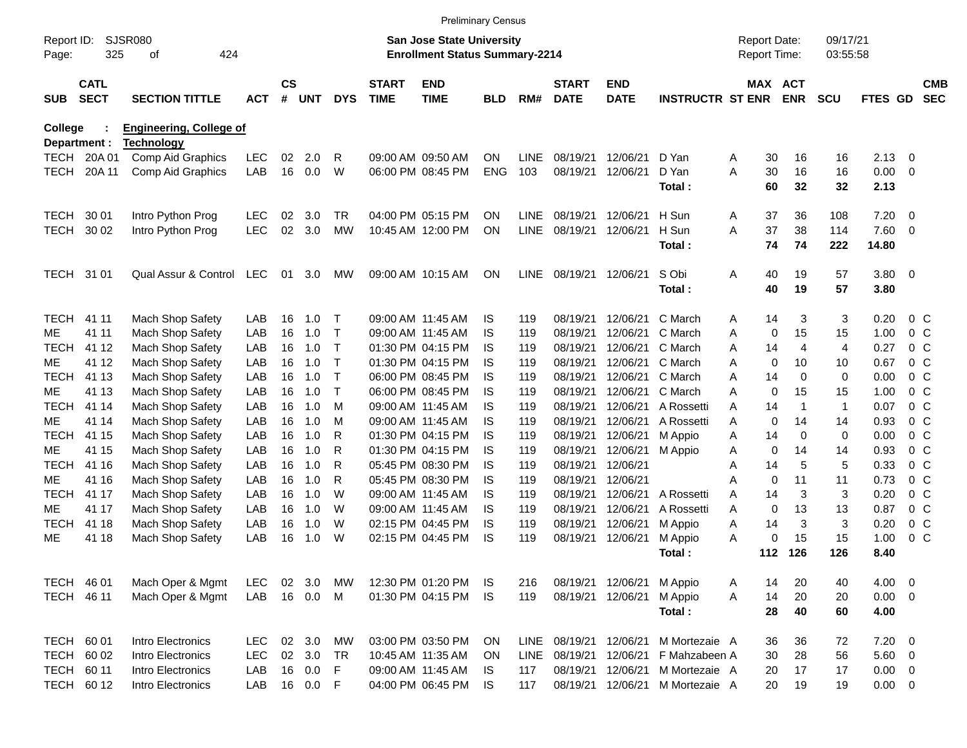|                     |                            |                                |                   |                    |            |            |                             | <b>Preliminary Census</b>                                                 |                         |             |                             |                           |                         |                                            |          |                       |                      |              |                          |                          |
|---------------------|----------------------------|--------------------------------|-------------------|--------------------|------------|------------|-----------------------------|---------------------------------------------------------------------------|-------------------------|-------------|-----------------------------|---------------------------|-------------------------|--------------------------------------------|----------|-----------------------|----------------------|--------------|--------------------------|--------------------------|
| Report ID:<br>Page: | 325                        | <b>SJSR080</b><br>424<br>οf    |                   |                    |            |            |                             | <b>San Jose State University</b><br><b>Enrollment Status Summary-2214</b> |                         |             |                             |                           |                         | <b>Report Date:</b><br><b>Report Time:</b> |          |                       | 09/17/21<br>03:55:58 |              |                          |                          |
| <b>SUB</b>          | <b>CATL</b><br><b>SECT</b> | <b>SECTION TITTLE</b>          | <b>ACT</b>        | $\mathsf{cs}$<br># | <b>UNT</b> | <b>DYS</b> | <b>START</b><br><b>TIME</b> | <b>END</b><br><b>TIME</b>                                                 | <b>BLD</b>              | RM#         | <b>START</b><br><b>DATE</b> | <b>END</b><br><b>DATE</b> | <b>INSTRUCTR ST ENR</b> |                                            |          | MAX ACT<br><b>ENR</b> | <b>SCU</b>           | FTES GD      |                          | <b>CMB</b><br><b>SEC</b> |
| College             |                            | <b>Engineering, College of</b> |                   |                    |            |            |                             |                                                                           |                         |             |                             |                           |                         |                                            |          |                       |                      |              |                          |                          |
|                     | Department :               | <b>Technology</b>              |                   |                    |            | R          |                             |                                                                           |                         |             | 08/19/21                    | 12/06/21                  |                         |                                            |          |                       |                      |              |                          |                          |
| <b>TECH</b>         | 20A 01                     | Comp Aid Graphics              | <b>LEC</b><br>LAB | 02<br>16           | 2.0<br>0.0 | W          |                             | 09:00 AM 09:50 AM                                                         | <b>ON</b><br><b>ENG</b> | LINE<br>103 | 08/19/21                    | 12/06/21                  | D Yan<br>D Yan          | Α<br>A                                     | 30<br>30 | 16<br>16              | 16<br>16             | 2.13<br>0.00 | 0<br>- 0                 |                          |
| <b>TECH</b>         | 20A 11                     | Comp Aid Graphics              |                   |                    |            |            |                             | 06:00 PM 08:45 PM                                                         |                         |             |                             |                           | Total:                  |                                            | 60       | 32                    | 32                   | 2.13         |                          |                          |
| <b>TECH</b>         | 30 01                      | Intro Python Prog              | <b>LEC</b>        | 02                 | 3.0        | TR         |                             | 04:00 PM 05:15 PM                                                         | <b>ON</b>               | <b>LINE</b> | 08/19/21                    | 12/06/21                  | H Sun                   | Α                                          | 37       | 36                    | 108                  | 7.20         | - 0                      |                          |
| TECH                | 30 02                      | Intro Python Prog              | <b>LEC</b>        | 02                 | 3.0        | <b>MW</b>  |                             | 10:45 AM 12:00 PM                                                         | ON                      | <b>LINE</b> | 08/19/21                    | 12/06/21                  | H Sun                   | A                                          | 37       | 38                    | 114                  | 7.60         | - 0                      |                          |
|                     |                            |                                |                   |                    |            |            |                             |                                                                           |                         |             |                             |                           | Total:                  |                                            | 74       | 74                    | 222                  | 14.80        |                          |                          |
| TECH 31 01          |                            | Qual Assur & Control           | LEC               | 01                 | 3.0        | MW         |                             | 09:00 AM 10:15 AM                                                         | <b>ON</b>               | <b>LINE</b> | 08/19/21                    | 12/06/21                  | S Obi                   | Α                                          | 40       | 19                    | 57                   | 3.80         | $\overline{0}$           |                          |
|                     |                            |                                |                   |                    |            |            |                             |                                                                           |                         |             |                             |                           | Total:                  |                                            | 40       | 19                    | 57                   | 3.80         |                          |                          |
| <b>TECH</b>         | 41 11                      | Mach Shop Safety               | LAB               | 16                 | 1.0        | Т          |                             | 09:00 AM 11:45 AM                                                         | IS                      | 119         | 08/19/21                    | 12/06/21                  | C March                 | A                                          | 14       | 3                     | 3                    | 0.20         |                          | 0 <sup>C</sup>           |
| ME                  | 41 11                      | Mach Shop Safety               | LAB               | 16                 | 1.0        | т          |                             | 09:00 AM 11:45 AM                                                         | IS                      | 119         | 08/19/21                    | 12/06/21                  | C March                 | Α                                          | 0        | 15                    | 15                   | 1.00         |                          | 0 <sup>C</sup>           |
| <b>TECH</b>         | 41 12                      | Mach Shop Safety               | LAB               | 16                 | 1.0        | т          |                             | 01:30 PM 04:15 PM                                                         | IS.                     | 119         | 08/19/21                    | 12/06/21                  | C March                 | A                                          | 14       | 4                     | 4                    | 0.27         |                          | 0 <sup>C</sup>           |
| MЕ                  | 41 12                      | Mach Shop Safety               | LAB               | 16                 | 1.0        | т          |                             | 01:30 PM 04:15 PM                                                         | IS.                     | 119         | 08/19/21                    | 12/06/21                  | C March                 | A                                          | 0        | 10                    | 10                   | 0.67         |                          | 0 <sup>C</sup>           |
| <b>TECH</b>         | 41 13                      | Mach Shop Safety               | LAB               | 16                 | 1.0        | т          |                             | 06:00 PM 08:45 PM                                                         | IS                      | 119         | 08/19/21                    | 12/06/21                  | C March                 | A                                          | 14       | $\mathbf 0$           | $\mathbf 0$          | 0.00         |                          | 0 <sup>C</sup>           |
| MЕ                  | 41 13                      | Mach Shop Safety               | LAB               | 16                 | 1.0        | т          |                             | 06:00 PM 08:45 PM                                                         | IS                      | 119         | 08/19/21                    | 12/06/21                  | C March                 | A                                          | 0        | 15                    | 15                   | 1.00         |                          | 0 <sup>C</sup>           |
| <b>TECH</b>         | 41 14                      | Mach Shop Safety               | LAB               | 16                 | 1.0        | M          |                             | 09:00 AM 11:45 AM                                                         | IS                      | 119         | 08/19/21                    | 12/06/21                  | A Rossetti              | A                                          | 14       | $\overline{1}$        | $\mathbf{1}$         | 0.07         |                          | 0 <sup>C</sup>           |
| ME                  | 41 14                      | Mach Shop Safety               | LAB               | 16                 | 1.0        | M          |                             | 09:00 AM 11:45 AM                                                         | IS                      | 119         | 08/19/21                    | 12/06/21                  | A Rossetti              | A                                          | 0        | 14                    | 14                   | 0.93         |                          | 0 <sup>C</sup>           |
| <b>TECH</b>         | 41 15                      | Mach Shop Safety               | LAB               | 16                 | 1.0        | R          |                             | 01:30 PM 04:15 PM                                                         | IS                      | 119         | 08/19/21                    | 12/06/21                  | M Appio                 | A                                          | 14       | 0                     | $\mathbf 0$          | 0.00         |                          | 0 <sup>C</sup>           |
| MЕ                  | 41 15                      | Mach Shop Safety               | LAB               | 16                 | 1.0        | R          |                             | 01:30 PM 04:15 PM                                                         | IS                      | 119         | 08/19/21                    | 12/06/21                  | M Appio                 | A                                          | 0        | 14                    | 14                   | 0.93         |                          | 0 <sup>o</sup>           |
| <b>TECH</b>         | 41 16                      | Mach Shop Safety               | LAB               | 16                 | 1.0        | R          |                             | 05:45 PM 08:30 PM                                                         | IS.                     | 119         | 08/19/21                    | 12/06/21                  |                         | A                                          | 14       | 5                     | 5                    | 0.33         |                          | 0 <sup>C</sup>           |
| MЕ                  | 41 16                      | Mach Shop Safety               | LAB               | 16                 | 1.0        | R          |                             | 05:45 PM 08:30 PM                                                         | IS                      | 119         | 08/19/21                    | 12/06/21                  |                         | A                                          | 0        | 11                    | 11                   | 0.73         |                          | 0 <sup>C</sup>           |
| <b>TECH</b>         | 41 17                      | Mach Shop Safety               | LAB               | 16                 | 1.0        | W          |                             | 09:00 AM 11:45 AM                                                         | IS                      | 119         | 08/19/21                    | 12/06/21                  | A Rossetti              | A                                          | 14       | 3                     | 3                    | 0.20         |                          | 0 <sup>o</sup>           |
| MЕ                  | 41 17                      | Mach Shop Safety               | LAB               | 16                 | 1.0        | W          |                             | 09:00 AM 11:45 AM                                                         | IS                      | 119         | 08/19/21                    | 12/06/21                  | A Rossetti              | A                                          | 0        | 13                    | 13                   | 0.87         |                          | 0 <sup>C</sup>           |
| <b>TECH</b>         | 41 18                      | Mach Shop Safety               | LAB               | 16                 | 1.0        | W          |                             | 02:15 PM 04:45 PM                                                         | IS.                     | 119         | 08/19/21                    | 12/06/21                  | M Appio                 | Α                                          | 14       | 3                     | 3                    | 0.20         |                          | 0 <sup>C</sup>           |
| ME                  | 41 18                      | Mach Shop Safety               | LAB               | 16                 | 1.0        | W          |                             | 02:15 PM 04:45 PM                                                         | IS                      | 119         | 08/19/21                    | 12/06/21                  | M Appio                 | A                                          | 0        | 15                    | 15                   | 1.00         |                          | 0 <sup>o</sup>           |
|                     |                            |                                |                   |                    |            |            |                             |                                                                           |                         |             |                             |                           | Total :                 |                                            | 112      | 126                   | 126                  | 8.40         |                          |                          |
| TECH 46 01          |                            | Mach Oper & Mgmt               | LEC.              | 02                 | 3.0        | MW         |                             | 12:30 PM 01:20 PM                                                         | IS                      | 216         |                             | 08/19/21 12/06/21         | M Appio                 | A                                          | 14       | 20                    | 40                   | 4.00         | $\overline{\mathbf{0}}$  |                          |
| TECH 46 11          |                            | Mach Oper & Mgmt               | LAB               |                    | 16 0.0     | M          |                             | 01:30 PM 04:15 PM                                                         | IS.                     | 119         | 08/19/21                    | 12/06/21                  | M Appio                 | Α                                          | 14       | 20                    | 20                   | 0.00         | $\overline{\mathbf{0}}$  |                          |
|                     |                            |                                |                   |                    |            |            |                             |                                                                           |                         |             |                             |                           | Total:                  |                                            | 28       | 40                    | 60                   | 4.00         |                          |                          |
| TECH 60 01          |                            | Intro Electronics              | <b>LEC</b>        |                    | 02 3.0     | MW         |                             | 03:00 PM 03:50 PM                                                         | ON                      | LINE        |                             | 08/19/21 12/06/21         | M Mortezaie A           |                                            | 36       | 36                    | 72                   | 7.20         | $\overline{\phantom{0}}$ |                          |
|                     | TECH 60 02                 | Intro Electronics              | <b>LEC</b>        |                    | 02 3.0     | <b>TR</b>  |                             | 10:45 AM 11:35 AM                                                         | ON                      | LINE        | 08/19/21                    | 12/06/21                  | F Mahzabeen A           |                                            | 30       | 28                    | 56                   | 5.60 0       |                          |                          |
| TECH 60 11          |                            | Intro Electronics              | LAB               |                    | 16 0.0     | F          |                             | 09:00 AM 11:45 AM                                                         | IS.                     | 117         | 08/19/21                    | 12/06/21                  | M Mortezaie A           |                                            | 20       | 17                    | 17                   | $0.00 \t 0$  |                          |                          |
|                     | TECH 60 12                 | Intro Electronics              | LAB               |                    | 16  0.0    | F          |                             | 04:00 PM 06:45 PM                                                         | IS                      | 117         | 08/19/21                    | 12/06/21                  | M Mortezaie A           |                                            | 20       | 19                    | 19                   | $0.00 \t 0$  |                          |                          |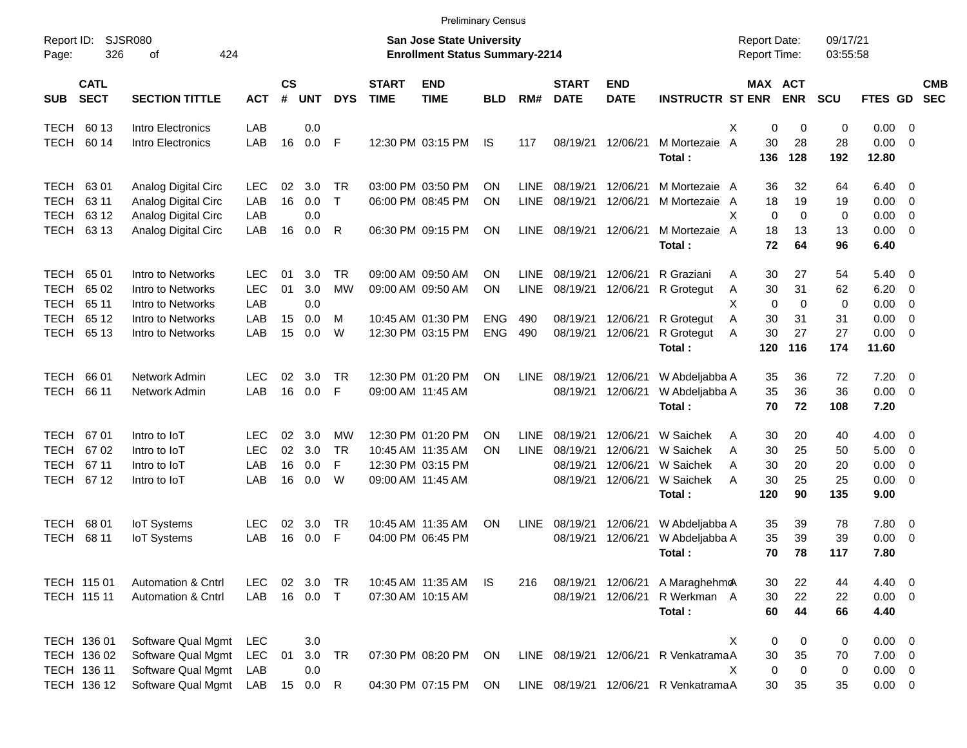|                     |                            |                               |            |                    |            |              |                             | <b>Preliminary Census</b>                                          |            |             |                             |                           |                                      |                                     |                              |                      |                      |                          |                          |
|---------------------|----------------------------|-------------------------------|------------|--------------------|------------|--------------|-----------------------------|--------------------------------------------------------------------|------------|-------------|-----------------------------|---------------------------|--------------------------------------|-------------------------------------|------------------------------|----------------------|----------------------|--------------------------|--------------------------|
| Report ID:<br>Page: | 326                        | <b>SJSR080</b><br>424<br>of   |            |                    |            |              |                             | San Jose State University<br><b>Enrollment Status Summary-2214</b> |            |             |                             |                           |                                      | <b>Report Date:</b><br>Report Time: |                              | 09/17/21<br>03:55:58 |                      |                          |                          |
| <b>SUB</b>          | <b>CATL</b><br><b>SECT</b> | <b>SECTION TITTLE</b>         | <b>ACT</b> | $\mathsf{cs}$<br># | <b>UNT</b> | <b>DYS</b>   | <b>START</b><br><b>TIME</b> | <b>END</b><br><b>TIME</b>                                          | <b>BLD</b> | RM#         | <b>START</b><br><b>DATE</b> | <b>END</b><br><b>DATE</b> | <b>INSTRUCTR ST ENR</b>              |                                     | <b>MAX ACT</b><br><b>ENR</b> | <b>SCU</b>           | FTES GD              |                          | <b>CMB</b><br><b>SEC</b> |
| <b>TECH</b>         | 60 13                      | Intro Electronics             | LAB        |                    | 0.0        |              |                             |                                                                    |            |             |                             |                           |                                      | X<br>0                              | 0                            | 0                    | $0.00 \t 0$          |                          |                          |
| <b>TECH</b>         | 60 14                      | Intro Electronics             | LAB        | 16                 | 0.0        | F            |                             | 12:30 PM 03:15 PM                                                  | <b>IS</b>  | 117         | 08/19/21                    | 12/06/21                  | M Mortezaie<br>Total:                | $\overline{A}$<br>30<br>136         | 28<br>128                    | 28<br>192            | $0.00 \t 0$<br>12.80 |                          |                          |
| <b>TECH</b>         | 6301                       | Analog Digital Circ           | <b>LEC</b> | 02                 | 3.0        | <b>TR</b>    |                             | 03:00 PM 03:50 PM                                                  | ΟN         | <b>LINE</b> | 08/19/21                    | 12/06/21                  | M Mortezaie A                        | 36                                  | 32                           | 64                   | $6.40 \quad 0$       |                          |                          |
| <b>TECH</b>         | 63 11                      | Analog Digital Circ           | LAB        | 16                 | 0.0        | $\top$       |                             | 06:00 PM 08:45 PM                                                  | ΟN         | <b>LINE</b> | 08/19/21                    | 12/06/21                  | M Mortezaie                          | 18<br>A                             | 19                           | 19                   | 0.00                 | $\overline{\phantom{0}}$ |                          |
| <b>TECH</b>         | 63 12                      | Analog Digital Circ           | LAB        |                    | 0.0        |              |                             |                                                                    |            |             |                             |                           |                                      | X<br>$\Omega$                       | $\Omega$                     | 0                    | 0.00                 | $\overline{\mathbf{0}}$  |                          |
| <b>TECH</b>         | 63 13                      | Analog Digital Circ           | LAB        | 16                 | 0.0        | R            |                             | 06:30 PM 09:15 PM                                                  | ON         | LINE        | 08/19/21                    | 12/06/21                  | M Mortezaie<br>Total:                | 18<br>A<br>72                       | 13<br>64                     | 13<br>96             | $0.00 \t 0$<br>6.40  |                          |                          |
| <b>TECH</b>         | 6501                       | Intro to Networks             | <b>LEC</b> | 01                 | 3.0        | <b>TR</b>    |                             | 09:00 AM 09:50 AM                                                  | ΟN         | <b>LINE</b> | 08/19/21                    | 12/06/21                  | R Graziani                           | 30<br>A                             | 27                           | 54                   | $5.40 \ 0$           |                          |                          |
| <b>TECH</b>         | 65 02                      | Intro to Networks             | <b>LEC</b> | 01                 | 3.0        | <b>MW</b>    |                             | 09:00 AM 09:50 AM                                                  | ΟN         | <b>LINE</b> | 08/19/21                    | 12/06/21                  | R Grotegut                           | 30<br>Α                             | 31                           | 62                   | 6.20                 | $\overline{\mathbf{0}}$  |                          |
| <b>TECH</b>         | 65 11                      | Intro to Networks             | LAB        |                    | 0.0        |              |                             |                                                                    |            |             |                             |                           |                                      | X<br>$\mathbf 0$                    | $\mathbf 0$                  | 0                    | 0.00                 | $\overline{\mathbf{0}}$  |                          |
| <b>TECH</b>         | 65 12                      | Intro to Networks             | LAB        | 15                 | 0.0        | M            |                             | 10:45 AM 01:30 PM                                                  | <b>ENG</b> | 490         | 08/19/21                    | 12/06/21                  | R Grotegut                           | 30<br>Α                             | 31                           | 31                   | 0.00                 | $\overline{\phantom{0}}$ |                          |
| <b>TECH</b>         | 65 13                      | Intro to Networks             | LAB        | 15                 | 0.0        | W            |                             | 12:30 PM 03:15 PM                                                  | <b>ENG</b> | 490         | 08/19/21                    | 12/06/21                  | R Grotegut                           | 30<br>A                             | 27                           | 27                   | $0.00 \t 0$          |                          |                          |
|                     |                            |                               |            |                    |            |              |                             |                                                                    |            |             |                             |                           | Total:                               | 120                                 | 116                          | 174                  | 11.60                |                          |                          |
| <b>TECH</b>         | 66 01                      | Network Admin                 | <b>LEC</b> | 02                 | 3.0        | TR           |                             | 12:30 PM 01:20 PM                                                  | ΟN         | <b>LINE</b> | 08/19/21                    | 12/06/21                  | W Abdeljabba A                       | 35                                  | 36                           | 72                   | $7.20 \t 0$          |                          |                          |
| <b>TECH</b>         | 66 11                      | Network Admin                 | LAB        | 16                 | 0.0        | F            | 09:00 AM 11:45 AM           |                                                                    |            |             | 08/19/21                    | 12/06/21                  | W Abdeljabba A                       | 35                                  | 36                           | 36                   | $0.00 \t 0$          |                          |                          |
|                     |                            |                               |            |                    |            |              |                             |                                                                    |            |             |                             |                           | Total:                               | 70                                  | 72                           | 108                  | 7.20                 |                          |                          |
| <b>TECH</b>         | 6701                       | Intro to IoT                  | <b>LEC</b> | 02                 | 3.0        | МW           |                             | 12:30 PM 01:20 PM                                                  | ΟN         | <b>LINE</b> | 08/19/21                    | 12/06/21                  | W Saichek                            | 30<br>A                             | 20                           | 40                   | $4.00 \ 0$           |                          |                          |
| <b>TECH</b>         | 6702                       | Intro to IoT                  | <b>LEC</b> | 02                 | 3.0        | <b>TR</b>    |                             | 10:45 AM 11:35 AM                                                  | ΟN         | <b>LINE</b> | 08/19/21                    | 12/06/21                  | W Saichek                            | 30<br>A                             | 25                           | 50                   | $5.00 \t 0$          |                          |                          |
| <b>TECH</b>         | 67 11                      | Intro to IoT                  | LAB        | 16                 | 0.0        | F            |                             | 12:30 PM 03:15 PM                                                  |            |             | 08/19/21                    | 12/06/21                  | W Saichek                            | 30<br>A                             | 20                           | 20                   | 0.00                 | $\overline{\mathbf{0}}$  |                          |
| <b>TECH</b>         | 67 12                      | Intro to IoT                  | LAB        | 16                 | 0.0        | W            |                             | 09:00 AM 11:45 AM                                                  |            |             | 08/19/21                    | 12/06/21                  | W Saichek                            | 30<br>A                             | 25                           | 25                   | $0.00 \t 0$          |                          |                          |
|                     |                            |                               |            |                    |            |              |                             |                                                                    |            |             |                             |                           | Total:                               | 120                                 | 90                           | 135                  | 9.00                 |                          |                          |
| <b>TECH</b>         | 68 01                      | <b>IoT</b> Systems            | <b>LEC</b> | 02                 | 3.0        | TR           |                             | 10:45 AM 11:35 AM                                                  | ON         | <b>LINE</b> | 08/19/21                    | 12/06/21                  | W Abdeljabba A                       | 35                                  | 39                           | 78                   | 7.80 0               |                          |                          |
| <b>TECH</b>         | 68 11                      | <b>IoT Systems</b>            | LAB        | 16                 | 0.0        | F            |                             | 04:00 PM 06:45 PM                                                  |            |             | 08/19/21                    | 12/06/21                  | W Abdeljabba A                       | 35                                  | 39                           | 39                   | 0.00                 | $\overline{\phantom{0}}$ |                          |
|                     |                            |                               |            |                    |            |              |                             |                                                                    |            |             |                             |                           | Total:                               | 70                                  | 78                           | 117                  | 7.80                 |                          |                          |
|                     | TECH 115 01                | <b>Automation &amp; Cntrl</b> | <b>LEC</b> | 02                 | 3.0        | TR           |                             | 10:45 AM 11:35 AM                                                  | IS         | 216         | 08/19/21                    | 12/06/21                  | A MaraghehmoA                        | 30                                  | 22                           | 44                   | $4.40 \quad 0$       |                          |                          |
|                     | TECH 115 11                | <b>Automation &amp; Cntrl</b> | LAB        |                    | 16  0.0  T |              |                             | 07:30 AM 10:15 AM                                                  |            |             | 08/19/21                    | 12/06/21                  | R Werkman A                          | 30                                  | 22                           | 22                   | $0.00 \t 0$          |                          |                          |
|                     |                            |                               |            |                    |            |              |                             |                                                                    |            |             |                             |                           | Total:                               | 60                                  | 44                           | 66                   | 4.40                 |                          |                          |
|                     | TECH 136 01                | Software Qual Mgmt            | <b>LEC</b> |                    | $3.0\,$    |              |                             |                                                                    |            |             |                             |                           |                                      | 0<br>Х                              | 0                            | 0                    | $0.00 \t 0$          |                          |                          |
|                     | TECH 136 02                | Software Qual Mgmt            | <b>LEC</b> | 01                 | 3.0        | <b>TR</b>    |                             | 07:30 PM 08:20 PM                                                  | ON         |             | LINE 08/19/21               | 12/06/21                  | R VenkatramaA                        | 30                                  | 35                           | 70                   | $7.00 \t 0$          |                          |                          |
|                     | TECH 136 11                | Software Qual Mgmt            | LAB        |                    | 0.0        |              |                             |                                                                    |            |             |                             |                           |                                      | $\pmb{0}$<br>Х                      | 0                            | $\pmb{0}$            | $0.00 \t 0$          |                          |                          |
|                     | TECH 136 12                | Software Qual Mgmt            | LAB        | 15                 | 0.0        | $\mathsf{R}$ |                             | 04:30 PM 07:15 PM                                                  | ON         |             |                             |                           | LINE 08/19/21 12/06/21 R VenkatramaA | 30                                  | 35                           | 35                   | $0.00 \t 0$          |                          |                          |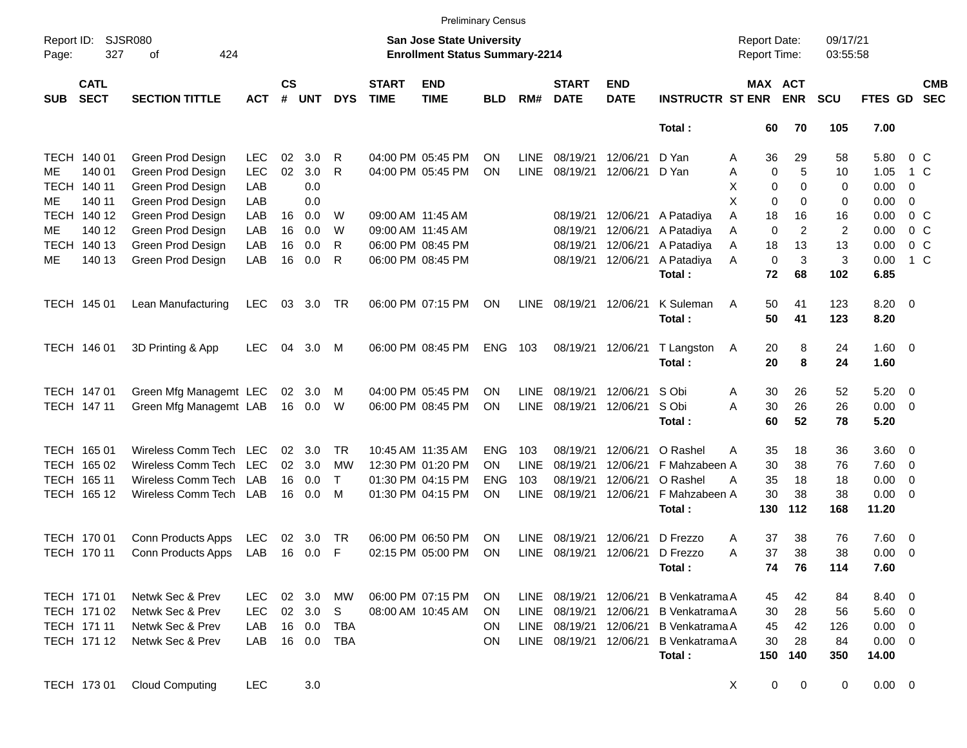|                     |                            |                             |            |                    |            |            |                             |                                                                           | <b>Preliminary Census</b> |             |                             |                           |                         |                                            |                       |                      |             |                |                          |
|---------------------|----------------------------|-----------------------------|------------|--------------------|------------|------------|-----------------------------|---------------------------------------------------------------------------|---------------------------|-------------|-----------------------------|---------------------------|-------------------------|--------------------------------------------|-----------------------|----------------------|-------------|----------------|--------------------------|
| Report ID:<br>Page: | 327                        | <b>SJSR080</b><br>424<br>of |            |                    |            |            |                             | <b>San Jose State University</b><br><b>Enrollment Status Summary-2214</b> |                           |             |                             |                           |                         | <b>Report Date:</b><br><b>Report Time:</b> |                       | 09/17/21<br>03:55:58 |             |                |                          |
| <b>SUB</b>          | <b>CATL</b><br><b>SECT</b> | <b>SECTION TITTLE</b>       | <b>ACT</b> | $\mathsf{cs}$<br># | <b>UNT</b> | <b>DYS</b> | <b>START</b><br><b>TIME</b> | <b>END</b><br><b>TIME</b>                                                 | <b>BLD</b>                | RM#         | <b>START</b><br><b>DATE</b> | <b>END</b><br><b>DATE</b> | <b>INSTRUCTR ST ENR</b> |                                            | MAX ACT<br><b>ENR</b> | <b>SCU</b>           | FTES GD     |                | <b>CMB</b><br><b>SEC</b> |
|                     |                            |                             |            |                    |            |            |                             |                                                                           |                           |             |                             |                           | Total:                  | 60                                         | 70                    | 105                  | 7.00        |                |                          |
|                     | TECH 140 01                | Green Prod Design           | <b>LEC</b> | 02                 | 3.0        | R          |                             | 04:00 PM 05:45 PM                                                         | <b>ON</b>                 | LINE        | 08/19/21                    | 12/06/21                  | D Yan                   | 36<br>A                                    | 29                    | 58                   | 5.80        |                | $0\,$ C                  |
| ME                  | 140 01                     | Green Prod Design           | <b>LEC</b> | 02                 | 3.0        | R          |                             | 04:00 PM 05:45 PM                                                         | ON                        | <b>LINE</b> | 08/19/21                    | 12/06/21                  | D Yan                   | Α<br>0                                     | 5                     | 10                   | 1.05        |                | $1\,C$                   |
|                     | TECH 140 11                | Green Prod Design           | LAB        |                    | 0.0        |            |                             |                                                                           |                           |             |                             |                           |                         | Χ<br>0                                     | 0                     | 0                    | 0.00        | 0              |                          |
| ME                  | 140 11                     | Green Prod Design           | LAB        |                    | 0.0        |            |                             |                                                                           |                           |             |                             |                           |                         | X<br>0                                     | 0                     | 0                    | 0.00        | 0              |                          |
|                     | TECH 140 12                | Green Prod Design           | LAB        | 16                 | 0.0        | W          |                             | 09:00 AM 11:45 AM                                                         |                           |             | 08/19/21                    | 12/06/21                  | A Patadiya              | 18<br>Α                                    | 16                    | 16                   | 0.00        | 0 <sup>o</sup> |                          |
| ME                  | 140 12                     | Green Prod Design           | LAB        | 16                 | 0.0        | W          |                             | 09:00 AM 11:45 AM                                                         |                           |             | 08/19/21                    | 12/06/21                  | A Patadiya              | $\mathbf 0$<br>Α                           | $\overline{2}$        | $\overline{2}$       | 0.00        |                | 0 <sup>C</sup>           |
|                     | TECH 140 13                | Green Prod Design           | LAB        | 16                 | 0.0        | R          |                             | 06:00 PM 08:45 PM                                                         |                           |             | 08/19/21                    | 12/06/21                  | A Patadiya              | 18<br>Α                                    | 13                    | 13                   | 0.00        |                | 0 <sup>C</sup>           |
| МE                  | 140 13                     | Green Prod Design           | LAB        | 16                 | 0.0        | R          |                             | 06:00 PM 08:45 PM                                                         |                           |             | 08/19/21                    | 12/06/21                  | A Patadiya              | 0<br>A                                     | 3                     | 3                    | 0.00        |                | $1\,C$                   |
|                     |                            |                             |            |                    |            |            |                             |                                                                           |                           |             |                             |                           | Total:                  | 72                                         | 68                    | 102                  | 6.85        |                |                          |
|                     | TECH 145 01                | Lean Manufacturing          | <b>LEC</b> | 03                 | 3.0        | TR         |                             | 06:00 PM 07:15 PM                                                         | <b>ON</b>                 | LINE        | 08/19/21 12/06/21           |                           | K Suleman               | 50<br>A                                    | 41                    | 123                  | 8.20        | $\overline{0}$ |                          |
|                     |                            |                             |            |                    |            |            |                             |                                                                           |                           |             |                             |                           | Total:                  | 50                                         | 41                    | 123                  | 8.20        |                |                          |
|                     |                            |                             |            |                    |            |            |                             |                                                                           |                           |             |                             |                           |                         |                                            |                       |                      |             |                |                          |
|                     | TECH 146 01                | 3D Printing & App           | <b>LEC</b> | 04                 | 3.0        | M          |                             | 06:00 PM 08:45 PM                                                         | <b>ENG</b>                | 103         | 08/19/21 12/06/21           |                           | T Langston              | 20<br>A                                    | 8                     | 24                   | 1.60        | $\overline{0}$ |                          |
|                     |                            |                             |            |                    |            |            |                             |                                                                           |                           |             |                             |                           | Total:                  | 20                                         | 8                     | 24                   | 1.60        |                |                          |
|                     |                            |                             |            |                    |            |            |                             |                                                                           |                           |             |                             |                           |                         |                                            |                       |                      |             |                |                          |
|                     | TECH 147 01                | Green Mfg Managemt LEC      |            | 02                 | 3.0        | M          |                             | 04:00 PM 05:45 PM                                                         | <b>ON</b>                 | <b>LINE</b> | 08/19/21                    | 12/06/21                  | S Obi                   | Α<br>30                                    | 26                    | 52                   | 5.20        | 0              |                          |
|                     | TECH 147 11                | Green Mfg Managemt LAB      |            | 16                 | 0.0        | W          |                             | 06:00 PM 08:45 PM                                                         | ON                        | <b>LINE</b> | 08/19/21                    | 12/06/21                  | S Obi                   | 30<br>Α                                    | 26                    | 26                   | 0.00        | 0              |                          |
|                     |                            |                             |            |                    |            |            |                             |                                                                           |                           |             |                             |                           | Total:                  | 60                                         | 52                    | 78                   | 5.20        |                |                          |
|                     |                            |                             |            |                    |            |            |                             |                                                                           |                           |             |                             |                           |                         |                                            |                       |                      |             |                |                          |
|                     | TECH 165 01                | Wireless Comm Tech          | <b>LEC</b> | 02                 | 3.0        | <b>TR</b>  |                             | 10:45 AM 11:35 AM                                                         | <b>ENG</b>                | 103         | 08/19/21                    | 12/06/21                  | O Rashel                | Α<br>35                                    | 18                    | 36                   | 3.60        | 0              |                          |
|                     | TECH 165 02                | Wireless Comm Tech          | LEC        | 02                 | 3.0        | <b>MW</b>  |                             | 12:30 PM 01:20 PM                                                         | <b>ON</b>                 | <b>LINE</b> | 08/19/21                    | 12/06/21                  | F Mahzabeen A           | 30                                         | 38                    | 76                   | 7.60        | $\mathbf 0$    |                          |
|                     | TECH 165 11                | Wireless Comm Tech          | LAB        | 16                 | 0.0        | T.         |                             | 01:30 PM 04:15 PM                                                         | <b>ENG</b>                | 103         | 08/19/21                    | 12/06/21                  | O Rashel                | 35<br>Α                                    | 18                    | 18                   | 0.00        | $\mathbf 0$    |                          |
|                     | TECH 165 12                | Wireless Comm Tech          | LAB        | 16                 | 0.0        | M          |                             | 01:30 PM 04:15 PM                                                         | ON                        | <b>LINE</b> | 08/19/21                    | 12/06/21                  | F Mahzabeen A           | 30                                         | 38                    | 38                   | 0.00        | 0              |                          |
|                     |                            |                             |            |                    |            |            |                             |                                                                           |                           |             |                             |                           | Total:                  | 130                                        | 112                   | 168                  | 11.20       |                |                          |
|                     |                            |                             |            |                    |            |            |                             |                                                                           |                           |             |                             |                           |                         |                                            |                       |                      |             |                |                          |
|                     | TECH 170 01                | Conn Products Apps          | LEC        | 02                 | 3.0        | TR         |                             | 06:00 PM 06:50 PM                                                         | <b>ON</b>                 | <b>LINE</b> | 08/19/21                    | 12/06/21                  | D Frezzo                | 37<br>Α                                    | 38                    | 76                   | 7.60        | 0              |                          |
|                     | TECH 170 11                | Conn Products Apps          | LAB        | 16                 | 0.0        | F          |                             | 02:15 PM 05:00 PM                                                         | ON                        | <b>LINE</b> | 08/19/21                    | 12/06/21                  | D Frezzo                | 37<br>Α                                    | 38                    | 38                   | 0.00        | 0              |                          |
|                     |                            |                             |            |                    |            |            |                             |                                                                           |                           |             |                             |                           | Total:                  | 74                                         | 76                    | 114                  | 7.60        |                |                          |
|                     |                            |                             |            |                    |            |            |                             |                                                                           |                           |             |                             |                           |                         |                                            |                       |                      |             |                |                          |
|                     | TECH 171 01                | Netwk Sec & Prev            | <b>LEC</b> | 02                 | 3.0        | MW         |                             | 06:00 PM 07:15 PM                                                         | <b>ON</b>                 | LINE        | 08/19/21 12/06/21           |                           | <b>B</b> Venkatrama A   | 45                                         | 42                    | 84                   | 8.40 0      |                |                          |
|                     | TECH 171 02                | Netwk Sec & Prev            | <b>LEC</b> |                    | 02 3.0     | S          |                             | 08:00 AM 10:45 AM                                                         | <b>ON</b>                 |             | LINE 08/19/21               | 12/06/21                  | B Venkatrama A          | 30                                         | 28                    | 56                   | $5.60$ 0    |                |                          |
|                     | TECH 171 11                | Netwk Sec & Prev            | LAB        |                    | 16 0.0     | TBA        |                             |                                                                           | <b>ON</b>                 |             | LINE 08/19/21               | 12/06/21                  | B Venkatrama A          | 45                                         | 42                    | 126                  | $0.00 \t 0$ |                |                          |
|                     | TECH 171 12                | Netwk Sec & Prev            | LAB        |                    | 16 0.0     | <b>TBA</b> |                             |                                                                           | <b>ON</b>                 |             | LINE 08/19/21 12/06/21      |                           | <b>B</b> Venkatrama A   | 30                                         | 28                    | 84                   | $0.00 \t 0$ |                |                          |
|                     |                            |                             |            |                    |            |            |                             |                                                                           |                           |             |                             |                           | Total:                  | 150                                        | 140                   | 350                  | 14.00       |                |                          |
|                     |                            |                             |            |                    |            |            |                             |                                                                           |                           |             |                             |                           |                         |                                            |                       |                      |             |                |                          |
|                     | TECH 173 01                | <b>Cloud Computing</b>      | <b>LEC</b> |                    | 3.0        |            |                             |                                                                           |                           |             |                             |                           |                         | $\mathbf 0$<br>X                           | $\mathbf{0}$          | $\mathbf 0$          | $0.00 \t 0$ |                |                          |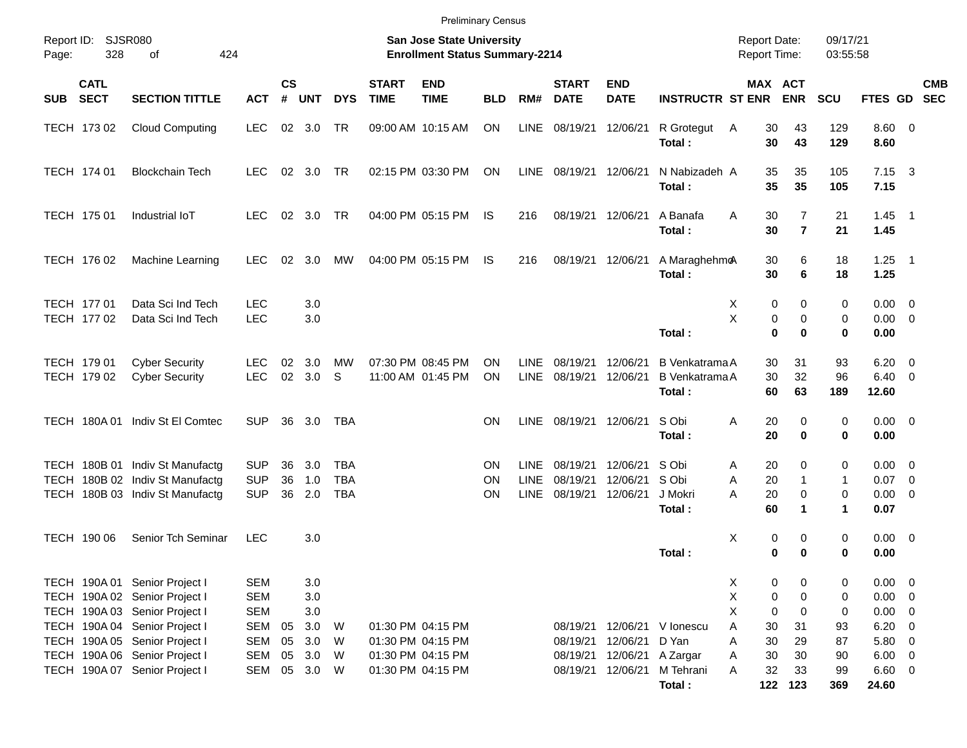|       |                            |                                                                                                                                                                   |                                                                    |                             |                                     |                                        |                             | <b>Preliminary Census</b>                                                 |                |                                    |                                  |                                  |                                                   |                                                   |                                             |                             |                                      |                                                                                                 |            |
|-------|----------------------------|-------------------------------------------------------------------------------------------------------------------------------------------------------------------|--------------------------------------------------------------------|-----------------------------|-------------------------------------|----------------------------------------|-----------------------------|---------------------------------------------------------------------------|----------------|------------------------------------|----------------------------------|----------------------------------|---------------------------------------------------|---------------------------------------------------|---------------------------------------------|-----------------------------|--------------------------------------|-------------------------------------------------------------------------------------------------|------------|
| Page: | Report ID: SJSR080<br>328  | 424<br>оf                                                                                                                                                         |                                                                    |                             |                                     |                                        |                             | <b>San Jose State University</b><br><b>Enrollment Status Summary-2214</b> |                |                                    |                                  |                                  |                                                   | <b>Report Date:</b><br><b>Report Time:</b>        |                                             | 09/17/21<br>03:55:58        |                                      |                                                                                                 |            |
| SUB   | <b>CATL</b><br><b>SECT</b> | <b>SECTION TITTLE</b>                                                                                                                                             | <b>ACT</b>                                                         | $\mathsf{cs}$<br>$\pmb{\#}$ | <b>UNT</b>                          | <b>DYS</b>                             | <b>START</b><br><b>TIME</b> | <b>END</b><br><b>TIME</b>                                                 | <b>BLD</b>     | RM#                                | <b>START</b><br><b>DATE</b>      | <b>END</b><br><b>DATE</b>        | <b>INSTRUCTR ST ENR</b>                           |                                                   | MAX ACT<br><b>ENR</b>                       | SCU                         | FTES GD SEC                          |                                                                                                 | <b>CMB</b> |
|       | TECH 173 02                | <b>Cloud Computing</b>                                                                                                                                            | <b>LEC</b>                                                         |                             | 02 3.0                              | TR                                     |                             | 09:00 AM 10:15 AM                                                         | ON             | <b>LINE</b>                        | 08/19/21                         | 12/06/21                         | R Grotegut<br>Total:                              | 30<br>A<br>30                                     | 43<br>43                                    | 129<br>129                  | 8.60 0<br>8.60                       |                                                                                                 |            |
|       | TECH 174 01                | <b>Blockchain Tech</b>                                                                                                                                            | LEC.                                                               |                             | $02 \quad 3.0$                      | TR                                     |                             | 02:15 PM 03:30 PM                                                         | ON             | LINE                               | 08/19/21 12/06/21                |                                  | N Nabizadeh A<br>Total:                           | 35<br>35                                          | 35<br>35                                    | 105<br>105                  | $7.15 \quad 3$<br>7.15               |                                                                                                 |            |
|       | TECH 175 01                | Industrial IoT                                                                                                                                                    | LEC.                                                               |                             | 02 3.0                              | TR                                     |                             | 04:00 PM 05:15 PM                                                         | IS             | 216                                | 08/19/21 12/06/21                |                                  | A Banafa<br>Total:                                | Α<br>30<br>30                                     | 7<br>$\overline{7}$                         | 21<br>21                    | $1.45$ 1<br>1.45                     |                                                                                                 |            |
|       | TECH 176 02                | Machine Learning                                                                                                                                                  | <b>LEC</b>                                                         | 02                          | 3.0                                 | МW                                     |                             | 04:00 PM 05:15 PM                                                         | IS             | 216                                | 08/19/21 12/06/21                |                                  | A MaraghehmoA<br>Total:                           | 30<br>30                                          | 6<br>6                                      | 18<br>18                    | $1.25$ 1<br>1.25                     |                                                                                                 |            |
|       | TECH 177 01<br>TECH 177 02 | Data Sci Ind Tech<br>Data Sci Ind Tech                                                                                                                            | <b>LEC</b><br><b>LEC</b>                                           |                             | 3.0<br>3.0                          |                                        |                             |                                                                           |                |                                    |                                  |                                  | Total:                                            | X<br>0<br>X<br>$\pmb{0}$<br>$\bf{0}$              | 0<br>$\mathbf 0$<br>$\bf{0}$                | 0<br>0<br>$\mathbf 0$       | $0.00 \t 0$<br>0.00<br>0.00          | $\overline{\mathbf{0}}$                                                                         |            |
|       | TECH 179 01<br>TECH 179 02 | <b>Cyber Security</b><br><b>Cyber Security</b>                                                                                                                    | LEC.<br><b>LEC</b>                                                 | 02<br>02                    | 3.0<br>3.0                          | <b>MW</b><br>S                         |                             | 07:30 PM 08:45 PM<br>11:00 AM 01:45 PM                                    | ΟN<br>ON       | <b>LINE</b><br><b>LINE</b>         | 08/19/21<br>08/19/21             | 12/06/21<br>12/06/21             | B Venkatrama A<br>B Venkatrama A<br>Total:        | 30<br>30<br>60                                    | 31<br>32<br>63                              | 93<br>96<br>189             | 6.20<br>6.40<br>12.60                | $\overline{\mathbf{0}}$<br>$\overline{\mathbf{0}}$                                              |            |
|       | TECH 180A 01               | Indiv St El Comtec                                                                                                                                                | <b>SUP</b>                                                         | 36                          | 3.0                                 | TBA                                    |                             |                                                                           | <b>ON</b>      | LINE                               | 08/19/21 12/06/21                |                                  | S Obi<br>Total:                                   | Α<br>20<br>20                                     | $\mathbf 0$<br>0                            | 0<br>0                      | $0.00 \t 0$<br>0.00                  |                                                                                                 |            |
| TECH  |                            | TECH 180B 01 Indiv St Manufactg<br>180B 02 Indiv St Manufactg<br>TECH 180B 03 Indiv St Manufactg                                                                  | <b>SUP</b><br><b>SUP</b><br><b>SUP</b>                             | 36<br>36<br>36              | 3.0<br>1.0<br>2.0                   | <b>TBA</b><br><b>TBA</b><br><b>TBA</b> |                             |                                                                           | ON<br>ΟN<br>ON | <b>LINE</b><br>LINE<br><b>LINE</b> | 08/19/21<br>08/19/21<br>08/19/21 | 12/06/21<br>12/06/21<br>12/06/21 | S Obi<br>S Obi<br>J Mokri<br>Total:               | 20<br>A<br>20<br>A<br>20<br>A<br>60               | 0<br>-1<br>0<br>1                           | 0<br>$\mathbf{1}$<br>0<br>1 | $0.00 \t 0$<br>0.07<br>0.00<br>0.07  | $\overline{\mathbf{0}}$<br>$\overline{0}$                                                       |            |
|       | TECH 190 06                | Senior Tch Seminar                                                                                                                                                | <b>LEC</b>                                                         |                             | 3.0                                 |                                        |                             |                                                                           |                |                                    |                                  |                                  | Total:                                            | Χ<br>0<br>0                                       | 0<br>0                                      | 0<br>0                      | $0.00 \t 0$<br>0.00                  |                                                                                                 |            |
|       |                            | TECH 190A 01 Senior Project I<br>TECH 190A 02 Senior Project I<br>TECH 190A 03 Senior Project I<br>TECH 190A 04 Senior Project I<br>TECH 190A 05 Senior Project I | <b>SEM</b><br><b>SEM</b><br><b>SEM</b><br><b>SEM</b><br><b>SEM</b> | 05<br>05                    | 3.0<br>3.0<br>$3.0\,$<br>3.0<br>3.0 | W<br>W                                 |                             | 01:30 PM 04:15 PM<br>01:30 PM 04:15 PM                                    |                |                                    | 08/19/21<br>08/19/21             | 12/06/21                         | 12/06/21 V lonescu<br>D Yan                       | X.<br>0<br>X<br>0<br>X<br>0<br>Α<br>30<br>30<br>A | 0<br>$\mathbf 0$<br>$\mathbf 0$<br>31<br>29 | 0<br>0<br>0<br>93<br>87     | 0.00<br>0.00<br>0.00<br>6.20<br>5.80 | $\overline{\mathbf{0}}$<br>$\overline{0}$<br>$\overline{0}$<br>$\overline{0}$<br>$\overline{0}$ |            |
|       |                            | TECH 190A 06 Senior Project I<br>TECH 190A 07 Senior Project I                                                                                                    | <b>SEM</b><br><b>SEM</b>                                           | 05<br>05                    | 3.0<br>3.0 W                        | W                                      |                             | 01:30 PM 04:15 PM<br>01:30 PM 04:15 PM                                    |                |                                    | 08/19/21<br>08/19/21             |                                  | 12/06/21 A Zargar<br>12/06/21 M Tehrani<br>Total: | 30<br>A<br>32<br>A                                | 30<br>33<br>122 123                         | 90<br>99<br>369             | $6.00 \t 0$<br>$6.60$ 0<br>24.60     |                                                                                                 |            |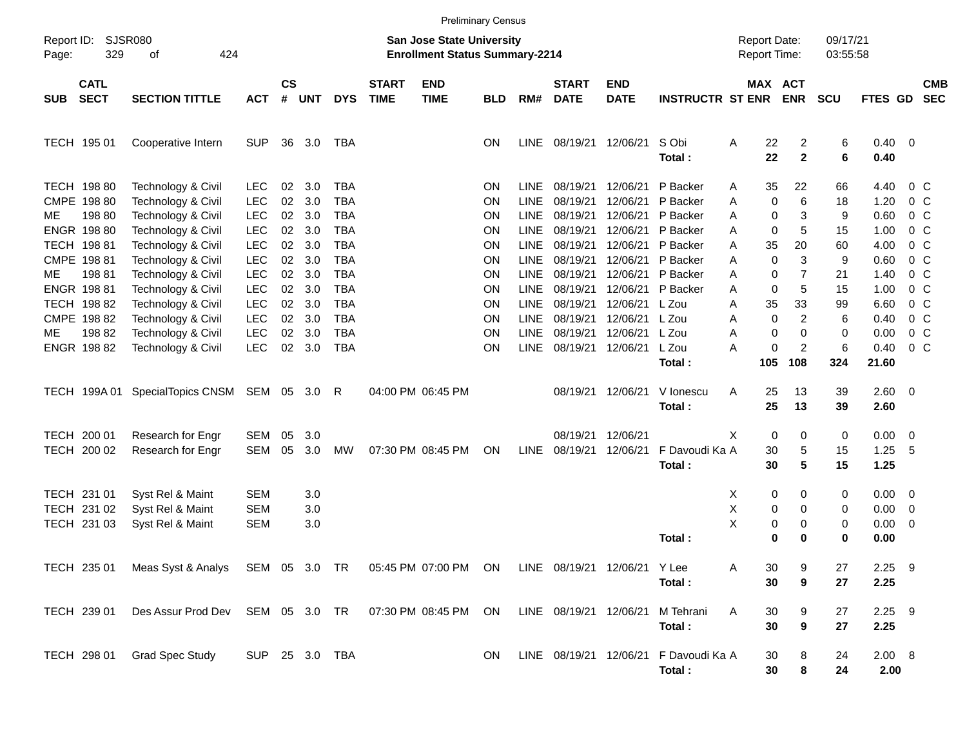|          |                                     |                                                                |                                        |                   |                   |                                        |                             | <b>Preliminary Census</b>                                                 |                 |                             |                                  |                                  |                                                 |                                            |                      |                                |                      |                        |                                                    |                          |
|----------|-------------------------------------|----------------------------------------------------------------|----------------------------------------|-------------------|-------------------|----------------------------------------|-----------------------------|---------------------------------------------------------------------------|-----------------|-----------------------------|----------------------------------|----------------------------------|-------------------------------------------------|--------------------------------------------|----------------------|--------------------------------|----------------------|------------------------|----------------------------------------------------|--------------------------|
| Page:    | Report ID: SJSR080<br>329           | 424<br>of                                                      |                                        |                   |                   |                                        |                             | <b>San Jose State University</b><br><b>Enrollment Status Summary-2214</b> |                 |                             |                                  |                                  |                                                 | <b>Report Date:</b><br><b>Report Time:</b> |                      |                                | 09/17/21<br>03:55:58 |                        |                                                    |                          |
| SUB SECT | <b>CATL</b>                         | <b>SECTION TITTLE</b>                                          | <b>ACT</b>                             | <b>CS</b><br>$\#$ | <b>UNT</b>        | <b>DYS</b>                             | <b>START</b><br><b>TIME</b> | <b>END</b><br><b>TIME</b>                                                 | <b>BLD</b>      | RM#                         | <b>START</b><br><b>DATE</b>      | <b>END</b><br><b>DATE</b>        | <b>INSTRUCTR ST ENR</b>                         |                                            |                      | MAX ACT<br><b>ENR</b>          | SCU                  | FTES GD                |                                                    | <b>CMB</b><br><b>SEC</b> |
|          | TECH 195 01                         | Cooperative Intern                                             | <b>SUP</b>                             | 36                | 3.0               | TBA                                    |                             |                                                                           | <b>ON</b>       | LINE                        | 08/19/21                         | 12/06/21                         | S Obi<br>Total:                                 | Α                                          | 22<br>22             | $\overline{2}$<br>$\mathbf{2}$ | 6<br>6               | $0.40 \quad 0$<br>0.40 |                                                    |                          |
|          | TECH 198 80<br>CMPE 198 80          | Technology & Civil<br>Technology & Civil                       | <b>LEC</b><br><b>LEC</b>               | 02<br>02          | 3.0<br>3.0        | <b>TBA</b><br><b>TBA</b>               |                             |                                                                           | <b>ON</b><br>ON | <b>LINE</b><br><b>LINE</b>  | 08/19/21<br>08/19/21             | 12/06/21<br>12/06/21             | P Backer<br>P Backer                            | Α<br>Α                                     | 35<br>0              | 22<br>6                        | 66<br>18             | 4.40<br>1.20           | 0 <sup>o</sup><br>0 <sup>o</sup>                   |                          |
| ME.      | 198 80<br>ENGR 198 80               | Technology & Civil<br>Technology & Civil                       | <b>LEC</b><br><b>LEC</b>               | 02<br>02          | 3.0<br>3.0        | <b>TBA</b><br><b>TBA</b>               |                             |                                                                           | ON<br>ON        | <b>LINE</b><br><b>LINE</b>  | 08/19/21<br>08/19/21             | 12/06/21<br>12/06/21             | P Backer<br>P Backer                            | Α<br>Α                                     | 0<br>$\pmb{0}$       | 3<br>5                         | 9<br>15              | 0.60<br>1.00           | 0 <sup>o</sup><br>0 <sup>o</sup>                   |                          |
|          | TECH 198 81<br>CMPE 198 81          | Technology & Civil<br>Technology & Civil                       | <b>LEC</b><br><b>LEC</b>               | 02<br>02          | 3.0<br>3.0        | <b>TBA</b><br><b>TBA</b>               |                             |                                                                           | ON<br>ON        | <b>LINE</b><br><b>LINE</b>  | 08/19/21<br>08/19/21             | 12/06/21<br>12/06/21             | P Backer<br>P Backer                            | A<br>Α                                     | 35<br>0              | 20<br>3                        | 60<br>9              | 4.00<br>0.60           | 0 <sup>o</sup><br>0 <sup>o</sup>                   |                          |
| ME       | 19881<br>ENGR 198 81                | Technology & Civil<br>Technology & Civil                       | <b>LEC</b><br><b>LEC</b>               | 02<br>02          | 3.0<br>3.0        | <b>TBA</b><br><b>TBA</b>               |                             |                                                                           | ON<br>ON        | <b>LINE</b><br><b>LINE</b>  | 08/19/21<br>08/19/21             | 12/06/21<br>12/06/21             | P Backer<br>P Backer                            | A<br>Α                                     | 0<br>0               | $\overline{7}$<br>5            | 21<br>15             | 1.40<br>1.00           | 0 <sup>o</sup><br>0 <sup>o</sup>                   |                          |
| ME.      | TECH 198 82<br>CMPE 198 82<br>19882 | Technology & Civil<br>Technology & Civil<br>Technology & Civil | <b>LEC</b><br><b>LEC</b><br><b>LEC</b> | 02<br>02<br>02    | 3.0<br>3.0<br>3.0 | <b>TBA</b><br><b>TBA</b><br><b>TBA</b> |                             |                                                                           | ON<br>ON<br>ON  | LINE<br>LINE<br><b>LINE</b> | 08/19/21<br>08/19/21<br>08/19/21 | 12/06/21<br>12/06/21<br>12/06/21 | L Zou<br>L Zou<br>L Zou                         | A<br>Α<br>A                                | 35<br>0<br>$\pmb{0}$ | 33<br>$\overline{c}$<br>0      | 99<br>6<br>0         | 6.60<br>0.40<br>0.00   | 0 <sup>o</sup><br>0 <sup>o</sup><br>0 <sup>o</sup> |                          |
|          | ENGR 198 82                         | Technology & Civil                                             | <b>LEC</b>                             | 02                | 3.0               | <b>TBA</b>                             |                             |                                                                           | ON              | <b>LINE</b>                 | 08/19/21                         | 12/06/21                         | L Zou<br>Total:                                 | A                                          | 0<br>105             | $\overline{c}$<br>108          | 6<br>324             | 0.40<br>21.60          | 0 <sup>o</sup>                                     |                          |
|          | TECH 199A01                         | SpecialTopics CNSM SEM 05                                      |                                        |                   | 3.0               | R                                      |                             | 04:00 PM 06:45 PM                                                         |                 |                             | 08/19/21                         | 12/06/21                         | V lonescu<br>Total:                             | Α                                          | 25<br>25             | 13<br>13                       | 39<br>39             | $2.60 \t 0$<br>2.60    |                                                    |                          |
|          | TECH 200 01<br>TECH 200 02          | Research for Engr<br>Research for Engr                         | SEM<br>SEM                             | 05<br>05          | 3.0<br>3.0        | <b>MW</b>                              |                             | 07:30 PM 08:45 PM                                                         | ON              | LINE                        | 08/19/21<br>08/19/21             | 12/06/21<br>12/06/21             | F Davoudi Ka A<br>Total:                        | X                                          | 0<br>30<br>30        | 0<br>5<br>$5\phantom{1}$       | 0<br>15<br>15        | 0.00<br>1.25<br>1.25   | $\overline{\phantom{0}}$<br>-5                     |                          |
|          | TECH 231 01<br>TECH 231 02          | Syst Rel & Maint<br>Syst Rel & Maint                           | <b>SEM</b><br><b>SEM</b>               |                   | 3.0<br>3.0        |                                        |                             |                                                                           |                 |                             |                                  |                                  |                                                 | X<br>X                                     | 0<br>0               | 0<br>0                         | 0<br>0               | $0.00 \t 0$<br>0.00    | $\overline{\phantom{0}}$                           |                          |
|          | TECH 231 03                         | Syst Rel & Maint                                               | <b>SEM</b>                             |                   | 3.0               |                                        |                             |                                                                           |                 |                             |                                  |                                  | Total:                                          | X                                          | 0<br>$\mathbf 0$     | 0<br>0                         | 0<br>0               | 0.00<br>0.00           | $\overline{\phantom{0}}$                           |                          |
|          | TECH 235 01                         | Meas Syst & Analys SEM 05 3.0 TR 05:45 PM 07:00 PM ON          |                                        |                   |                   |                                        |                             |                                                                           |                 |                             |                                  | LINE 08/19/21 12/06/21 Y Lee     | Total:                                          | Α                                          | 30<br>30             | 9<br>9                         | 27<br>27             | $2.25$ 9<br>2.25       |                                                    |                          |
|          | TECH 239 01                         | Des Assur Prod Dev SEM 05 3.0 TR                               |                                        |                   |                   |                                        |                             | 07:30 PM 08:45 PM                                                         | ON              |                             | LINE 08/19/21 12/06/21           |                                  | M Tehrani<br>Total:                             | Α                                          | 30<br>30             | 9<br>$\boldsymbol{9}$          | 27<br>27             | $2.25$ 9<br>2.25       |                                                    |                          |
|          | TECH 298 01                         | <b>Grad Spec Study</b>                                         | SUP 25 3.0 TBA                         |                   |                   |                                        |                             |                                                                           | ON              |                             |                                  |                                  | LINE 08/19/21 12/06/21 F Davoudi Ka A<br>Total: |                                            | 30<br>30             | 8<br>8                         | 24<br>24             | 2.00 8<br>2.00         |                                                    |                          |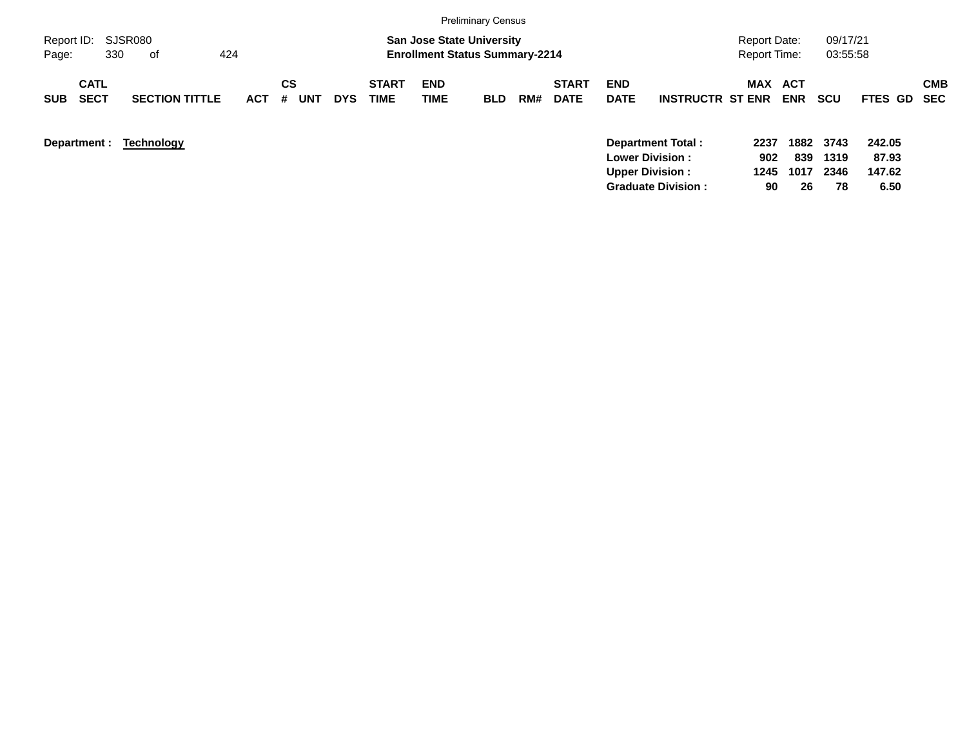|                                          |                       |                 |                  |            |                             |                                                                           | <b>Preliminary Census</b> |     |                             |                           |                                             |                                            |            |                      |                 |            |
|------------------------------------------|-----------------------|-----------------|------------------|------------|-----------------------------|---------------------------------------------------------------------------|---------------------------|-----|-----------------------------|---------------------------|---------------------------------------------|--------------------------------------------|------------|----------------------|-----------------|------------|
| Report ID: SJSR080<br>330<br>Page:       | 424<br>of             |                 |                  |            |                             | <b>San Jose State University</b><br><b>Enrollment Status Summary-2214</b> |                           |     |                             |                           |                                             | <b>Report Date:</b><br><b>Report Time:</b> |            | 09/17/21<br>03:55:58 |                 |            |
| <b>CATL</b><br><b>SECT</b><br><b>SUB</b> | <b>SECTION TITTLE</b> | <b>ACT</b><br># | СS<br><b>UNT</b> | <b>DYS</b> | <b>START</b><br><b>TIME</b> | <b>END</b><br><b>TIME</b>                                                 | <b>BLD</b>                | RM# | <b>START</b><br><b>DATE</b> | <b>END</b><br><b>DATE</b> | <b>INSTRUCTR ST ENR</b>                     | MAX ACT                                    | <b>ENR</b> | <b>SCU</b>           | FTES GD SEC     | <b>CMB</b> |
| Department :                             | Technology            |                 |                  |            |                             |                                                                           |                           |     |                             |                           | Department Total:<br><b>Lower Division:</b> | 2237<br>902                                | 839        | 1882 3743<br>1319    | 242.05<br>87.93 |            |

**Upper Division : 1245 1017 2346 147.62 Graduate Division : 90 26 78 6.50**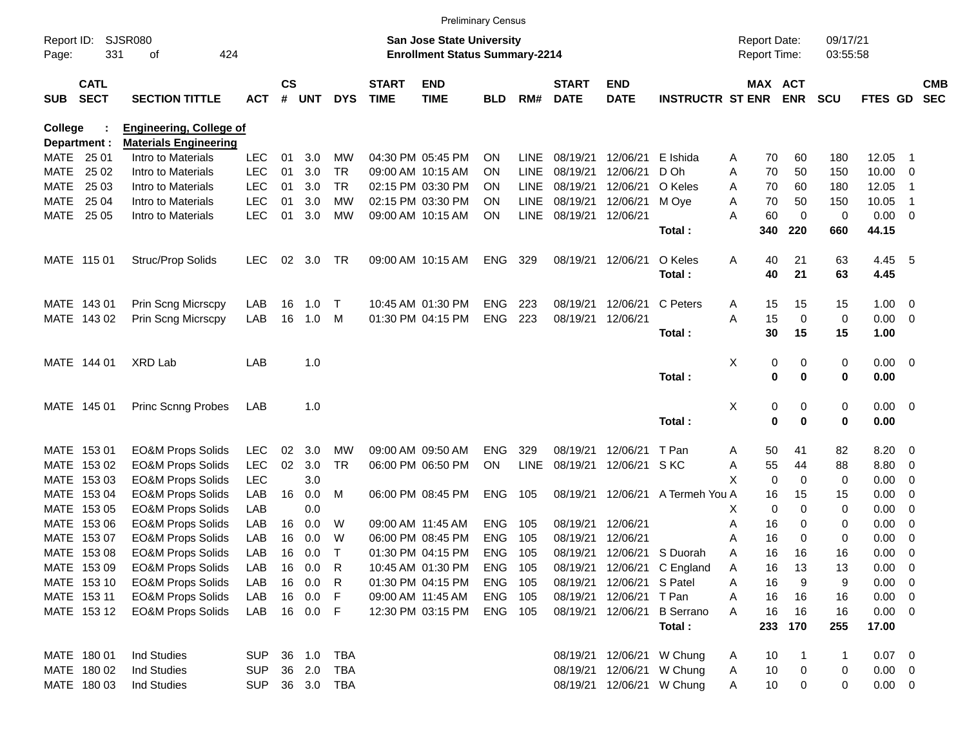|                     |                            |                                          |                          |                    |            |                        |                             | <b>Preliminary Census</b>                                                 |                 |             |                             |                           |                             |        |                                     |                   |                      |                     |                               |                          |
|---------------------|----------------------------|------------------------------------------|--------------------------|--------------------|------------|------------------------|-----------------------------|---------------------------------------------------------------------------|-----------------|-------------|-----------------------------|---------------------------|-----------------------------|--------|-------------------------------------|-------------------|----------------------|---------------------|-------------------------------|--------------------------|
| Report ID:<br>Page: | 331                        | <b>SJSR080</b><br>424<br>οf              |                          |                    |            |                        |                             | <b>San Jose State University</b><br><b>Enrollment Status Summary-2214</b> |                 |             |                             |                           |                             |        | <b>Report Date:</b><br>Report Time: |                   | 09/17/21<br>03:55:58 |                     |                               |                          |
| <b>SUB</b>          | <b>CATL</b><br><b>SECT</b> | <b>SECTION TITTLE</b>                    | <b>ACT</b>               | $\mathsf{cs}$<br># | <b>UNT</b> | <b>DYS</b>             | <b>START</b><br><b>TIME</b> | <b>END</b><br><b>TIME</b>                                                 | <b>BLD</b>      | RM#         | <b>START</b><br><b>DATE</b> | <b>END</b><br><b>DATE</b> | <b>INSTRUCTR ST ENR</b>     |        | MAX ACT                             | <b>ENR</b>        | <b>SCU</b>           | <b>FTES GD</b>      |                               | <b>CMB</b><br><b>SEC</b> |
| <b>College</b>      |                            | <b>Engineering, College of</b>           |                          |                    |            |                        |                             |                                                                           |                 |             |                             |                           |                             |        |                                     |                   |                      |                     |                               |                          |
|                     | Department :               | <b>Materials Engineering</b>             |                          |                    |            |                        |                             |                                                                           |                 |             |                             |                           |                             |        |                                     |                   |                      |                     |                               |                          |
| MATE                | 25 01                      | Intro to Materials                       | <b>LEC</b>               | 01                 | 3.0        | МW                     |                             | 04:30 PM 05:45 PM                                                         | <b>ON</b>       | LINE        | 08/19/21                    | 12/06/21                  | E Ishida                    | A      | 70                                  | 60                | 180                  | 12.05               | -1                            |                          |
| <b>MATE</b>         | 25 02                      | Intro to Materials                       | <b>LEC</b>               | 01                 | 3.0        | <b>TR</b>              |                             | 09:00 AM 10:15 AM                                                         | <b>ON</b>       | <b>LINE</b> | 08/19/21                    | 12/06/21                  | D Oh                        | Α      | 70                                  | 50                | 150                  | 10.00               | 0                             |                          |
| <b>MATE</b>         | 25 03                      | Intro to Materials                       | <b>LEC</b>               | 01<br>01           | 3.0        | <b>TR</b><br><b>MW</b> |                             | 02:15 PM 03:30 PM                                                         | <b>ON</b>       | <b>LINE</b> | 08/19/21                    | 12/06/21                  | O Keles                     | A      | 70                                  | 60                | 180                  | 12.05               | -1                            |                          |
| <b>MATE</b>         | 25 04<br>25 05             | Intro to Materials<br>Intro to Materials | <b>LEC</b><br><b>LEC</b> | 01                 | 3.0<br>3.0 | <b>MW</b>              |                             | 02:15 PM 03:30 PM<br>09:00 AM 10:15 AM                                    | <b>ON</b><br>ON | <b>LINE</b> | 08/19/21                    | 12/06/21<br>12/06/21      | M Oye                       | A<br>A | 70<br>60                            | 50<br>$\mathbf 0$ | 150<br>0             | 10.05<br>0.00       | -1<br>$\overline{\mathbf{0}}$ |                          |
| <b>MATE</b>         |                            |                                          |                          |                    |            |                        |                             |                                                                           |                 | LINE        | 08/19/21                    |                           | Total:                      |        | 340                                 | 220               | 660                  | 44.15               |                               |                          |
|                     | MATE 115 01                | Struc/Prop Solids                        | <b>LEC</b>               | 02                 | 3.0        | TR                     |                             | 09:00 AM 10:15 AM                                                         | <b>ENG</b>      | 329         | 08/19/21                    | 12/06/21                  | O Keles                     | Α      | 40                                  | 21                | 63                   | 4.45                | $-5$                          |                          |
|                     |                            |                                          |                          |                    |            |                        |                             |                                                                           |                 |             |                             |                           | Total:                      |        | 40                                  | 21                | 63                   | 4.45                |                               |                          |
|                     | MATE 143 01                | Prin Scng Micrscpy                       | LAB                      | 16                 | 1.0        | T                      |                             | 10:45 AM 01:30 PM                                                         | <b>ENG</b>      | 223         | 08/19/21                    | 12/06/21                  | C Peters                    | Α      | 15                                  | 15                | 15                   | 1.00                | $\overline{\phantom{0}}$      |                          |
|                     | MATE 143 02                | Prin Scng Micrscpy                       | LAB                      | 16                 | 1.0        | M                      |                             | 01:30 PM 04:15 PM                                                         | <b>ENG</b>      | 223         | 08/19/21                    | 12/06/21                  |                             | A      | 15                                  | 0                 | 0                    | 0.00                | $\overline{\phantom{0}}$      |                          |
|                     |                            |                                          |                          |                    |            |                        |                             |                                                                           |                 |             |                             |                           | Total:                      |        | 30                                  | 15                | 15                   | 1.00                |                               |                          |
|                     |                            |                                          |                          |                    |            |                        |                             |                                                                           |                 |             |                             |                           |                             |        |                                     |                   |                      |                     |                               |                          |
|                     | MATE 144 01                | XRD Lab                                  | LAB                      |                    | 1.0        |                        |                             |                                                                           |                 |             |                             |                           | Total:                      | X      | 0<br>0                              | 0<br>0            | 0<br>0               | $0.00 \t 0$<br>0.00 |                               |                          |
|                     | MATE 145 01                | Princ Scnng Probes                       | LAB                      |                    | 1.0        |                        |                             |                                                                           |                 |             |                             |                           |                             | X      | 0                                   | 0                 | 0                    | $0.00 \t 0$         |                               |                          |
|                     |                            |                                          |                          |                    |            |                        |                             |                                                                           |                 |             |                             |                           | Total:                      |        | 0                                   | 0                 | 0                    | 0.00                |                               |                          |
| MATE                | 15301                      | <b>EO&amp;M Props Solids</b>             | <b>LEC</b>               | 02                 | 3.0        | <b>MW</b>              |                             | 09:00 AM 09:50 AM                                                         | <b>ENG</b>      | 329         | 08/19/21                    | 12/06/21                  | T Pan                       | A      | 50                                  | 41                | 82                   | 8.20                | $\overline{\mathbf{0}}$       |                          |
| MATE                | 153 02                     | <b>EO&amp;M Props Solids</b>             | <b>LEC</b>               | 02                 | 3.0        | <b>TR</b>              |                             | 06:00 PM 06:50 PM                                                         | ON              | LINE        | 08/19/21                    | 12/06/21                  | S KC                        | Α      | 55                                  | 44                | 88                   | 8.80                | 0                             |                          |
| MATE                | 153 03                     | <b>EO&amp;M Props Solids</b>             | <b>LEC</b>               |                    | 3.0        |                        |                             |                                                                           |                 |             |                             |                           |                             | X      | $\mathbf 0$                         | $\mathbf 0$       | 0                    | 0.00                | 0                             |                          |
| <b>MATE</b>         | 15304                      | <b>EO&amp;M Props Solids</b>             | LAB                      | 16                 | 0.0        | M                      |                             | 06:00 PM 08:45 PM                                                         | <b>ENG</b>      | 105         |                             | 08/19/21 12/06/21         | A Termeh You A              |        | 16                                  | 15                | 15                   | 0.00                | 0                             |                          |
| <b>MATE</b>         | 153 05                     | <b>EO&amp;M Props Solids</b>             | LAB                      |                    | 0.0        |                        |                             |                                                                           |                 |             |                             |                           |                             | х      | 0                                   | $\mathbf 0$       | 0                    | 0.00                | 0                             |                          |
| <b>MATE</b>         | 153 06                     | <b>EO&amp;M Props Solids</b>             | LAB                      | 16                 | 0.0        | W                      | 09:00 AM 11:45 AM           |                                                                           | <b>ENG</b>      | 105         | 08/19/21                    | 12/06/21                  |                             | Α      | 16                                  | 0                 | 0                    | 0.00                | 0                             |                          |
| MATE                | 15307                      | <b>EO&amp;M Props Solids</b>             | LAB                      | 16                 | 0.0        | W                      |                             | 06:00 PM 08:45 PM                                                         | <b>ENG</b>      | 105         | 08/19/21                    | 12/06/21                  |                             | Α      | 16                                  | 0                 | 0                    | 0.00                | 0                             |                          |
|                     | MATE 153 08                | <b>EO&amp;M Props Solids</b>             | LAB                      | 16                 | 0.0        | $\top$                 |                             | 01:30 PM 04:15 PM                                                         | <b>ENG</b>      | 105         | 08/19/21                    | 12/06/21                  | S Duorah                    | A      | 16                                  | 16                | 16                   | 0.00                | 0                             |                          |
|                     | MATE 153 09                | <b>EO&amp;M Props Solids</b>             | LAB                      | 16                 | 0.0        | R                      |                             | 10:45 AM 01:30 PM                                                         | ENG             | 105         |                             |                           | 08/19/21 12/06/21 C England | A      | 16                                  | 13                | 13                   | 0.00                | $\overline{\mathbf{0}}$       |                          |
|                     | MATE 153 10                | <b>EO&amp;M Props Solids</b>             | LAB                      |                    | 16 0.0     | R                      |                             | 01:30 PM 04:15 PM                                                         | ENG             | - 105       |                             | 08/19/21 12/06/21 S Patel |                             | Α      | 16                                  | 9                 | 9                    | $0.00 \t 0$         |                               |                          |
|                     | MATE 153 11                | <b>EO&amp;M Props Solids</b>             | LAB                      |                    | 16 0.0     | F                      |                             | 09:00 AM 11:45 AM                                                         | ENG 105         |             |                             | 08/19/21 12/06/21         | T Pan                       | Α      | 16                                  | 16                | 16                   | $0.00 \t 0$         |                               |                          |
|                     | MATE 153 12                | <b>EO&amp;M Props Solids</b>             | LAB                      |                    | 16  0.0  F |                        |                             | 12:30 PM 03:15 PM                                                         | ENG 105         |             |                             | 08/19/21 12/06/21         | <b>B</b> Serrano            | A      | 16                                  | 16                | 16                   | $0.00 \t 0$         |                               |                          |
|                     |                            |                                          |                          |                    |            |                        |                             |                                                                           |                 |             |                             |                           | Total:                      |        | 233                                 | 170               | 255                  | 17.00               |                               |                          |
|                     | MATE 180 01                | Ind Studies                              | <b>SUP</b>               |                    | 36 1.0     | TBA                    |                             |                                                                           |                 |             |                             | 08/19/21 12/06/21         | W Chung                     | A      | 10                                  |                   | -1                   | $0.07$ 0            |                               |                          |
|                     | MATE 180 02                | Ind Studies                              | <b>SUP</b>               |                    | 36 2.0     | TBA                    |                             |                                                                           |                 |             |                             | 08/19/21 12/06/21         | W Chung                     | Α      | 10                                  | 0                 | 0                    | $0.00 \t 0$         |                               |                          |
|                     | MATE 180 03                | Ind Studies                              | <b>SUP</b>               |                    |            | 36 3.0 TBA             |                             |                                                                           |                 |             |                             | 08/19/21 12/06/21         | W Chung                     | A      | 10                                  | 0                 | 0                    | $0.00 \t 0$         |                               |                          |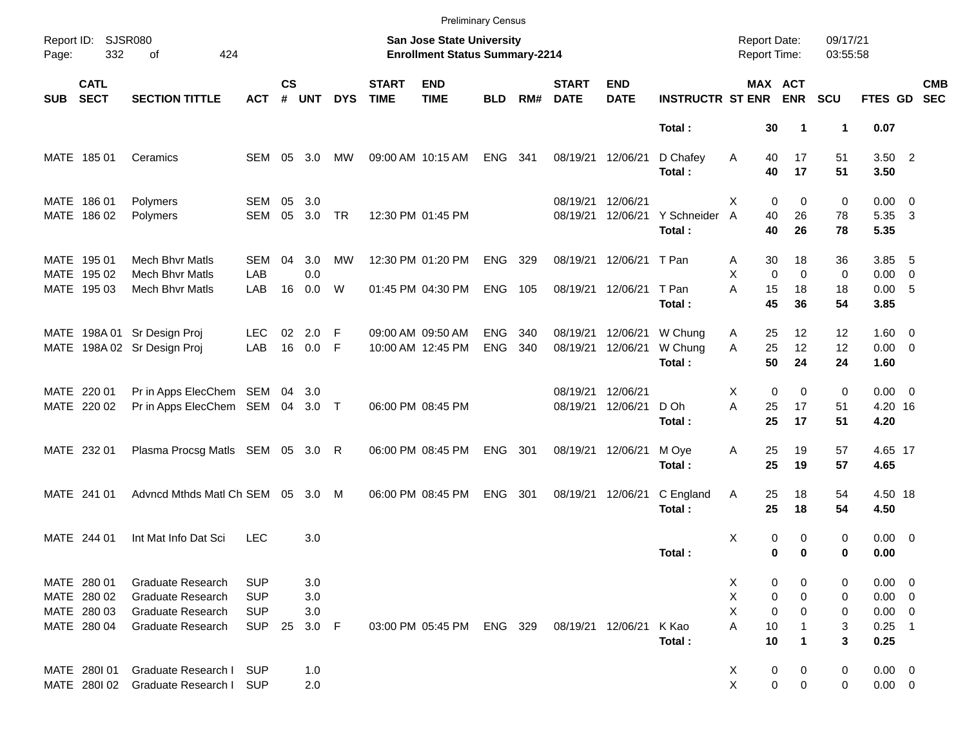|            |                                           |                                                                                  |                                        |                    |                   |            |                             | <b>Preliminary Census</b>                                          |                          |            |                             |                           |                              |                                            |                                  |                      |                                          |                          |                          |
|------------|-------------------------------------------|----------------------------------------------------------------------------------|----------------------------------------|--------------------|-------------------|------------|-----------------------------|--------------------------------------------------------------------|--------------------------|------------|-----------------------------|---------------------------|------------------------------|--------------------------------------------|----------------------------------|----------------------|------------------------------------------|--------------------------|--------------------------|
| Page:      | Report ID: SJSR080<br>332                 | 424<br>of                                                                        |                                        |                    |                   |            |                             | San Jose State University<br><b>Enrollment Status Summary-2214</b> |                          |            |                             |                           |                              | <b>Report Date:</b><br><b>Report Time:</b> |                                  | 09/17/21<br>03:55:58 |                                          |                          |                          |
| <b>SUB</b> | <b>CATL</b><br><b>SECT</b>                | <b>SECTION TITTLE</b>                                                            | <b>ACT</b>                             | $\mathsf{cs}$<br># | <b>UNT</b>        | <b>DYS</b> | <b>START</b><br><b>TIME</b> | <b>END</b><br><b>TIME</b>                                          | <b>BLD</b>               | RM#        | <b>START</b><br><b>DATE</b> | <b>END</b><br><b>DATE</b> | <b>INSTRUCTR ST ENR</b>      |                                            | MAX ACT<br><b>ENR</b>            | <b>SCU</b>           | FTES GD                                  |                          | <b>CMB</b><br><b>SEC</b> |
|            |                                           |                                                                                  |                                        |                    |                   |            |                             |                                                                    |                          |            |                             |                           | Total:                       | 30                                         | 1                                | $\blacktriangleleft$ | 0.07                                     |                          |                          |
|            | MATE 185 01                               | Ceramics                                                                         | SEM                                    | 05                 | 3.0               | MW         |                             | 09:00 AM 10:15 AM                                                  | <b>ENG</b>               | 341        | 08/19/21                    | 12/06/21                  | D Chafey<br>Total:           | Α<br>40<br>40                              | 17<br>17                         | 51<br>51             | $3.50$ 2<br>3.50                         |                          |                          |
|            | MATE 186 01<br>MATE 186 02                | Polymers<br>Polymers                                                             | <b>SEM</b><br><b>SEM</b>               | 05<br>05           | 3.0<br>3.0        | TR         |                             | 12:30 PM 01:45 PM                                                  |                          |            | 08/19/21<br>08/19/21        | 12/06/21<br>12/06/21      | Y Schneider<br>Total:        | X<br>40<br>A<br>40                         | 0<br>$\mathbf 0$<br>26<br>26     | 0<br>78<br>78        | $0.00 \t 0$<br>5.35 3<br>5.35            |                          |                          |
|            | MATE 195 01<br>MATE 195 02                | <b>Mech Bhvr Matls</b><br>Mech Bhvr Matls                                        | SEM<br>LAB                             | 04                 | 3.0<br>0.0        | МW         |                             | 12:30 PM 01:20 PM                                                  | ENG                      | 329        | 08/19/21                    | 12/06/21 T Pan            |                              | 30<br>A<br>X                               | 18<br>$\mathbf 0$<br>$\mathbf 0$ | 36<br>0              | 3.85<br>$0.00 \t 0$                      | - 5                      |                          |
|            | MATE 195 03                               | <b>Mech Bhyr Matls</b>                                                           | LAB                                    | 16                 | 0.0               | W          |                             | 01:45 PM 04:30 PM                                                  | <b>ENG</b>               | 105        | 08/19/21                    | 12/06/21                  | T Pan<br>Total:              | A<br>15<br>45                              | 18<br>36                         | 18<br>54             | 0.00 5<br>3.85                           |                          |                          |
|            |                                           | MATE 198A 01 Sr Design Proj<br>MATE 198A 02 Sr Design Proj                       | LEC.<br>LAB                            | 02<br>16           | 2.0<br>0.0 F      | -F         |                             | 09:00 AM 09:50 AM<br>10:00 AM 12:45 PM                             | <b>ENG</b><br><b>ENG</b> | 340<br>340 | 08/19/21<br>08/19/21        | 12/06/21<br>12/06/21      | W Chung<br>W Chung<br>Total: | 25<br>A<br>A<br>25<br>50                   | 12 <sup>2</sup><br>12<br>24      | 12<br>12<br>24       | $1.60 \t 0$<br>$0.00 \t 0$<br>1.60       |                          |                          |
|            | MATE 220 01<br>MATE 220 02                | Pr in Apps ElecChem SEM 04<br>Pr in Apps ElecChem SEM 04 3.0 T                   |                                        |                    | 3.0               |            |                             | 06:00 PM 08:45 PM                                                  |                          |            | 08/19/21<br>08/19/21        | 12/06/21<br>12/06/21      | D Oh<br>Total:               | X<br>A<br>25<br>25                         | 0<br>$\mathbf 0$<br>17<br>17     | 0<br>51<br>51        | $0.00 \t 0$<br>4.20 16<br>4.20           |                          |                          |
|            | MATE 232 01                               | Plasma Procsg Matls SEM 05 3.0 R                                                 |                                        |                    |                   |            |                             | 06:00 PM 08:45 PM                                                  | <b>ENG</b>               | 301        | 08/19/21                    | 12/06/21                  | M Oye<br>Total:              | 25<br>Α<br>25                              | 19<br>19                         | 57<br>57             | 4.65 17<br>4.65                          |                          |                          |
|            | MATE 241 01                               | Advncd Mthds Matl Ch SEM 05 3.0 M                                                |                                        |                    |                   |            |                             | 06:00 PM 08:45 PM                                                  | <b>ENG</b>               | 301        | 08/19/21                    | 12/06/21                  | C England<br>Total:          | Α<br>25<br>25                              | 18<br>18                         | 54<br>54             | 4.50 18<br>4.50                          |                          |                          |
|            | MATE 244 01                               | Int Mat Info Dat Sci                                                             | <b>LEC</b>                             |                    | 3.0               |            |                             |                                                                    |                          |            |                             |                           | Total:                       | Χ                                          | 0<br>0<br>0<br>$\bf{0}$          | 0<br>0               | $0.00 \t 0$<br>0.00                      |                          |                          |
|            | MATE 280 01<br>MATE 280 02<br>MATE 280 03 | <b>Graduate Research</b><br><b>Graduate Research</b><br><b>Graduate Research</b> | <b>SUP</b><br><b>SUP</b><br><b>SUP</b> |                    | 3.0<br>3.0<br>3.0 |            |                             |                                                                    |                          |            |                             |                           |                              | X<br>Χ<br>X                                | 0<br>0<br>0<br>0<br>0<br>0       | 0<br>0<br>0          | $0.00 \ 0$<br>$0.00 \t 0$<br>$0.00 \t 0$ |                          |                          |
|            | MATE 280 04                               | Graduate Research                                                                | <b>SUP</b>                             | 25                 | 3.0 F             |            |                             | 03:00 PM 05:45 PM                                                  | ENG 329                  |            | 08/19/21 12/06/21           |                           | K Kao<br>Total:              | Α<br>10<br>10                              | $\mathbf 1$                      | 3<br>3               | 0.25<br>0.25                             | $\overline{\phantom{1}}$ |                          |
|            | MATE 2801 01<br>MATE 2801 02              | Graduate Research I<br>Graduate Research I                                       | <b>SUP</b><br><b>SUP</b>               |                    | 1.0<br>2.0        |            |                             |                                                                    |                          |            |                             |                           |                              | X<br>Χ                                     | $\pmb{0}$<br>0<br>$\pmb{0}$<br>0 | 0<br>0               | $0.00 \t 0$<br>$0.00 \t 0$               |                          |                          |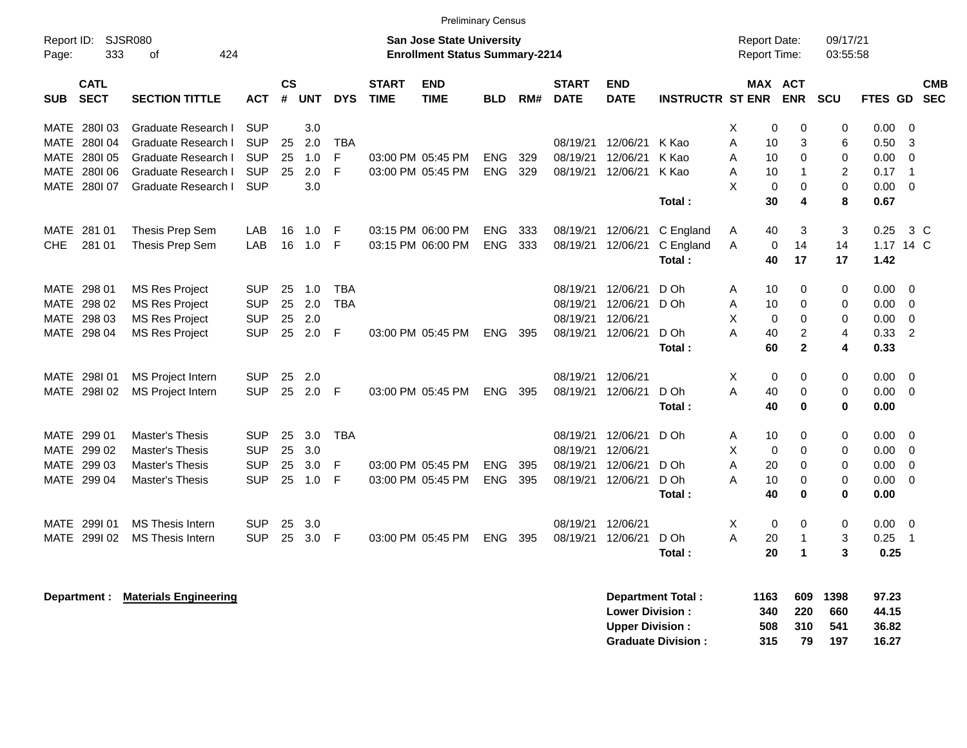|                     |                            |                            |            |                    |            |            |                             | <b>Preliminary Census</b>                                          |            |     |                             |                           |                         |                                            |                            |                      |             |                |                          |
|---------------------|----------------------------|----------------------------|------------|--------------------|------------|------------|-----------------------------|--------------------------------------------------------------------|------------|-----|-----------------------------|---------------------------|-------------------------|--------------------------------------------|----------------------------|----------------------|-------------|----------------|--------------------------|
| Report ID:<br>Page: | 333                        | SJSR080<br>424<br>0f       |            |                    |            |            |                             | San Jose State University<br><b>Enrollment Status Summary-2214</b> |            |     |                             |                           |                         | <b>Report Date:</b><br><b>Report Time:</b> |                            | 09/17/21<br>03:55:58 |             |                |                          |
| <b>SUB</b>          | <b>CATL</b><br><b>SECT</b> | <b>SECTION TITTLE</b>      | <b>ACT</b> | $\mathsf{cs}$<br># | <b>UNT</b> | <b>DYS</b> | <b>START</b><br><b>TIME</b> | <b>END</b><br><b>TIME</b>                                          | <b>BLD</b> | RM# | <b>START</b><br><b>DATE</b> | <b>END</b><br><b>DATE</b> | <b>INSTRUCTR ST ENR</b> | MAX                                        | <b>ACT</b><br><b>ENR</b>   | <b>SCU</b>           | <b>FTES</b> | <b>GD</b>      | <b>CMB</b><br><b>SEC</b> |
| MATE                | 280103                     | Graduate Research I        | <b>SUP</b> |                    | 3.0        |            |                             |                                                                    |            |     |                             |                           |                         | X                                          | 0<br>$\mathbf 0$           | 0                    | 0.00        | $\Omega$       |                          |
| MATE                | 280104                     | Graduate Research I        | <b>SUP</b> | 25                 | 2.0        | <b>TBA</b> |                             |                                                                    |            |     | 08/19/21                    | 12/06/21                  | K Kao                   | A<br>10                                    | 3                          | 6                    | 0.50        | -3             |                          |
| <b>MATE</b>         | 280105                     | <b>Graduate Research I</b> | <b>SUP</b> | 25                 | 1.0        | F          |                             | 03:00 PM 05:45 PM                                                  | <b>ENG</b> | 329 | 08/19/21                    | 12/06/21                  | K Kao                   | A<br>10                                    | $\mathbf 0$                | 0                    | 0.00        | $\mathbf 0$    |                          |
| MATE                | 280106                     | <b>Graduate Research I</b> | <b>SUP</b> | 25                 | 2.0        | F          |                             | 03:00 PM 05:45 PM                                                  | <b>ENG</b> | 329 | 08/19/21                    | 12/06/21                  | K Kao                   | A<br>10                                    | $\mathbf{1}$               | 2                    | 0.17        | $\overline{1}$ |                          |
| MATE                | 280107                     | Graduate Research I        | <b>SUP</b> |                    | 3.0        |            |                             |                                                                    |            |     |                             |                           |                         | X                                          | $\mathbf 0$<br>$\mathbf 0$ | 0                    | 0.00        | 0              |                          |
|                     |                            |                            |            |                    |            |            |                             |                                                                    |            |     |                             |                           | Total:                  | 30                                         | 4                          | 8                    | 0.67        |                |                          |
|                     | MATE 281 01                | Thesis Prep Sem            | <b>LAB</b> | 16                 | 1.0        | F          |                             | 03:15 PM 06:00 PM                                                  | <b>ENG</b> | 333 | 08/19/21                    | 12/06/21                  | C England               | 40<br>A                                    | 3                          | 3                    | 0.25        | 3 <sup>c</sup> |                          |
| CHE.                | 281 01                     | Thesis Prep Sem            | LAB        | 16                 | 1.0        | F          |                             | 03:15 PM 06:00 PM                                                  | <b>ENG</b> | 333 | 08/19/21                    | 12/06/21                  | C England               | A                                          | 0<br>14                    | 14                   | 1.17 14 C   |                |                          |
|                     |                            |                            |            |                    |            |            |                             |                                                                    |            |     |                             |                           | Total:                  | 40                                         | 17                         | 17                   | 1.42        |                |                          |
| <b>MATE</b>         | 298 01                     | <b>MS Res Project</b>      | <b>SUP</b> | 25                 | 1.0        | <b>TBA</b> |                             |                                                                    |            |     | 08/19/21                    | 12/06/21                  | D Oh                    | A<br>10                                    | $\Omega$                   | 0                    | 0.00        | $\Omega$       |                          |
| MATE                | 298 02                     | <b>MS Res Project</b>      | <b>SUP</b> | 25                 | 2.0        | <b>TBA</b> |                             |                                                                    |            |     | 08/19/21                    | 12/06/21                  | D Oh                    | A<br>10                                    | $\Omega$                   | 0                    | 0.00        | $\Omega$       |                          |
| MATE                | 298 03                     | <b>MS Res Project</b>      | <b>SUP</b> | 25                 | 2.0        |            |                             |                                                                    |            |     | 08/19/21                    | 12/06/21                  |                         | X                                          | $\mathbf 0$<br>$\mathbf 0$ | 0                    | 0.00        | $\mathbf 0$    |                          |
| <b>MATE</b>         | 298 04                     | <b>MS Res Project</b>      | <b>SUP</b> | 25                 | 2.0        | F          |                             | 03:00 PM 05:45 PM                                                  | <b>ENG</b> | 395 | 08/19/21                    | 12/06/21                  | D Oh                    | A<br>40                                    | 2                          | 4                    | 0.33        | $\overline{2}$ |                          |
|                     |                            |                            |            |                    |            |            |                             |                                                                    |            |     |                             |                           | Total:                  | 60                                         | $\mathbf{2}$               | 4                    | 0.33        |                |                          |
| MATE                | 298101                     | <b>MS Project Intern</b>   | <b>SUP</b> | 25                 | 2.0        |            |                             |                                                                    |            |     | 08/19/21                    | 12/06/21                  |                         | X                                          | $\mathbf 0$<br>$\mathbf 0$ | 0                    | 0.00        | - 0            |                          |
|                     | MATE 2981 02               | <b>MS Project Intern</b>   | <b>SUP</b> | 25                 | 2.0        | F          |                             | 03:00 PM 05:45 PM                                                  | <b>ENG</b> | 395 | 08/19/21                    | 12/06/21                  | D Oh                    | A<br>40                                    | $\mathbf 0$                | 0                    | 0.00        | $\overline{0}$ |                          |
|                     |                            |                            |            |                    |            |            |                             |                                                                    |            |     |                             |                           | Total:                  | 40                                         | $\bf{0}$                   | 0                    | 0.00        |                |                          |
| MATE                | 299 01                     | Master's Thesis            | <b>SUP</b> | 25                 | 3.0        | <b>TBA</b> |                             |                                                                    |            |     | 08/19/21                    | 12/06/21                  | D Oh                    | Α<br>10                                    | 0                          | 0                    | 0.00        | $\overline{0}$ |                          |
| MATE                | 299 02                     | Master's Thesis            | <b>SUP</b> | 25                 | 3.0        |            |                             |                                                                    |            |     | 08/19/21                    | 12/06/21                  |                         | X                                          | $\mathbf 0$<br>$\mathbf 0$ | 0                    | 0.00        | $\Omega$       |                          |
| MATE                | 299 03                     | <b>Master's Thesis</b>     | <b>SUP</b> | 25                 | 3.0        | F          |                             | 03:00 PM 05:45 PM                                                  | <b>ENG</b> | 395 | 08/19/21                    | 12/06/21                  | D Oh                    | A<br>20                                    | $\mathbf 0$                | 0                    | 0.00        | 0              |                          |
| <b>MATE</b>         | 299 04                     | Master's Thesis            | <b>SUP</b> | 25                 | 1.0        | F          |                             | 03:00 PM 05:45 PM                                                  | <b>ENG</b> | 395 | 08/19/21                    | 12/06/21                  | D Oh                    | A<br>10                                    | 0                          | $\mathbf 0$          | 0.00        | $\Omega$       |                          |
|                     |                            |                            |            |                    |            |            |                             |                                                                    |            |     |                             |                           | Total:                  | 40                                         | $\bf{0}$                   | 0                    | 0.00        |                |                          |
| <b>MATE</b>         | 299101                     | <b>MS Thesis Intern</b>    | <b>SUP</b> | 25                 | 3.0        |            |                             |                                                                    |            |     | 08/19/21                    | 12/06/21                  |                         | X                                          | $\mathbf 0$<br>$\mathbf 0$ | 0                    | 0.00        | - 0            |                          |
| <b>MATE</b>         | 299102                     | <b>MS Thesis Intern</b>    | <b>SUP</b> | 25                 | 3.0        | F          |                             | 03:00 PM 05:45 PM                                                  | <b>ENG</b> | 395 | 08/19/21                    | 12/06/21                  | D Oh                    | A<br>20                                    | $\mathbf{1}$               | 3                    | 0.25        | $\overline{1}$ |                          |
|                     |                            |                            |            |                    |            |            |                             |                                                                    |            |     |                             |                           | Total:                  | 20                                         | 1                          | 3                    | 0.25        |                |                          |

| Department Total:         | 1163 |      | 609 1398 | 97.23 |
|---------------------------|------|------|----------|-------|
| <b>Lower Division:</b>    | 340  | -220 | 660      | 44.15 |
| <b>Upper Division:</b>    | 508  | 310  | 541      | 36.82 |
| <b>Graduate Division:</b> | 315  | 79   | 197      | 16.27 |

**Department : Materials Engineering**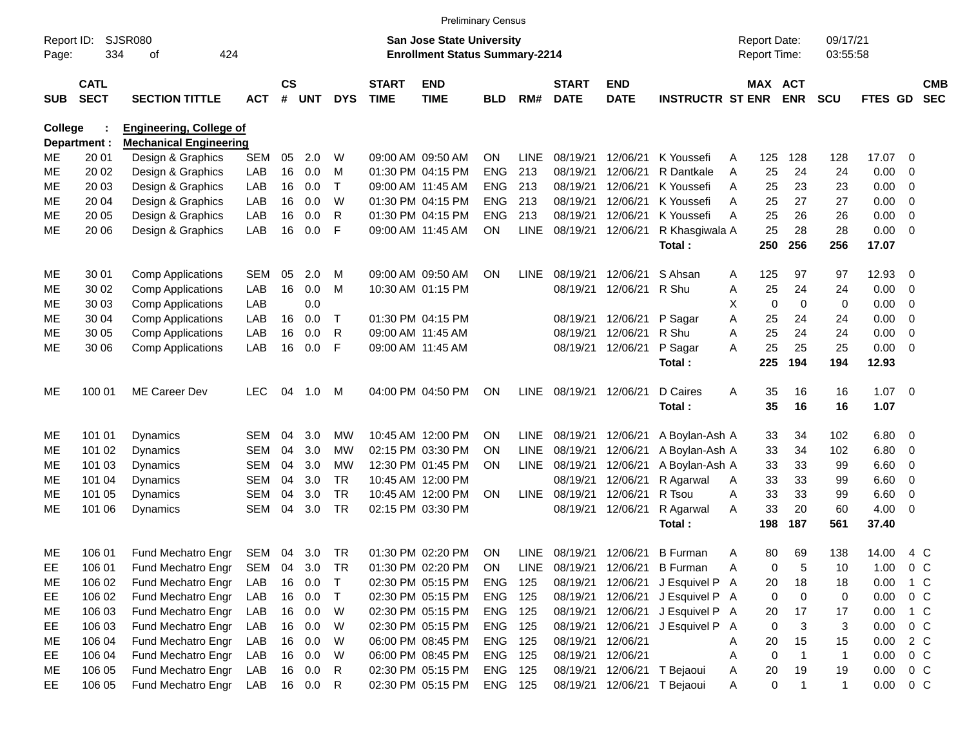|                     |                            |                                |            |                    |            |            |                             | <b>Preliminary Census</b>                                                 |            |             |                             |                           |                             |   |                                     |                |                      |         |                |                          |
|---------------------|----------------------------|--------------------------------|------------|--------------------|------------|------------|-----------------------------|---------------------------------------------------------------------------|------------|-------------|-----------------------------|---------------------------|-----------------------------|---|-------------------------------------|----------------|----------------------|---------|----------------|--------------------------|
| Report ID:<br>Page: | 334                        | <b>SJSR080</b><br>424<br>οf    |            |                    |            |            |                             | <b>San Jose State University</b><br><b>Enrollment Status Summary-2214</b> |            |             |                             |                           |                             |   | <b>Report Date:</b><br>Report Time: |                | 09/17/21<br>03:55:58 |         |                |                          |
| <b>SUB</b>          | <b>CATL</b><br><b>SECT</b> | <b>SECTION TITTLE</b>          | ACT        | $\mathsf{cs}$<br># | <b>UNT</b> | <b>DYS</b> | <b>START</b><br><b>TIME</b> | <b>END</b><br><b>TIME</b>                                                 | <b>BLD</b> | RM#         | <b>START</b><br><b>DATE</b> | <b>END</b><br><b>DATE</b> | <b>INSTRUCTR ST ENR</b>     |   | MAX ACT                             | <b>ENR</b>     | <b>SCU</b>           | FTES GD |                | <b>CMB</b><br><b>SEC</b> |
| <b>College</b>      |                            | <b>Engineering, College of</b> |            |                    |            |            |                             |                                                                           |            |             |                             |                           |                             |   |                                     |                |                      |         |                |                          |
|                     | Department :               | <b>Mechanical Engineering</b>  |            |                    |            |            |                             |                                                                           |            |             |                             |                           |                             |   |                                     |                |                      |         |                |                          |
| ME                  | 20 01                      | Design & Graphics              | <b>SEM</b> | 05                 | 2.0        | W          |                             | 09:00 AM 09:50 AM                                                         | <b>ON</b>  | <b>LINE</b> | 08/19/21                    | 12/06/21                  | K Youssefi                  | A | 125                                 | 128            | 128                  | 17.07   | 0              |                          |
| <b>ME</b>           | 20 02                      | Design & Graphics              | LAB        | 16                 | 0.0        | M          |                             | 01:30 PM 04:15 PM                                                         | <b>ENG</b> | 213         | 08/19/21                    | 12/06/21                  | R Dantkale                  | A | 25                                  | 24             | 24                   | 0.00    | $\mathbf 0$    |                          |
| <b>ME</b>           | 20 03                      | Design & Graphics              | LAB        | 16                 | 0.0        | T          |                             | 09:00 AM 11:45 AM                                                         | <b>ENG</b> | 213         | 08/19/21                    | 12/06/21                  | K Youssefi                  | A | 25                                  | 23             | 23                   | 0.00    | 0              |                          |
| <b>ME</b>           | 20 04                      | Design & Graphics              | LAB        | 16                 | 0.0        | W          |                             | 01:30 PM 04:15 PM                                                         | <b>ENG</b> | 213         | 08/19/21                    | 12/06/21                  | K Youssefi                  | A | 25                                  | 27             | 27                   | 0.00    | 0              |                          |
| МE                  | 20 05                      | Design & Graphics              | LAB        | 16                 | 0.0        | R          |                             | 01:30 PM 04:15 PM                                                         | <b>ENG</b> | 213         | 08/19/21                    | 12/06/21                  | K Youssefi                  | A | 25                                  | 26             | 26                   | 0.00    | 0              |                          |
| <b>ME</b>           | 20 06                      | Design & Graphics              | LAB        | 16                 | 0.0        | F          |                             | 09:00 AM 11:45 AM                                                         | <b>ON</b>  | <b>LINE</b> | 08/19/21                    | 12/06/21                  | R Khasgiwala A              |   | 25                                  | 28             | 28                   | 0.00    | 0              |                          |
|                     |                            |                                |            |                    |            |            |                             |                                                                           |            |             |                             |                           | <b>Total:</b>               |   | 250                                 | 256            | 256                  | 17.07   |                |                          |
| ME                  | 30 01                      | <b>Comp Applications</b>       | <b>SEM</b> | 05                 | 2.0        | M          |                             | 09:00 AM 09:50 AM                                                         | <b>ON</b>  | <b>LINE</b> | 08/19/21                    | 12/06/21                  | S Ahsan                     | A | 125                                 | 97             | 97                   | 12.93   | 0              |                          |
| ME                  | 30 02                      | <b>Comp Applications</b>       | LAB        | 16                 | 0.0        | M          |                             | 10:30 AM 01:15 PM                                                         |            |             | 08/19/21                    | 12/06/21                  | R Shu                       | Α | 25                                  | 24             | 24                   | 0.00    | 0              |                          |
| ME                  | 30 03                      | <b>Comp Applications</b>       | LAB        |                    | 0.0        |            |                             |                                                                           |            |             |                             |                           |                             | X | 0                                   | 0              | 0                    | 0.00    | 0              |                          |
| ME                  | 30 04                      | <b>Comp Applications</b>       | LAB        | 16                 | 0.0        | Т          |                             | 01:30 PM 04:15 PM                                                         |            |             | 08/19/21                    | 12/06/21                  | P Sagar                     | Α | 25                                  | 24             | 24                   | 0.00    | 0              |                          |
| МE                  | 30 05                      | <b>Comp Applications</b>       | LAB        | 16                 | 0.0        | R          |                             | 09:00 AM 11:45 AM                                                         |            |             | 08/19/21                    | 12/06/21                  | R Shu                       | A | 25                                  | 24             | 24                   | 0.00    | 0              |                          |
| <b>ME</b>           | 30 06                      | <b>Comp Applications</b>       | LAB        | 16                 | 0.0        | F          |                             | 09:00 AM 11:45 AM                                                         |            |             | 08/19/21                    | 12/06/21                  | P Sagar                     | A | 25                                  | 25             | 25                   | 0.00    | 0              |                          |
|                     |                            |                                |            |                    |            |            |                             |                                                                           |            |             |                             |                           | Total:                      |   | 225                                 | 194            | 194                  | 12.93   |                |                          |
| ME                  | 100 01                     | ME Career Dev                  | <b>LEC</b> | 04                 | 1.0        | M          |                             | 04:00 PM 04:50 PM                                                         | <b>ON</b>  | LINE        | 08/19/21                    | 12/06/21                  | D Caires                    | A | 35                                  | 16             | 16                   | 1.07    | - 0            |                          |
|                     |                            |                                |            |                    |            |            |                             |                                                                           |            |             |                             |                           | Total:                      |   | 35                                  | 16             | 16                   | 1.07    |                |                          |
| ME                  | 101 01                     | Dynamics                       | <b>SEM</b> | 04                 | 3.0        | <b>MW</b>  |                             | 10:45 AM 12:00 PM                                                         | ΟN         | <b>LINE</b> | 08/19/21                    | 12/06/21                  | A Boylan-Ash A              |   | 33                                  | 34             | 102                  | 6.80    | 0              |                          |
| ME                  | 101 02                     | Dynamics                       | <b>SEM</b> | 04                 | 3.0        | <b>MW</b>  |                             | 02:15 PM 03:30 PM                                                         | ΟN         | <b>LINE</b> | 08/19/21                    | 12/06/21                  | A Boylan-Ash A              |   | 33                                  | 34             | 102                  | 6.80    | 0              |                          |
| ME                  | 101 03                     | Dynamics                       | <b>SEM</b> | 04                 | 3.0        | <b>MW</b>  |                             | 12:30 PM 01:45 PM                                                         | ΟN         | <b>LINE</b> | 08/19/21                    | 12/06/21                  | A Boylan-Ash A              |   | 33                                  | 33             | 99                   | 6.60    | 0              |                          |
| ME                  | 101 04                     | Dynamics                       | <b>SEM</b> | 04                 | 3.0        | <b>TR</b>  |                             | 10:45 AM 12:00 PM                                                         |            |             | 08/19/21                    | 12/06/21                  | R Agarwal                   | Α | 33                                  | 33             | 99                   | 6.60    | 0              |                          |
| МE                  | 101 05                     | <b>Dynamics</b>                | <b>SEM</b> | 04                 | 3.0        | <b>TR</b>  |                             | 10:45 AM 12:00 PM                                                         | <b>ON</b>  |             | LINE 08/19/21               | 12/06/21                  | R Tsou                      | A | 33                                  | 33             | 99                   | 6.60    | 0              |                          |
| MЕ                  | 101 06                     | Dynamics                       | <b>SEM</b> | 04                 | 3.0        | <b>TR</b>  |                             | 02:15 PM 03:30 PM                                                         |            |             | 08/19/21                    | 12/06/21                  | R Agarwal                   | A | 33                                  | 20             | 60                   | 4.00    | 0              |                          |
|                     |                            |                                |            |                    |            |            |                             |                                                                           |            |             |                             |                           | Total:                      |   | 198                                 | 187            | 561                  | 37.40   |                |                          |
| ME                  | 106 01                     | Fund Mechatro Engr             | SEM 04     |                    | 3.0        | <b>TR</b>  |                             | 01:30 PM 02:20 PM                                                         | ON         |             | LINE 08/19/21               | 12/06/21                  | <b>B</b> Furman             | A | 80                                  | 69             | 138                  | 14.00   | 4 C            |                          |
| EE                  | 106 01                     | Fund Mechatro Engr             | SEM        | 04                 | 3.0        | TR         |                             | 01:30 PM 02:20 PM                                                         | ON         | LINE        | 08/19/21                    | 12/06/21                  | <b>B</b> Furman             | A | 0                                   | 5              | 10                   | 1.00    | 0 <sup>C</sup> |                          |
| ME                  | 106 02                     | Fund Mechatro Engr             | LAB        | 16                 | 0.0        | T          |                             | 02:30 PM 05:15 PM                                                         | ENG        | 125         | 08/19/21                    | 12/06/21                  | J Esquivel P A              |   | 20                                  | 18             | 18                   | 0.00    | $1\,C$         |                          |
| EE                  | 106 02                     | Fund Mechatro Engr             | LAB        |                    | 16 0.0     | T          |                             | 02:30 PM 05:15 PM                                                         | ENG 125    |             | 08/19/21                    | 12/06/21                  | J Esquivel P A              |   | 0                                   | 0              | 0                    | 0.00    | $0\,C$         |                          |
| ME                  | 106 03                     | Fund Mechatro Engr             | LAB        |                    | 16 0.0     | W          |                             | 02:30 PM 05:15 PM                                                         | ENG 125    |             | 08/19/21                    | 12/06/21                  | J Esquivel P A              |   | 20                                  | 17             | 17                   | 0.00    | $1\,C$         |                          |
| EE                  | 106 03                     | Fund Mechatro Engr             | LAB        |                    | 16 0.0     | W          |                             | 02:30 PM 05:15 PM                                                         | ENG 125    |             | 08/19/21                    | 12/06/21                  | J Esquivel P A              |   | 0                                   | $\sqrt{3}$     | 3                    | 0.00    | $0\,C$         |                          |
| ME                  | 106 04                     | Fund Mechatro Engr             | LAB        |                    | 16 0.0     | W          |                             | 06:00 PM 08:45 PM                                                         | ENG 125    |             | 08/19/21                    | 12/06/21                  |                             | A | 20                                  | 15             | 15                   | 0.00    | 2 C            |                          |
| EE                  | 106 04                     | Fund Mechatro Engr             | LAB        |                    | 16 0.0     | W          |                             | 06:00 PM 08:45 PM                                                         | ENG 125    |             | 08/19/21                    | 12/06/21                  |                             | Α | 0                                   | $\overline{1}$ | $\mathbf{1}$         | 0.00    | $0\,C$         |                          |
| ME                  | 106 05                     | Fund Mechatro Engr             | LAB        |                    | 16 0.0     | R          |                             | 02:30 PM 05:15 PM                                                         | ENG 125    |             | 08/19/21                    | 12/06/21                  | T Bejaoui                   | A | 20                                  | 19             | 19                   | 0.00    | $0\,C$         |                          |
| EE.                 | 106 05                     | Fund Mechatro Engr             | LAB        |                    | 16 0.0     | R          |                             | 02:30 PM 05:15 PM                                                         | ENG 125    |             |                             |                           | 08/19/21 12/06/21 T Bejaoui | A | 0                                   | $\overline{1}$ | $\mathbf{1}$         | 0.00    | $0\,C$         |                          |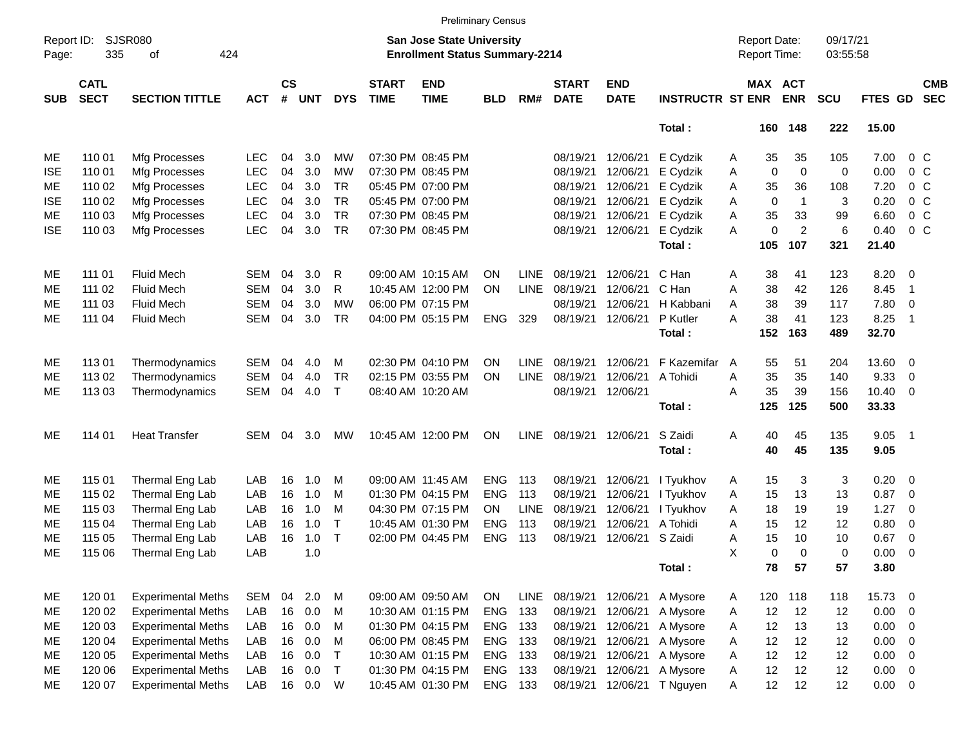|                     |                            |                             |            |                    |            |              |                             | <b>Preliminary Census</b>                                          |            |             |                             |                           |                         |                     |             |                       |                      |                 |                          |                          |
|---------------------|----------------------------|-----------------------------|------------|--------------------|------------|--------------|-----------------------------|--------------------------------------------------------------------|------------|-------------|-----------------------------|---------------------------|-------------------------|---------------------|-------------|-----------------------|----------------------|-----------------|--------------------------|--------------------------|
| Report ID:<br>Page: | 335                        | <b>SJSR080</b><br>424<br>of |            |                    |            |              |                             | San Jose State University<br><b>Enrollment Status Summary-2214</b> |            |             |                             |                           |                         | <b>Report Date:</b> |             | Report Time:          | 09/17/21<br>03:55:58 |                 |                          |                          |
| <b>SUB</b>          | <b>CATL</b><br><b>SECT</b> | <b>SECTION TITTLE</b>       | <b>ACT</b> | $\mathsf{cs}$<br># | <b>UNT</b> | <b>DYS</b>   | <b>START</b><br><b>TIME</b> | <b>END</b><br><b>TIME</b>                                          | <b>BLD</b> | RM#         | <b>START</b><br><b>DATE</b> | <b>END</b><br><b>DATE</b> | <b>INSTRUCTR ST ENR</b> |                     |             | MAX ACT<br><b>ENR</b> | <b>SCU</b>           | <b>FTES GD</b>  |                          | <b>CMB</b><br><b>SEC</b> |
|                     |                            |                             |            |                    |            |              |                             |                                                                    |            |             |                             |                           | Total:                  |                     |             | 160 148               | 222                  | 15.00           |                          |                          |
| МE                  | 110 01                     | Mfg Processes               | LEC        | 04                 | 3.0        | MW           |                             | 07:30 PM 08:45 PM                                                  |            |             | 08/19/21                    | 12/06/21                  | E Cydzik                | Α                   | 35          | 35                    | 105                  | 7.00            | 0 <sup>o</sup>           |                          |
| <b>ISE</b>          | 110 01                     | Mfg Processes               | <b>LEC</b> | 04                 | 3.0        | MW           |                             | 07:30 PM 08:45 PM                                                  |            |             | 08/19/21                    | 12/06/21                  | E Cydzik                | Α                   | $\mathbf 0$ | $\mathbf 0$           | 0                    | 0.00            | 0 <sup>o</sup>           |                          |
| МE                  | 110 02                     | Mfg Processes               | <b>LEC</b> | 04                 | 3.0        | <b>TR</b>    |                             | 05:45 PM 07:00 PM                                                  |            |             | 08/19/21                    | 12/06/21                  | E Cydzik                | Α                   | 35          | 36                    | 108                  | 7.20            | 0 <sup>o</sup>           |                          |
| <b>ISE</b>          | 110 02                     | Mfg Processes               | <b>LEC</b> | 04                 | 3.0        | <b>TR</b>    |                             | 05:45 PM 07:00 PM                                                  |            |             | 08/19/21                    | 12/06/21                  | E Cydzik                | Α                   | $\mathbf 0$ | $\mathbf{1}$          | 3                    | 0.20            | 0 <sup>o</sup>           |                          |
| ME                  | 110 03                     | Mfg Processes               | <b>LEC</b> | 04                 | 3.0        | <b>TR</b>    |                             | 07:30 PM 08:45 PM                                                  |            |             | 08/19/21                    | 12/06/21                  | E Cydzik                | Α                   | 35          | 33                    | 99                   | 6.60            | 0 <sup>o</sup>           |                          |
| <b>ISE</b>          | 110 03                     | Mfg Processes               | <b>LEC</b> | 04                 | 3.0        | <b>TR</b>    |                             | 07:30 PM 08:45 PM                                                  |            |             | 08/19/21                    | 12/06/21                  | E Cydzik                | A                   | 0           | $\overline{c}$        | 6                    | 0.40            | 0 <sup>o</sup>           |                          |
|                     |                            |                             |            |                    |            |              |                             |                                                                    |            |             |                             |                           | Total:                  |                     | 105         | 107                   | 321                  | 21.40           |                          |                          |
| ME                  | 111 01                     | <b>Fluid Mech</b>           | SEM        | 04                 | 3.0        | R            |                             | 09:00 AM 10:15 AM                                                  | ΟN         | <b>LINE</b> | 08/19/21                    | 12/06/21                  | C Han                   | Α                   | 38          | 41                    | 123                  | 8.20            | $\overline{\phantom{0}}$ |                          |
| MЕ                  | 111 02                     | <b>Fluid Mech</b>           | SEM        | 04                 | 3.0        | R            |                             | 10:45 AM 12:00 PM                                                  | ON         | <b>LINE</b> | 08/19/21                    | 12/06/21                  | C Han                   | Α                   | 38          | 42                    | 126                  | 8.45            | $\overline{1}$           |                          |
| ME                  | 111 03                     | <b>Fluid Mech</b>           | SEM        | 04                 | 3.0        | <b>MW</b>    |                             | 06:00 PM 07:15 PM                                                  |            |             | 08/19/21                    | 12/06/21                  | H Kabbani               | A                   | 38          | 39                    | 117                  | 7.80            | $\overline{\phantom{0}}$ |                          |
| МE                  | 111 04                     | <b>Fluid Mech</b>           | <b>SEM</b> | 04                 | 3.0        | <b>TR</b>    |                             | 04:00 PM 05:15 PM                                                  | <b>ENG</b> | 329         | 08/19/21                    | 12/06/21                  | P Kutler                | A                   | 38          | 41                    | 123                  | 8.25            | - 1                      |                          |
|                     |                            |                             |            |                    |            |              |                             |                                                                    |            |             |                             |                           | Total:                  |                     | 152         | 163                   | 489                  | 32.70           |                          |                          |
| ME                  | 11301                      | Thermodynamics              | <b>SEM</b> | 04                 | 4.0        | M            |                             | 02:30 PM 04:10 PM                                                  | ΟN         | <b>LINE</b> | 08/19/21                    | 12/06/21                  | F Kazemifar             | A                   | 55          | 51                    | 204                  | 13.60 0         |                          |                          |
| MЕ                  | 113 02                     | Thermodynamics              | <b>SEM</b> | 04                 | 4.0        | <b>TR</b>    |                             | 02:15 PM 03:55 PM                                                  | ΟN         | <b>LINE</b> | 08/19/21                    | 12/06/21                  | A Tohidi                | A                   | 35          | 35                    | 140                  | 9.33            | 0                        |                          |
| ME                  | 113 03                     | Thermodynamics              | <b>SEM</b> | 04                 | 4.0        | $\mathsf{T}$ |                             | 08:40 AM 10:20 AM                                                  |            |             | 08/19/21                    | 12/06/21                  |                         | A                   | 35          | 39                    | 156                  | $10.40 \quad 0$ |                          |                          |
|                     |                            |                             |            |                    |            |              |                             |                                                                    |            |             |                             |                           | Total:                  |                     | 125         | 125                   | 500                  | 33.33           |                          |                          |
| ME                  | 114 01                     | <b>Heat Transfer</b>        | <b>SEM</b> | 04                 | 3.0        | МW           |                             | 10:45 AM 12:00 PM                                                  | ON         | <b>LINE</b> | 08/19/21                    | 12/06/21                  | S Zaidi                 | Α                   | 40          | 45                    | 135                  | 9.05            | $\overline{\phantom{1}}$ |                          |
|                     |                            |                             |            |                    |            |              |                             |                                                                    |            |             |                             |                           | Total:                  |                     | 40          | 45                    | 135                  | 9.05            |                          |                          |
| ME                  | 115 01                     | Thermal Eng Lab             | LAB        | 16                 | 1.0        | м            |                             | 09:00 AM 11:45 AM                                                  | <b>ENG</b> | 113         | 08/19/21                    | 12/06/21                  | I Tyukhov               | A                   | 15          | 3                     | 3                    | $0.20 \ 0$      |                          |                          |
| ME                  | 115 02                     | Thermal Eng Lab             | LAB        | 16                 | 1.0        | M            |                             | 01:30 PM 04:15 PM                                                  | <b>ENG</b> | 113         | 08/19/21                    | 12/06/21                  | I Tyukhov               | Α                   | 15          | 13                    | 13                   | 0.87            | $\overline{\mathbf{0}}$  |                          |
| MЕ                  | 115 03                     | Thermal Eng Lab             | LAB        | 16                 | 1.0        | M            |                             | 04:30 PM 07:15 PM                                                  | OΝ         | <b>LINE</b> | 08/19/21                    | 12/06/21                  | I Tyukhov               | Α                   | 18          | 19                    | 19                   | 1.27            | 0                        |                          |
| MЕ                  | 115 04                     | Thermal Eng Lab             | LAB        | 16                 | 1.0        | $\mathsf{T}$ |                             | 10:45 AM 01:30 PM                                                  | <b>ENG</b> | 113         | 08/19/21                    | 12/06/21                  | A Tohidi                | A                   | 15          | 12                    | 12                   | 0.80            | 0                        |                          |
| ME                  | 115 05                     | Thermal Eng Lab             | LAB        | 16                 | 1.0        | T            |                             | 02:00 PM 04:45 PM                                                  | <b>ENG</b> | 113         | 08/19/21                    | 12/06/21 S Zaidi          |                         | A                   | 15          | 10                    | 10                   | 0.67            | $\overline{\mathbf{0}}$  |                          |
| ME                  | 115 06                     | Thermal Eng Lab             | LAB        |                    | 1.0        |              |                             |                                                                    |            |             |                             |                           |                         | X                   | 0           | $\Omega$              | 0                    | 0.00            | $\overline{\mathbf{0}}$  |                          |
|                     |                            |                             |            |                    |            |              |                             |                                                                    |            |             |                             |                           | Total:                  |                     | 78          | 57                    | 57                   | 3.80            |                          |                          |
| ME                  | 120 01                     | <b>Experimental Meths</b>   | SEM        | 04                 | 2.0        | M            |                             | 09:00 AM 09:50 AM                                                  | <b>ON</b>  | LINE        | 08/19/21                    | 12/06/21                  | A Mysore                | A                   |             | 120 118               | 118                  | 15.73 0         |                          |                          |
| ME                  | 120 02                     | <b>Experimental Meths</b>   | LAB        | 16                 | 0.0        | M            |                             | 10:30 AM 01:15 PM                                                  | <b>ENG</b> | 133         | 08/19/21                    | 12/06/21                  | A Mysore                | Α                   | 12          | 12                    | 12                   | $0.00 \t 0$     |                          |                          |
| ME                  | 120 03                     | <b>Experimental Meths</b>   | LAB        | 16                 | 0.0        | M            |                             | 01:30 PM 04:15 PM                                                  | <b>ENG</b> | 133         | 08/19/21                    | 12/06/21                  | A Mysore                | Α                   | 12          | 13                    | 13                   | $0.00 \t 0$     |                          |                          |
| ME                  | 120 04                     | <b>Experimental Meths</b>   | LAB        | 16                 | 0.0        | M            |                             | 06:00 PM 08:45 PM                                                  | <b>ENG</b> | 133         | 08/19/21                    | 12/06/21                  | A Mysore                | Α                   | 12          | 12                    | 12                   | 0.00            | $\overline{\phantom{0}}$ |                          |
| ME                  | 120 05                     | <b>Experimental Meths</b>   | LAB        | 16                 | 0.0        | $\top$       |                             | 10:30 AM 01:15 PM                                                  | <b>ENG</b> | 133         | 08/19/21                    | 12/06/21                  | A Mysore                | Α                   | 12          | 12                    | 12                   | $0.00 \t 0$     |                          |                          |
| ME                  | 120 06                     | <b>Experimental Meths</b>   | LAB        | 16                 | 0.0        | $\top$       |                             | 01:30 PM 04:15 PM                                                  | ENG        | 133         | 08/19/21                    | 12/06/21                  | A Mysore                | Α                   | 12          | 12                    | 12                   | $0.00 \t 0$     |                          |                          |
| ME                  | 120 07                     | <b>Experimental Meths</b>   | LAB        |                    | 16  0.0  W |              |                             | 10:45 AM 01:30 PM                                                  | ENG 133    |             | 08/19/21                    |                           | 12/06/21 T Nguyen       | Α                   | 12          | 12                    | 12                   | $0.00 \t 0$     |                          |                          |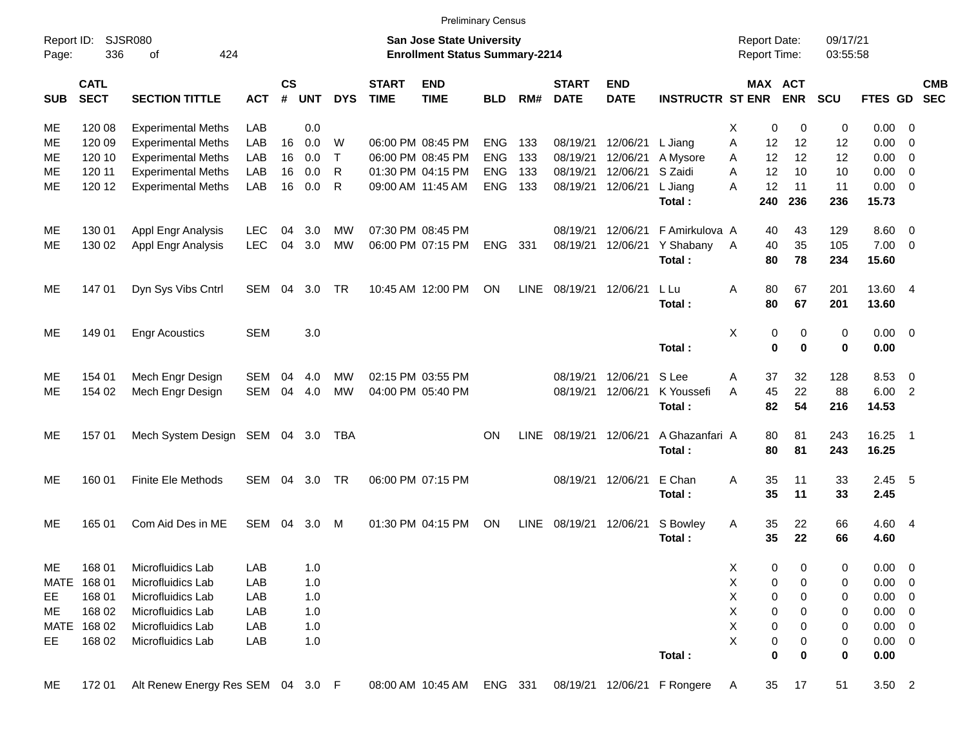|                     |                            |                                   |            |                |            |            |                             | <b>Preliminary Census</b>                                                 |            |             |                             |                           |                             |                                     |                       |                      |                |                          |                          |
|---------------------|----------------------------|-----------------------------------|------------|----------------|------------|------------|-----------------------------|---------------------------------------------------------------------------|------------|-------------|-----------------------------|---------------------------|-----------------------------|-------------------------------------|-----------------------|----------------------|----------------|--------------------------|--------------------------|
| Report ID:<br>Page: | 336                        | <b>SJSR080</b><br>424<br>οf       |            |                |            |            |                             | <b>San Jose State University</b><br><b>Enrollment Status Summary-2214</b> |            |             |                             |                           |                             | <b>Report Date:</b><br>Report Time: |                       | 09/17/21<br>03:55:58 |                |                          |                          |
| <b>SUB</b>          | <b>CATL</b><br><b>SECT</b> | <b>SECTION TITTLE</b>             | <b>ACT</b> | <b>CS</b><br># | <b>UNT</b> | <b>DYS</b> | <b>START</b><br><b>TIME</b> | <b>END</b><br><b>TIME</b>                                                 | <b>BLD</b> | RM#         | <b>START</b><br><b>DATE</b> | <b>END</b><br><b>DATE</b> | <b>INSTRUCTR ST ENR</b>     |                                     | MAX ACT<br><b>ENR</b> | <b>SCU</b>           | <b>FTES GD</b> |                          | <b>CMB</b><br><b>SEC</b> |
| ME                  | 120 08                     | <b>Experimental Meths</b>         | <b>LAB</b> |                | 0.0        |            |                             |                                                                           |            |             |                             |                           |                             | Х<br>0                              | 0                     | 0                    | 0.00           | 0                        |                          |
| ME                  | 120 09                     | <b>Experimental Meths</b>         | LAB        | 16             | 0.0        | W          |                             | 06:00 PM 08:45 PM                                                         | <b>ENG</b> | 133         | 08/19/21                    | 12/06/21                  | L Jiang                     | A<br>12                             | 12                    | 12                   | 0.00           | $\overline{0}$           |                          |
| ME                  | 120 10                     | <b>Experimental Meths</b>         | LAB        | 16             | 0.0        | $\top$     |                             | 06:00 PM 08:45 PM                                                         | <b>ENG</b> | 133         | 08/19/21                    | 12/06/21                  | A Mysore                    | 12<br>A                             | 12                    | 12                   | 0.00           | 0                        |                          |
| ME                  | 120 11                     | <b>Experimental Meths</b>         | LAB        | 16             | 0.0        | R          |                             | 01:30 PM 04:15 PM                                                         | <b>ENG</b> | 133         | 08/19/21                    | 12/06/21                  | S Zaidi                     | A<br>12                             | 10                    | 10                   | 0.00           | 0                        |                          |
| ME                  | 120 12                     | <b>Experimental Meths</b>         | LAB        | 16             | 0.0        | R          |                             | 09:00 AM 11:45 AM                                                         | <b>ENG</b> | 133         | 08/19/21                    | 12/06/21                  | L Jiang                     | 12<br>A                             | 11                    | 11                   | 0.00           | $\overline{\mathbf{0}}$  |                          |
|                     |                            |                                   |            |                |            |            |                             |                                                                           |            |             |                             |                           | Total:                      | 240                                 | 236                   | 236                  | 15.73          |                          |                          |
| ME                  | 130 01                     | Appl Engr Analysis                | <b>LEC</b> | 04             | 3.0        | МW         |                             | 07:30 PM 08:45 PM                                                         |            |             | 08/19/21                    | 12/06/21                  | F Amirkulova A              | 40                                  | 43                    | 129                  | 8.60           | $\overline{\mathbf{0}}$  |                          |
| ME                  | 130 02                     | Appl Engr Analysis                | <b>LEC</b> | 04             | 3.0        | <b>MW</b>  |                             | 06:00 PM 07:15 PM                                                         | <b>ENG</b> | 331         | 08/19/21                    | 12/06/21                  | Y Shabany                   | 40<br>A                             | 35                    | 105                  | 7.00           | $\overline{\mathbf{0}}$  |                          |
|                     |                            |                                   |            |                |            |            |                             |                                                                           |            |             |                             |                           | Total:                      | 80                                  | 78                    | 234                  | 15.60          |                          |                          |
| ME                  | 147 01                     | Dyn Sys Vibs Cntrl                | SEM        | 04             | 3.0        | TR         |                             | 10:45 AM 12:00 PM                                                         | ON         | <b>LINE</b> | 08/19/21 12/06/21           |                           | L Lu                        | Α<br>80                             | 67                    | 201                  | 13.60 4        |                          |                          |
|                     |                            |                                   |            |                |            |            |                             |                                                                           |            |             |                             |                           | Total:                      | 80                                  | 67                    | 201                  | 13.60          |                          |                          |
| ME.                 | 149 01                     | <b>Engr Acoustics</b>             | <b>SEM</b> |                | 3.0        |            |                             |                                                                           |            |             |                             |                           |                             | X<br>0                              | 0                     | 0                    | $0.00 \t 0$    |                          |                          |
|                     |                            |                                   |            |                |            |            |                             |                                                                           |            |             |                             |                           | Total:                      | 0                                   | $\bf{0}$              | 0                    | 0.00           |                          |                          |
| ME                  | 154 01                     | Mech Engr Design                  | <b>SEM</b> | 04             | 4.0        | МW         |                             | 02:15 PM 03:55 PM                                                         |            |             | 08/19/21                    | 12/06/21                  | S Lee                       | Α<br>37                             | 32                    | 128                  | 8.53           | 0                        |                          |
| ME.                 | 154 02                     | Mech Engr Design                  | SEM        | 04             | 4.0        | <b>MW</b>  |                             | 04:00 PM 05:40 PM                                                         |            |             | 08/19/21                    | 12/06/21                  | K Youssefi                  | 45<br>A                             | 22                    | 88                   | 6.00           | $\overline{\phantom{0}}$ |                          |
|                     |                            |                                   |            |                |            |            |                             |                                                                           |            |             |                             |                           | Total:                      | 82                                  | 54                    | 216                  | 14.53          |                          |                          |
| ME                  | 157 01                     | Mech System Design SEM 04 3.0     |            |                |            | TBA        |                             |                                                                           | ON         | <b>LINE</b> | 08/19/21 12/06/21           |                           | A Ghazanfari A              | 80                                  | 81                    | 243                  | 16.25 1        |                          |                          |
|                     |                            |                                   |            |                |            |            |                             |                                                                           |            |             |                             |                           | Total:                      | 80                                  | 81                    | 243                  | 16.25          |                          |                          |
| ME                  | 160 01                     | <b>Finite Ele Methods</b>         | <b>SEM</b> | 04             | 3.0        | <b>TR</b>  |                             | 06:00 PM 07:15 PM                                                         |            |             |                             | 08/19/21 12/06/21         | E Chan                      | A<br>35                             | 11                    | 33                   | $2.45$ 5       |                          |                          |
|                     |                            |                                   |            |                |            |            |                             |                                                                           |            |             |                             |                           | Total:                      | 35                                  | 11                    | 33                   | 2.45           |                          |                          |
| ME                  | 165 01                     | Com Aid Des in ME                 | SEM        | 04             | 3.0        | M          |                             | 01:30 PM 04:15 PM                                                         | ON         | LINE        | 08/19/21                    | 12/06/21                  | S Bowley                    | 35<br>Α                             | 22                    | 66                   | 4.60 4         |                          |                          |
|                     |                            |                                   |            |                |            |            |                             |                                                                           |            |             |                             |                           | Total:                      | 35                                  | 22                    | 66                   | 4.60           |                          |                          |
| ME                  | 168 01                     | Microfluidics Lab                 | LAB        |                | 1.0        |            |                             |                                                                           |            |             |                             |                           |                             | X<br>0                              | 0                     | 0                    | 0.00           | $\overline{\mathbf{0}}$  |                          |
| <b>MATE</b>         | 168 01                     | Microfluidics Lab                 | LAB        |                | 1.0        |            |                             |                                                                           |            |             |                             |                           |                             | X<br>0                              | 0                     | 0                    | 0.00           | 0                        |                          |
| EE                  | 168 01                     | Microfluidics Lab                 | LAB        |                | 1.0        |            |                             |                                                                           |            |             |                             |                           |                             | X<br>0                              | 0                     | 0                    | 0.00           | 0                        |                          |
| ME                  | 168 02                     | Microfluidics Lab                 | LAB        |                | 1.0        |            |                             |                                                                           |            |             |                             |                           |                             | Χ<br>0                              | 0                     | 0                    | 0.00           | $\mathbf 0$              |                          |
|                     | MATE 168 02                | Microfluidics Lab                 | LAB        |                | 1.0        |            |                             |                                                                           |            |             |                             |                           |                             | X<br>0                              | 0                     | 0                    | 0.00           | $\overline{0}$           |                          |
| EE.                 | 168 02                     | Microfluidics Lab                 | LAB        |                | 1.0        |            |                             |                                                                           |            |             |                             |                           |                             | X<br>0                              | 0                     | 0                    | $0.00 \t 0$    |                          |                          |
|                     |                            |                                   |            |                |            |            |                             |                                                                           |            |             |                             |                           | Total:                      | 0                                   | 0                     | 0                    | 0.00           |                          |                          |
| ME                  | 172 01                     | Alt Renew Energy Res SEM 04 3.0 F |            |                |            |            |                             | 08:00 AM 10:45 AM                                                         | ENG 331    |             |                             |                           | 08/19/21 12/06/21 F Rongere | 35<br>A                             | 17                    | 51                   | $3.50$ 2       |                          |                          |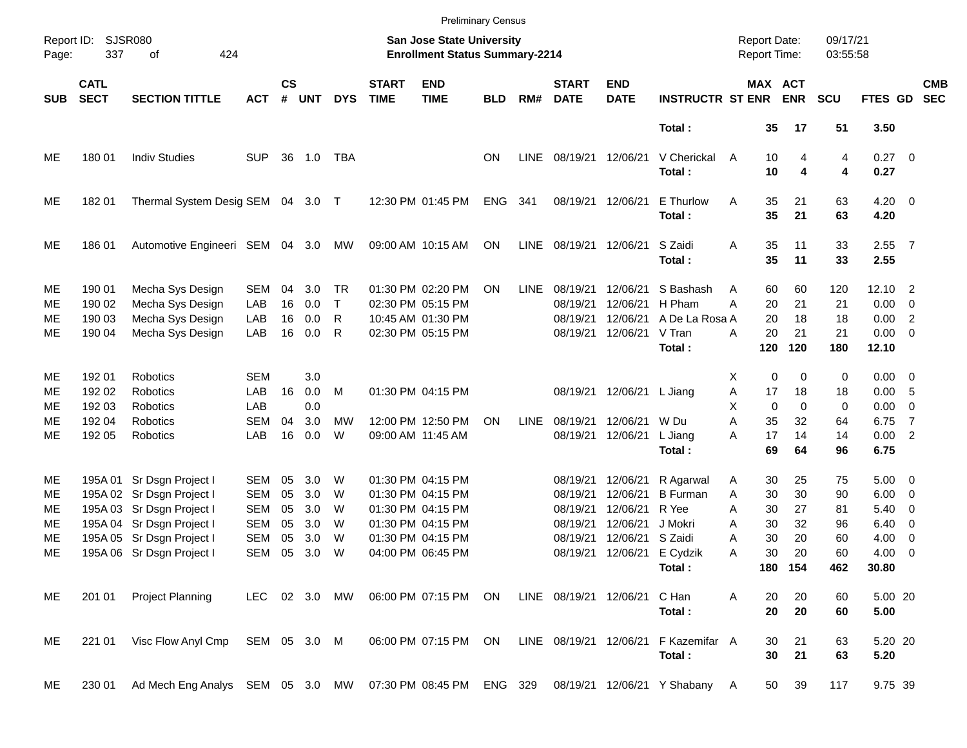|                                  |                                      |                                                                                                                                                                            |                                                                                  |                                  |                                        |                            |                             |                                                                                                                            | <b>Preliminary Census</b> |             |                                                                      |                                                                  |                                                                       |                                                          |                                              |                                  |                                                     |                                                                                                                                       |                          |
|----------------------------------|--------------------------------------|----------------------------------------------------------------------------------------------------------------------------------------------------------------------------|----------------------------------------------------------------------------------|----------------------------------|----------------------------------------|----------------------------|-----------------------------|----------------------------------------------------------------------------------------------------------------------------|---------------------------|-------------|----------------------------------------------------------------------|------------------------------------------------------------------|-----------------------------------------------------------------------|----------------------------------------------------------|----------------------------------------------|----------------------------------|-----------------------------------------------------|---------------------------------------------------------------------------------------------------------------------------------------|--------------------------|
| Report ID:<br>Page:              | 337                                  | <b>SJSR080</b><br>424<br>оf                                                                                                                                                |                                                                                  |                                  |                                        |                            |                             | <b>San Jose State University</b><br><b>Enrollment Status Summary-2214</b>                                                  |                           |             |                                                                      |                                                                  |                                                                       | <b>Report Date:</b><br>Report Time:                      |                                              | 09/17/21<br>03:55:58             |                                                     |                                                                                                                                       |                          |
| <b>SUB</b>                       | <b>CATL</b><br><b>SECT</b>           | <b>SECTION TITTLE</b>                                                                                                                                                      | <b>ACT</b>                                                                       | $\mathsf{cs}$<br>#               | <b>UNT</b>                             | <b>DYS</b>                 | <b>START</b><br><b>TIME</b> | <b>END</b><br><b>TIME</b>                                                                                                  | <b>BLD</b>                | RM#         | <b>START</b><br><b>DATE</b>                                          | <b>END</b><br><b>DATE</b>                                        | <b>INSTRUCTR ST ENR</b>                                               |                                                          | MAX ACT<br><b>ENR</b>                        | <b>SCU</b>                       | FTES GD                                             |                                                                                                                                       | <b>CMB</b><br><b>SEC</b> |
|                                  |                                      |                                                                                                                                                                            |                                                                                  |                                  |                                        |                            |                             |                                                                                                                            |                           |             |                                                                      |                                                                  | Total:                                                                |                                                          | 35<br>17                                     | 51                               | 3.50                                                |                                                                                                                                       |                          |
| ME                               | 180 01                               | <b>Indiv Studies</b>                                                                                                                                                       | <b>SUP</b>                                                                       | 36                               | 1.0                                    | TBA                        |                             |                                                                                                                            | ΟN                        | <b>LINE</b> | 08/19/21 12/06/21                                                    |                                                                  | V Cherickal<br>Total:                                                 | A<br>10                                                  | 10<br>4<br>4                                 | 4<br>4                           | $0.27$ 0<br>0.27                                    |                                                                                                                                       |                          |
| ME                               | 18201                                | Thermal System Desig SEM 04 3.0 T                                                                                                                                          |                                                                                  |                                  |                                        |                            |                             | 12:30 PM 01:45 PM                                                                                                          | <b>ENG</b>                | 341         | 08/19/21                                                             | 12/06/21                                                         | E Thurlow<br>Total:                                                   | Α<br>35<br>35                                            | 21<br>21                                     | 63<br>63                         | $4.20 \ 0$<br>4.20                                  |                                                                                                                                       |                          |
| ME                               | 18601                                | Automotive Engineeri SEM 04 3.0                                                                                                                                            |                                                                                  |                                  |                                        | МW                         |                             | 09:00 AM 10:15 AM                                                                                                          | ON                        | <b>LINE</b> | 08/19/21                                                             | 12/06/21                                                         | S Zaidi<br>Total:                                                     | 35<br>Α<br>35                                            | 11<br>11                                     | 33<br>33                         | $2.55$ 7<br>2.55                                    |                                                                                                                                       |                          |
| ME<br>ME<br>ME<br>ME             | 190 01<br>190 02<br>190 03<br>190 04 | Mecha Sys Design<br>Mecha Sys Design<br>Mecha Sys Design<br>Mecha Sys Design                                                                                               | <b>SEM</b><br>LAB<br>LAB<br>LAB                                                  | 04<br>16<br>16<br>16             | 3.0<br>0.0<br>0.0<br>0.0               | TR<br>Τ<br>R<br>R          |                             | 01:30 PM 02:20 PM<br>02:30 PM 05:15 PM<br>10:45 AM 01:30 PM<br>02:30 PM 05:15 PM                                           | ON                        | <b>LINE</b> | 08/19/21<br>08/19/21<br>08/19/21<br>08/19/21                         | 12/06/21<br>12/06/21<br>12/06/21<br>12/06/21                     | S Bashash<br>H Pham<br>A De La Rosa A<br>V Tran<br>Total:             | Α<br>A<br>20<br>20<br>20<br>Α<br>120                     | 60<br>60<br>21<br>18<br>21<br>120            | 120<br>21<br>18<br>21<br>180     | 12.10<br>0.00<br>0.00<br>$0.00 \t 0$<br>12.10       | $\overline{\phantom{0}}^2$<br>$\overline{\phantom{0}}$<br>$\overline{\phantom{0}}^2$                                                  |                          |
| ME<br>ME<br>ME<br>МE<br>ME       | 192 01<br>192 02<br>192 03<br>192 04 | Robotics<br>Robotics<br>Robotics<br>Robotics                                                                                                                               | <b>SEM</b><br>LAB<br>LAB<br><b>SEM</b><br>LAB                                    | 16<br>04<br>16                   | 3.0<br>0.0<br>0.0<br>3.0<br>0.0        | M<br>MW<br>W               |                             | 01:30 PM 04:15 PM<br>12:00 PM 12:50 PM<br>09:00 AM 11:45 AM                                                                | ΟN                        | <b>LINE</b> | 08/19/21<br>08/19/21<br>08/19/21                                     | 12/06/21 L Jiang<br>12/06/21                                     | W Du                                                                  | X<br>Α<br>17<br>X<br>A<br>35<br>17<br>A                  | 0<br>0<br>18<br>$\mathbf 0$<br>0<br>32<br>14 | 0<br>18<br>0<br>64<br>14         | $0.00 \t 0$<br>0.00<br>0.00<br>6.75<br>0.00 2       | - 5<br>$\overline{\mathbf{0}}$<br>$\overline{7}$                                                                                      |                          |
|                                  | 192 05                               | Robotics                                                                                                                                                                   |                                                                                  |                                  |                                        |                            |                             |                                                                                                                            |                           |             |                                                                      | 12/06/21                                                         | L Jiang<br>Total:                                                     | 69                                                       | 64                                           | 96                               | 6.75                                                |                                                                                                                                       |                          |
| ME<br>ME<br>ME<br>ME<br>ME<br>ME |                                      | 195A 01 Sr Dsgn Project I<br>195A 02 Sr Dsgn Project I<br>195A 03 Sr Dsgn Project I<br>195A 04 Sr Dsgn Project I<br>195A 05 Sr Dsgn Project I<br>195A 06 Sr Dsgn Project I | <b>SEM</b><br><b>SEM</b><br><b>SEM</b><br><b>SEM</b><br><b>SEM</b><br><b>SEM</b> | 05<br>05<br>05<br>05<br>05<br>05 | 3.0<br>3.0<br>3.0<br>3.0<br>3.0<br>3.0 | W<br>W<br>W<br>W<br>W<br>W |                             | 01:30 PM 04:15 PM<br>01:30 PM 04:15 PM<br>01:30 PM 04:15 PM<br>01:30 PM 04:15 PM<br>01:30 PM 04:15 PM<br>04:00 PM 06:45 PM |                           |             | 08/19/21<br>08/19/21<br>08/19/21<br>08/19/21<br>08/19/21<br>08/19/21 | 12/06/21<br>12/06/21<br>12/06/21<br>12/06/21<br>12/06/21 S Zaidi | R Agarwal<br><b>B</b> Furman<br>R Yee<br>J Mokri<br>12/06/21 E Cydzik | 30<br>Α<br>A<br>30<br>Α<br>30<br>30<br>Α<br>30<br>Α<br>A | 25<br>30<br>27<br>32<br>20<br>30<br>20       | 75<br>90<br>81<br>96<br>60<br>60 | $5.00 \t 0$<br>6.00<br>5.40<br>6.40<br>4.00<br>4.00 | $\overline{\phantom{0}}$<br>$\overline{\mathbf{0}}$<br>$\overline{\mathbf{0}}$<br>$\overline{\mathbf{0}}$<br>$\overline{\phantom{0}}$ |                          |
| ME                               | 201 01                               | <b>Project Planning</b>                                                                                                                                                    | LEC 02 3.0 MW                                                                    |                                  |                                        |                            |                             | 06:00 PM 07:15 PM ON                                                                                                       |                           |             | LINE 08/19/21 12/06/21                                               |                                                                  | Total:<br>C Han<br>Total:                                             | Α                                                        | 180 154<br>20<br>20<br>20<br>20              | 462<br>60<br>60                  | 30.80<br>5.00 20<br>5.00                            |                                                                                                                                       |                          |
| ME                               | 221 01                               | Visc Flow Anyl Cmp SEM 05 3.0 M                                                                                                                                            |                                                                                  |                                  |                                        |                            |                             | 06:00 PM 07:15 PM                                                                                                          | ON                        |             | LINE 08/19/21 12/06/21                                               |                                                                  | F Kazemifar A<br>Total:                                               |                                                          | 30<br>21<br>30<br>21                         | 63<br>63                         | 5.20 20<br>5.20                                     |                                                                                                                                       |                          |
| ME                               | 230 01                               | Ad Mech Eng Analys SEM 05 3.0 MW 07:30 PM 08:45 PM ENG 329                                                                                                                 |                                                                                  |                                  |                                        |                            |                             |                                                                                                                            |                           |             |                                                                      |                                                                  | 08/19/21 12/06/21 Y Shabany A                                         |                                                          | 39<br>50                                     | 117                              | 9.75 39                                             |                                                                                                                                       |                          |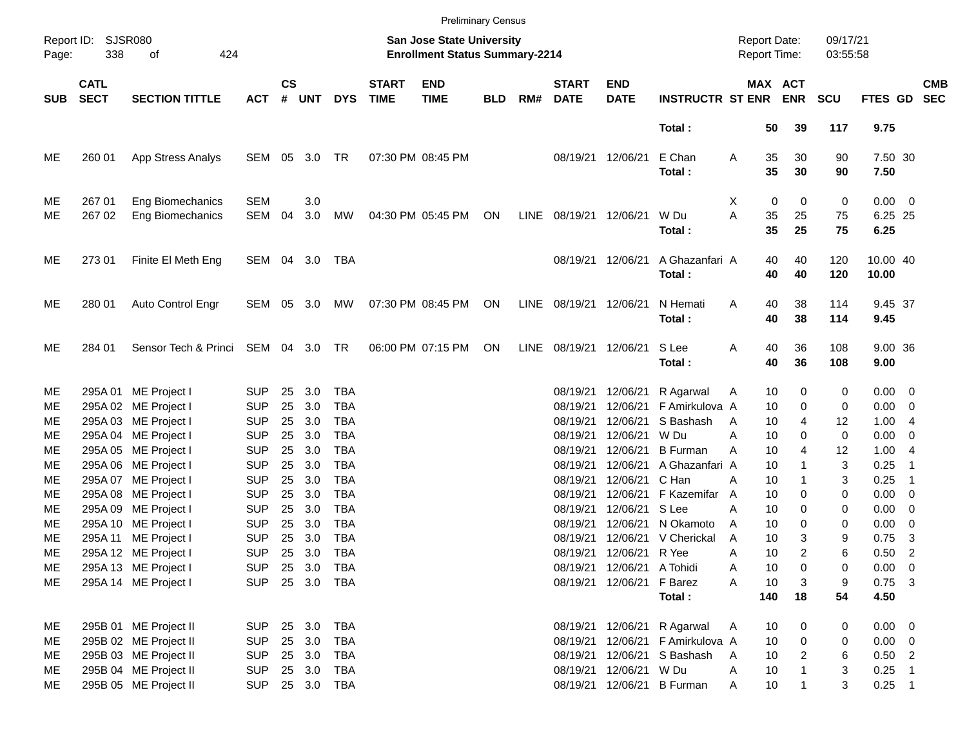|                |                            |                                                                      |                                        |                    |                   |                                 |                             |                                                                    | <b>Preliminary Census</b> |      |                                  |                                              |                                                        |                                     |                           |                                          |                                    |                                |                          |
|----------------|----------------------------|----------------------------------------------------------------------|----------------------------------------|--------------------|-------------------|---------------------------------|-----------------------------|--------------------------------------------------------------------|---------------------------|------|----------------------------------|----------------------------------------------|--------------------------------------------------------|-------------------------------------|---------------------------|------------------------------------------|------------------------------------|--------------------------------|--------------------------|
| Page:          | Report ID: SJSR080<br>338  | of<br>424                                                            |                                        |                    |                   |                                 |                             | San Jose State University<br><b>Enrollment Status Summary-2214</b> |                           |      |                                  |                                              |                                                        | <b>Report Date:</b><br>Report Time: |                           | 09/17/21<br>03:55:58                     |                                    |                                |                          |
| <b>SUB</b>     | <b>CATL</b><br><b>SECT</b> | <b>SECTION TITTLE</b>                                                | <b>ACT</b>                             | $\mathsf{cs}$<br># | <b>UNT</b>        | <b>DYS</b>                      | <b>START</b><br><b>TIME</b> | <b>END</b><br><b>TIME</b>                                          | <b>BLD</b>                | RM#  | <b>START</b><br><b>DATE</b>      | <b>END</b><br><b>DATE</b>                    | <b>INSTRUCTR ST ENR</b>                                |                                     | MAX ACT<br><b>ENR</b>     | <b>SCU</b>                               | FTES GD                            |                                | <b>CMB</b><br><b>SEC</b> |
|                |                            |                                                                      |                                        |                    |                   |                                 |                             |                                                                    |                           |      |                                  |                                              | Total:                                                 |                                     | 39<br>50                  | 117                                      | 9.75                               |                                |                          |
| ME             | 260 01                     | App Stress Analys                                                    | SEM                                    | 05                 | 3.0               | TR                              |                             | 07:30 PM 08:45 PM                                                  |                           |      |                                  | 08/19/21 12/06/21                            | E Chan<br>Total:                                       | Α                                   | 35<br>30<br>35<br>30      | 90<br>90                                 | 7.50 30<br>7.50                    |                                |                          |
| МE<br>ME       | 267 01<br>267 02           | Eng Biomechanics<br>Eng Biomechanics                                 | <b>SEM</b><br>SEM                      | 04                 | 3.0<br>3.0        | МW                              |                             | 04:30 PM 05:45 PM                                                  | ON                        | LINE | 08/19/21                         | 12/06/21                                     | W Du<br>Total:                                         | X<br>A                              | 0<br>35<br>25<br>35<br>25 | 0<br>0<br>75<br>75                       | $0.00 \t 0$<br>6.25 25<br>6.25     |                                |                          |
| ME             | 273 01                     | Finite El Meth Eng                                                   | SEM 04 3.0                             |                    |                   | TBA                             |                             |                                                                    |                           |      | 08/19/21                         | 12/06/21                                     | A Ghazanfari A<br>Total:                               |                                     | 40<br>40<br>40<br>40      | 120<br>120                               | 10.00 40<br>10.00                  |                                |                          |
| ME             | 280 01                     | Auto Control Engr                                                    | SEM 05 3.0                             |                    |                   | МW                              |                             | 07:30 PM 08:45 PM                                                  | ON                        | LINE | 08/19/21                         | 12/06/21                                     | N Hemati<br>Total:                                     | A                                   | 38<br>40<br>40<br>38      | 114<br>114                               | 9.45 37<br>9.45                    |                                |                          |
| ME             | 284 01                     | Sensor Tech & Princi                                                 | SEM 04 3.0 TR                          |                    |                   |                                 |                             | 06:00 PM 07:15 PM                                                  | ON                        | LINE | 08/19/21                         | 12/06/21                                     | S Lee<br>Total:                                        | Α                                   | 40<br>36<br>40<br>36      | 108<br>108                               | 9.00 36<br>9.00                    |                                |                          |
| ME<br>ME       |                            | 295A 01 ME Project I<br>295A 02 ME Project I                         | <b>SUP</b><br><b>SUP</b>               | 25<br>25           | 3.0<br>3.0        | TBA<br><b>TBA</b>               |                             |                                                                    |                           |      | 08/19/21<br>08/19/21             | 12/06/21<br>12/06/21                         | R Agarwal<br>F Amirkulova A                            | Α                                   | 10<br>10                  | 0<br>0<br>0<br>0                         | $0.00 \t 0$<br>$0.00 \t 0$         |                                |                          |
| MЕ<br>MЕ       |                            | 295A 03 ME Project I<br>295A 04 ME Project I                         | <b>SUP</b><br><b>SUP</b>               | 25<br>25           | 3.0<br>3.0        | TBA<br>TBA                      |                             |                                                                    |                           |      | 08/19/21<br>08/19/21             | 12/06/21<br>12/06/21                         | S Bashash<br>W Du                                      | A<br>А                              | 10<br>10                  | 4<br>12<br>0<br>0                        | 1.004<br>0.00                      | $\overline{0}$                 |                          |
| ME<br>ME       |                            | 295A 05 ME Project I<br>295A 06 ME Project I                         | <b>SUP</b><br><b>SUP</b>               | 25<br>25           | 3.0<br>3.0        | <b>TBA</b><br>TBA               |                             |                                                                    |                           |      | 08/19/21<br>08/19/21             | 12/06/21<br>12/06/21                         | <b>B</b> Furman<br>A Ghazanfari A                      | А                                   | 10<br>10                  | 4<br>12<br>3<br>1                        | 1.004<br>0.25                      | -1                             |                          |
| ME<br>ME<br>ME |                            | 295A 07 ME Project I<br>295A 08 ME Project I<br>295A 09 ME Project I | <b>SUP</b><br><b>SUP</b><br><b>SUP</b> | 25<br>25<br>25     | 3.0<br>3.0<br>3.0 | TBA<br><b>TBA</b><br><b>TBA</b> |                             |                                                                    |                           |      | 08/19/21<br>08/19/21<br>08/19/21 | 12/06/21 C Han<br>12/06/21<br>12/06/21 S Lee | F Kazemifar                                            | А<br>A<br>А                         | 10<br>10<br>10            | 3<br>1<br>0<br>0<br>0<br>0               | 0.25<br>$0.00 \t 0$<br>$0.00 \t 0$ | -1                             |                          |
| ME<br>ME       |                            | 295A 10 ME Project I<br>295A 11 ME Project I                         | <b>SUP</b><br><b>SUP</b>               | 25<br>25           | 3.0<br>3.0        | TBA<br><b>TBA</b>               |                             |                                                                    |                           |      | 08/19/21<br>08/19/21             |                                              | 12/06/21 N Okamoto<br>12/06/21 V Cherickal             | A<br>A                              | 10<br>10                  | 0<br>0<br>3<br>9                         | 0.00<br>0.75                       | $\overline{\phantom{0}}$<br>-3 |                          |
| ME<br>ME       |                            | 295A 12 ME Project I<br>295A 13 ME Project I                         | <b>SUP</b><br><b>SUP</b>               | 25                 | 3.0               | TBA<br>25 3.0 TBA               |                             |                                                                    |                           |      | 08/19/21                         | 12/06/21 R Yee<br>08/19/21 12/06/21 A Tohidi |                                                        | Α<br>A                              | 10<br>10                  | $\overline{2}$<br>6<br>0<br>0            | 0.50<br>$0.00 \t 0$                | $\overline{\phantom{0}}$       |                          |
| ME             |                            | 295A 14 ME Project I                                                 | <b>SUP</b>                             |                    |                   | 25 3.0 TBA                      |                             |                                                                    |                           |      |                                  | 08/19/21 12/06/21 F Barez                    | Total:                                                 | A<br>140                            | 10<br>18                  | 3<br>9<br>54                             | $0.75$ 3<br>4.50                   |                                |                          |
| ME<br>ME       |                            | 295B 01 ME Project II<br>295B 02 ME Project II                       | <b>SUP</b><br><b>SUP</b>               |                    | 25 3.0<br>25 3.0  | TBA<br>TBA                      |                             |                                                                    |                           |      | 08/19/21                         |                                              | 08/19/21 12/06/21 R Agarwal<br>12/06/21 F Amirkulova A | Α                                   | 10<br>10                  | 0<br>0<br>0<br>0                         | $0.00 \t 0$<br>$0.00 \t 0$         |                                |                          |
| ME<br>ME       |                            | 295B 03 ME Project II<br>295B 04 ME Project II                       | <b>SUP</b><br><b>SUP</b>               |                    | 25 3.0<br>25 3.0  | TBA<br>TBA                      |                             |                                                                    |                           |      | 08/19/21<br>08/19/21             | 12/06/21 W Du                                | 12/06/21 S Bashash                                     | A<br>A                              | 10<br>10                  | $\overline{2}$<br>6<br>$\mathbf{1}$<br>3 | $0.50$ 2<br>$0.25$ 1               |                                |                          |
| ME             |                            | 295B 05 ME Project II                                                | <b>SUP</b>                             |                    |                   | 25 3.0 TBA                      |                             |                                                                    |                           |      |                                  |                                              | 08/19/21 12/06/21 B Furman                             | Α                                   | 10                        | 3<br>$\mathbf{1}$                        | $0.25$ 1                           |                                |                          |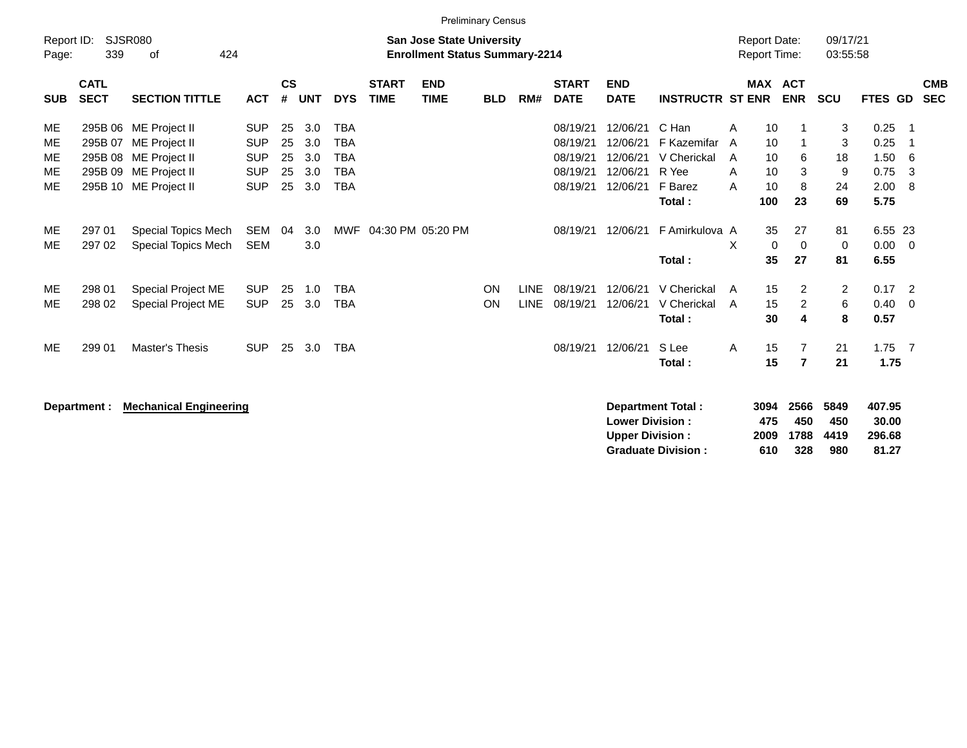|                     |                            |                                                |                          |                    |            |                          |                             | <b>Preliminary Census</b>                                                 |            |             |                             |                                                  |                            |        |                                     |                     |                      |                           |                          |
|---------------------|----------------------------|------------------------------------------------|--------------------------|--------------------|------------|--------------------------|-----------------------------|---------------------------------------------------------------------------|------------|-------------|-----------------------------|--------------------------------------------------|----------------------------|--------|-------------------------------------|---------------------|----------------------|---------------------------|--------------------------|
| Report ID:<br>Page: | 339                        | SJSR080<br>424<br>οf                           |                          |                    |            |                          |                             | <b>San Jose State University</b><br><b>Enrollment Status Summary-2214</b> |            |             |                             |                                                  |                            |        | <b>Report Date:</b><br>Report Time: |                     | 09/17/21<br>03:55:58 |                           |                          |
| <b>SUB</b>          | <b>CATL</b><br><b>SECT</b> | <b>SECTION TITTLE</b>                          | <b>ACT</b>               | $\mathsf{cs}$<br># | <b>UNT</b> | <b>DYS</b>               | <b>START</b><br><b>TIME</b> | <b>END</b><br><b>TIME</b>                                                 | <b>BLD</b> | RM#         | <b>START</b><br><b>DATE</b> | <b>END</b><br><b>DATE</b>                        | <b>INSTRUCTR ST ENR</b>    |        | <b>MAX ACT</b>                      | <b>ENR</b>          | <b>SCU</b>           | <b>FTES GD</b>            | <b>CMB</b><br><b>SEC</b> |
| ME                  |                            | 295B 06 ME Project II                          | <b>SUP</b>               | 25                 | 3.0        | <b>TBA</b>               |                             |                                                                           |            |             | 08/19/21                    | 12/06/21                                         | C Han                      | A      | 10                                  | -1                  | 3                    | 0.25                      | -1                       |
| ME<br>ME            |                            | 295B 07 ME Project II<br>295B 08 ME Project II | <b>SUP</b><br><b>SUP</b> | 25<br>25           | 3.0<br>3.0 | <b>TBA</b><br><b>TBA</b> |                             |                                                                           |            |             | 08/19/21<br>08/19/21        | 12/06/21<br>12/06/21                             | F Kazemifar<br>V Cherickal | A<br>A | 10<br>10                            | $\mathbf 1$<br>6    | 3<br>18              | 0.25<br>1.50              | $\mathbf 1$<br>6         |
| ME<br>ME            |                            | 295B 09 ME Project II<br>295B 10 ME Project II | <b>SUP</b><br><b>SUP</b> | 25<br>25           | 3.0<br>3.0 | <b>TBA</b><br><b>TBA</b> |                             |                                                                           |            |             | 08/19/21<br>08/19/21        | 12/06/21<br>12/06/21                             | R Yee<br>F Barez           | A<br>A | 10<br>10                            | 3<br>8              | 9<br>24              | 0.75<br>2.00              | 3<br>8                   |
|                     |                            |                                                |                          |                    |            |                          |                             |                                                                           |            |             |                             |                                                  | Total:                     |        | 100                                 | 23                  | 69                   | 5.75                      |                          |
| ME                  | 297 01                     | Special Topics Mech                            | <b>SEM</b>               | 04                 | 3.0        | MWF                      |                             | 04:30 PM 05:20 PM                                                         |            |             | 08/19/21                    | 12/06/21                                         | F Amirkulova A             |        | 35                                  | 27                  | 81                   | 6.55 23                   |                          |
| ME.                 | 297 02                     | Special Topics Mech                            | <b>SEM</b>               |                    | 3.0        |                          |                             |                                                                           |            |             |                             |                                                  | Total:                     | X      | 0<br>35                             | 0<br>27             | 0<br>81              | 0.00<br>6.55              | $\mathbf{0}$             |
| ME                  | 298 01                     | Special Project ME                             | <b>SUP</b>               | 25                 | 1.0        | <b>TBA</b>               |                             |                                                                           | <b>ON</b>  | <b>LINE</b> | 08/19/21                    | 12/06/21                                         | V Cherickal                | A      | 15                                  | 2                   | $\overline{2}$       | 0.17                      | $\overline{2}$           |
| ME.                 | 298 02                     | Special Project ME                             | <b>SUP</b>               | 25                 | 3.0        | <b>TBA</b>               |                             |                                                                           | <b>ON</b>  | <b>LINE</b> | 08/19/21                    | 12/06/21                                         | V Cherickal<br>Total:      | - A    | 15<br>30                            | $\overline{2}$<br>4 | 6<br>8               | 0.40<br>0.57              | $\overline{0}$           |
|                     |                            |                                                |                          |                    |            |                          |                             |                                                                           |            |             |                             |                                                  |                            |        |                                     |                     |                      |                           |                          |
| ME                  | 299 01                     | <b>Master's Thesis</b>                         | <b>SUP</b>               | 25                 | 3.0        | <b>TBA</b>               |                             |                                                                           |            |             | 08/19/21                    | 12/06/21                                         | S Lee<br>Total:            | A      | 15<br>15                            | 7<br>$\overline{7}$ | 21<br>21             | $1.75$ 7<br>1.75          |                          |
|                     | Department :               | <b>Mechanical Engineering</b>                  |                          |                    |            |                          |                             |                                                                           |            |             |                             | <b>Lower Division:</b><br><b>Upper Division:</b> | <b>Department Total:</b>   |        | 3094<br>475<br>2009                 | 2566<br>450<br>1788 | 5849<br>450<br>4419  | 407.95<br>30.00<br>296.68 |                          |

**Graduate Division : 610 328 980 81.27**